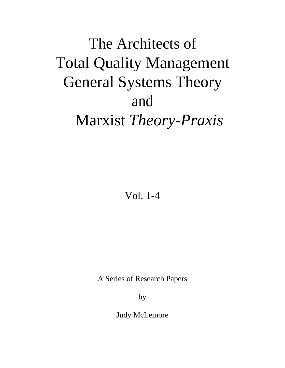### The Architects of Total Quality Management General Systems Theory and Marxist *Theory-Praxis*

Vol. 1-4

A Series of Research Papers

by

Judy McLemore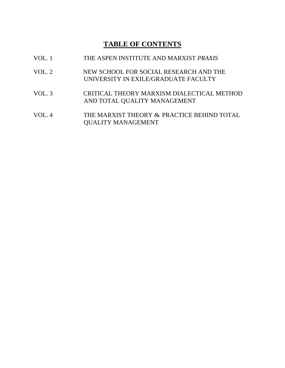### **TABLE OF CONTENTS**

| VOL.1  | THE ASPEN INSTITUTE AND MARXIST PRAXIS                                         |
|--------|--------------------------------------------------------------------------------|
| VOL. 2 | NEW SCHOOL FOR SOCIAL RESEARCH AND THE<br>UNIVERSITY IN EXILE/GRADUATE FACULTY |
| VOL.3  | CRITICAL THEORY MARXISM DIALECTICAL METHOD<br>AND TOTAL QUALITY MANAGEMENT     |
| VOL.4  | THE MARXIST THEORY & PRACTICE BEHIND TOTAL<br><b>QUALITY MANAGEMENT</b>        |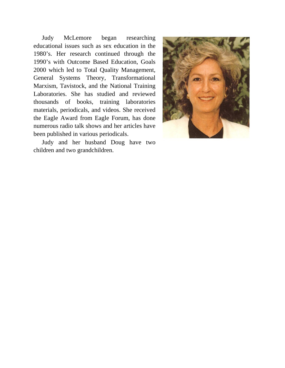Judy McLemore began researching educational issues such as sex education in the 1980's. Her research continued through the 1990's with Outcome Based Education, Goals 2000 which led to Total Quality Management, General Systems Theory, Transformational Marxism, Tavistock, and the National Training Laboratories. She has studied and reviewed thousands of books, training laboratories materials, periodicals, and videos. She received the Eagle Award from Eagle Forum, has done numerous radio talk shows and her articles have been published in various periodicals.

Judy and her husband Doug have two children and two grandchildren.

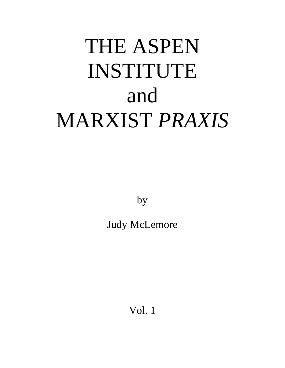# THE ASPEN INSTITUTE and MARXIST *PRAXIS*

by

Judy McLemore

Vol. 1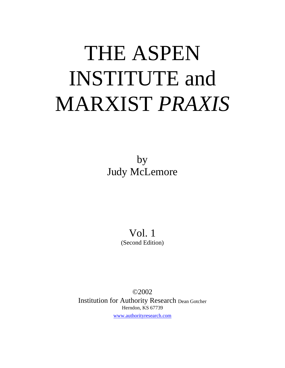## THE ASPEN INSTITUTE and MARXIST *PRAXIS*

by Judy McLemore

> Vol. 1 (Second Edition)

©2002 Institution for Authority Research Dean Gotcher Herndon, KS 67739 [www.authorityresearch.com](http://www.authorityresearch.com/)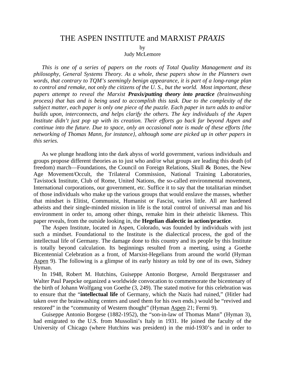#### THE ASPEN INSTITUTE and MARXIST *PRAXIS*

by

Judy McLemore

*This is one of a series of papers on the roots of Total Quality Management and its philosophy, General Systems Theory. As a whole, these papers show in the Planners own words, that contrary to TQM's seemingly benign appearance, it is part of a long-range plan to control and remake, not only the citizens of the U. S., but the world. Most important, these papers attempt to reveal the Marxist Praxis/putting theory into practice (brainwashing process) that has and is being used to accomplish this task. Due to the complexity of the subject matter, each paper is only one piece of the puzzle. Each paper in turn adds to and/or builds upon, interconnects, and helps clarify the others. The key individuals of the Aspen Institute didn't just pop up with its creation. Their efforts go back far beyond Aspen and continue into the future. Due to space, only an occasional note is made of these efforts [the networking of Thomas Mann, for instance}, although some are picked up in other papers in this series.* 

As we plunge headlong into the dark abyss of world government, various individuals and groups propose different theories as to just who and/or what groups are leading this death (of freedom) march—Foundations, the Council on Foreign Relations, Skull & Bones, the New Age Movement/Occult, the Trilateral Commission, National Training Laboratories, Tavistock Institute, Club of Rome, United Nations, the so-called environmental movement, International corporations, our government, etc. Suffice it to say that the totalitarian mindset of those individuals who make up the various groups that would enslave the masses, whether that mindset is Elitist, Communist, Humanist or Fascist, varies little. All are hardened atheists and their single-minded mission in life is the total control of universal man and his environment in order to, among other things, remake him in their atheistic likeness. This paper reveals, from the outside looking in, the **Hegelian dialectic in action/practice**.

The Aspen Institute, located in Aspen, Colorado, was founded by individuals with just such a mindset. Foundational to the Institute is the dialectical process, the god of the intellectual life of Germany. The damage done to this country and its people by this Institute is totally beyond calculation. Its beginnings resulted from a meeting, using a Goethe Bicentennial Celebration as a front, of Marxist-Hegelians from around the world (Hyman Aspen 9). The following is a glimpse of its early history as told by one of its own, Sidney Hyman.

In 1948, Robert M. Hutchins, Guiseppe Antonio Borgese, Arnold Bergstrasser and Walter Paul Paepcke organized a worldwide convocation to commemorate the bicentenary of the birth of Johann Wolfgang von Goethe (3, 249). The stated motive for this celebration was to ensure that the "**intellectual life** of Germany, which the Nazis had ruined," (Hitler had taken over the brainwashing centers and used them for his own ends.) would be "revived and restored" in the "community of Western thought" (Hyman Aspen 21; Fermi 9).

Guiseppe Antonio Borgese (1882-1952), the "son-in-law of Thomas Mann" (Hyman 3), had emigrated to the U.S. from Mussolini's Italy in 1931. He joined the faculty of the University of Chicago (where Hutchins was president) in the mid-1930's and in order to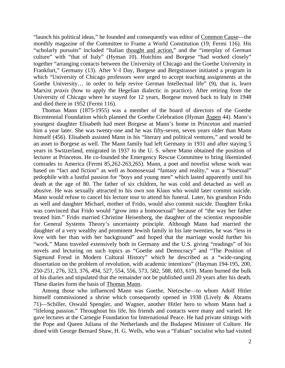"launch his political ideas," he founded and consequently was editor of Common Cause—the monthly magazine of the Committee to Frame a World Constitution (19; Fermi 116). His "scholarly pursuits" included "Italian thought and action," and the "interplay of German culture" with "that of Italy" (Hyman 10). Hutchins and Borgese "had worked closely" together "arranging contacts between the University of Chicago and the Goethe University in Frankfurt," Germany (13). After V-I Day, Borgese and Bergstrasser initiated a program in which "University of Chicago professors were urged to accept teaching assignments at the Goethe University… in order to help revive German Intellectual life" (9), that is, learn Marxist *praxis* (how to apply the Hegelian dialectic in practice). After retiring from the University of Chicago where he stayed for 12 years, Borgese moved back to Italy in 1948 and died there in 1952 (Fermi 116).

Thomas Mann (1875-1955) was a member of the board of directors of the Goethe Bicentennial Foundation which planned the Goethe Celebration (Hyman Aspen 44). Mann's youngest daughter Elisabeth had meet Borgese at Mann's home in Princeton and married him a year later. She was twenty-one and he was fifty-seven, seven years older than Mann himself (456). Elisabeth assisted Mann in his "literary and political ventures," and would be an asset to Borgese as well. The Mann family had left Germany in 1931 and after staying 5 years in Switzerland, emigrated in 1937 to the U. S. where Mann obtained the position of lecturer at Princeton. He co-founded the Emergency Rescue Committee to bring likeminded comrades to America (Fermi 85,262-263,265). Mann, a poet and novelist whose work was based on "fact and fiction" as well as homosexual "fantasy and reality," was a "bisexual" pedophile with a lustful passion for "boys and young men" which lasted apparently until his death at the age of 80. The father of six children, he was cold and detached as well as abusive. He was sexually attracted to his own son Klaus who would later commit suicide. Mann would refuse to cancel his lecture tour to attend his funeral. Later, his grandson Frido as well and daughter Michael, mother of Frido, would also commit suicide. Daughter Erika was convinced that Frido would "grow into a homosexual" because of "the way her father treated him." Frido married Christine Heisenberg, the daughter of the scientist responsible for General Systems Theory's uncertainty principle. Although Mann had married the daughter of a very wealthy and prominent Jewish family in his late twenties, he was "less in love with her than with her background" and hoped that the marriage would further his "work." Mann traveled extensively both in Germany and the U.S. giving "readings" of his novels and lecturing on such topics as "Goethe and Democracy" and "The Position of Sigmund Freud in Modern Cultural History" which he described as a "wide-ranging dissertation on the problem of revolution, with academic intentions" (Hayman 194-195, 200, 250-251, 276, 323, 376, 494, 527, 554, 556, 573, 582, 588, 603, 619). Mann burned the bulk of his diaries and stipulated that the remainder not be published until 20 years after his death. These diaries form the basis of Thomas Mann.

Among those who influenced Mann was Goethe, Nietzsche—to whom Adolf Hitler himself commissioned a shrine which consequently opened in 1938 (Lively & Abrams 71)—Schiller, Oswald Spengler, and Wagner, another Hitler hero to whom Mann had a "lifelong passion." Throughout his life, his friends and contacts were many and varied. He gave lectures at the Carnegie Foundation for International Peace. He had private sittings with the Pope and Queen Juliana of the Netherlands and the Budapest Minister of Culture. He dined with George Bernard Shaw, H. G. Wells, who was a "Fabian" socialist who had visited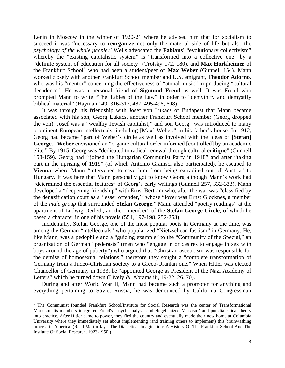Lenin in Moscow in the winter of 1920-21 where he advised him that for socialism to succeed it was "necessary to **reorganize** not only the material side of life but also the *psychology of the whole people.*" Wells advocated the **Fabians'** "evolutionary collectivism" whereby the "existing capitalistic system" is "transformed into a collective one" by a "definite system of education for all society" (Trotsky 172, 180), and **Max Horkheimer** of the Frankfurt School<sup>[1](#page-7-0)</sup> who had been a student/peer of Max Weber (Gunnell 154). Mann worked closely with another Frankfurt School member and U.S. emigrant, **Theodor Adorno**, who was his "mentor" concerning the effectiveness of "atonal music" in producing "cultural decadence." He was a personal friend of **Sigmund Freud** as well. It was Freud who prompted Mann to write "The Tables of the Law" in order to "demythify and demystify biblical material" (Hayman 149, 316-317, 487, 495-496, 608).

It was through his friendship with Josef von Lukacs of Budapest that Mann became associated with his son, Georg Lukacs, another Frankfurt School member (Georg dropped the von). Josef was a "wealthy Jewish capitalist," and son Georg "was introduced to many prominent European intellectuals, including [Max] Weber," in his father's house. In 1912, Georg had became "part of Weber's circle as well as involved with the ideas of **[Stefan] George**." **Weber** envisioned an "organic cultural order informed [controlled] by an academic elite." By 1915, Georg was "dedicated to radical renewal through cultural **critique**" (Gunnell 158-159). Georg had ''joined the Hungarian Communist Party in 1918" and after "taking part in the uprising of 1919" (of which Antonio Gramsci also participated), he escaped to **Vienna** where Mann "intervened to save him from being extradited out of Austria" to Hungary. It was here that Mann personally got to know Georg although Mann's work had "determined the essential features" of Georg's early writings (Gunnell 257, 332-333). Mann developed a "deepening friendship" with Ernst Bertram who, after the war was "classified by the denazification court as a 'lesser offender,'" whose "lover was Ernst Glocknes, a member of the *male group* that surrounded **Stefan George**." Mann attended "poetry readings" at the apartment of Ludwig Derleth, another "member" of the **Stefan George Circle**, of which he based a character in one of his novels (554, 197-198, 252-253).

Incidentally, Stefan George, one of the most popular poets in Germany at the time, was among the German "intellectuals" who popularized "Nietzschean fascism" in Germany. He, like Mann, was a pedophile and a "guiding example" to the "Community of the Special," an organization of German "pederasts" (men who "engage in or desires to engage in sex with boys around the age of puberty") who argued that "Christian asceticism was responsible for the demise of homosexual relations," therefore they sought a "complete transformation of Germany from a Judeo-Christian society to a Greco-Uranian one." When Hitler was elected Chancellor of Germany in 1933, he "appointed George as President of the Nazi Academy of Letters" which he turned down (Lively & Abrams iii, 19-22, 26, 70).

During and after World War II, Mann had became such a promoter for anything and everything pertaining to Soviet Russia, he was denounced by California Congressman

<span id="page-7-0"></span> $\overline{a}$ <sup>1</sup> The Communist founded Frankfurt School/Institute for Social Research was the center of Transformational Marxism. Its members integrated Freud's "psychoanalysis and Hegelianized Marxism" and put dialectical theory into practice. After Hitler came to power, they fled the country and eventually made their new home at Columbia University where they immediately set about implementing (and training others to implement) this brainwashing process in America. (Read Martin Jay's The Dialectical Imagination: A History Of The Frankfurt School And The Institute Of Social Research. 1923-1950.)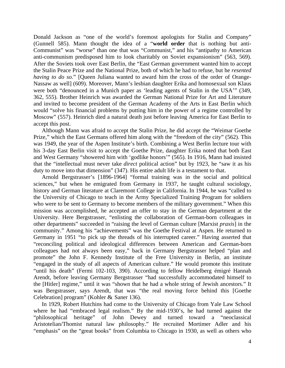Donald Jackson as "one of the world's foremost apologists for Stalin and Company" (Gunnell 585). Mann thought the idea of a "**world order** that is nothing but anti-Communist" was "worse" than one that was "Communist," and his "antipathy to American anti-communism predisposed him to look charitably on Soviet expansionism" (563, 569). After the Soviets took over East Berlin, the "East German government wanted him to accept the Stalin Peace Prize and the National Prize, both of which he had to refuse, but he *resented having to do so.*" [Queen Juliana wanted to award him the cross of the order of Orange-Nassaw as well] (609). Moreover, Mann's lesbian daughter Erika and homosexual son Klaus were both "denounced in a Munich paper as 'leading agents of Stalin in the USA'" (349, 362, 555). Brother Heinrich was awarded the German National Prize for Art and Literature and invited to become president of the German Academy of the Arts in East Berlin which would "solve his financial problems by putting him in the power of a regime controlled by Moscow" (557). Heinrich died a natural death just before leaving America for East Berlin to accept this post.

Although Mann was afraid to accept the Stalin Prize, he did accept the "Weimar Goethe Prize," which the East Germans offered him along with the "freedom of the city" (562). This was 1949, the year of the Aspen Institute's birth. Combining a West Berlin lecture tour with his 3-day East Berlin visit to accept the Goethe Prize, daughter Erika noted that both East and West Germany "showered him with 'godlike honors'" (565). In 1916, Mann had insisted that the "intellectual must never take *direct* political action" but by 1923, he "saw it as his duty to move into that dimension" (347). His entire adult life is a testament to that.

Arnold Bergstrasser's [1896-1964] "formal training was in the social and political sciences," but when he emigrated from Germany in 1937, he taught cultural sociology, history and German literature at Claremont College in California. In 1944, he was "called to the University of Chicago to teach in the Army Specialized Training Program for soldiers who were to be sent to Germany to become members of the military government." When this mission was accomplished, he accepted an offer to stay in the German department at the University. Here Bergstrasser, "enlisting the collaboration of German-born colleagues in other departments" succeeded in "raising the level of German culture [Marxist *praxis*] in the community." Among his "achievements" was the Goethe Festival at Aspen. He returned to Germany in 1951 "to pick up the threads of his interrupted career." Having asserted that "reconciling political and ideological differences between American and German-born colleagues had not always been easy," back in Germany Bergstrasser helped "plan and promote" the John F. Kennedy Institute of the Free University in Berlin, an institute "engaged in the study of all aspects of American culture." He would promote this institute "until his death" (Fermi 102-103, 390). According to fellow Heidelberg émigré Hannah Arendt, before leaving Germany Bergstrasser "had successfully accommodated himself to the [Hitler] regime," until it was "shown that he had a whole string of Jewish ancestors." It was Bergstrasser, says Arendt, that was "the real moving force behind this [Goethe Celebration] program" (Kohler & Saner 136).

In 1929, Robert Hutchins had come to the University of Chicago from Yale Law School where he had "embraced legal realism." By the mid-1930's, he had turned against the "philosophical heritage" of John Dewey and turned toward a "neoclassical Aristotelian/Thomist natural law philosophy." He recruited Mortimer Adler and his "emphasis" on the "great books" from Columbia to Chicago in 1930, as well as others who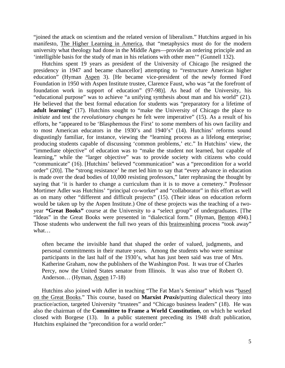"joined the attack on scientism and the related version of liberalism." Hutchins argued in his manifesto, The Higher Learning in America, that "metaphysics must do for the modern university what theology had done in the Middle Ages—provide an ordering principle and an 'intelligible basis for the study of man in his relations with other men'" (Gunnell 132).

Hutchins spent 19 years as president of the University of Chicago [he resigned the presidency in 1947 and became chancellor] attempting to "restructure American higher education" (Hyman Aspen 3). [He became vice-president of the newly formed Ford Foundation in 1950 with Aspen Institute trustee, Clarence Faust, who was "at the forefront of foundation work in support of education" (97-98)]. As head of the University, his "educational purpose" was to achieve "a unifying synthesis about man and his world" (21). He believed that the best formal education for students was "preparatory for a lifetime of **adult learning**" (17). Hutchins sought to "make the University of Chicago the place to *initiate* and test the *revolutionary changes* he felt were imperative" (15). As a result of his efforts, he "appeared to be 'Blasphemous the First' to some members of his own facility and to most American educators in the 1930's and 1940's" (14). Hutchins' reforms sound disgustingly familiar, for instance, viewing the "learning process as a lifelong enterprise; producing students capable of discussing 'common problems,' etc." In Hutchins' view, the "immediate objective" of education was to "make the student not learned, but capable of learning," while the "larger objective" was to provide society with citizens who could "communicate" (16). [Hutchins' believed "communication" was a "precondition for a world order" (20)]. The "strong resistance' he met led him to say that "every advance in education is made over the dead bodies of 10,000 resisting professors," later rephrasing the thought by saying that 'it is harder to change a curriculum than it is to move a cemetery." Professor Mortimer Adler was Hutchins' "principal co-worker" and "collaborator" in this effort as well as on many other "different and difficult projects" (15). (Their ideas on education reform would be taken up by the Aspen Institute.) One of these projects was the teaching of a twoyear **"Great Books"** course at the University to a "select group" of undergraduates. [The "Ideas" in the Great Books were presented in "dialectical form." (Hyman, Benton 494).] Those students who underwent the full two years of this brainwashing process "took away" what…

often became the invisible hand that shaped the order of valued, judgments, and personal commitments in their mature years. Among the students who were seminar participants in the last half of the 1930's, what has just been said was true of Mrs. Katherine Graham, now the publishers of the Washington Post. It was true of Charles Percy, now the United States senator from Illinois. It was also true of Robert O. Anderson… (Hyman, Aspen 17-18)

Hutchins also joined with Adler in teaching "The Fat Man's Seminar" which was "based on the Great Books." This course, based on **Marxist** *Praxis***/**putting dialectical theory into practice/action, targeted University "trustees" and "Chicago business leaders" (18). He was also the chairman of the **Committee to Frame a World Constitution**, on which he worked closed with Borgese (13). In a public statement preceding its 1948 draft publication, Hutchins explained the "precondition for a world order:"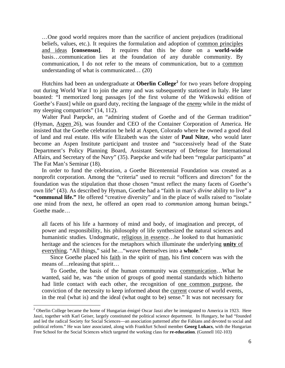…One good world requires more than the sacrifice of ancient prejudices (traditional beliefs, values, etc.). It requires the formulation and adoption of common principles and ideas **[consensus]**. It requires that this be done on a **world-wide** basis…communication lies at the foundation of any durable community. By communication, I do not refer to the means of communication, but to a common understanding of what is communicated… (20)

Hutchins had been an undergraduate at **Oberlin College[2](#page-10-0)** for two years before dropping out during World War I to join the army and was subsequently stationed in Italy. He later boasted: "I memorized long passages [of the first volume of the Witkowski edition of Goethe's Faust] while on guard duty, reciting the language of the *enemy* while in the midst of my sleeping compatriots" (14, 112).

Walter Paul Paepcke, an "admiring student of Goethe and of the German tradition" (Hyman, Aspen 26), was founder and CEO of the Container Corporation of America. He insisted that the Goethe celebration be held at Aspen, Colorado where he owned a good deal of land and real estate. His wife Elizabeth was the sister of **Paul Nitze**, who would later become an Aspen Institute participant and trustee and "successively head of the State Department's Policy Planning Board, Assistant Secretary of Defense for International Affairs, and Secretary of the Navy" (35). Paepcke and wife had been "regular participants" at The Fat Man's Seminar (18).

In order to fund the celebration, a Goethe Bicentennial Foundation was created as a nonprofit corporation. Among the "criteria" used to recruit "officers and directors" for the foundation was the stipulation that those chosen "must reflect the many facets of Goethe's own life" (43). As described by Hyman, Goethe had a "faith in man's *divine* ability to live" a **"communal life."** He offered "creative diversity" and in the place of walls raised to "isolate one mind from the next, he offered an open road to *communion* among human beings." Goethe made…

all facets of his life a harmony of mind and body, of imagination and precept, of power and responsibility, his philosophy of life synthesized the natural sciences and humanistic studies. Undogmatic, religious in essence…he looked to that humanistic heritage and the sciences for the metaphors which illuminate the underlying **unity** of everything. "All things," said he…"weave themselves into a **whole**."

Since Goethe placed his faith in the spirit of man, his first concern was with the means of…releasing that spirit…

To Goethe, the basis of the human community was communication…What he wanted, said he, was "the union of groups of good mental standards which hitherto had little contact with each other, the recognition of one common purpose, the conviction of the necessity to keep informed about the current course of world events, in the real (what is) and the ideal (what ought to be) sense." It was not necessary for

 $\overline{a}$ 

<span id="page-10-0"></span><sup>&</sup>lt;sup>2</sup> Oberlin College became the home of Hungarian émigré Oscar Jaszi after he immigrated to America in 1923. Here Jaszi, together with Karl Geiser, largely constituted the political science department. In Hungary, he had "founded and led the radical Society for Social Sciences—an association patterned after the Fabians and devoted to social and political reform." He was later associated, along with Frankfurt School member **Georg Lukacs**, with the Hungarian Free School for the Social Sciences which targeted the working class for **re-education**. (Gunnell 102-103)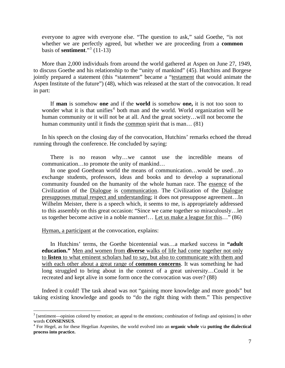everyone to agree with everyone else. "The question to ask," said Goethe, "is not whether we are perfectly agreed, but whether we are proceeding from a **common**  basis of **sentiment**."[3](#page-11-0) (11-13)

More than 2,000 individuals from around the world gathered at Aspen on June 27, 1949, to discuss Goethe and his relationship to the "unity of mankind" (45). Hutchins and Borgese jointly prepared a statement (this "statement" became a "testament that would animate the Aspen Institute of the future") (48), which was released at the start of the convocation. It read in part:

If **man** is somehow **one** and if the **world** is somehow **one,** it is not too soon to wonder what it is that unifies<sup>[4](#page-11-1)</sup> both man and the world. World organization will be human community or it will not be at all. And the great society…will not become the human community until it finds the common spirit that is man... (81)

In his speech on the closing day of the convocation, Hutchins' remarks echoed the thread running through the conference. He concluded by saying:

There is no reason why…we cannot use the incredible means of communication…to promote the unity of mankind…

In one good Goethean world the means of communication…would be used…to exchange students, professors, ideas and books and to develop a supranational community founded on the humanity of the whole human race. The essence of the Civilization of the Dialogue is communication. The Civilization of the Dialogue presupposes mutual respect and understanding; it does not presuppose agreement…In Wilhelm Meister, there is a speech which, it seems to me, is appropriately addressed to this assembly on this great occasion: "Since we came together so miraculously…let us together become active in a noble manner!… Let us make a league for this…" (86)

Hyman, a participant at the convocation, explains:

 $\overline{a}$ 

In Hutchins' terms, the Goethe bicentennial was…a marked success in **"adult education."** Men and women from **diverse** walks of life had come together not only to **listen** to what eminent scholars had to say, but also to communicate with them and with each other about a great range of **common concerns**. It was something he had long struggled to bring about in the context of a great university…Could it be recreated and kept alive in some form once the convocation was over? (88)

Indeed it could! The task ahead was not "gaining more knowledge and more goods" but taking existing knowledge and goods to "do the right thing with them." This perspective

<span id="page-11-0"></span> $3$  [sentiment—opinion colored by emotion; an appeal to the emotions; combination of feelings and opinions] in other words **CONSENSUS**. 4

<span id="page-11-1"></span>For Hegel, as for these Hegelian Aspenites, the world evolved into an **organic whole** via **putting the dialectical process into practice.**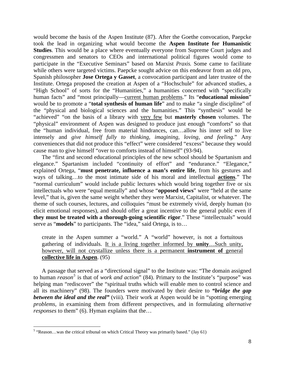would become the basis of the Aspen Institute (87). After the Goethe convocation, Paepcke took the lead in organizing what would become the **Aspen Institute for Humanistic Studies**. This would be a place where eventually everyone from Supreme Court judges and congressmen and senators to CEOs and international political figures would come to participate in the "Executive Seminars" based on Marxist *Praxis.* Some came to facilitate while others were targeted victims. Paepcke sought advice on this endeavor from an old pro, Spanish philosopher **Jose Ortega y Gasset**, a convocation participant and later trustee of the Institute. Ortega proposed the creation at Aspen of a "Hochschule" for advanced studies, a "High School" of sorts for the "Humanities," a humanities concerned with "specifically human facts" and "most principally—current human problems." Its "**educational mission**" would be to promote a "**total synthesis of human life**" and to make "a single discipline" of the "physical and biological sciences and the humanities." This "synthesis" would be "achieved" "on the basis of a library with very few but **masterly chosen** volumes. The "physical" environment of Aspen was designed to produce just enough "comforts" so that the "human individual, free from material hindrances, can…allow his inner self to live intensely and *give himself fully to thinking, imagining, loving, and feeling.*" Any conveniences that did not produce this "effect" were considered "excess" because they would cause man to give himself "over to comforts instead of himself" (93-94).

The "first and second educational principles of the new school should be Spartanism and elegance." Spartanism included "continuity of effort" and "endurance." "Elegance," explained Ortega, "**must penetrate, influence a man's entire life**, from his gestures and ways of talking…to the most intimate side of his moral and intellectual **actions**." The "normal curriculum" would include public lectures which would bring together five or six intellectuals who were "equal mentally" and whose "**opposed views**" were "held at the same level," that is, given the same weight whether they were Marxist, Capitalist, or whatever. The theme of such courses, lectures, and colloquies "must be extremely vivid, deeply human (to elicit emotional responses), and should offer a great incentive to the general public even if **they must be treated with a thorough-going scientific rigor**." These "intellectuals" would serve as "**models**" to participants. The "idea," said Ortega, is to…

create in the Aspen summer a "world." A "world" however, is not a fortuitous gathering of individuals. It is a living together informed by **unity**…Such unity, however, will not crystallize unless there is a permanent **instrument of** general **collective life in Aspen**. (95)

A passage that served as a "directional signal" to the Institute was: "The domain assigned to human *reason[5](#page-12-0)* is that of *work and action*" (84). Primary to the Institute's "purpose" was helping man "rediscover" the "spiritual truths which will enable men to control science and all its machinery" (98). The founders were motivated by their desire to *"bridge the gap between the ideal and the real* (viii). Their work at Aspen would be in "spotting emerging *problems,* in examining them from different perspectives, and in formulating *alternative responses* to them" (6). Hyman explains that the…

 $\overline{a}$ 

<span id="page-12-0"></span> $<sup>5</sup>$  "Reason...was the critical tribunal on which Critical Theory was primarily based." (Jay 61)</sup>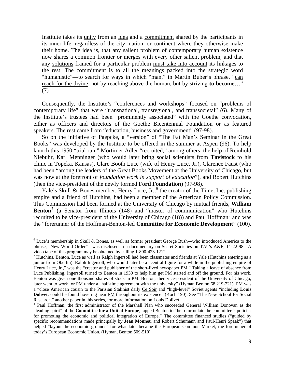Institute takes its unity from an idea and a commitment shared by the participants in its inner life, regardless of the city, nation, or continent where they otherwise make their home. The idea is, that any salient problem of contemporary human existence now shares a common frontier or merges with every other salient problem, and that any solutions framed for a particular problem must take into account its linkages to the rest. The commitment is to all the meanings packed into the strategic word "humanistic"—to search for ways in which "man," in Martin Buber's phrase, "can reach for the divine, not by reaching above the human, but by striving **to become**…" (7)

Consequently, the Institute's "conferences and workshops" focused on "problems of contemporary life" that were "transnational, transregional, and transsocietal" (6). Many of the Institute's trustees had been "prominently associated" with the Goethe convocation, either as officers and directors of the Goethe Bicentennial Foundation or as featured speakers. The rest came from "education, business and government" (97-98).

So on the initiative of Paepcke, a "version" of "The Fat Man's Seminar in the Great Books" was developed by the Institute to be offered in the summer at Aspen (96). To help launch this 1950 "trial run," Mortimer Adler "recruited," among others, the help of Reinhold Niebuhr, Karl Menninger (who would later bring social scientists from **Tavistock** to his clinic in Topeka, Kansas), Clare Booth Luce (wife of Henry Luce, Jr.), Clarence Faust (who had been "among the leaders of the Great Books Movement at the University of Chicago, but was now at the forefront of *foundation work in support of education*")*,* and Robert Hutchins (then the vice-president of the newly formed **Ford Foundation**) (97-98).

Yale's Skull & Bones member, Henry Luce, Jr.,<sup>[6](#page-13-0)</sup> the creator of the Time, Inc. publishing empire and a friend of Hutchins, had been a member of the American Policy Commission. This Commission had been formed at the University of Chicago by mutual friends, **William**  Benton<sup>[7](#page-13-1)</sup> (a Senator from Illinois (148) and "master of communication" who Hutchins recruited to be vice-president of the University of Chicago  $(18)$  $(18)$  $(18)$ ) and Paul Hoffman<sup>8</sup> and was the "forerunner of the Hoffman-Benton-led **Committee for Economic Development**" (100).

 $\overline{a}$ 

<span id="page-13-0"></span><sup>&</sup>lt;sup>6</sup> Luce's membership in Skull & Bones, as well as former president George Bush—who introduced America to the phrase, "New World Order"—was disclosed in a documentary on Secret Societies on T.V.'s A&E, 11-22-98. A video tape of this program may be obtained by calling 1-800-423-1212.

<span id="page-13-1"></span><sup>&</sup>lt;sup>7</sup> Hutchins, Benton, Luce as well as Ralph Ingersoll had been classmates and friends at Yale (Hutchins entering as a junior from Oberlin). Ralph Ingersoll, who would later be a "central figure for a while in the publishing empire of Henry Luce, Jr.," was the "creator and publisher of the short-lived newspaper PM." Taking a leave of absence from Luce Publishing, Ingersoll turned to Benton in 1939 to help him get PM started and off the ground. For his work, Benton was given one thousand shares of stock in PM. Benton, then vice-president of the University of Chicago, later went to work for PM under a "half-time agreement with the university" (Hyman Benton 68,219-221). PM was a "close American cousin to the Parisian Stalinist daily Ce Soir and "high-level" Soviet agents "including **Louis Dolivet**, could be found hovering near PM throughout its existence" (Koch 190). See "The New School for Social Research," another paper in this series, for more information on Louis Dolivet.

<span id="page-13-2"></span><sup>&</sup>lt;sup>8</sup> Paul Hoffman, the first administrator of the Marshall Plan who succeeded General William Donovan as the "leading spirit" of the **Committee for a United Europe**, tapped Benton to "help formulate the committee's policies for promoting the economic and political integration of Europe." The committee financed studies ("guided by specific recommendations made principally by **Jean Monnet**, and Robert Schumann and Paul-Henri Spaak") that helped "layout the economic grounds" for what later became the European Common Market, the forerunner of today's European Economic Union. (Hyman, Benton 509-510)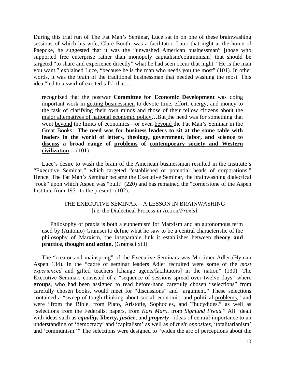During this trial run of The Fat Man's Seminar, Luce sat in on one of these brainwashing sessions of which his wife, Clare Booth, was a facilitator. Later that night at the home of Paepcke, he suggested that it was the "unwashed American businessman" [those who supported free enterprise rather than monopoly capitalism/communism] that should be targeted "to share and experience directly" what he had seen occur that night. "He is the man you want," explained Luce, "because he is the man who needs you the most" (101). In other words, it was the brain of the traditional businessman that needed washing the most. This idea "led to a swirl of excited talk" that…

recognized that the postwar **Committee for Economic Development** was doing important work in getting businessmen to devote time, effort, energy, and money to the task of clarifying their own minds and those of their fellow citizens about the major alternatives of national economic policy…But the need was for something that went beyond the limits of economics—or even beyond the Fat Man's Seminar in the Great Books…**The need was for business leaders to sit at the same table with leaders in the world of letters, theology, government, labor, and science to discuss a broad range of problems of contemporary society and Western civilization…** (101)

Luce's desire to wash the brain of the American businessman resulted in the Institute's "Executive Seminar," which targeted "established or potential heads of corporations." Hence, The Fat Man's Seminar became the Executive Seminar, the brainwashing dialectical "rock" upon which Aspen was "built" (220) and has remained the "cornerstone of the Aspen Institute from 1951 to the present" (102).

#### THE EXECUTIVE SEMINAR—A LESSON IN BRAINWASHING [i.e. the Dialectical Process in Action/*Praxis]*

Philosophy of praxis is both a euphemism for Marxism and an autonomous term used by (Antonio) Gramsci to define what he saw to be a central characteristic of the philosophy of Marxism, the inseparable link it establishes between **theory and practice, thought and action.** (Gramsci xiii)

The "creator and mainspring" of the Executive Seminars was Mortimer Adler (Hyman Aspen 134). In the "cadre of seminar leaders Adler recruited were some of the *most experienced* and gifted teachers [change agents/facilitators] in the nation" (130). The Executive Seminars consisted of a "sequence of sessions spread over twelve days" where **groups**, who had been assigned to read before-hand carefully chosen "selections" from carefully chosen books, would meet for "discussions" and "argument." These selections contained a "sweep of tough thinking about social, economic, and political problems," and were "from the Bible, from Plato, Aristotle, Sophocles, and Thucydides," as well as "selections from the Federalist papers, from *Karl Marx,* from *Sigmund Freud.*" All "dealt with ideas such as *equality,* **liberty,** *justice,* and *property—*ideas of central importance to an understanding of 'democracy' and 'capitalism' as well as of *their opposites,* 'totalitarianism' and 'communism.'" The selections were designed to "widen the arc of perceptions about the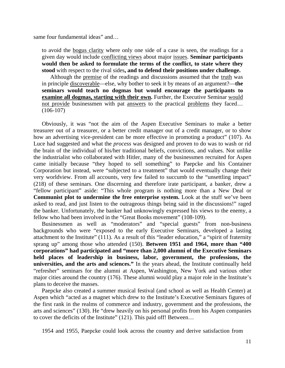same four fundamental ideas" and…

to avoid the bogus clarity where only one side of a case is seen, the readings for a given day would include conflicting views about major issues. **Seminar participants would then be asked to formulate the terms of the conflict, to state where they stood** with respect to the rival sides**, and to defend their positions under challenge.**

Although the premise of the readings and discussions assumed that the truth was in principle discoverable—else, why bother to seek it by means of an argument?—**the seminars would teach no dogmas but would encourage the participants to examine all dogmas, starting with their own.** Further, the Executive Seminar would not provide businessmen with pat answers to the practical problems they faced…  $(106-107)$ 

Obviously, it was "not the aim of the Aspen Executive Seminars to make a better treasurer out of a treasurer, or a better credit manager out of a credit manager, or to show how an advertising vice-president can be more effective in promoting a product" (107). As Luce had suggested and what the *process* was designed and proven to do was to wash or rid the brain of the individual of his/her traditional beliefs, convictions, and values. Not unlike the industrialist who collaborated with Hitler, many of the businessmen recruited for Aspen came initially because "they hoped to sell something" to Paepcke and his Container Corporation but instead, were "subjected to a treatment" that would eventually change their very worldview. From all accounts, very few failed to succumb to the "unsettling impact" (218) of these seminars. One discerning and therefore irate participant, a banker, drew a "fellow participant" aside: "This whole program is nothing more than a New Deal or **Communist plot to undermine the free enterprise system.** Look at the stuff we've been asked to read, and just listen to the outrageous things being said in the discussions!" raged the banker. Unfortunately, the banker had unknowingly expressed his views to the enemy, a fellow who had been involved in the "Great Books movement" (108-109).

Businessmen as well as "moderators" and "special guests" from non-business backgrounds who were "exposed to the early Executive Seminars, developed a lasting attachment to the Institute" (111). As a result of this "leader education," a "spirit of fraternity sprang up" among those who attended (150). **Between 1951 and 1964, more than "400 corporations" had participated and "more than 2,000 alumni of the Executive Seminars held places of leadership in business, labor, government, the professions, the universities, and the arts and sciences."** In the years ahead, the Institute continually held "refresher" seminars for the alumni at Aspen, Washington, New York and various other major cities around the country (176). These alumni would play a major role in the Institute's plans to deceive the masses.

Paepcke also created a summer musical festival (and school as well as Health Center) at Aspen which "acted as a magnet which drew to the Institute's Executive Seminars figures of the first rank in the realms of commerce and industry, government and the professions, the arts and sciences" (130). He "drew heavily on his personal profits from his Aspen companies to cover the deficits of the Institute" (121). This paid off! Between…

1954 and 1955, Paepcke could look across the country and derive satisfaction from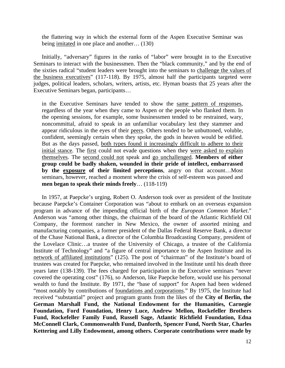the flattering way in which the external form of the Aspen Executive Seminar was being imitated in one place and another… (130)

Initially, "adversary" figures in the ranks of "labor" were brought in to the Executive Seminars to interact with the businessmen. Then the "black community," and by the end of the sixties radical "student leaders were brought into the seminars to challenge the values of the business executives" (117-118). By 1975, almost half the participants targeted were judges, political leaders, scholars, writers, artists, etc. Hyman boasts that 25 years after the Executive Seminars began, participants…

in the Executive Seminars have tended to show the same pattern of responses, regardless of the year when they came to Aspen or the people who flanked them. In the opening sessions, for example, some businessmen tended to be restrained, wary, noncommittal, afraid to speak in an unfamiliar vocabulary lest they stammer and appear ridiculous in the eyes of their peers. Others tended to be unbuttoned, voluble, confident, seemingly certain when they spoke, the gods in heaven would be edified. But as the days passed, both types found it increasingly difficult to adhere to their initial stance. The first could not evade questions when they were asked to explain themselves. The second could not speak and go unchallenged. **Members of either group could be badly shaken, wounded in their pride of intellect, embarrassed by the exposure of their limited perceptions**, angry on that account…Most seminars, however, reached a moment where the crisis of self-esteem was passed and **men began to speak their minds freely**… (118-119)

In 1957, at Paepcke's urging, Robert O. Anderson took over as president of the Institute because Paepcke's Container Corporation was "about to embark on an overseas expansion program in advance of the impending official birth of the *European Common Market*." Anderson was "among other things, the chairman of the board of the Atlantic Richfield Oil Company, the foremost rancher in New Mexico, the owner of assorted mining and manufacturing companies, a former president of the Dallas Federal Reserve Bank, a director of the Chase National Bank, a director of the Columbia Broadcasting Company, president of the Lovelace Clinic…a trustee of the University of Chicago, a trustee of the California Institute of Technology" and "a figure of central importance to the Aspen Institute and its network of affiliated institutions" (125). The post of "chairman" of the Institute's board of trustees was created for Paepcke, who remained involved in the Institute until his death three years later (138-139). The fees charged for participation in the Executive seminars "never covered the operating cost" (176), so Anderson, like Paepcke before, would use his personal wealth to fund the Institute. By 1971, the "base of support" for Aspen had been widened "most notably by contributions of foundations and corporations." By 1975, the Institute had received "substantial" project and program grants from the likes of the **City of Berlin, the German Marshall Fund, the National Endowment for the Humanities, Carnegie Foundation, Ford Foundation, Henry Luce, Andrew Mellon, Rockefeller Brothers Fund, Rockefeller Family Fund, Russell Sage, Atlantic Richfield Foundation, Edna McConnell Clark, Commonwealth Fund, Danforth, Spencer Fund, North Star, Charles Kettering and Lilly Endowment, among others. Corporate contributions were made by**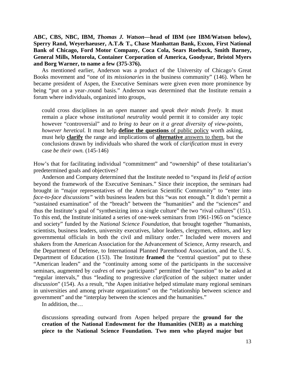**ABC, CBS, NBC, IBM,** *Thomas J. Watson—***head of IBM (see IBM/Watson below), Sperry Rand, Weyerhaeuser, A.T.& T., Chase Manhattan Bank, Exxon, First National Bank of Chicago, Ford Motor Company, Coca Cola, Sears Roebuck, Smith Barney, General Mills, Motorola, Container Corporation of America, Goodyear, Bristol Myers and Borg Warner, to name a few (375-376).**

As mentioned earlier, Anderson was a product of the University of Chicago's Great Books movement and "one of its *missionaries* in the business community" (146). When he became president of Aspen, the Executive Seminars were given even more prominence by being "put on a year-.round basis." Anderson was determined that the Institute remain a forum where individuals, organized into groups,

could cross disciplines in an *open* manner and *speak their minds freely.* It must remain a place whose *institutional neutrality* would permit it to consider any topic however "controversial" and *to bring to bear on it a great diversity of view-points, however heretical.* It must help **define the questions** of public policy worth asking, must help **clarify** the range and implications of **alternative** answers to them, but the conclusions drawn by individuals who shared the work of *clarification* must in every case *be their own.* (145-146)

How's that for facilitating individual "commitment" and "ownership" of these totalitarian's predetermined goals and objectives?

Anderson and Company determined that the Institute needed to "expand its *field of action*  beyond the framework of the Executive Seminars." Since their inception, the seminars had brought in "major representatives of the American Scientific Community" to "enter into *face-to-face discussions"* with business leaders but this "was not enough." It didn't permit a "sustained examination" of the "breach" between the "humanities" and the "sciences" and thus the Institute's goal of "synthesizing into a single culture" the two "rival cultures" (151). To this end, the Institute initiated a series of one-week seminars from 1961-1965 on "science and society" funded by the *National Science Foundation,* that brought together "humanists, scientists, business leaders, university executives, labor leaders, clergymen, editors, and key governmental officials in both the civil and military order." Included were movers and shakers from the American Association for the Advancement of Science, Army research, and the Department of Defense, to International Planned Parenthood Association, and the U. S. Department of Education (153). The Institute **framed** the "central question" put to these "American leaders" and the "continuity among some of the participants in the successive seminars, augmented by *cadres* of new participants" permitted the "question" to be asked at "regular intervals," thus "leading to progressive *clarification* of the subject matter under *discussion*" (154). As a result, "the Aspen initiative helped stimulate many regional seminars in universities and among private organizations" on the "relationship between science and government" and the "interplay between the sciences and the humanities."

In addition, the…

discussions spreading outward from Aspen helped prepare the **ground for the creation of the National Endowment for the Humanities (NEB) as a matching piece to the National Science Foundation. Two men who played major but**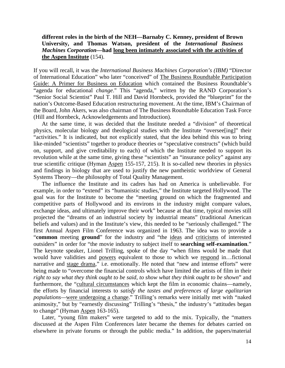#### **different roles in the birth of the NEH—Barnaby C. Kenney, president of Brown University, and Thomas Watson, president of the** *International Business Machines Corporation—***had long been intimately associated with the activities of the Aspen Institute** (154).

If you will recall, it was the *International Business Machines Corporation's (IBM)* "Director of International Education" who later "conceived" of The Business Roundtable Participation Guide: A Primer for Business on Education which contained the Business Roundtable's "agenda for educational *change*." This "agenda," written by the RAND Corporation's "Senior Social Scientist" Paul T. Hill and David Hornbeck, provided the "blueprint" for the nation's Outcome-Based Education restructuring movement. At the time, IBM's Chairman of the Board, John Akers, was also chairman of The Business Roundtable Education Task Force (Hill and Hornbeck, Acknowledgements and Introduction).

At the same time, it was decided that the Institute needed a "division" of theoretical physics, molecular biology and theological studies with the Institute "oversee[ing]" their "activities." It is indicated, but not explicitly stated, that the idea behind this was to bring like-minded "scientists" together to produce theories or "speculative constructs" (which build on, support, and give creditability to each) of which the Institute needed to support its revolution while at the same time, giving these "scientists" an "insurance policy" against any true scientific critique (Hyman Aspen 155-157, 215). It is so-called new theories in physics and findings in biology that are used to justify the new pantheistic worldview of General Systems Theory—the philosophy of Total Quality Management.

The influence the Institute and its cadres has had on America is unbelievable. For example, in order to "extend" its "humanistic studies," the Institute targeted Hollywood. The goal was for the Institute to become the "meeting ground on which the fragmented and competitive parts of Hollywood and its environs in the industry might compare values, exchange ideas, and ultimately improve their work" because at that time, typical movies still projected the "dreams of an industrial society by industrial means" (traditional American beliefs and values) and in the Institute's view, this needed to be "seriously challenged." The first Annual Aspen Film Conference was organized in 1963. The idea was to provide a "**common** meeting **ground**" for the industry and "the ideas and criticisms of interested outsiders" in order for "the movie industry to subject itself to **searching self-examination**." The keynote speaker, Lionel Trilling, spoke of the day "when films would be made that would have validities and powers equivalent to those to which we respond in…fictional narrative and stage drama," i.e. emotionally. He noted that "new and intense efforts" were being made to "overcome the financial controls which have limited the artists of film in their *right to say what they think ought to be said, to show what they think ought to be shown*" and furthermore, the "cultural circumstances which kept the film in economic chains—namely, the efforts by financial interests to *satisfy the tastes and preferences of large egalitarian populations—*were undergoing a change." Trilling's remarks were initially met with "naked animosity," but by "earnestly discussing" Trilling's "thesis," the industry's "attitudes began to change" (Hyman Aspen 163-165).

Later, "young film makers" were targeted to add to the mix. Typically, the "matters discussed at the Aspen Film Conferences later became the themes for debates carried on elsewhere in private forums or through the public media." In addition, the papers/material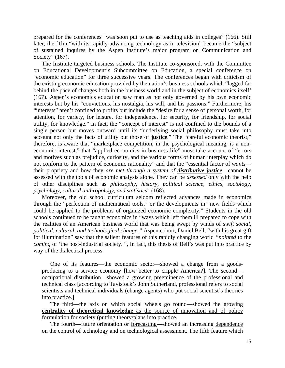prepared for the conferences "was soon put to use as teaching aids in colleges" (166). Still later, the f1lm "with its rapidly advancing technology as in television" became the "subject of sustained inquires by the Aspen Institute's major program on Communication and Society" (167).

The Institute targeted business schools. The Institute co-sponsored, with the Committee on Educational Development's Subcommittee on Education, a special conference on "economic education" for three successive years. The conferences began with criticism of the existing economic education provided by the nation's business schools which "lagged far behind the pace of changes both in the business world and in the subject of economics itself' (167). Aspen's economics education saw man as not only governed by his own economic interests but by his "convictions, his nostalgia, his will, and his passions." Furthermore, his "interests" aren't confined to profits but include the "desire for a sense of personal worth, for attention, for variety, for leisure, for independence, for security, for friendship, for social utility, for knowledge." In fact, the "concept of interest" is not confined to the bounds of a single person but moves outward until its "underlying social philosophy must take into account not only the facts of utility but those of **justice**." The "careful economic theorist," therefore, is aware that "marketplace competition, in the psychological meaning, is a noneconomic interest," that "applied economics in business life" must take account of "errors and motives such as prejudice, curiosity, and the various forms of human interplay which do not conform to the pattern of economic rationality" and that the "essential factor of *wants* their propriety and how they *are met through a system of distributive justice*—cannot be assessed with the tools of economic analysis alone. They can be *assessed* only with the help of other disciplines such as *philosophy, history, political science, ethics, sociology, psychology, cultural anthropology, and statistics*" (168)*.* 

Moreover, the old school curriculum seldom reflected advances made in economics through the "perfection of mathematical tools," or the developments in "new fields which could be applied to the problems of organized economic complexity." Students in the old schools continued to be taught economics in "ways which left them ill prepared to cope with the realities of an American business world that was being swept by winds of *swift social, political, cultural, and technological change."* Aspen cohort, Daniel Bell, "with his great gift for illumination" saw that the salient features of this rapidly changing world *"pointed* to the *coming* of 'the post-industrial society. ", In fact, this thesis of Bell's was put into practice by way of the dialectical process.

One of its features—the economic sector—showed a change from a goodsproducing to a service economy [how better to cripple America?]. The second occupational distribution—showed a growing preeminence of the professional and technical class [according to Tavistock's John Sutherland, professional refers to social scientists and technical individuals (change agents) who put social scientist's theories into practice.]

The third—the axis on which social wheels go round—showed the growing **centrality of theoretical knowledge** as the source of innovation and of policy formulation for society (putting theory/plans into practice.

The fourth—future orientation or forecasting—showed an increasing dependence on the control of technology and on technological assessment. The fifth feature which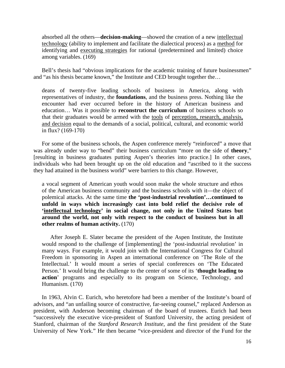absorbed all the others—**decision-making**—showed the creation of a new intellectual technology (ability to implement and facilitate the dialectical process) as a method for identifying and executing strategies for rational (predetermined and limited) choice among variables. (169)

Bell's thesis had "obvious implications for the academic training of future businessmen" and "as his thesis became known," the Institute and CED brought together the…

deans of twenty-five leading schools of business in America, along with representatives of industry, the **foundations**, and the business press. Nothing like the encounter had ever occurred before in the history of American business and education… Was it possible to **reconstruct the curriculum** of business schools so that their graduates would be armed with the tools of perception, research, analysis, and decision equal to the demands of a social, political, cultural, and economic world in flux? (169-170)

For some of the business schools, the Aspen conference merely "reinforced" a move that was already under way to "bend" their business curriculum "more on the side of **theory**," [resulting in business graduates putting Aspen's theories into practice.] In other cases, individuals who had been brought up on the old education and "ascribed to it the success they had attained in the business world" were barriers to this change. However,

a vocal segment of American youth would soon make the whole structure and ethos of the American business community and the business schools with it—the object of polemical attacks. At the same time **the 'post-industrial revolution'…continued to unfold in ways which increasingly cast into bold relief the decisive role of 'intellectual technology' in social change, not only in the United States but around the world, not only with respect to the conduct of business but in all other realms of human activity.** (170)

After Joseph E. Slater became the president of the Aspen Institute, the Institute would respond to the challenge of [implementing] the 'post-industrial revolution' in many ways. For example, it would join with the International Congress for Cultural Freedom in sponsoring in Aspen an international conference on 'The Role of the Intellectual.' It would mount a series of special conferences on 'The Educated Person.' It would bring the challenge to the center of some of its '**thought leading to action**' programs and especially to its program on Science, Technology, and Humanism. (170)

In 1963, Alvin C. Eurich, who heretofore had been a member of the Institute's board of advisors, and "an unfailing source of constructive, far-seeing counsel," replaced Anderson as president, with Anderson becoming chairman of the board of trustees. Eurich had been "successively the executive vice-president of Stanford University, the acting president of Stanford, chairman of the *Stanford Research Institute,* and the first president of the State University of New York." He then became "vice-president and director of the Fund for the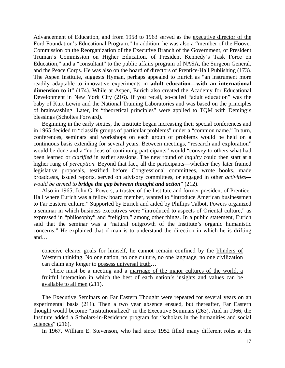Advancement of Education, and from 1958 to 1963 served as the executive director of the Ford Foundation's Educational Program." In addition, he was also a "member of the Hoover Commission on the Reorganization of the Executive Branch of the Government, of President Truman's Commission on Higher Education, of President Kennedy's Task Force on Education," and a "consultant" to the public affairs program of NASA, the Surgeon General, and the Peace Corps. He was also on the board of directors of Prentice-Hall Publishing (173). The Aspen Institute, suggests Hyman, perhaps appealed to Eurich as "an instrument more readily adaptable to innovative experiments in **adult education—with an international dimension to it**" (174). While at Aspen, Eurich also created the Academy for Educational Development in New York City (216). If you recall, so-called "adult education" was the baby of Kurt Lewin and the National Training Laboratories and was based on the principles of brainwashing. Later, its "theoretical principles" were applied to TQM with Deming's blessings (Scholtes Forward).

Beginning in the early sixties, the Institute began increasing their special conferences and in 1965 decided to "classify groups of particular problems" under a "common name." In turn, conferences, seminars and workshops on each group of problems would be held on a continuous basis extending for several years. Between meetings, "research and exploration" would be done and a "nucleus of continuing participants" would "convey to others what had been learned or *clarified* in earlier sessions. The new round of *inquiry* could then start at a higher rung of *perception.* Beyond that fact, all the participants—whether they later framed legislative proposals, testified before Congressional committees, wrote books, made broadcasts, issued reports, served on advisory committees, or engaged in other *activities would be armed to bridge the gap between thought and action*" (212).

Also in 1965, John G. Powers, a trustee of the Institute and former president of Prentice-Hall where Eurich was a fellow board member, wanted to "introduce American businessmen to Far Eastern culture." Supported by Eurich and aided by Phillips Talbot, Powers organized a seminar in which business executives were "introduced to aspects of Oriental culture," as expressed in "philosophy" and "religion," among other things. In a public statement, Eurich said that the seminar was a "natural outgrowth of the Institute's organic humanistic concerns." He explained that if man is to understand the direction in which he is drifting and…

conceive clearer goals for himself, he cannot remain confined by the blinders of Western thinking. No one nation, no one culture, no one language, no one civilization can claim any longer to possess universal truth…

There must be a meeting and a marriage of the major cultures of the world, a fruitful interaction in which the best of each nation's insights and values can be available to all men (211).

The Executive Seminars on Far Eastern Thought were repeated for several years on an experimental basis (211). Then a two year absence ensued, but thereafter, Far Eastern thought would become "institutionalized" in the Executive Seminars (263). And in 1966, the Institute added a Scholars-in-Residence program for "scholars in the humanities and social sciences"  $(216)$ .

In 1967, William E. Stevenson, who had since 1952 filled many different roles at the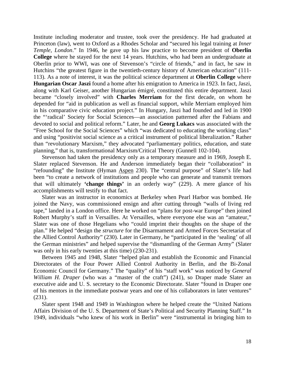Institute including moderator and trustee, took over the presidency. He had graduated at Princeton (law), went to Oxford as a Rhodes Scholar and "secured his legal training at *Inner Temple, London*." In 1946, he gave up his law practice to become president of **Oberlin College** where he stayed for the next 14 years. Hutchins, who had been an undergraduate at Oberlin prior to WWI, was one of Stevenson's "circle of friends," and in fact, he saw in Hutchins "the greatest figure in the twentieth-century history of American education" (111- 113). As a note of interest, it was the political science department at **Oberlin College** where **Hungarian Oscar Jaszi** found a home after his emigration to America in 1923. In fact, Jaszi, along with Karl Geiser, another Hungarian émigré, constituted this entire department. Jaszi became "closely involved" with **Charles Merriam** for the first decade, on whom he depended for "aid in publication as well as financial support, while Merriam employed him in his comparative civic education project." In Hungary, Jaszi had founded and led in 1900 the "'radical' Society for Social Sciences—an association patterned after the Fabians and devoted to social and political reform." Later, he and **Georg Lukacs** was associated with the "Free School for the Social Sciences" which "was dedicated to educating the working class" and using "positivist social science as a critical instrument of political liberalization." Rather than "revolutionary Marxism," they advocated "parliamentary politics, education, and state planning," that is, transformational Marxism/Critical Theory (Gunnell 102-104).

Stevenson had taken the presidency only as a temporary measure and in 1969, Joseph E. Slater replaced Stevenson. He and Anderson immediately began their "collaboration" in "refounding" the Institute (Hyman Aspen 230). The "central purpose" of Slater's life had been "to create a network of institutions and people who can generate and transmit tremors that will ultimately **'change things'** in an orderly way" (229). A mere glance of his accomplishments will testify to that fact.

Slater was an instructor in economics at Berkeley when Pearl Harbor was bombed. He joined the Navy, was commissioned ensign and after cutting through "walls of living red tape," landed in a London office. Here he worked on "plans for post-war Europe" then joined Robert Murphy's staff in Versailles. At Versailles, where everyone else was an "amateur," Slater was one of those Hegelians who "could imprint their thoughts on the shape of the plan." He helped "design the *structure* for the Disarmament and Armed Forces Secretariat of the Allied Control Authority" (230). Later in Germany, he "participated in the 'sealing' of all the German ministries" and helped supervise the "dismantling of the German Army" (Slater was only in his early twenties at this time) (230-231).

Between 1945 and 1948, Slater "helped plan and establish the Economic and Financial Directorates of the Four Power Allied Control Authority in Berlin, and the Bi-Zonal Economic Council for Germany." The "quality" of his "staff work" was noticed by *General William H. Draper* (who was a "master of the craft") (241), so Draper made Slater an executive aide and U. S. secretary to the Economic Directorate. Slater "found in Draper one of his mentors in the immediate postwar years and one of his collaborators in later ventures" (231).

Slater spent 1948 and 1949 in Washington where he helped create the "United Nations Affairs Division of the U. S. Department of State's Political and Security Planning Staff." In 1949, individuals "who knew of his work in Berlin" were "instrumental in bringing him to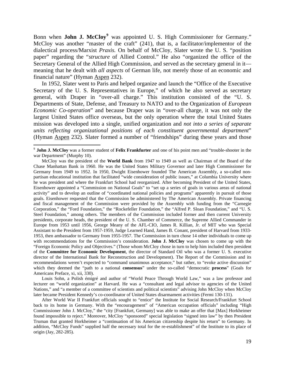Bonn when **John J. McCloy**<sup>[9](#page-23-0)</sup> was appointed U. S. High Commissioner for Germany." McCloy was another "master of the craft" (241), that is, a facilitator/implementor of the dialectical process/Marxist *Praxis.* On behalf of McCloy, Slater wrote the U. S. "position paper" regarding the "*structure* of Allied Control." He also "organized the office of the Secretary General of the Allied High Commission, and served as the secretary general in it meaning that he dealt with *all aspects* of German life, not merely those of an economic and financial nature" (Hyman Aspen 232).

In 1952, Slater went to Paris and helped organize and launch the "Office of the Executive Secretary of the U. S. Representatives in Europe," of which he also served as secretary general, with Draper in "over-all charge." This institution consisted of the "U. S. Departments of State, Defense, and Treasury to NATO and to the Organization of *European Economic Co-operation*" and because Draper was in "over-all charge, it was not only the largest United States office overseas, but the only operation where the total United States mission was developed into a single, unified organization and *not into a series of separate units reflecting organizational positions of each constituent governmental department*" (Hyman Aspen 232). Slater formed a number of "friendships" during these years and those

 $\overline{a}$ 

Louis Sohn, a Polish émigré and author of "World Peace Through World Law," was a law professor and lecturer on "world organization" at Harvard. He was a "consultant and legal advisor to agencies of the United Nations," and "a member of a committee of scientists and political scientists" advising John McCloy when McCloy later became President Kennedy's co-coordinator of United States disarmament activities (Fermi 130-131).

<span id="page-23-0"></span><sup>9</sup> **John J. McCloy** was a former student of **Felix Frankfurter** and one of his point men and "trouble-shooter in the war Department" (Murphy 10).

McCloy was the president of the **World Bank** from 1947 to 1949 as well as Chairman of the Board of the Chase Manhattan Bank in 1960. He was the United States Military Governor and later High Commissioner for Germany from 1949 to 1952. In 1950, Dwight Eisenhower founded The American Assembly, a so-called nonpartisan educational institution that facilitated "wide consideration of public issues," at Columbia University where he was president and where the Frankfurt School had reorganized. After becoming President of the United States, Eisenhower appointed a "Commission on National Goals" to "set up a series of goals in various areas of national activity" and to develop an outline of "coordinated national policies and programs" apparently in pursuit of those goals. Eisenhower requested that the Commission be administered by The American Assembly. Private financing and fiscal management of the Commission were provided by the Assembly with funding from the "Carnegie Corporation," the "Ford Foundation," the "Rockefeller Foundation," the "Alfred P. Sloan Foundation," and "U. S. Steel Foundation," among others. The members of the Commission included former and then current University presidents, corporate heads, the president of the U. S. Chamber of Commerce, the Supreme Allied Commander in Europe from 1953 until 1956, George Meany of the AFL-CIO, James R. Killian, Jr. of MIT who was Special Assistant to the President from 1957-1959, Judge Learned Hand, James B. Conant, president of Harvard from 1933- 1953, then ambassador to Germany from 1955-1957. The Commission in turn chose 14 other individuals to come up with recommendations for the Commission's consideration. **John J. McCloy** was chosen to come up with the "Foreign Economic Policy and Objectives." (Those whom McCloy chose in turn to help him included then president of the **Committee for Economic Development**, the director of Standard Oil who was a former U. S. executive director of the International Bank for Reconstruction and Development). The Report of the Commission and its recommendations weren't expected to "command unanimous acceptance," but rather, to "evoke active discussion" which they deemed the "path to a national **consensus**" under the so-called "democratic **process**" (Goals for Americans Preface, xi, xii, 330).

After World War II Frankfurt officials sought to "entice" the Institute for Social Research/Frankfurt School back to its home in Germany. With the "encouragement" of "American occupation officials" including "High Commissioner John J. McCloy," the "city [Frankfurt, Germany] was able to make an offer that [Max] Horkheimer found impossible to reject." Moreover, McCloy "sponsored" special legislation "signed into law" by then President Truman that granted Horkheimer a "continuation of his American citizenship despite his return" to Germany. In addition, "McCloy Funds" supplied half the necessary total for the re-establishment" of the Institute to its place of origin (Jay, 282-285).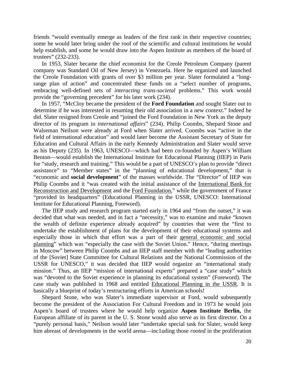friends "would eventually emerge as leaders of the first rank in their respective countries; some he would later bring under the roof of the scientific and cultural institutions he would help establish, and some he would draw into the Aspen Institute as members of the board of trustees" (232-233).

In 1953, Slater became the chief economist for the Creole Petroleum Company (parent company was Standard Oil of New Jersey) in Venezuela. Here he organized and launched the Creole Foundation with grants of over \$3 million per year. Slater formulated a "longrange plan of action" and concentrated these funds on a "select number of programs, embracing well-defined sets of *interacting trans-societal* problems." This work would provide the "governing precedent" for his later work (234).

In 1957, "McCloy became the president of the **Ford Foundation** and sought Slater out to determine if he was interested in resuming their old association in a new context." Indeed he did. Slater resigned from Creole and "joined the Ford Foundation in New York as the deputy director of its program in *international affairs*" (234). Philip Coombs, Shepard Stone and Walseman Neilson were already at Ford when Slater arrived. Coombs was "active in the field of international education" and would later become the Assistant Secretary of State for Education and Cultural Affairs in the early Kennedy Administration and Slater would serve as his Deputy (235). In 1963, UNESCO—which had been co-founded by Aspen's William Benton—would establish the International Institute for Educational Planning (IIEP) in Paris for "study, research and training." This would be a part of UNESCO's plan to provide "direct assistance" to "Member states" in the "planning of educational development," that is "economic and **social development**" of the masses worldwide. The "Director" of IIEP was Philip Coombs and it "was created with the initial assistance of the International Bank for Reconstruction and Development and the Ford Foundation," while the government of France "provided its headquarters" (Educational Planning in the USSR, UNESCO: International Institute for Educational Planning, Foreword).

The IIEP study and research program started early in 1964 and "from the outset," it was decided that what was needed, and in fact a "necessity," was to examine and make "known the wealth of definite experience already acquired" by countries that were the "first to undertake the establishment of plans for the development of their educational systems and especially those in which that effort was a part of their general economic and social planning" which was "especially the case with the Soviet Union." Hence, "during meetings in Moscow" between Philip Coombs and an IIEP staff member with the "leading authorities of the [Soviet] State Committee for Cultural Relations and the National Commission of the USSR for UNESCO," it was decided that IIEP would organize an "international study mission." Thus, an IIEP "mission of international experts" prepared a "case study" which was "devoted to the Soviet experience in planning its educational system" (Foreword). The case study was published in 1968 and entitled Educational Planning in the USSR. It is basically a blueprint of today's restructuring efforts in American schools!

Shepard Stone, who was Slater's immediate supervisor at Ford, would subsequently become the president of the Association For Cultural Freedom and in 1973 he would join Aspen's board of trustees where he would help organize **Aspen Institute Berlin,** the European affiliate of its parent in the U. S. Stone would also serve as its first director. On a "purely personal basis," Neilson would later "undertake special task for Slater, would keep him abreast of developments in the world arena—inc1uding those *rooted* in the proliferation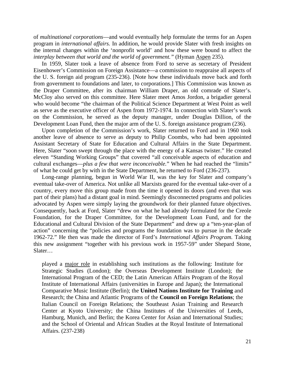of *multinational corporations*—and would eventually help formulate the terms for an Aspen program in *international affairs.* In addition, he would provide Slater with fresh insights on the internal changes within the 'nonprofit world' and how these were bound to affect the *interplay between that world and the world of government."* (Hyman Aspen 235).

In 1959, Slater took a leave of absence from Ford to serve as secretary of President Eisenhower's Commission on Foreign Assistance—a commission to reappraise all aspects of the U. S. foreign aid program (235-236). [Note how these individuals move back and forth from government to foundations and later, to corporations.] This Commission was known as the Draper Committee, after its chairman William Draper, an old comrade of Slater's. McCloy also served on this committee. Here Slater meet Amos Jordon, a brigadier general who would become "the chairman of the Political Science Department at West Point as well as serve as the executive officer of Aspen from 1972-1974. In connection with Slater's work on the Commission, he served as the deputy manager, under Douglas Dillion, of the Development Loan Fund, then the major arm of the U. S. foreign assistance program (236).

Upon completion of the Commission's work, Slater returned to Ford and in 1960 took another leave of absence to serve as deputy to Philip Coombs, who had been appointed Assistant Secretary of State for Education and Cultural Affairs in the State Department. Here, Slater "soon swept through the place with the energy of a Kansas twister." He created eleven "Standing Working Groups" that covered "all conceivable aspects of education and cultural exchanges—*plus a few that were inconceivable.*" When he had reached the "limits" of what he could get by with in the State Department, he returned to Ford (236-237).

Long-range planning, begun in World War II, was the key for Slater and company's eventual take-over of America. Not unlike all Marxists geared for the eventual take-over of a country, every move this group made from the time it opened its doors (and even that was part of their plans) had a distant goal in mind. Seemingly disconnected programs and policies advocated by Aspen were simply laying the groundwork for their planned future objectives. Consequently, back at Ford, Slater "drew on what he had already formulated for the Creole Foundation, for the Draper Committee, for the Development Loan Fund, and for the Educational and Cultural Division of the State Department" and drew up a "ten-year-plan of action" concerning the "policies and programs the foundation was to pursue in the decade 1962-72." He then was made the director of Ford's *International Affairs Program.* Taking this new assignment "together with his previous work in 1957-59" under Shepard Stone, Slater…

played a major role in establishing such institutions as the following: Institute for Strategic Studies (London); the Overseas Development Institute (London); the International Program of the CED; the Latin American Affairs Program of the Royal Institute of International Affairs (universities in Europe and Japan); the International Comparative Music Institute (Berlin); the **United Nations Institute for Training** and Research; the China and Atlantic Programs of the **Council on Foreign Relations**; the Italian Council on Foreign Relations; the Southeast Asian Training and Research Center at Kyoto University; the China Institutes of the Universities of Leeds, Hamburg, Munich, and Berlin; the Korea Center for Asian and International Studies; and the School of Oriental and African Studies at the Royal Institute of International Affairs. (237-238)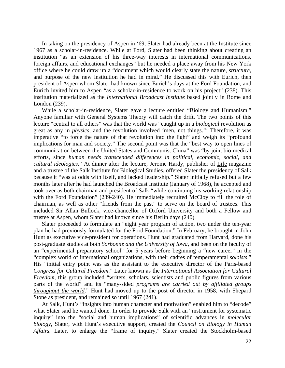In taking on the presidency of Aspen in '69, Slater had already been at the Institute since 1967 as a scholar-in-residence. While at Ford, Slater had been thinking about creating an institution "as an extension of his three-way interests in international communications, foreign affairs, and educational exchanges" but he needed a place away from his New York office where he could draw up a "document which would clearly state the nature, *structure,*  and purpose of the new institution he had in mind." He discussed this with Eurich, then president of Aspen whom Slater had known since Eurich's days at the Ford Foundation, and Eurich invited him to Aspen "as a scholar-in-residence to work on his project" (238). This institution materialized as the *International Broadcast Institute* based jointly in Rome and London (239).

While a scholar-in-residence, Slater gave a lecture entitled "Biology and Humanism." Anyone familiar with General Systems Theory will catch the drift. The two points of this lecture "central to all others" was that the world was "caught up in a *biological* revolution as great as any in *physics,* and the revolution involved 'men, not things.'" Therefore, it was imperative "to force the nature of that revolution into the light" and weigh its "profound implications for man and society." The second point was that the "best way to open lines of communication between the United States and Communist China" was "by joint bio-medical efforts, since *human needs transcended differences in political, economic, social, and cultural ideologies*." At dinner after the lecture, Jerome Hardy, publisher of Life magazine and a trustee of the Salk Institute for Biological Studies, offered Slater the presidency of Salk because it "was at odds with itself, and lacked leadership." Slater initially refused but a few months later after he had launched the Broadcast Institute (January of 1968), he accepted and took over as both chairman and president of Salk "while continuing his working relationship with the Ford Foundation" (239-240). He immediately recruited McCloy to fill the role of chairman, as well as other "friends from the past" to serve on the board of trustees. This included Sir Allan Bullock, vice-chancellor of Oxford University and both a Fellow and trustee at Aspen, whom Slater had known since his Berlin days (240).

Slater proceeded to formulate an "eight year program of action, two under the ten-year plan he had previously formulated for the Ford Foundation." In February, he brought in John Hunt as executive vice-president for operations. Hunt had graduated from Harvard, done his post-graduate studies at both *Sorbonne and the University of Iowa,* and been on the faculty of an "experimental preparatory school" for 5 years before beginning a "new career" in the "complex world of international organizations, with their cadres of temperamental *soloists*." His "initial entry point was as the assistant to the executive director of the Paris-based *Congress for Cultural Freedom*." Later known as the *International Association for Cultural Freedom*, this group included "writers, scholars, scientists and public figures from various parts of the world" and its "many-sided *programs are carried out by affiliated groups throughout the world*." Hunt had moved up to the post of director in 1958, with Shepard Stone as president, and remained so until 1967 (241).

At Salk, Hunt's "insights into human character and motivation" enabled him to "decode" what Slater said he wanted done. In order to provide Salk with an "instrument for systematic inquiry" into the "social and human implications" of scientific advances in *molecular biology,* Slater, with Hunt's executive support, created the *Council on Biology in Human Affairs.* Later, to enlarge the "frame of inquiry," Slater created the Stockholm-based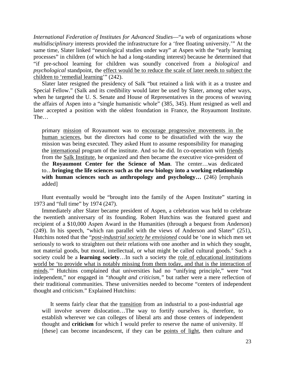*International Federation of Institutes for Advanced Studies*—"a web of organizations whose *multidisciplinary* interests provided the infrastructure for a 'free floating university.'" At the same time, Slater linked "neurological studies under way" at Aspen with the "early learning processes" in children (of which he had a long-standing interest) because he determined that "if pre-school learning for children was soundly conceived from a *biological* and *psychological* standpoint, the effect would be to reduce the scale of later needs to subject the children to 'remedial learning'" (242).

Slater later resigned the presidency of Salk "but retained a link with it as a trustee and Special Fellow." (Salk and its credibility would later be used by Slater, among other ways, when he targeted the U. S. Senate and House of Representatives in the process of weaving the affairs of Aspen into a "single humanistic whole" (385, 345). Hunt resigned as well and later accepted a position with the oldest foundation in France, the Royaumont Institute. The…

primary mission of Royaumont was to encourage progressive movements in the human sciences, but the directors had come to be dissatisfied with the way the mission was being executed. They asked Hunt to assume responsibility for managing the international program of the institute. And so he did. In co-operation with friends from the Salk Institute, he organized and then became the executive vice-president of the **Royaumont Center for the Science of Man**. The center…was dedicated to…**bringing the life sciences such as the new biology into a working relationship**  with human sciences such as anthropology and psychology... (246) [emphasis added]

Hunt eventually would be "brought into the family of the Aspen Institute" starting in 1973 and "full time" by 1974 (247).

Immediately after Slater became president of Aspen, a celebration was held to celebrate the twentieth anniversary of its founding. Robert Hutchins was the featured guest and recipient of a \$10,000 Aspen Award in the Humanities (through a bequest from Anderson) (249). In his speech, "which ran parallel with the views of Anderson and Slater" (251), Hutchins noted that the "*post-industrial society he envisioned* could be 'one in which men set seriously to work to straighten out their relations with one another and in which they sought, not material goods, but moral, intellectual, or what might be called cultural goods.' Such a society could be a **learning society**…In such a society the role of educational institutions world be 'to provide what is notably missing from them today, and that is the interaction of minds.'" Hutchins complained that universities had no "unifying principle," were "not independent," nor engaged in *"thought and criticism,"* but rather were a mere reflection of their traditional communities. These universities needed to become "centers of independent thought and criticism." Explained Hutchins:

It seems fairly clear that the transition from an industrial to a post-industrial age will involve severe dislocation…The way to fortify ourselves is, therefore, to establish wherever we can colleges of liberal arts and those centers of independent thought and **criticism** for which I would prefer to reserve the name of university. If [these] can become incandescent, if they can be points of light, then culture and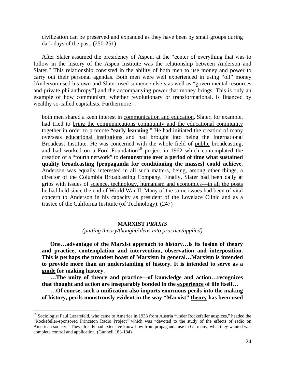civilization can be preserved and expanded as they have been by small groups during dark days of the past. (250-251)

After Slater assumed the presidency of Aspen, at the "center of everything that was to follow in the history of the Aspen Institute was the relationship between Anderson and Slater." This relationship consisted in the ability of both men to use money and power to carry out their personal agendas. Both men were well experienced in using "oil" money [Anderson used his own and Slater used someone else's as well as "governmental resources and private philanthropy"] and the accompanying power that money brings. This is only an example of how communism, whether revolutionary or transformational, is financed by wealthy so-called capitalists. Furthermore…

both men shared a keen interest in communication and education. Slater, for example, had tried to bring the communications community and the educational community together in order to promote "**early learning**." He had initiated the creation of many overseas educational institutions and had brought into being the International Broadcast Institute. He was concerned with the whole field of public broadcasting, and had worked on a Ford Foundation<sup>[10](#page-28-0)</sup> project in 1962 which contemplated the creation of a "fourth network" to **demonstrate over a period of time what sustained quality broadcasting [propaganda for conditioning the masses] could achieve**. Anderson was equally interested in all such matters, being, among other things, a director of the Columbia Broadcasting Company. Finally, Slater had been daily at grips with issues of science, technology, humanism and economics—in all the posts he had held since the end of World War II. Many of the same issues had been of vital concern to Anderson in his capacity as president of the Lovelace Clinic and as a trustee of the California Institute (of Technology). (247)

#### **MARXIST** *PRAXIS*

*(putting theory/thought/ideas into practice/applied)* 

**One…advantage of the Marxist approach to history…is its fusion of theory and practice, contemplation and intervention, observation and interposition. This is perhaps the proudest boast of Marxism in general…Marxism is intended to provide more than an understanding of history. It is intended to serve as a guide for making history.** 

**…The unity of theory and practice—of knowledge and action…recognizes that thought and action are inseparably bonded in the experience of life itself…** 

**…Of course, such a unification also imports enormous perils into the making of history, perils monstrously evident in the way "Marxist" theory has been used** 

 $\overline{a}$ 

<span id="page-28-0"></span> $10$  Sociologist Paul Lazarsfeld, who came to America in 1933 from Austria "under Rockefeller auspices," headed the "Rockefeller-sponsored Princeton Radio Project" which was "devoted to the study of the effects of radio on American society." They already had extensive know-how from propaganda use in Germany, what they wanted was complete control and application. (Gunnell 183-184)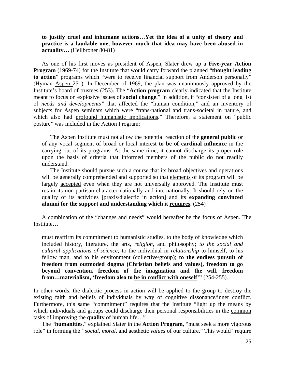**to justify cruel and inhumane actions…Yet the idea of a unity of theory and practice is a laudable one, however much that idea may have been abused in actuality…** (Heilbroner 80-81)

As one of his first moves as president of Aspen, Slater drew up a **Five-year Action Program** (1969-74) for the Institute that would carry forward the planned "**thought leading to action**" programs which "were to receive financial support from Anderson personally" (Hyman Aspen 251). In December of 1969, the plan was unanimously approved by the Institute's board of trustees (253). The "**Action program** clearly indicated that the Institute meant to focus on explosive issues of **social change**." In addition, it "consisted of a long list of *needs and developments"* that affected the "human condition," and an inventory of subjects for Aspen seminars which were "trans-national and trans-societal in nature, and which also had profound humanistic implications." Therefore, a statement on "public posture" was included in the Action Program:

The Aspen Institute must not allow the potential reaction of the **general public** or of any vocal segment of broad or local interest **to be of cardinal influence** in the carrying out of its programs. At the same time, it cannot discharge its proper role upon the basis of criteria that informed members of the public do not readily understand.

The Institute should pursue such a course that its broad objectives and operations will be generally comprehended and supported so that elements of its program will be largely accepted even when they are not universally approved. The Institute must retain its non-partisan character nationally and internationally. It should rely on the quality of its activities [praxis/dialectic in action] and its **expanding convinced alumni for the support and understanding which it requires**. (254)

A combination of the "changes and needs" would hereafter be the focus of Aspen. The Institute…

must reaffirm its commitment to humanistic studies, to the body of knowledge which included history, literature, the arts, *religion,* and philosophy; *to the social and cultural applications of science;* to the individual in *relationship* to himself, to his fellow man, and to his environment (collective/group); **to the endless pursuit of freedom from outmoded dogma (Christian beliefs and values), freedom to go beyond convention, freedom of the imagination and the will, freedom from…materialism, 'freedom also to be in conflict with oneself'"** (254-255).

In other words, the dialectic process in action will be applied to the group to destroy the existing faith and beliefs of individuals by way of cognitive dissonance/inner conflict. Furthermore, this same "commitment" requires that the Institute "light up the means by which individuals and groups could discharge their personal responsibilities in the common tasks of improving the **quality** of human life…"

The "**humanities**," explained Slater in the **Action Program**, "must seek a more vigorous role" in forming the *"social, moral,* and aesthetic *values* of our culture." This would "require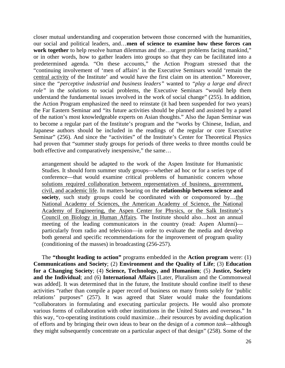closer mutual understanding and cooperation between those concerned with the humanities, our social and political leaders, and…**men of science to examine how these forces can work together** to help resolve human dilemmas and the...urgent problems facing mankind," or in other words, how to gather leaders into groups so that they can be facilitated into a predetermined agenda. "On these accounts," the Action Program stressed that the "continuing involvement of 'men of affairs' in the Executive Seminars would 'remain the central activity of the Institute' and would have the first claim on its attention." Moreover, since the *"perceptive industrial and business leaders"* wanted to *"play a large and direct role"* in the *solutions* to social problems, the Executive Seminars "would help them understand the fundamental issues involved in the work of social change" (255). In addition, the Action Program emphasized the need to reinstate (it had been suspended for two years) the Far Eastern Seminar and "its future activities should be planned and assisted by a panel of the nation's most knowledgeable experts on Asian thoughts." Also the Japan Seminar was to become a regular part of the Institute's program and the "works by Chinese, Indian, and Japanese authors should be included in the readings of the regular or core Executive Seminar" (256). And since the "activities" of the Institute's Center for Theoretical Physics had proven that "summer study groups for periods of three weeks to three months could be both effective and comparatively inexpensive," the same...

arrangement should be adapted to the work of the Aspen Institute for Humanistic Studies. It should form summer study groups—whether ad hoc or for a series type of conference—that would examine critical problems of humanistic concern whose solutions required collaboration between representatives of business, government, civil, and academic life. In matters bearing on the **relationship between science and society**, such study groups could be coordinated with or cosponsored by…the National Academy of Sciences, the American Academy of Science, the National Academy of Engineering, the Aspen Center for Physics, or the Salk Institute's Council on Biology in Human Affairs. The Institute should also…host an annual meeting of the leading communicators in the country (read: Aspen Alumni) particularly from radio and television—in order to evaluate the media and develop both general and specific recommendations for the improvement of program quality (conditioning of the masses) in broadcasting (256-257).

The **"thought leading to action"** programs embedded in the **Action program** were: (1) **Communications and Society**; (2) **Environment and the Quality of Life**; (3) **Education for a Changing Society**; (4) **Science, Technology, and Humanism**; (5) **Justice, Society and the Individual**; and (6) **International Affairs** [Later, Pluralism and the Commonweal was added]. It was determined that in the future, the Institute should confine itself to these activities "rather than compile a paper record of business on many fronts solely for 'public relations' purposes" (257). It was agreed that Slater would make the foundations "collaborators in formulating and executing particular projects. He would also promote various forms of collaboration with other institutions in the United States and overseas." In this way, "co-operating institutions could maximize…their resources by avoiding duplication of efforts and by bringing their own ideas to bear on the design of a *common task—*although they might subsequently concentrate on a particular aspect of that design" (258). Some of the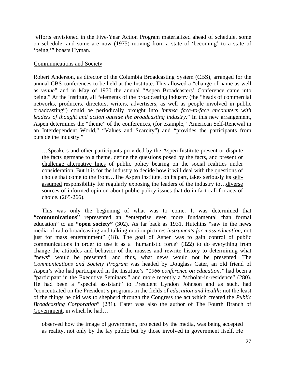"efforts envisioned in the Five-Year Action Program materialized ahead of schedule, some on schedule, and some are now (1975) moving from a state of 'becoming' to a state of 'being,'" boasts Hyman.

#### Communications and Society

Robert Anderson, as director of the Columbia Broadcasting System (CBS), arranged for the annual CBS conferences to be held at the Institute. This allowed a "change of name as well as *venue*" and in May of 1970 the annual "Aspen Broadcasters' Conference came into being." At the Institute, all "elements of the broadcasting industry (the "heads of commercial networks, producers, directors, writers, advertisers, as well as people involved in public broadcasting") could be periodically brought into *intense face-to-face encounters with leaders of thought and action outside the broadcasting industry.*" In this new arrangement, Aspen determines the "theme" of the conferences, (for example, "American Self-Renewal in an Interdependent World," "Values and Scarcity") and "provides the participants from outside the industry."

…Speakers and other participants provided by the Aspen Institute present or dispute the facts germane to a theme, define the questions posed by the facts, and present or challenge alternative lines of public policy bearing on the social realities under consideration. But it is for the industry to decide how it will deal with the questions of choice that come to the front…The Aspen Institute, on its part, takes seriously its selfassumed responsibility for regularly exposing the leaders of the industry to…diverse sources of informed opinion about public-policy issues that do in fact call for acts of choice. (265-266).

This was only the beginning of what was to come. It was determined that **"communications"** represented an "enterprise even more fundamental than formal education" to an **"open society"** (302). As far back as 1931, Hutchins "saw in the news media of radio broadcasting and talking motion pictures *instruments for mass education,* not just for mass entertainment" (18). The goal of Aspen was to gain control of public communications in order to use it as a "humanistic force" (322) to do everything from change the attitudes and behavior of the masses and rewrite history to determining what "news" would be presented, and thus, what news would not be presented. The *Communications and Society Program* was headed by Douglass Cater, an old friend of Aspen's who had participated in the Institute's *"1966 conference on education,"* had been a "participant in the Executive Seminars," and more recently a "scholar-in-residence" (280). He had been a "special assistant" to President Lyndon Johnson and as such, had "concentrated on the President's programs in the fields of *education and health;* not the least of the things he did was to shepherd through the Congress the act which created the *Public Broadcasting Corporation*" (281). Cater was also the author of The Fourth Branch of Government, in which he had…

observed how the image of government, projected by the media, was being accepted as reality, not only by the lay public but by those involved in government itself. He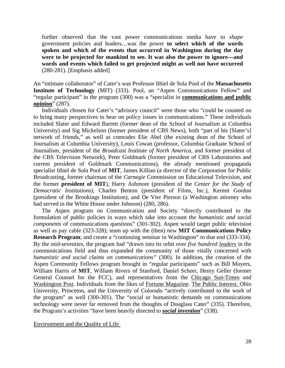further observed that the vast power communications media have to *shape*  government policies and leaders…was the power **to select which of the words spoken and which of the events that occurred in Washington during the day were to be projected for mankind to see. It was also the power to ignore—and words and events which failed to get projected might as well not have occurred** (280-281). [Emphasis added]

An "intimate collaborator" of Cater's was Professor Ithiel de Sola Pool of the **Massachusetts Institute of Technology** (MIT) (333). Pool, an "Aspen Communications Fellow" and "regular participant" in the program (300) was a "specialist in **communications and public opinion**" (287).

Individuals chosen for Cater's "advisory council" were those who "could be counted on to bring many perspectives to bear on policy issues in communications." These individuals included Slater and Edward Barrett (former dean of the School of Journalism at Columbia University) and Sig Mickelson (former president of CBS News), both "part of his [Slater's] network of friends," as well as comrades Elie Abel (the existing dean of the School of Journalism at Columbia University), Louis Cowan (professor, Columbia Graduate School of Journalism, president of the *Broadcast Institute of North America,* and former president of the CBS Television Network), Peter Goldmark (former president of CBS Laboratories and current president of Goldmark Communications), the already mentioned propaganda specialist Ithiel de Sola Pool of **MIT**, James Killian (a director of the Corporation for Public Broadcasting, former chairman of the *Carnegie* Commission on Educational Television, and the former **president of MIT**), Harry Ashmore (president of the *Center for the Study of Democratic Institutions),* Charles Benton (president of Films, Inc.), Kermit Gordon (president of the Brookings Institution), and De Vier Pierson (a Washington attorney who had served in the White House under Johnson) (280, 286).

The Aspen program on Communication and Society "directly contributed to the formulation of public policies in ways which take into account the *humanistic and social components* of communications questions" (301-302). Aspen would target public television as well as pay cable (323-328); team up with the (then) new **MIT Communications Policy Research Program**; and create a "continuing seminar in Washington" to that end (333-334). By the mid-seventies, the program had "drawn into its orbit over *five hundred leaders* in the communications field and thus expanded the community of those vitally concerned with *humanistic and social claims on communications"* (300). In addition, the creation of the Aspen Community Fellows program brought in "regular participants" such as Bill Moyers, William Harris of **MIT**, William Rivers of Stanford, Daniel Schorr, Henry Geller (former General Counsel for the FCC), and representatives from the Chicago Sun-Times and Washington Post. Individuals from the likes of Fortune Magazine. The Public Interest. Ohio University, Princeton, and the University of Colorado "actively contributed to the work of the program" as well (300-301). The "social or humanistic demands on communications technology were never far removed from the thoughts of Douglass Cater" (335). Therefore, the Program's activities "have been heavily directed to *social invention*" (338).

Environment and the Quality of Life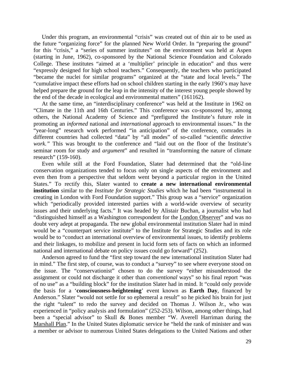Under this program, an environmental "crisis" was created out of thin air to be used as the future "organizing force" for the planned New World Order. In "preparing the ground" for this "crisis," a "series of summer institutes" on the environment was held at Aspen (starting in June, 1962), co-sponsored by the National Science Foundation and Colorado College. These institutes "aimed at a 'multiplier' principle in education" and thus were "expressly designed for high school teachers." Consequently, the teachers who participated "became the nuclei for similar programs" organized at the "state and local levels." The "cumulative impact these efforts had on school children starting in the early 1960's may have helped prepare the ground for the leap in the intensity of the interest young people showed by the end of the decade in ecological and environmental matters" (161162).

At the same time, an "interdisciplinary conference" was held at the Institute in 1962 on "Climate in the 11th and 16th Centuries." This conference was co-sponsored by, among others, the National Academy of Science and "prefigured the Institute's future role in promoting an *informed* national and *international* approach to environmental issues." In the "year-long" research work performed "in anticipation" of the conference, comrades in different countries had collected "data" by "all modes" of so-called "scientific *detective work.*" This was brought to the conference and "laid out on the floor of the Institute's seminar room for study and *argument*" and resulted in "transforming the nature of climate research" (159-160).

Even while still at the Ford Foundation, Slater had determined that the "old-line conservation organizations tended to focus only on single aspects of the environment and even then from a perspective that seldom went beyond a particular region in the United States." To rectify this, Slater wanted to **create a new international environmental institution** similar to the *Institute for Strategic Studies* which he had been "instrumental in creating in London with Ford Foundation support." This group was a "service" organization which "periodically provided interested parties with a world-wide overview of security issues and their underlying facts." It was headed by Alistair Buchan, a journalist who had "distinguished himself as a Washington correspondent for the London Observer" and was no doubt very adept at propaganda. The new global environmental institution Slater had in mind would be a "counterpart service institute" to the Institute for Strategic Studies and its role would be to "conduct an international overview of environmental issues, to identify problems and their linkages, to mobilize and present in lucid form sets of facts on which an informed national and international debate on policy issues could go forward" (252).

Anderson agreed to fund the "first step toward the new international institution Slater had in mind." The first step, of course, was to conduct a "survey" to see where everyone stood on the issue. The "conservationist" chosen to do the survey "either misunderstood the assignment or could not discharge it other than *conventional* ways" so his final report "was of no use" as a "building block" for the institution Slater had in mind. It "could only provide the basis for a '**consciousness-heightening**' event known as **Earth Day**, financed by Anderson." Slater "would not settle for so ephemeral a result" so he picked his brain for just the right "talent" to redo the survey and decided on Thomas J. Wilson Jr., who was experienced in "policy analysis and formulation" (252-253). Wilson, among other things, had been a "special advisor" to Skull & Bones member "W. Averell Harriman during the Marshall Plan." In the United States diplomatic service he "held the rank of minister and was a member or advisor to numerous United States delegations to the United Nations and other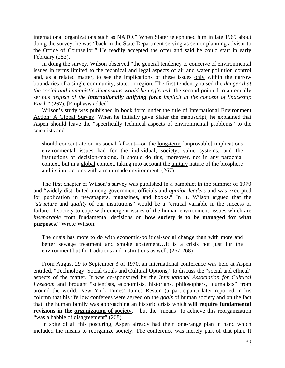international organizations such as NATO." When Slater telephoned him in late 1969 about doing the survey, he was "back in the State Department serving as senior planning advisor to the Office of Counsellor." He readily accepted the offer and said he could start in early February (253).

In doing the survey, Wilson observed "the general tendency to conceive of environmental issues in terms limited to the technical and legal aspects of air and water pollution control and, as a related matter, to see the implications of these issues only within the narrow boundaries of a single community, state, or region. The first tendency raised the *danger that the social and humanistic dimensions would be neglected;* the second pointed to an equally serious *neglect of the internationally unifying force implicit in the concept of Spaceship Earth"* (267)*.* [Emphasis added]

Wilson's study was published in book form under the title of International Environment Action: A Global Survey. When he initially gave Slater the manuscript, he explained that Aspen should leave the "specifically technical aspects of environmental problems" to the scientists and

should concentrate on its social fall-out—on the <u>long-term</u> [unprovable] implications environmental issues had for the individual, society, value systems, and the institutions of decision-making. It should do this, moreover, not in any parochial context, but in a global context, taking into account the unitary nature of the biosphere and its interactions with a man-made environment. (267)

The first chapter of Wilson's survey was published in a pamphlet in the summer of 1970 and "widely distributed among government officials and *opinion leaders* and was excerpted for publication in newspapers, magazines, and books." In it, Wilson argued that the "*structure* and *quality* of our institutions" would be a "critical variable in the success or failure of society to cope with emergent issues of the human environment, issues which are *inseparable* from fundamental decisions on **how society is to be managed for what purposes**." Wrote Wilson:

The crisis has more to do with economic-political-social change than with more and better sewage treatment and smoke abatement…It is a crisis not just for the environment but for traditions and institutions as well. (267-268)

From August 29 to September 3 of 1970, an international conference was held at Aspen entitled, "Technology: Social Goals and Cultural Options," to discuss the "social and ethical" aspects of the matter. It was co-sponsored by the *International Association for Cultural Freedom* and brought "scientists, economists, historians, philosophers, journalists" from around the world. New York Times' James Reston (a participant) later reported in his column that his "fellow conferees were agreed on the *goals* of human society and on the fact that 'the human family was approaching an historic crisis which **will require fundamental revisions in the organization of society**.'" but the "means" to achieve this reorganization "was a babble of disagreement" (268).

In spite of all this posturing, Aspen already had their long-range plan in hand which included the means to reorganize society. The conference was merely part of that plan. It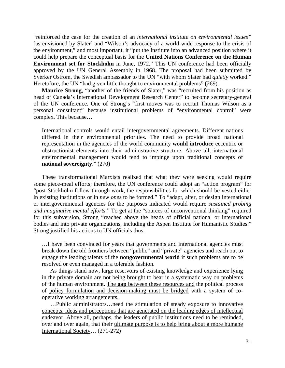"reinforced the case for the creation of an *international institute on environmental issues"*  [as envisioned by Slater] and "Wilson's advocacy of a world-wide response to the crisis of the environment," and most important, it "put the Institute into an advanced position where it could help prepare the conceptual basis for the **United Nations Conference on the Human Environment set for Stockholm** in June, 1972." This UN conference had been officially approved by the UN General Assembly in 1968. The proposal had been submitted by Sverker Ostrom, the Swedish ambassador to the UN "with whom Slater had *quietly* worked." Heretofore, the UN "had given little thought to environmental problems" (269).

**Maurice Strong**, "another of the friends of Slater," was "recruited from his position as head of Canada's International Development Research Center" to become secretary-general of the UN conference. One of Strong's "first moves was to recruit Thomas Wilson as a personal consultant" because institutional problems of "environmental control" were complex. This because…

International controls would entail intergovernmental agreements. Different nations differed in their environmental priorities. The need to provide broad national representation in the agencies of the world community **would introduce** eccentric or obstructionist elements into their administrative structure. Above all, international environmental management would tend to impinge upon traditional concepts of **national sovereignty**." (270)

These transformational Marxists realized that what they were seeking would require some piece-meal efforts; therefore, the UN conference could adopt an "action program" for "post-Stockholm follow-through work, the responsibilities for which should be vested either in existing institutions or in *new ones* to be formed." To "adapt, alter, or design international or intergovernmental agencies for the purposes indicated would require *sustained probing and imaginative mental efforts*." To get at the "sources of unconventional thinking" required for this subversion, Strong "reached above the heads of official national or international bodies and into private organizations, including the Aspen Institute for Humanistic Studies." Strong justified his actions to UN officials thus:

…I have been convinced for years that governments and international agencies must break down the old frontiers between "public" and "private" agencies and reach out to engage the leading talents of the **nongovernmental world** if such problems are to be resolved or even managed in a tolerable fashion.

As things stand now, large reservoirs of existing knowledge and experience lying in the private domain are not being brought to bear in a systematic way on problems of the human environment. The **gap** between these resources and the political process of policy formulation and decision-making must be bridged with a system of cooperative working arrangements.

…Public administrators…need the stimulation of steady exposure to innovative concepts, ideas and perceptions that are generated on the leading edges of intellectual endeavor. Above all, perhaps, the leaders of public institutions need to be reminded, over and over again, that their ultimate purpose is to help bring about a more humane International Society… (271-272)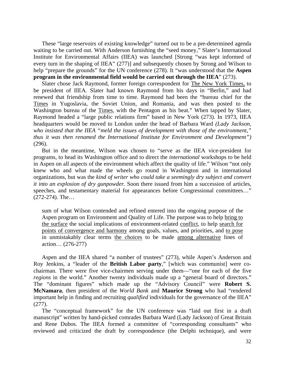These "large reservoirs of existing knowledge" turned out to be a pre-determined agenda waiting to be carried out. With Anderson furnishing the "seed money," Slater's International Institute for Environmental Affairs (IIEA) was launched [Strong "was kept informed of every turn in the shaping of IIEA" (277)] and subsequently chosen by Strong and Wilson to help "prepare the grounds" for the UN conference (278). It "was understood that the **Aspen program in the environmental field would be carried out through the IIEA**" (273).

Slater chose Jack Raymond, former foreign correspondent for The New York Times, to be president of IIEA. Slater had known Raymond from his days in "Berlin," and had renewed that friendship from time to time. Raymond had been the "bureau chief for the Times in Yugoslavia, the Soviet Union, and Romania, and was then posted to the Washington bureau of the Times, with the Pentagon as his beat." When tapped by Slater, Raymond headed a "large public relations firm" based in New York (273). In 1973, IIEA headquarters would be moved to London under the head of Barbara Ward *(Lady Jackson, who insisted that the IIEA "meld the issues of development with those of the environment," thus it was then renamed the International Institute for Environment and Development")*  (296).

But in the meantime, Wilson was chosen to "serve as the IIEA vice-president for programs, to head its Washington office and to direct the *international* workshops to be held in Aspen on all aspects of the environment which affect the quality of life." Wilson "not only knew who and what made the wheels go round in Washington and in international organizations, but was the *kind of writer who could take a seemingly dry subject and convert it into an explosion of dry gunpowder.* Soon there issued from him a succession of articles, speeches, and testamentary material for appearances before Congressional committees..." (272-274). The…

sum of what Wilson contended and refined entered into the ongoing purpose of the Aspen program on Environment and Quality of Life. The purpose was to help bring to the surface the social implications of environment-related conflict, to help search for points of convergence and harmony among goals, values, and priorities, and to pose in unmistakably clear terms the choices to be made among alternative lines of action… (276-277)

Aspen and the IIEA shared "a number of trustees" (273), while Aspen's Anderson and Roy Jenkins, a "leader of the **British Labor party**," [which was communist] were cochairman. There were five vice-chairmen serving under them—"one for each of the five *regions* in the world." Another twenty individuals made up a "general board of directors." The "dominant figures" which made up the "Advisory Council" were **Robert S. McNamara**, then president of the *World Bank* and **Maurice Strong** who had "rendered important help in finding and recruiting *qualified* individuals for the governance of the IIEA" (277).

The "conceptual framework" for the UN conference was "laid out first in a draft manuscript" written by hand-picked comrades Barbara Ward (Lady Jackson) of Great Britain and Rene Dubos. The IIEA formed a committee of "corresponding consultants" who reviewed and criticized the draft by correspondence (the Delphi technique), and were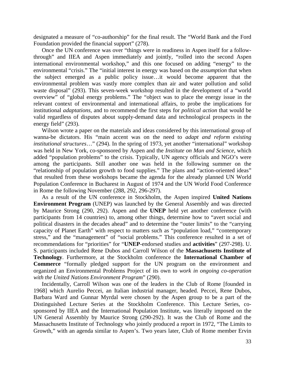designated a measure of "co-authorship" for the final result. The "World Bank and the Ford Foundation provided the financial support" (278).

Once the UN conference was over "things were in readiness in Aspen itself for a followthrough" and IIEA and Aspen immediately and jointly, "rolled into the second Aspen international environmental workshop," and this one focused on adding "energy" to the environmental "crisis." The "initial interest in energy was based on the *assumption* that when the subject emerged as a public policy issue…it would become apparent that the environmental problem was vastly more complex than air and water pollution and solid waste disposal" (293). This seven-week workshop resulted in the development of a "world overview" of "global energy problems." The "object was to place the energy issue in the relevant context of environmental and international affairs, to probe the implications for institutional *adaptations,* and to recommend the first steps for *political action* that would be valid regardless of disputes about supply-demand data and technological prospects in the energy field" (293).

Wilson wrote a paper on the materials and ideas considered by this international group of wanna-be dictators. His "main accent was on the need to *adapt and reform existing institutional structures*…" (294). In the spring of 1973, yet another "international" workshop was held in New York, co-sponsored by Aspen and the *Institute on Man and Science,* which added "population problems" to the crisis. Typically, UN agency officials and NGO's were among the participants. Still another one was held in the following summer on the "relationship of population growth to food supplies." The plans and "action-oriented ideas" that resulted from these workshops became the agenda for the already planned UN World Population Conference in Bucharest in August of 1974 and the UN World Food Conference in Rome the following November (288, 292, 296-297).

As a result of the UN conference in Stockholm, the Aspen inspired **United Nations Environment Program** (UNEP) was launched by the General Assembly and was directed by Maurice Strong (290, 292). Aspen and the **UNEP** held yet another conference (with participants from 14 countries) to, among other things, determine how to "avert social and political disasters in the decades ahead" and to determine the "outer limits" to the "carrying capacity of Planet Earth" with respect to matters such as "population load," "contemporary stress," and the "management" of "social problems." This conference resulted in a set of recommendations for "priorities" for "**UNEP**-endorsed studies and **activities**" (297-298). U. S. participants included Rene Dubos and Carroll Wilson of the **Massachusetts Institute of Technology**. Furthermore, at the Stockholm conference the **International Chamber of Commerce** "formally pledged support for the UN program on the environment and organized an Environmental Problems Project of its own to *work in ongoing co-operation with the United Nations Environment Program*" (290).

Incidentally, Carroll Wilson was one of the leaders in the Club of Rome [founded in 1968] which Aurelio Peccei, an Italian industrial manager, headed. Peccei, Rene Dubos, Barbara Ward and Gunnar Myrdal were chosen by the Aspen group to be a part of the Distinguished Lecture Series at the Stockholm Conference. This Lecture Series, cosponsored by IIEA and the International Population Institute, was literally imposed on the UN General Assembly by Maurice Strong (290-292). It was the Club of Rome and the Massachusetts Institute of Technology who jointly produced a report in 1972, "The Limits to Growth," with an agenda similar to Aspen's. Two years later, Club of Rome member Ervin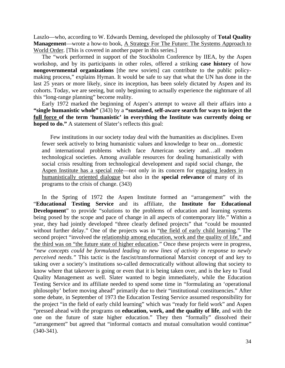Laszlo—who, according to W. Edwards Deming, developed the philosophy of **Total Quality Management**—wrote a how-to book, A Strategy For The Future: The Systems Approach to World Order. [This is covered in another paper in this series.]

The "work performed in support of the Stockholm Conference by IIEA, by the Aspen workshop, and by its participants in other roles, offered a striking **case history** of how **nongovernmental organizations** [the new soviets] can contribute to the public policymaking process," explains Hyman. It would be safe to say that what the UN has done in the last 25 years or more likely, since its inception, has been solely dictated by Aspen and its cohorts. Today, we are seeing, but only beginning to actually experience the nightmare of all this "long-range planning" become reality.

Early 1972 marked the beginning of Aspen's attempt to weave all their affairs into a **"single humanistic whole"** (343) by a **"sustained, self-aware search for ways to inject the full force of the term 'humanistic' in everything the Institute was currently doing or hoped to do."** A statement of Slater's reflects this goal:

Few institutions in our society today deal with the humanities as disciplines. Even fewer seek actively to bring humanistic values and knowledge to bear on…domestic and international problems which face American society and…all modem technological societies. Among available resources for dealing humanistically with social crisis resulting from technological development and rapid social change, the Aspen Institute has a special role—not only in its concern for engaging leaders in humanistically oriented dialogue but also in the **special relevance** of many of its programs to the crisis of change. (343)

In the Spring of 1972 the Aspen Institute formed an "arrangement" with the "**Educational Testing Service** and its affiliate, the **Institute for Educational Development**" to provide "solutions to the problems of education and learning systems being posed by the scope and pace of change in all aspects of contemporary life." Within a year, they had jointly developed "three clearly defined projects" that "could be mounted without further delay." One of the projects was in "the field of early child learning." The second project "involved the relationship among education, work and the quality of life," and the third was on "the future state of higher education." Once these projects were in progress, *"new concepts could be formulated leading to new lines of activity in response to newly perceived needs."* This tactic is the fascist/transformational Marxist concept of and key to taking over a society's institutions so-called democratically without allowing that society to know where that takeover is going or even that it is being taken over, and is the key to Total Quality Management as well. Slater wanted to begin immediately, while the Education Testing Service and its affiliate needed to spend some time in "formulating an 'operational philosophy' before moving ahead" primarily due to their "institutional constituencies." After some debate, in September of 1973 the Education Testing Service assumed responsibility for the project "in the field of early child learning" which was "ready for field work" and Aspen "pressed ahead with the programs on **education, work, and the quality of life**, and with the one on the future of state higher education." They then "formally" dissolved their "arrangement" but agreed that "informal contacts and mutual consultation would continue" (340-341).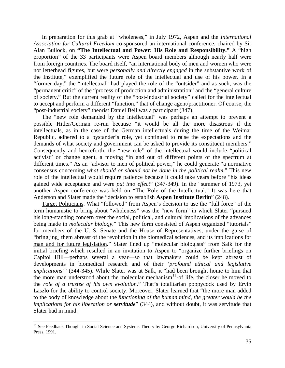In preparation for this grab at "wholeness," in July 1972, Aspen and the *International Association for Cultural Freedom* co-sponsored an international conference, chaired by Sir Alan Bullock, on **"The Intellectual and Power: His Role and Responsibility."** A "high proportion" of the 33 participants were Aspen board members although nearly half were from foreign countries. The board itself, "an international body of men and women who were not letterhead figures, but were *personally and directly engaged* in the substantive work of the Institute," exemplified the future role of the intellectual and use of his power. In a "former day," the "intellectual" had played the role of the "outsider" and as such, was the "permanent critic" of the "process of production and administration" and the "general culture of society." But the current reality of the "post-industrial society" called for the intellectual to accept and perform a different "function," that of change agent/practitioner. Of course, the "post-industrial society" theorist Daniel Bell was a participant (347).

The "new role demanded by the intellectual" was perhaps an attempt to prevent a possible Hitler/German re-run because "it would be all the more disastrous if the intellectuals, as in the case of the German intellectuals during the time of the Weimar Republic, adhered to a bystander's role, yet continued to raise the expectations and the demands of what society and government can be asked to provide its constituent members." Consequently and henceforth, the "new role" of the intellectual would include "political activist" or change agent, a moving "in and out of different points of the spectrum at different times." As an "advisor to men of political power," he could generate "a normative consensus concerning *what should or should not be done in the political realm.*" This new role of the intellectual would require patience because it could take years before "his ideas gained wide acceptance and were *put into effect*" (347-349). In the "summer of 1973, yet another Aspen conference was held on "The Role of the Intellectual." It was here that Anderson and Slater made the "decision to establish **Aspen Institute Berlin**" (248).

Target Politicians. What "followed" from Aspen's decision to use the "full force" of the term humanistic to bring about "wholeness" was the "new form" in which Slater "pursued his long-standing concern over the social, political, and cultural implications of the advances being made in *molecular biology*." This new form consisted of Aspen organized "tutorials" for members of the U. S. Senate and the House of Representatives, under the guise of "bring[ing] them abreast of the revolution in the biomedical sciences, and its implications for man and for future legislation." Slater lined up "molecular biologists" from Salk for the initial briefing which resulted in an invitation to Aspen to "organize further briefings on Capitol Hill—perhaps several a year—so that lawmakers could be kept abreast of developments in biomedical research and of their *'profound ethical and legislative implications'*" (344-345). While Slater was at Salk, it "had been brought home to him that the more man understood about the molecular mechanism<sup>[11](#page-39-0)</sup> of life, the closer he moved to the *role of a trustee of his own evolution*." That's totalitarian poppycock used by Ervin Laszlo for the ability to control society. Moreover, Slater learned that "the more man added to the body of knowledge about the *functioning of the human mind, the greater would be the implications for his liberation or servitude*" (344), and without doubt, it was servitude that Slater had in mind.

<span id="page-39-0"></span><sup>&</sup>lt;sup>11</sup> See Feedback Thought in Social Science and Systems Theory by George Richardson, University of Pennsylvania Press, 1991.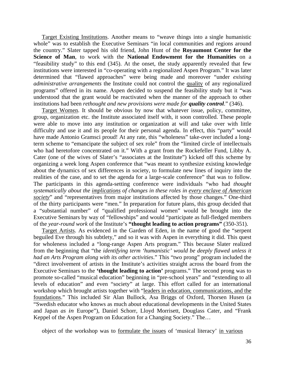Target Existing Institutions. Another means to "weave things into a single humanistic whole" was to establish the Executive Seminars "in local communities and regions around the country." Slater tapped his old friend, John Hunt of the **Royaumont Center for the Science of Man**, to work with the **National Endowment for the Humanities** on a "feasibility study" to this end (345). At the onset, the study apparently revealed that few institutions were interested in "co-operating with a regionalized Aspen Program." It was later determined that "flawed approaches" were being made and moreover "under *existing administrative arrangements* the Institute could not control the quality of any regionalized programs" offered in its name. Aspen decided to suspend the feasibility study but it "was understood that the grant would be reactivated when the manner of the approach to other institutions had been *rethought and new provisions were made for quality control." (346).* 

Target Women. It should be obvious by now that whatever issue, policy, committee, group, organization etc. the Institute associated itself with, it soon controlled. These people were able to move into any institution or organization at will and take over with little difficulty and use it and its people for their personal agenda. In effect, this "party" would have made Antonio Gramsci proud! At any rate, this "wholeness" take-over included a longterm scheme to "emancipate the subject of sex role" from the "limited circle of intellectuals who had heretofore concentrated on it." With a grant from the Rockefeller Fund, Libby A. Cater (one of the wives of Slater's "associates at the Institute") kicked off this scheme by organizing a week long Aspen conference that "was meant to synthesize existing knowledge about the dynamics of sex differences in society, to formulate new lines of inquiry into the realities of the case, and to set the agenda for a large-scale conference" that was to follow. The participants in this agenda-setting conference were individuals "who had *thought systematically about the implications of changes in these roles in every enclave of American society*" and "representatives from major institutions affected by those changes." One-third of the thirty participants were "men." In preparation for future plans, this group decided that a "substantial number" of "qualified professional women" would be brought into the Executive Seminars by way of "fellowships" and would "participate as full-fledged members of the *year-round work* of the Institute's **"thought leading to action programs"** (350-351).

Target Artists. As evidenced in the Garden of Eden, in the name of good the "serpent beguiled Eve through his subtlety," and so it was with Aspen in everything it did. This quest for wholeness included a "long-range Aspen Arts program." This because Slater realized from the beginning that "the *identifying term 'humanistic' would be deeply flawed unless it had an Arts Program along with its other activities*." This "two prong" program included the "direct involvement of artists in the Institute's activities straight across the board from the Executive Seminars to the **'thought leading to action'** programs." The second prong was to promote so-called "musical education" beginning in "pre-school years" and "extending to all levels of education" and even "society" at large. This effort called for an international workshop which brought artists together with "leaders in education, communications, and the foundations." This included Sir Alan Bullock, Asa Briggs of Oxford, Thorsen Husen (a "Swedish educator who knows as much about educational developments in the United States and Japan *as in* Europe"), Daniel Schorr, Lloyd Morrisett, Douglass Cater, and "Frank Keppel of the Aspen Program on Education for a Changing Society." The…

object of the workshop was to formulate the issues of 'musical literacy' in various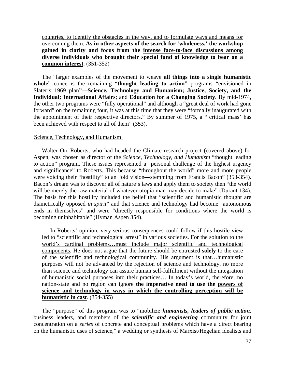countries, to identify the obstacles in the way, and to formulate ways and means for overcoming them. **As in other aspects of the search for 'wholeness,' the workshop gained in clarity and focus from the intense face-to-face discussions among diverse individuals who brought their special fund of knowledge to bear on a common interest**. (351-352)

The "larger examples of the movement to weave **all things into a single humanistic whole**" concerns the remaining "**thought leading to action**" programs "envisioned in Slater's 1969 plan**"—Science, Technology and Humanism; Justice, Society, and the Individual; International Affairs**; and **Education for a Changing Society**. By mid-1974, the other two programs were "fully operational" and although a "great deal of work had gone forward" on the remaining four, it was at this time that they were "formally inaugurated with the appointment of their respective directors." By summer of 1975, a "'critical mass' has been achieved with respect to all of them" (353).

### Science, Technology, and Humanism

Walter Orr Roberts, who had headed the Climate research project (covered above) for Aspen, was chosen as director of the *Science, Technology, and Humanism* "thought leading to action" program. These issues represented a "personal challenge of the highest urgency and significance" to Roberts. This because "throughout the world" more and more people were voicing their "hostility" to an "old vision—stemming from Francis Bacon" (353-354). Bacon's dream was to discover all of nature's laws and apply them to society then "the world will be merely the raw material of whatever utopia man may decide to make" (Durant 134). The basis for this hostility included the belief that "scientific and humanistic thought are diametrically opposed *in spirit*" and that science and technology had become "autonomous ends in themselves" and were "directly responsible for conditions where the world is becoming uninhabitable" (Hyman Aspen 354).

In Roberts' opinion, very serious consequences could follow if this hostile view led to "scientific and technological arrest" in various societies. For the solution to the world's cardinal problems…must include major scientific and technological components. He does not argue that the future should be entrusted **solely** to the care of the scientific and technological community. His argument is that…humanistic purposes will not be advanced by the rejection of science and technology, no more than science and technology can assure human self-fulfillment without the integration of humanistic social purposes into their practices… In today's world, therefore, no nation-state and no region can ignore **the imperative need to use the powers of science and technology in ways in which the controlling perception will be humanistic in cast**. (354-355)

The "purpose" of this program was to "mobilize *humanists, leaders of public action*, business leaders, and members of the *scientific and engineering* community for joint concentration on a *series* of concrete and conceptual problems which have a direct bearing on the humanistic uses of science," a wedding or synthesis of Marxist/Hegelian idealists and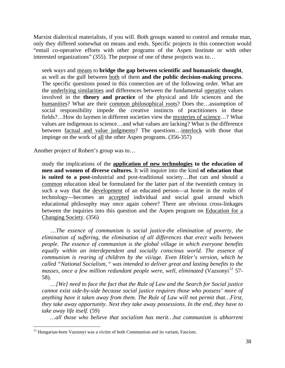Marxist dialectical materialists, if you will. Both groups wanted to control and remake man, only they differed somewhat on means and ends. Specific projects in this connection would "entail co-operative efforts with other programs of the Aspen Institute or with other interested organizations" (355). The purpose of one of these projects was to…

seek ways and means to **bridge the gap between scientific and humanistic thought**, as well as the gulf between both of them **and the public decision-making process**. The specific questions posed in this connection are of the following order. What are the underlying similarities and differences between the fundamental operative values involved in the **theory and practice** of the physical and life sciences and the humanities? What are their common philosophical roots? Does the…assumption of social responsibility impede the creative instincts of practitioners in these fields?…How do laymen in different societies view the mysteries of science…? What values are indigenous to science…and what values are lacking? What is the difference between factual and value judgments? The questions…interlock with those that impinge on the work of all the other Aspen programs. (356-357)

Another project of Robert's group was to…

study the implications of the **application of new technologies to the education of men and women of diverse cultures.** It will inquire into the kind **of education that is suited to a post-**industrial and post-traditional society…But can and should a common education ideal be formulated for the latter part of the twentieth century in such a way that the development of an educated person—at home in the realm of technology—becomes an accepted individual and social goal around which educational philosophy may once again cohere? There are obvious cross-linkages between the inquiries into this question and the Aspen program on Education for a Changing Society. (356)

…*The essence of communism is social justice-the elimination of poverty, the elimination of suffering, the elimination of all differences that erect walls between people. The essence of communism is the global village in which everyone benefits*  equally within an interdependent and socially conscious world. The essence of *communism is rearing of children by the vii/age. Even Hitler's version, which he called "National Socialism,* " *was intended to deliver great and lasting benefits to the masses, once a few million redundant people were, well, eliminated* (Vazsonyi<sup>[12](#page-42-0)</sup> 57-58).

…*[We] need to face the fact that the Rule of Law and the Search for Social justice cannot exist side-by-side because social justice requires those who possess' more of anything have it taken away from them. The Rule of Law will not permit that…First, they take away opportunity. Next they take away possessions. In the end, they have to take away life itself.* (59)

*…all those who believe that socialism has merit…but communism is abhorrent* 

<span id="page-42-0"></span> $12$  Hungarian-born Vazsonyi was a victim of both Communism and its variant, Fascism.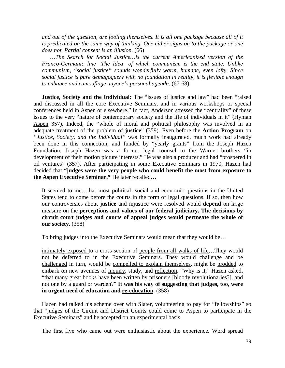*and out of the question, are fooling themselves. It is all one package because all of it is predicated on the same way of thinking. One either signs on to the package or one does not. Partial consent is an illusion.* (66)

*…The Search for Social Justice…is the current Americanized version of the Franco-Germanic line—The Idea—of which communism is the end state. Unlike communism, "social justice" sounds wonderfully warm, humane, even lofty. Since social justice is pure demagoguery with no foundation in reality, it is flexible enough to enhance and camouflage anyone's personal agenda.* (67-68)

**Justice, Society and the Individual:** The "issues of justice and law" had been "raised and discussed in all the core Executive Seminars, and in various workshops or special conferences held in Aspen or elsewhere." In fact, Anderson stressed the "centrality" of these issues to the very "nature of contemporary society and the life of individuals in it" (Hyman Aspen 357). Indeed, the "whole of moral and political philosophy was involved in an adequate treatment of the problem of **justice**" (359). Even before the **Action Program** on *"Justice, Society, and the Individual"* was formally inaugurated, much work had already been done in this connection, and funded by "yearly grants" from the Joseph Hazen Foundation. Joseph Hazen was a former legal counsel to the Warner brothers "in development of their motion picture interests." He was also a producer and had "prospered in oil ventures" (357). After participating in some Executive Seminars in 1970, Hazen had decided that **"judges were the very people who could benefit the most from exposure to the Aspen Executive Seminar."** He later recalled…

It seemed to me…that most political, social and economic questions in the United States tend to come before the courts in the form of legal questions. If so, then how our controversies about **justice** and injustice were resolved would **depend** on large measure on the **perceptions and values of our federal judiciary. The decisions by circuit court judges and courts of appeal judges would permeate the whole of our society**. (358)

To bring judges into the Executive Seminars would mean that they would be…

intimately exposed to a cross-section of people from all walks of life…They would not be deferred to in the Executive Seminars. They would challenge and be challenged in turn, would be compelled to explain themselves, might be prodded to embark on new avenues of inquiry, study, and reflection. "Why is it," Hazen asked, "that many great books have been written by prisoners [bloody revolutionaries?], and not one by a guard or warden?" **It was his way of suggesting that judges, too, were in urgent need of education and re-education**. (358)

Hazen had talked his scheme over with Slater, volunteering to pay for "fellowships" so that "judges of the Circuit and District Courts could come to Aspen to participate in the Executive Seminars" and he accepted on an experimental basis.

The first five who came out were enthusiastic about the experience. Word spread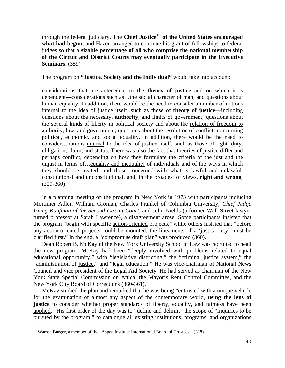through the federal judiciary. The **Chief Justice**[13](#page-44-0) **of the United States encouraged what had begun**, and Hazen arranged to continue his grant of fellowships to federal judges so that a **sizable percentage of all who comprise the national membership of the Circuit and District Courts may eventually participate in the Executive Seminars**. (359)

The program on **"Justice, Society and the Individual"** would take into account:

considerations that are antecedent to the **theory of justice** and on which it is dependent—considerations such as…the social character of man, and questions about human equality. In addition, there would be the need to consider a number of notions internal to the idea of justice itself, such as those of **theory of justice—**including questions about the necessity, **authority**, and limits of government; questions about the several kinds of liberty in political society and about the relation of freedom to authority, law, and government; questions about the resolution of conflicts concerning political, economic. and social equality. In addition, there would be the need to consider…notions internal to the idea of justice itself, such as those of right, duty, obligation, claim, and status. There was also the fact that theories of justice differ and perhaps conflict, depending on how they formulate the criteria of the just and the unjust in terms of…equality and inequality of individuals and of the ways in which they should be treated; and those concerned with what is lawful and unlawful, constitutional and unconstitutional, and, in the broadest of views, **right and wrong**. (359-360)

In a planning meeting on the program in New York in 1973 with participants including Mortimer Adler, William Groman, Charles Frankel of Columbia University, *Chief Judge Irving Kaufman of the Second Circuit Court,* and John Nields (a former Wall Street lawyer turned professor at Sarah Lawrence), a disagreement arose. Some participants insisted that the program "begin with specific action-oriented projects," while others insisted that "before any action-oriented projects could be mounted, the lineaments of a 'just society' must be clarified first." In the end, a "compromise draft plan" was produced (360).

Dean Robert B. McKay of the New York University School of Law was recruited to head the new program. McKay had been "deeply involved with problems related to equal educational opportunity," with "legislative districting," the "criminal justice system," the "administration of justice," and "legal education." He was vice-chairman of National News Council and vice president of the Legal Aid Society. He had served as chairman of the New York State Special Commission on Attica, the Mayor's Rent Control Committee, and the New York City Board of Corrections (360-361).

McKay studied the plan and remarked that he was being "entrusted with a unique vehicle for the examination of almost any aspect of the contemporary world, **using the lens of justice** to consider whether proper standards of liberty, equality, and fairness have been applied." His first order of the day was to "define and delimit" the scope of "inquiries to be pursued by the program;" to catalogue all existing institutions, programs, and organizations

<span id="page-44-0"></span> $13$  Warren Burger, a member of the "Aspen Institute International Board of Trustees." (318)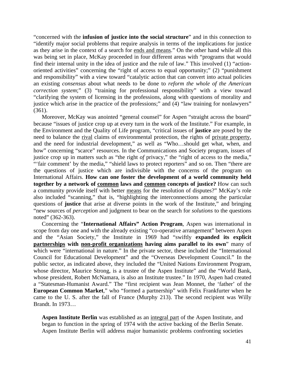"concerned with the **infusion of justice into the social structure**" and in this connection to "identify major social problems that require analysis in terms of the implications for justice as they arise in the context of a search for ends and means." On the other hand while all this was being set in place, McKay proceeded in four different areas with "programs that would find their internal unity in the idea of justice and the rule of law." This involved (1) "actionoriented activities" concerning the "right of access to equal opportunity;" (2) "punishment and responsibility" with a view toward "catalytic action that can convert into actual policies an existing *consensus* about what needs to be done to *reform the whole of the American correction system*;" (3) "training for professional responsibility" with a view toward "clarifying the system of licensing in the professions, along with questions of morality and justice which arise in the practice of the professions;" and (4) "law training for nonlawyers" (361).

Moreover, McKay was anointed "general counsel" for Aspen "straight across the board" because "issues of justice crop up at every turn in the work of the Institute." For example, in the Environment and the Quality of Life program, "critical issues of **justice** are posed by the need to balance the rival claims of environmental protection, the rights of private property, and the need for industrial development," as well as "Who…should get what, when, and how" concerning "scarce" resources. In the Communications and Society program, issues of justice crop up in matters such as "the right *of* privacy," the "right of access to the media," "'fair comment' by the media," "shield laws to protect reporters" and so on. Then "there are the questions of justice which are indivisible with the concerns of the program on International Affairs. **How can one foster the development of a world community held together by a network of common laws and common concepts of justice?** How can such a community provide itself with better means for the resolution of disputes?" McKay's role also included "scanning," that is, "highlighting the interconnections among the particular questions of **justice** that arise at diverse points in the work of the Institute," and bringing "new sources of *perception* and judgment to bear on the search for *solutions* to the questions noted" (362-363).

Concerning the "**International Affairs" Action Program**, Aspen was international in scope from day one and with the already existing "co-operative arrangement" between Aspen and the "Asian Society," the Institute in 1969 had "swiftly **expanded its explicit partnerships with non-profit organizations having aims parallel to its own**" many of which were "international in nature." In the private sector, these included the "International Council for Educational Development" and the "Overseas Development Council." In the public sector, as indicated above, they included the "United Nations Environment Program, whose director, Maurice Strong, is a trustee of the Aspen Institute" and the "World Bank, whose president, Robert McNamara, is also an Institute trustee." In 1970, Aspen had created a "Statesman-Humanist Award." The "first recipient was Jean Monnet, the 'father' of the **European Common Market**," who "formed a partnership" with Felix Frankfurter when he came to the U. S. after the fall of France (Murphy 213). The second recipient was Willy Brandt. In 1973…

**Aspen Institute Berlin** was established as an integral part of the Aspen Institute, and began to function in the spring of 1974 with the active backing of the Berlin Senate. Aspen Institute Berlin will address major humanistic problems confronting societies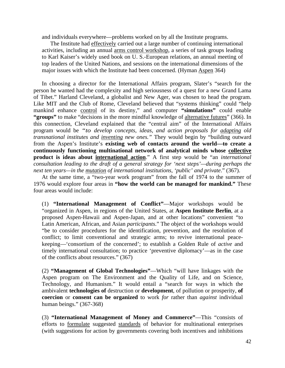and individuals everywhere—problems worked on by all the Institute programs.

The Institute had effectively carried out a large number of continuing international activities, including an annual arms control workshop, a series of task groups leading to Karl Kaiser's widely used book on U. S.-European relations, an annual meeting of top leaders of the United Nations, and sessions on the international dimensions of the major issues with which the Institute had been concerned. (Hyman Aspen 364)

In choosing a director for the International Affairs program, Slater's "search for the person he wanted had the complexity and high seriousness of a quest for a new Grand Lama of Tibet." Harland Cleveland, a globalist and New Ager, was chosen to head the program. Like MIT and the Club of Rome, Cleveland believed that "systems thinking" could "help mankind enhance control of its destiny," and computer **"simulations"** could enable **"groups"** to make "decisions in the more mindful knowledge of alternative futures" (366). In this connection, Cleveland explained that the "central aim" of the International Affairs program would be *"to develop concepts, ideas, and action proposals for adapting old transnational institutes and inventing new ones."* They would begin by "building outward from the Aspen's Institute's **existing web of contacts around the world—to create a continuously functioning multinational network of analytical minds whose collective product is ideas about international action**." A first step would be "an *international consultation leading to the draft of a general strategy for 'next steps'—during perhaps the next ten years—in the mutation of international institutions, 'public' and private*." (367).

At the same time, a "two-year work program" from the fall of 1974 to the summer of 1976 would explore four areas in **"how the world can be managed for mankind."** These four areas would include:

(1) **"International Management of Conflict"**—Major workshops would be "organized in Aspen, in regions of the United States, at **Aspen Institute Berlin**, at a proposed Aspen-Hawaii and Aspen-Japan, and at other locations" convenient "to Latin American, African, and Asian *participants*." The object of the workshops would "be to consider procedures for the identification, prevention, and the resolution of conflict; to limit conventional and strategic arms; to revive international peacekeeping—'consortium of the concerned'; to establish a Golden Rule of *active* and timely international consultation; to practice 'preventive diplomacy'—as in the case of the conflicts about resources." (367)

(2) **"Management of Global Technologies"**—Which "will have linkages with the Aspen program on The Environment and the Quality of Life, and on Science, Technology, and Humanism." It would entail a "search for ways in which the ambivalent **technologies of** destruction or **development**, of pollution or prosperity, **of coercion** or **consent can be organized** to work *for* rather than *against* individual human beings." (367-368)

(3) **"International Management of Money and Commerce"**—This "consists of efforts to formulate suggested standards of behavior for multinational enterprises (with suggestions for action by governments covering both incentives and inhibitions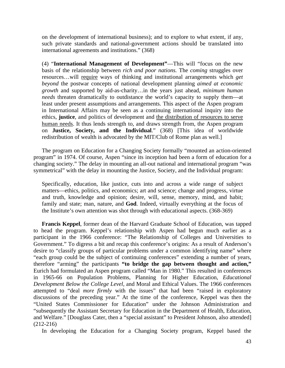on the development of international business); and to explore to what extent, if any, such private standards and national-government actions should be translated into international agreements and institutions." (368)

(4) "**International Management of Development"**—This will "focus on the new basis of the relationship between *rich and poor nations.* The *coming* struggles over resources…will require ways of thinking and institutional arrangements which *get beyond* the postwar concepts of national development planning *aimed at economic growth* and supported by aid-as-charity…in the years just ahead, *minimum human needs* threaten dramatically to outdistance the world's capacity to supply them—at least under present assumptions and arrangements. This aspect of the Aspen program in International Affairs may be seen as a continuing international inquiry into the ethics, **justice**, and politics of development and the distribution of resources to serve human needs. It thus lends strength to, and draws strength from, the Aspen program on **Justice, Society, and the Individual**." (368) [This idea of worldwide redistribution of wealth is advocated by the MIT/Club of Rome plan as well.]

The program on Education for a Changing Society formally "mounted an action-oriented program" in 1974. Of course, Aspen "since its inception had been a form of education for a changing society." The delay in mounting an all-out national and international program "was symmetrical" with the delay in mounting the Justice, Society, and the Individual program:

Specifically, education, like justice, cuts into and across a wide range of subject matters—ethics, politics, and economics; art and science; change and progress, virtue and truth, knowledge and opinion; desire, will, sense, memory, mind, and habit; family and state; man, nature, and **God**. Indeed, virtually everything at the focus of the Institute's own attention was shot through with educational aspects. (368-369)

**Francis Keppel**, former dean of the Harvard Graduate School of Education, was tapped to head the program. Keppel's relationship with Aspen had begun much earlier as a participant in the 1966 conference: "The Relationship of Colleges and Universities to Government." To digress a bit and recap this conference's origins: As a result of Anderson's desire to "classify groups of particular problems under a common identifying name" where "each group could be the subject of continuing conferences" extending a number of years, therefore "arming" the participants **"to bridge the gap between thought and action,"** Eurich had formulated an Aspen program called "Man in 1980." This resulted in conferences in 1965-66 on Population Problems, Planning for Higher Education, *Educational Development Below the College Level,* and Moral and Ethical Values. The 1966 conferences attempted to "deal *more firmly* with the issues" that had been "raised in exploratory discussions of the preceding year." At the time of the conference, Keppel was then the "United States Commissioner for Education" under the Johnson Administration and "subsequently the Assistant Secretary for Education in the Department of Health, Education, and Welfare." [Douglass Cater, then a "special assistant" to President Johnson, also attended] (212-216)

In developing the Education for a Changing Society program, Keppel based the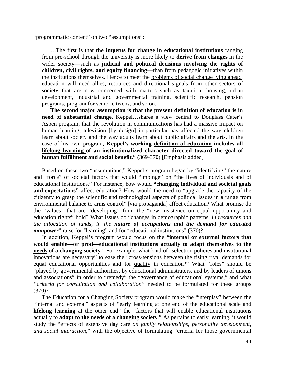"programmatic content" on two "assumptions":

…The first is that **the impetus for change in educational institutions** ranging from pre-school through the university is more likely to **derive from changes** in the wider society—such as **judicial and political decisions involving the rights of children, civil rights, and equity financing—**than from pedagogic initiatives within the institutions themselves. Hence to meet the problems of social change lying ahead, education will need allies, resources and directional signals from other sectors of society that are now concerned with matters such as taxation, housing, urban development, industrial and governmental training, scientific research, pension programs, program for senior citizens, and so on.

**The second major assumption is that the present definition of education is in need of substantial change.** Keppel…shares a view central to Douglass Cater's Aspen program, that the revolution in communications has had a massive impact on human learning; television [by design] in particular has affected the way children learn about society and the way adults learn about public affairs and the arts. In the case of his own program, **Keppel's working definition of education includes all lifelong learning of an institutionalized character directed toward the goal of human fulfillment and social benefit.**" (369-370) [Emphasis added]

Based on these two "assumptions," Keppel's program began by "identifying" the nature and "force" of societal factors that would "impinge" on "the lives of individuals and of educational institutions." For instance, how would **"changing individual and societal goals and expectations"** affect education? How would the need to "upgrade the capacity of the citizenry to grasp the scientific and technological aspects of political issues in a range from environmental balance to arms control" [via propaganda] affect education? What promise do the "values" that are "developing" from the "new insistence on equal opportunity and education rights" hold? What issues do "changes in demographic patterns, *in resources and the allocation of funds, in the nature of occupations and the demand for educated manpower*" raise for "learning" and for "educational institutions" (370)?

In addition, Keppel's program would focus on the "**internal or external factors that would enable—or prod—educational institutions actually to adapt themselves to the needs of a changing society.**" For example, what kind of "selection policies and institutional innovations are necessary" to ease the "cross-tensions between the rising rival demands for equal educational opportunities and for quality in education?" What "roles" should be "played by governmental authorities, by educational administrators, and by leaders of unions and associations" in order to "remedy" the "governance of educational systems," and what *"criteria for consultation and collaboration"* needed to be formulated for these groups (370)?

The Education for a Changing Society program would make the "interplay" between the "internal and external" aspects of "early learning at one end of the educational scale and **lifelong learning** at the other end" the "factors that will enable educational institutions actually to **adapt to the needs of a changing society**." As pertains to early learning, it would study the "effects of extensive day care *on family relationships, personality development, and social interaction*," with the objective of formulating "criteria for those governmental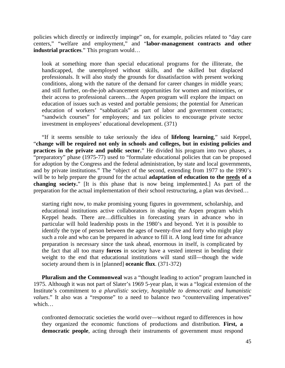policies which directly or indirectly impinge" on, for example, policies related to "day care centers," "welfare and employment," and "**labor-management contracts and other industrial practices**." This program would…

look at something more than special educational programs for the illiterate, the handicapped, the unemployed without skills, and the skilled but displaced professionals. It will also study the grounds for dissatisfaction with present working conditions, along with the nature of the demand for career changes in middle years; and still further, on-the-job advancement opportunities for women and minorities, or their access to professional careers…the Aspen program will explore the impact on education of issues such as vested and portable pensions; the potential for American education of workers' "sabbaticals" as part of labor and government contracts; "sandwich courses" for employees; and tax policies to encourage private sector investment in employees' educational development. (371)

"If it seems sensible to take seriously the idea of **lifelong learning**," said Keppel, "**change will be required not only in schools and colleges, but in existing policies and practices in the private and public sector.**" He divided his program into two phases, a "preparatory" phase (1975-77) used to "formulate educational policies that can be proposed for adoption by the Congress and the federal administration, by state and local governments, and by private institutions." The "object of the second, extending from 1977 to the 1990's will be to help prepare the ground for the actual **adaptation of education to the needs of a changing society.**" [It is this phase that is now being implemented.] As part of the preparation for the actual implementation of their school restructuring, a plan was devised…

starting right now, to make promising young figures in government, scholarship, and educational institutions active collaborators in shaping the Aspen program which Keppel heads. There are…difficulties in forecasting years in advance who in particular will hold leadership posts in the 1980's and beyond. Yet it is possible to identify the type of person between the ages of twenty-five and forty who might play such a role and who can be prepared in advance to fill it. A long lead time for advance preparation is necessary since the task ahead, enormous in itself, is complicated by the fact that all too many **forces** in society have a vested interest in bending their weight to the end that educational institutions will stand still—though the wide society around them is in [planned] **oceanic flux**. (371-372)

**Pluralism and the Commonweal** was a "thought leading to action" program launched in 1975. Although it was not part of Slater's 1969 5-year plan, it was a "logical extension of the Institute's commitment to *a pluralistic society, hospitable to democratic and humanistic values*." It also was a "response" to a need to balance two "countervailing imperatives" which…

confronted democratic societies the world over—without regard to differences in how they organized the economic functions of productions and distribution. **First, a democratic people**, acting through their instruments of government must respond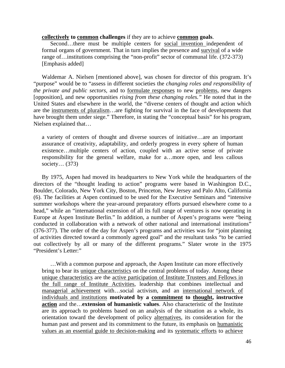### **collectively to common challenges** if they are to achieve **common goals**.

Second…there must be multiple centers for social invention independent of formal organs of government. That in turn implies the presence and survival of a wide range of…institutions comprising the "non-profit" sector of communal life. (372-373) [Emphasis added]

Waldemar A. Nielsen [mentioned above], was chosen for director of this program. It's "purpose" would be to "assess in different societies the *changing roles and responsibility of the private and public sectors,* and to formulate responses to new problems, new dangers [opposition], and new opportunities *rising from these changing roles."* He noted that in the United States and elsewhere in the world, the "diverse centers of thought and action which are the instruments of pluralism…are fighting for survival in the face of developments that have brought them under siege." Therefore, in stating the "conceptual basis" for his program, Nielsen explained that…

a variety of centers of thought and diverse sources of initiative…are an important assurance of creativity, adaptability, and orderly progress in every sphere of human existence…multiple centers of action, coupled with an active sense of private responsibility for the general welfare, make for a…more open, and less callous society… (373)

By 1975, Aspen had moved its headquarters to New York while the headquarters of the directors of the "thought leading to action" programs were based in Washington D.C., Boulder, Colorado, New York City, Boston, Princeton, New Jersey and Palo Alto, California (6). The facilities at Aspen continued to be used for the Executive Seminars and "intensive summer workshops where the year-around preparatory efforts pursued elsewhere come to a head," while an "international extension of all its full range of ventures is now operating in Europe at Aspen Institute Berlin." In addition, a number of Aspen's programs were "being conducted in collaboration with a network of other national and international institutions" (376-377). The order of the day for Aspen's programs and activities was for "joint planning of activities directed toward a commonly agreed goal" and the resultant tasks "to be carried out collectively by all or many of the different programs." Slater wrote in the 1975 "President's Letter:"

…With a common purpose and approach, the Aspen Institute can more effectively bring to bear its unique characteristics on the central problems of today. Among these unique characteristics are the active participation of Institute Trustees and Fellows in the full range of Institute Activities, leadership that combines intellectual and managerial achievement with…social activism, and an international network of individuals and institutions **motivated by a commitment to thought, instructive action** and the…**extension of humanistic values**. Also characteristic of the Institute are its approach to problems based on an analysis of the situation as a whole, its orientation toward the development of policy alternatives, its consideration for the human past and present and its commitment to the future, its emphasis on humanistic values as an essential guide to decision-making and its systematic efforts to achieve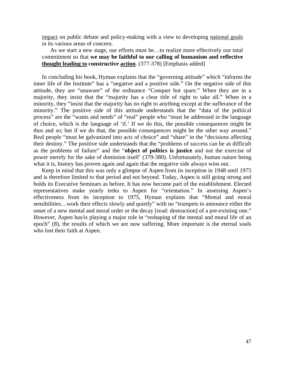impact on public debate and policy-making with a view to developing national goals in its various areas of concern.

As we start a new stage, our efforts must be…to realize more effectively our total commitment so that **we may be faithful to our calling of humanism and reflective thought leading to constructive action**. (377-378) [Emphasis added]

In concluding his book, Hyman explains that the "governing attitude" which "informs the inner life of the Institute" has a "negative and a positive side." On the negative side of this attitude, they are "unaware" of the ordinance "Conquer but spare." When they are in a majority, they insist that the "majority has a clear title of right to take all." When in a minority, they "insist that the majority has no right to anything except at the sufferance of the minority." The positive side of this attitude understands that the "data of the political process" are the "wants and needs" of "real" people who "must be addressed in the language of choice, which is the language of 'if.' If we do this, the possible consequences might be thus and so; but if we do that, the possible consequences might be the other way around." Real people "must be galvanized into acts of choice" and "share" in the "decisions affecting their destiny." The positive side understands that the "problems of success can be as difficult as the problems of failure" and the "**object of politics is justice** and not the exercise of power merely for the sake of dominion itself' (379-380). Unfortunately, human nature being what it is, history has proven again and again that the negative side always wins out.

Keep in mind that this was only a glimpse of Aspen from its inception in 1948 until 1975 and is therefore limited to that period and not beyond. Today, Aspen is still going strong and holds its Executive Seminars as before. It has now become part of the establishment. Elected representatives make yearly treks to Aspen for "orientation." In assessing Aspen's effectiveness from its inception to 1975, Hyman explains that "Mental and moral sensibilities…work their effects slowly and quietly" with no "trumpets to announce either the onset of a new mental and moral order or the decay [read: destruction] of a pre-existing one." However, Aspen has/is playing a major role in "reshaping of the mental and moral life of an epoch" (8), the results of which we are now suffering. More important is the eternal souls who lost their faith at Aspen.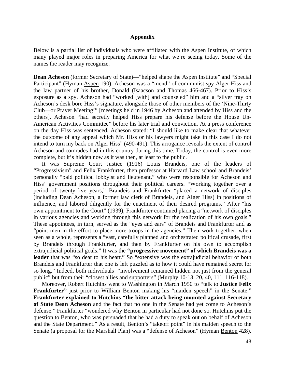### **Appendix**

Below is a partial list of individuals who were affiliated with the Aspen Institute, of which many played major roles in preparing America for what we're seeing today. Some of the names the reader may recognize.

**Dean Acheson** (former Secretary of State)—"helped shape the Aspen Institute" and "Special Participant" (Hyman Aspen 190). Acheson was a "mend" of communist spy Alger Hiss and the law partner of his brother, Donald (Isaacson and Thomas 466-467). Prior to Hiss's exposure as a spy, Acheson had "worked [with] and counseled" him and a "silver tray on Acheson's desk bore Hiss's signature, alongside those of other members of the 'Nine-Thirty Club—or Prayer Meeting'" [meetings held in 1946 by Acheson and attended by Hiss and the others]. Acheson "had secretly helped Hiss prepare his defense before the House Un-American Activities Committee" before his later trial and conviction. At a press conference on the day Hiss was sentenced, Acheson stated: "I should like to make clear that whatever the outcome of any appeal which Mr. Hiss or his lawyers might take in this case I do not intend to turn my back on Alger Hiss" (490-491). This arrogance reveals the extent of control Acheson and comrades had in this country during this time. Today, the control is even more complete, but it's hidden now as it was then, at least to the public.

It was Supreme Court Justice (1916) Louis Brandeis, one of the leaders of "Progressivism" and Felix Frankfurter, then professor at Harvard Law school and Brandeis' personally "paid political lobbyist and lieutenant," who were responsible for Acheson and Hiss' government positions throughout their political careers. "Working together over a period of twenty-five years," Brandeis and Frankfurter "placed a network of disciples (including Dean Acheson, a former law clerk of Brandeis, and Alger Hiss) in positions of influence, and labored diligently for the enactment of their desired programs." After "his own appointment to the Court" (1939), Frankfurter continued placing a "network of disciples in various agencies and working through this network for the realization of his own goals." These appointees, in turn, served as the "eyes and ears" of Brandeis and Frankfurter and as "point men in the effort to place more troops in the agencies." Their work together, when seen as a whole, represents a "vast, carefully planned and orchestrated political crusade, first by Brandeis through Frankfurter, and then by Frankfurter on his own to accomplish extrajudicial political goals." It was the **"progressive movement" of which Brandeis was a leader** that was "so dear to his heart." So "extensive was the extrajudicial behavior of both Brandeis and Frankfurter that one is left puzzled as to how it could have remained secret for so long." Indeed, both individuals' "involvement remained hidden not just from the general public" but from their "closest allies and supporters" (Murphy 10-13, 20, 40, 111, 116-118).

Moreover, Robert Hutchins went to Washington in March 1950 to "talk to **Justice Felix Frankfurter"** just prior to William Benton making his "maiden speech" in the Senate." **Frankfurter explained to Hutchins "the bitter attack being mounted against Secretary of State Dean Acheson** and the fact that no one in the Senate had yet come to Acheson's defense." Frankfurter "wondered why Benton in particular had not done so. Hutchins put the question to Benton, who was persuaded that he had a duty to speak out on behalf of Acheson and the State Department." As a result, Benton's "takeoff point" in his maiden speech to the Senate (a proposal for the Marshall Plan) was a "defense of Acheson" (Hyman Benton 428).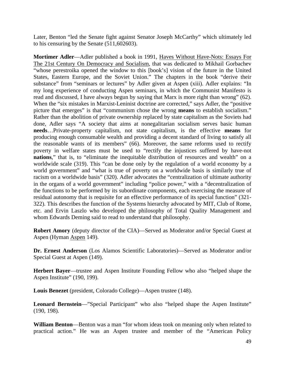Later, Benton "led the Senate fight against Senator Joseph McCarthy" which ultimately led to his censuring by the Senate (511,602603).

**Mortimer Adler**—Adler published a book in 1991, Haves Without Have-Nots: Essays For The 21st Century On Democracy and Socialism, that was dedicated to Mikhail Gorbachev "whose perestroika opened the window to this [book's] vision of the future in the United States, Eastern Europe, and the Soviet Union." The chapters in the book "derive their substance" from "seminars or lectures" by Adler given at Aspen (xiii). Adler explains: "In my long experience of conducting Aspen seminars, in which the Communist Manifesto is read and discussed, I have always begun by saying that Marx is more right than wrong" (62). When the "six mistakes in Marxist-Leninist doctrine are corrected," says Adler, the "positive picture that emerges" is that "communism chose the wrong **means** to establish socialism." Rather than the abolition of private ownership replaced by state capitalism as the Soviets had done, Adler says "A society that aims at nonegalitarian socialism serves basic human **needs**…Private-property capitalism, not state capitalism, is the effective **means** for producing enough consumable wealth and providing a decent standard of living to satisfy all the reasonable wants of its members" (66). Moreover, the same reforms used to rectify poverty in welfare states must be used to "rectify the injustices suffered by have-not **nations**," that is, to "eliminate the inequitable distribution of resources and wealth" on a worldwide scale (319). This "can be done only by the regulation of a world economy by a world government" and "what is true of poverty on a worldwide basis is similarly true of racism on a worldwide basis" (320). Adler advocates the "centralization of ultimate authority in the organs of a world government" including "police power," with a "decentralization of the functions to be performed by its subordinate components, each exercising the measure of residual autonomy that is requisite for an effective performance of its special function" (321- 322). This describes the function of the Systems hierarchy advocated by MIT, Club of Rome, etc. and Ervin Laszlo who developed the philosophy of Total Quality Management and whom Edwards Deming said to read to understand that philosophy.

**Robert Amory** (deputy director of the CIA)—Served as Moderator and/or Special Guest at Aspen (Hyman Aspen 149).

**Dr. Ernest Anderson** (Los Alamos Scientific Laboratories)—Served as Moderator and/or Special Guest at Aspen (149).

**Herbert Bayer**—trustee and Aspen Institute Founding Fellow who also "helped shape the Aspen Institute" (190, 199).

**Louis Benezet** (president, Colorado College)—Aspen trustee (148).

Leonard Bernstein—"Special Participant" who also "helped shape the Aspen Institute" (190, 198).

**William Benton**—Benton was a man "for whom ideas took on meaning only when related to practical action." He was an Aspen trustee and member of the "American Policy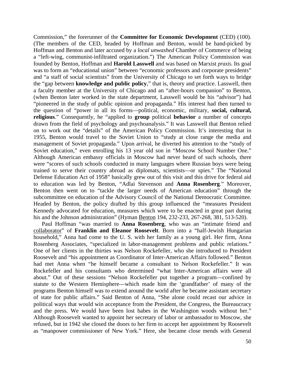Commission," the forerunner of the **Committee for Economic Development** (CED) (100). (The members of the CED, headed by Hoffman and Benton, would be hand-picked by Hoffman and Benton and later accused by a *local unwashed* Chamber of Commerce of being a "left-wing, communist-infiltrated organization.") The American Policy Commission was founded by Benton, Hoffman and **Harold Lasswell** and was based on Marxist *praxis.* Its goal was to form an "educational union" between "economic professors and corporate presidents" and "a staff of social scientists" from the University of Chicago to set forth ways to bridge the "gap between **knowledge and public policy**," that is, theory and practice. Lasswell, then a faculty member at the University of Chicago and an "after-hours companion" to Benton, (when Benton later worked in the state department, Lasswell would be his "advisor") had "pioneered in the study of public opinion and propaganda." His interest had then turned to the question of "power in all its forms—political, economic, military, **social, cultural, religious**." Consequently, he "applied to **group** political **behavior** a number of concepts drawn from the field of psychology and psychoanalysis." It was Lasswell that Benton relied on to work out the "details" of the American Policy Commission. It's interesting that in 1955, Benton would travel to the Soviet Union to "study at close range the media and management of Soviet propaganda." Upon arrival, he diverted his attention to the "study of Soviet education," even enrolling his 13 year old son in "Moscow School Number One." Although American embassy officials in Moscow had never heard of such schools, there were "scores of such schools conducted in many languages where Russian boys were being trained to serve their country abroad as diplomats, scientists—or spies." The "National Defense Education Act of 1958" basically grew out of this visit and this drive for federal aid to education was led by Benton, "Adlai Stevenson and **Anna Rosenberg**." Moreover, Benton then went on to "tackle the larger needs of American education" through the subcommittee on education of the Advisory Council of the National Democratic Committee. Headed by Benton, the policy drafted by this group influenced the "measures President Kennedy advocated for education, measures which were to be enacted in great part during his and the Johnson administration" (Hyman Benton 194, 232-233, 267-268, 381, 513-520).

Paul Hoffman "was married to **Anna Rosenberg**, who was an "intimate friend and collaborator" of **Franklin and Eleanor Roosevelt**. Born into a "half-Jewish Hungarian household," Anna had come to the U.S. with her family as a young girl. Her firm, Anna Rosenberg Associates, "specialized in labor-management problems and public relations." One of her clients in the thirties was Nelson Rockefeller, who she introduced to President Roosevelt and "his appointment as Coordinator of Inter-American Affairs followed." Benton had met Anna when "he himself became a consultant to Nelson Rockefeller." It was Rockefeller and his consultants who determined "what Inter-American affairs were all about." Out of these sessions "Nelson Rockefeller put together a program—confined by statute to the Western Hemisphere—which made him the 'grandfather' of many of the programs Benton himself was to extend around the world after he became assistant secretary of state for public affairs." Said Benton of Anna, "She alone could recast our advice in political ways that would win acceptance from the President, the Congress, the Bureaucracy and the press. We would have been lost babes in the Washington woods without her." Although Roosevelt wanted to appoint her secretary of labor or ambassador to Moscow, she refused, but in 1942 she closed the doors to her firm to accept her appointment by Roosevelt as "manpower commissioner of New York." Here, she became close mends with General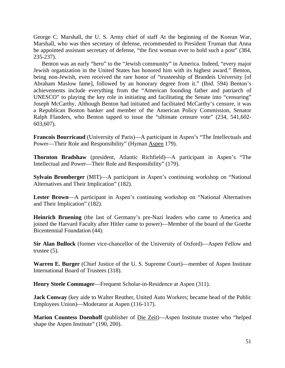George C. Marshall, the U. S. Army chief of staff At the beginning of the Korean War, Marshall, who was then secretary of defense, recommended to President Truman that Anna be appointed assistant secretary of defense, "the first woman ever to hold such a post" (384, 235-237).

Benton was an early "hero" to the "Jewish community" in America. Indeed, "every major Jewish organization in the United States has honored him with its highest award." Benton, being non-Jewish, even received the rare honor of "trusteeship of Brandeis University [of Abraham Maslow fame], followed by an honorary degree from it." (Ibid. 594) Benton's achievements include everything from the "American founding father and patriarch of UNESCO" to playing the key role in initiating and facilitating the Senate into "censuring" Joseph McCarthy. Although Benton had initiated and facilitated McCarthy's censure, it was a Republican Boston banker and member of the American Policy Commission, Senator Ralph Flanders, who Benton tapped to issue the "ultimate censure vote" (234, 541,602- 603,607).

**Francois Bourricaud** (University of Paris)—A participant in Aspen's "The Intellectuals and Power—Their Role and Responsibility" (Hyman Aspen 179).

**Thornton Bradshaw** (president, Atlantic Richfield)—A participant in Aspen's "The Intellectual and Power—Their Role and Responsibility" (179).

**Sylvain Bromberger** (MIT)—A participant in Aspen's continuing workshop on "National Alternatives and Their Implication" (182).

**Lester Brown**—A participant in Aspen's continuing workshop on "National Alternatives and Their Implication" (182).

**Heinrich Bruening** (the last of Germany's pre-Nazi leaders who came to America and joined the Harvard Faculty after Hitler came to power)—Member of the board of the Goethe Bicentennial Foundation (44).

**Sir Alan Bullock** (former vice-chancellor of the University of Oxford)—Aspen Fellow and trustee (5).

**Warren E. Burger** (Chief Justice of the U. S. Supreme Court)—member of Aspen Institute International Board of Trustees (318).

**Henry Steele Commager**—Frequent Scholar-in-Residence at Aspen (311).

**Jack Conway** (key aide to Walter Reuther, United Auto Workers; became head of the Public Employees Union)—Moderator at Aspen (116-117).

**Marion Countess Doenhoff** (publisher of Die Zeit)—Aspen Institute trustee who "helped shape the Aspen Institute" (190, 200).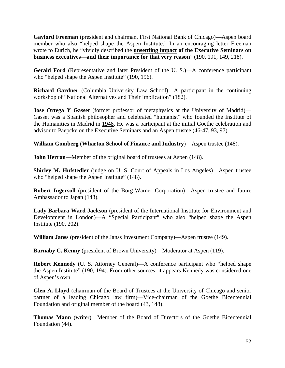**Gaylord Freeman** (president and chairman, First National Bank of Chicago)—Aspen board member who also "helped shape the Aspen Institute." In an encouraging letter Freeman wrote to Eurich, he "vividly described the **unsettling impact of the Executive Seminars on business executives—and their importance for that very reason**" (190, 191, 149, 218).

**Gerald Ford** (Representative and later President of the U. S.)—A conference participant who "helped shape the Aspen Institute" (190, 196).

**Richard Gardner** (Columbia University Law School)—A participant in the continuing workshop of "National Alternatives and Their Implication" (182).

**Jose Ortega Y Gasset** (former professor of metaphysics at the University of Madrid)— Gasset was a Spanish philosopher and celebrated "humanist" who founded the Institute of the Humanities in Madrid in 1948. He was a participant at the initial Goethe celebration and advisor to Paepcke on the Executive Seminars and an Aspen trustee (46-47, 93, 97).

**William Gomberg** (**Wharton School of Finance and Industry**)—Aspen trustee (148).

**John Herron—Member of the original board of trustees at Aspen (148).** 

**Shirley M. Hufstedler** (judge on U. S. Court of Appeals in Los Angeles)—Aspen trustee who "helped shape the Aspen Institute" (148).

**Robert Ingersoll** (president of the Borg-Warner Corporation)—Aspen trustee and future Ambassador to Japan (148).

**Lady Barbara Ward Jackson** (president of the International Institute for Environment and Development in London)—A "Special Participant" who also "helped shape the Aspen Institute (190, 202).

**William Janss** (president of the Janss Investment Company)—Aspen trustee (149).

**Barnaby C. Kenny** (president of Brown University)—Moderator at Aspen (119).

**Robert Kennedy** (U. S. Attorney General)—A conference participant who "helped shape the Aspen Institute" (190, 194). From other sources, it appears Kennedy was considered one of Aspen's own.

**Glen A. Lloyd** (chairman of the Board of Trustees at the University of Chicago and senior partner of a leading Chicago law firm)—Vice-chairman of the Goethe Bicentennial Foundation and original member of the board (43, 148).

**Thomas Mann** (writer)—Member of the Board of Directors of the Goethe Bicentennial Foundation (44).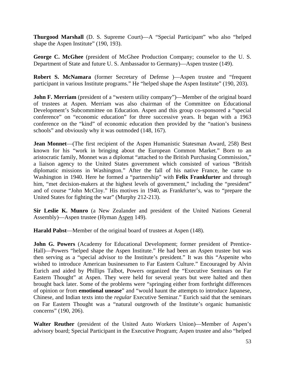**Thurgood Marshall** (D. S. Supreme Court)—A "Special Participant" who also "helped shape the Aspen Institute" (190, 193).

**George C. McGhee** (president of McGhee Production Company; counselor to the U. S. Department of State and future U. S. Ambassador to Germany)—Aspen trustee (149).

**Robert S. McNamara** (former Secretary of Defense)—Aspen trustee and "frequent" participant in various Institute programs." He "helped shape the Aspen Institute" (190, 203).

**John F. Merriam** (president of a "western utility company")—Member of the original board of trustees at Aspen. Merriam was also chairman of the Committee on Educational Development's Subcommittee on Education. Aspen and this group co-sponsored a "special conference" on "economic education" for three successive years. It began with a 1963 conference on the "kind" of economic education then provided by the "nation's business schools" and obviously why it was outmoded (148, 167).

**Jean Monnet**—(The first recipient of the Aspen Humanistic Statesman Award, 258) Best known for his "work in bringing about the European Common Market." Born to an aristocratic family, Monnet was a diplomat "attached to the British Purchasing Commission," a liaison agency to the United States government which consisted of various "British diplomatic missions in Washington." After the fall of his native France, he came to Washington in 1940. Here he formed a "partnership" with **Felix Frankfurter** and through him, "met decision-makers at the highest levels of government," including the "president" and of course "John McCloy." His motives in 1940, as Frankfurter's, was to "prepare the United States for fighting the war" (Murphy 212-213).

**Sir Leslie K. Munro** (a New Zealander and president of the United Nations General Assembly)—Aspen trustee (Hyman Aspen 149).

**Harald Pabst**—Member of the original board of trustees at Aspen (148).

**John G. Powers** (Academy for Educational Development; former president of Prentice-Hall)—Powers "helped shape the Aspen Institute." He had been an Aspen trustee but was then serving as a "special advisor to the Institute's president." It was this "Aspenite who wished to introduce American businessmen to Far Eastern Culture." Encouraged by Alvin Eurich and aided by Phillips Talbot, Powers organized the "Executive Seminars on Far Eastern Thought" at Aspen. They were held for several years but were halted and then brought back later. Some of the problems were "springing either from forthright differences of opinion or from **emotional unease**" and "would haunt the attempts to introduce Japanese, Chinese, and Indian texts into the *regular* Executive Seminar." Eurich said that the seminars on Far Eastern Thought was a "natural outgrowth of the Institute's organic humanistic concerns" (190, 206).

**Walter Reuther** (president of the United Auto Workers Union)—Member of Aspen's advisory board; Special Participant in the Executive Program; Aspen trustee and also "helped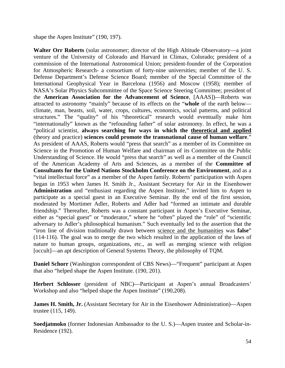shape the Aspen Institute" (190, 197).

**Walter Orr Roberts** (solar astronomer; director of the High Altitude Observatory—a joint venture of the University of Colorado and Harvard in Climax, Colorado; president of a commission of the International Astronomical Union; president-founder of the Corporation for Atmospheric Research- a consortium of forty-nine universities; member of the U. S. Defense Department's Defense Science Board; member of the Special Committee of the International Geophysical Year in Barcelona (1956) and Moscow (1958); member of NASA's Solar Physics Subcommittee of the Space Science Steering Committee; president of the **American Association for the Advancement of Science**, [AAAS])—Roberts was attracted to astronomy "mainly" because of its effects on the "**whole** of the earth below climate, man, beasts, soil, water, crops, cultures, economics, social patterns, and political structures." The "quality" of his "theoretical" research would eventually make him "internationally" known as the "refounding father" of solar astronomy. In effect, he was a "political scientist, **always searching for ways in which the theoretical and applied** (theory and practice) **sciences could promote the transnational cause of human welfare**." As president of AAAS, Roberts would "press that search" as a member of its Committee on Science in the Promotion of Human Welfare and chairman of its Committee on the Public Understanding of Science. He would "press that search" as well as a member of the Council of the American Academy of Arts and Sciences, as a member of the **Committee of Consultants for the United Nations Stockholm Conference on the Environment**, and as a "vital intellectual force" as a member of the Aspen family. Roberts' participation with Aspen began in 1953 when James H. Smith Jr., Assistant Secretary for Air in the Eisenhower **Administration** and "enthusiast regarding the Aspen Institute," invited him to Aspen to participate as a special guest in an Executive Seminar. By the end of the first session, moderated by Mortimer Adler, Roberts and Adler had "formed an intimate and durable friendship." Thereafter, Roberts was a constant participant in Aspen's Executive Seminar, either as "special guest" or "moderator," where he "often" played the "role" of "scientific adversary to Adler's philosophical humanism." Such eventually led to the assertion that the "iron line of division traditionally drawn between science and the humanities was **false**" (114-116). The goal was to merge the two which resulted in the application of the laws of nature to human groups, organizations, etc., as well as merging science with religion [occult]—an apt description of General Systems Theory, the philosophy of TQM.

**Daniel Schorr** (Washington correspondent of CBS News)—"Frequent" participant at Aspen that also "helped shape the Aspen Institute. (190, 201).

**Herbert Schlosser** (president of NBC)—Participant at Aspen's annual Broadcasters' Workshop and also "helped shape the Aspen Institute" (190,208).

**James H. Smith, Jr.** (Assistant Secretary for Air in the Eisenhower Administration)—Aspen trustee (115, 149).

**Soedjatmoko** (former Indonesian Ambassador to the U. S.)—Aspen trustee and Scholar-in-Residence (192).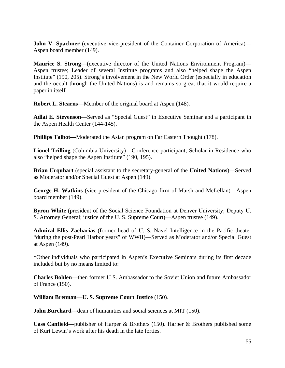**John V. Spachner** (executive vice-president of the Container Corporation of America)— Aspen board member (149).

**Maurice S. Strong**—(executive director of the United Nations Environment Program)— Aspen trustee; Leader of several Institute programs and also "helped shape the Aspen Institute" (190, 205). Strong's involvement in the New World Order (especially in education and the occult through the United Nations) is and remains so great that it would require a paper in itself

**Robert L. Stearns**—Member of the original board at Aspen (148).

**Adlai E. Stevenson**—Served as "Special Guest" in Executive Seminar and a participant in the Aspen Health Center (144-145).

**Phillips Talbot—Moderated the Asian program on Far Eastern Thought (178).** 

**Lionel Trilling** (Columbia University)—Conference participant; Scholar-in-Residence who also "helped shape the Aspen Institute" (190, 195).

**Brian Urquhart** (special assistant to the secretary-general of the **United Nations**)—Served as Moderator and/or Special Guest at Aspen (149).

**George H. Watkins** (vice-president of the Chicago firm of Marsh and McLellan)—Aspen board member (149).

**Byron White** (president of the Social Science Foundation at Denver University; Deputy U. S. Attorney General; justice of the U. S. Supreme Court)—Aspen trustee (149).

**Admiral Ellis Zacharias** (former head of U. S. Navel Intelligence in the Pacific theater "during the post-Pearl Harbor years" of WWII)—Served as Moderator and/or Special Guest at Aspen (149).

\*Other individuals who participated in Aspen's Executive Seminars during its first decade included but by no means limited to:

**Charles Bohlen**—then former U S. Ambassador to the Soviet Union and future Ambassador of France (150).

**William Brennan**—**U. S. Supreme Court Justice** (150).

**John Burchard—dean of humanities and social sciences at MIT (150).** 

**Cass Canfield**—publisher of Harper & Brothers (150). Harper & Brothers published some of Kurt Lewin's work after his death in the late forties.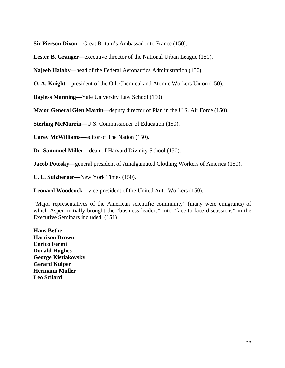**Sir Pierson Dixon**—Great Britain's Ambassador to France (150).

**Lester B. Granger**—executive director of the National Urban League (150).

**Najeeb Halaby**—head of the Federal Aeronautics Administration (150).

**O. A. Knight**—president of the Oil, Chemical and Atomic Workers Union (150).

**Bayless Manning**—Yale University Law School (150).

**Major General Glen Martin**—deputy director of Plan in the U S. Air Force (150).

**Sterling McMurrin—U S. Commissioner of Education (150).** 

**Carey McWilliams**—editor of The Nation (150).

**Dr. Sammuel Miller**—dean of Harvard Divinity School (150).

**Jacob Potosky**—general president of Amalgamated Clothing Workers of America (150).

**C. L. Sulzberger**—New York Times (150).

**Leonard Woodcock**—vice-president of the United Auto Workers (150).

"Major representatives of the American scientific community" (many were emigrants) of which Aspen initially brought the "business leaders" into "face-to-face discussions" in the Executive Seminars included: (151)

**Hans Bethe Harrison Brown Enrico Fermi Donald Hughes George Kistiakovsky Gerard Kuiper Hermann Muller Leo Szilard**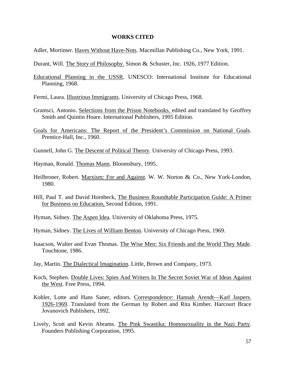#### **WORKS CITED**

- Adler, Mortimer. Haves Without Have-Nots. Macmillan Publishing Co., New York, 1991.
- Durant, Will. The Story of Philosophy. Simon & Schuster, Inc. 1926, 1977 Edition.
- Educational Planning in the USSR. UNESCO: International Institute for Educational Planning, 1968.
- Fermi, Laura. Illustrious Immigrants. University of Chicago Press, 1968.
- Gramsci, Antonio. Selections from the Prison Notebooks. edited and translated by Geoffrey Smith and Quintin Hoare. International Publishers, 1995 Edition.
- Goals for Americans: The Report of the President's Commission on National Goals. Prentice-Hall, Inc., 1960.
- Gunnell, John G. The Descent of Political Theory. University of Chicago Press, 1993.
- Hayman, Ronald. Thomas Mann. Bloomsbury, 1995.
- Heilbroner, Robert. Marxism: For and Against. W. W. Norton & Co., New York-London, 1980.
- Hill, Paul T. and David Hornbeck, The Business Roundtable Participation Guide: A Primer for Business on Education, Second Edition, 1991.
- Hyman, Sidney. The Aspen Idea. University of Oklahoma Press, 1975.
- Hyman, Sidney. The Lives of William Benton. University of Chicago Press, 1969.
- Isaacson, Walter and Evan Thomas. The Wise Men: Six Friends and the World They Made. Touchtone, 1986.
- Jay, Martin. The Dialectical Imagination. Little, Brown and Company, 1973.
- Koch, Stephen. Double Lives: Spies And Writers In The Secret Soviet War of Ideas Against the West. Free Press, 1994.
- Kohler, Lotte and Hans Saner, editors. Correspondence: Hannah Arendt—Karl Jaspers. 1926-1969. Translated from the German by Robert and Rita Kimber. Harcourt Brace Jovanovich Publishers, 1992.
- Lively, Scott and Kevin Abrams. The Pink Swastika: Homosexuality in the Nazi Party. Founders Publishing Corporation, 1995.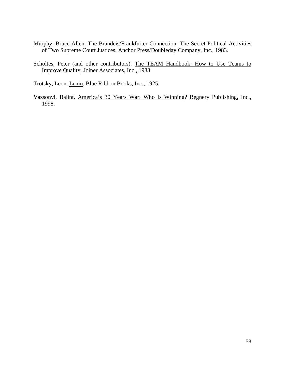- Murphy, Bruce Allen. The Brandeis/Frankfurter Connection: The Secret Political Activities of Two Supreme Court Justices. Anchor Press/Doubleday Company, Inc., 1983.
- Scholtes, Peter (and other contributors). The TEAM Handbook: How to Use Teams to Improve Quality. Joiner Associates, Inc., 1988.

Trotsky, Leon. Lenin. Blue Ribbon Books, Inc., 1925.

Vazsonyi, Balint. America's 30 Years War: Who Is Winning? Regnery Publishing, Inc., 1998.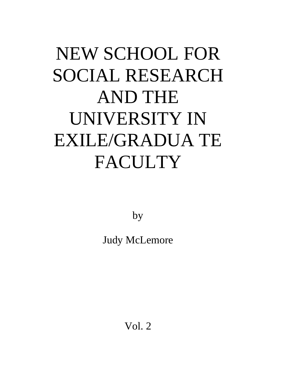# NEW SCHOOL FOR SOCIAL RESEARCH AND THE UNIVERSITY IN EXILE/GRADUA TE FACULTY

by

Judy McLemore

Vol. 2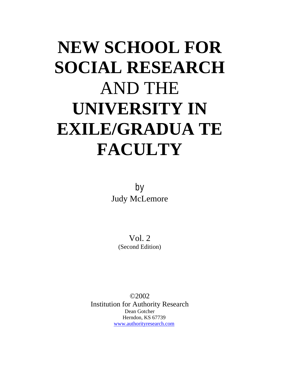## **NEW SCHOOL FOR SOCIAL RESEARCH**  AND THE **UNIVERSITY IN EXILE/GRADUA TE FACULTY**

by Judy McLemore

> Vol. 2 (Second Edition)

©2002 Institution for Authority Research Dean Gotcher Herndon, KS 67739 [www.authorityresearch.com](http://www.authorityresearch.com/)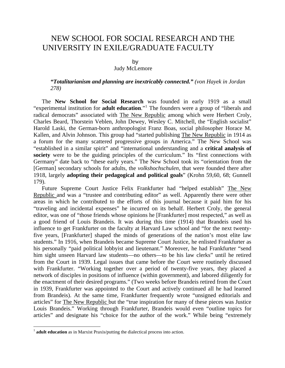### NEW SCHOOL FOR SOCIAL RESEARCH AND THE UNIVERSITY IN EXILE/GRADUATE FACULTY

### by

### Judy McLemore

### *"Totalitarianism and planning are inextricably connected." (von Hayek in Jordan 278)*

The **New School for Social Research** was founded in early 1919 as a small "experimental institution for **adult education**."[1](#page-65-0) The founders were a group of "liberals and radical democrats" associated with The New Republic among which were Herbert Croly, Charles Beard, Thorstein Veblen, John Dewey, Wesley C. Mitchell, the "English socialist" Harold Laski, the German-born anthropologist Franz Boas, social philosopher Horace M. Kallen, and Alvin Johnson. This group had "started publishing The New Republic in 1914 as a forum for the many scattered progressive groups in America." The New School was "established in a similar spirit" and "international understanding and a **critical analysis of society** were to be the guiding principles of the curriculum." Its "first connections with Germany" date back to "these early years." The New School took its "orientation from the [German] secondary schools for adults, the *volkshochschulen,* that were founded there after 1918, largely **adopting their pedagogical and political goals**" (Krohn 59,60, 68; Gunnell 179).

Future Supreme Court Justice Felix Frankfurter had "helped establish" The New Republic and was a "trustee and contributing editor" as well. Apparently there were other areas in which he contributed to the efforts of this journal because it paid him for his "traveling and incidental expenses" he incurred on its behalf. Herbert Croly, the general editor, was one of "those friends whose opinions he [Frankfurter] most respected," as well as a good friend of Louis Brandeis. It was during this time (1914) that Brandeis used his influence to get Frankfurter on the faculty at Harvard Law school and "for the next twentyfive years, [Frankfurter] shaped the minds of generations of the nation's most elite law students." In 1916, when Brandeis became Supreme Court Justice, he enlisted Frankfurter as his personally "paid political lobbyist and lieutenant." Moreover, he had Frankfurter "send him sight unseen Harvard law students—no others—to be his law clerks" until he retired from the Court in 1939. Legal issues that came before the Court were routinely discussed with Frankfurter. "Working together over a period of twenty-five years, they placed a network of disciples in positions of influence (within government), and labored diligently for the enactment of their desired programs." (Two weeks before Brandeis retired from the Court in 1939, Frankfurter was appointed to the Court and actively continued all he had learned from Brandeis). At the same time, Frankfurter frequently wrote "unsigned editorials and articles" for The New Republic but the "true inspiration for many of these pieces was Justice Louis Brandeis." Working through Frankfurter, Brandeis would even "outline topics for articles" and designate his "choice for the author of the work." While being "extremely

<span id="page-65-0"></span><sup>&</sup>lt;sup>1</sup> **adult education** as in Marxist Praxis/putting the dialectical process into action.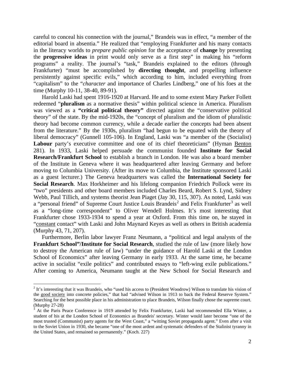careful to conceal his connection with the journal," Brandeis was in effect, "a member of the editorial board in absentia." He realized that "employing Frankfurter and his many contacts in the literacy worlds to *prepare public opinion* for the acceptance of **change** by presenting the **progressive ideas** in print would only serve as a first step" in making his "reform programs" a reality. The journal's "task," Brandeis explained to the editors (through Frankfurter) "must be accomplished by **directing thought**, and propelling influence persistently against specific evils," which according to him, included everything from "capitalism" to the "*character* and importance of Charles Lindberg," one of his foes at the time (Murphy 10-11, 38-40, 89-91).

Harold Laski had spent 1916-1920 at Harvard. He and to some extent Mary Parker Follett redeemed "**pluralism** as a normative thesis" within political science in America. Pluralism was viewed as a **"critical political theory"** directed against the "conservative political theory" of the state. By the mid-1920s, the "concept of pluralism and the idiom of pluralistic theory had become common currency, while a decade earlier the concepts had been absent from the literature." By the 1930s, pluralism "had begun to be equated with the theory of liberal democracy" (Gunnell 105-106). In England, Laski was "a member of the (Socialist) Labour party's executive committee and one of its chief theoreticians" (Hyman Benton 281). In 1933, Laski helped persuade the communist founded **Institute for Social Research/Frankfurt School** to establish a branch in London. He was also a board member of the Institute in Geneva where it was headquartered after leaving Germany and before moving to Columbia University. (After its move to Columbia, the Institute sponsored Laski as a guest lecturer.) The Geneva headquarters was called the **International Society for Social Research**. Max Horkheimer and his lifelong companion Friedrich Pollock were its "two" presidents and other board members included Charles Beard, Robert S. Lynd, Sidney Webb, Paul Tillich, and systems theorist Jean Piaget (Jay 30, 115, 307). As noted, Laski was a "personal friend" of Supreme Court Justice Louis Brandeis<sup>[2](#page-66-0)</sup> and Felix Frankfurter<sup>[3](#page-66-1)</sup> as well as a "long-time correspondent" to Oliver Wendell Holmes. It's most interesting that Frankfurter chose 1933-1934 to spend a year at Oxford. From this time on, he stayed in "constant contact" with Laski and John Maynard Keyes as well as others in British academia (Murphy 43, 71, 207).

Furthermore, Berlin labor lawyer Franz Neumann, a "political and legal analysts of the **Frankfurt School"/Institute for Social Research**, studied the rule of law (more likely how to destroy the American rule of law) "under the guidance of Harold Laski at the London School of Economics" after leaving Germany in early 1933. At the same time, he became active in socialist "exile politics" and contributed essays to "left-wing exile publications." After coming to America, Neumann taught at the New School for Social Research and

<span id="page-66-0"></span> $2$  It's interesting that it was Brandeis, who "used his access to (President Woodrow) Wilson to translate his vision of the good society into concrete policies," that had "advised Wilson in 1913 to back the Federal Reserve System." Searching for the best possible place in his administration to place Brandeis, Wilson finally chose the supreme court. (Murphy 27-28)

<span id="page-66-1"></span><sup>&</sup>lt;sup>3</sup> At the Paris Peace Conference in 1919 attended by Felix Frankfurter, Laski had recommended Ella Winter, a student of his at the London School of Economics as Brandeis' secretary. Winter would later become "one of the most trusted (Communist) party agents for the West Coast," a "witting Soviet propaganda agent." Even after a visit to the Soviet Union in 1930, she became "one of the most ardent and systematic defenders of the Stalinist tyranny in the United States, and remained so permanently." (Koch. 227)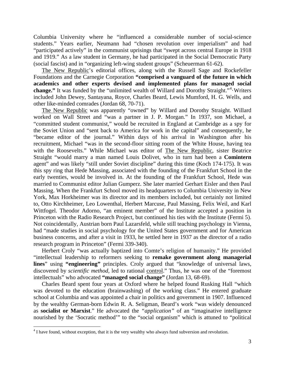Columbia University where he "influenced a considerable number of social-science students." Years earlier, Neumann had "chosen revolution over imperialism" and had "participated actively" in the communist uprisings that "swept across central Europe in 1918 and 1919." As a law student in Germany, he had participated in the Social Democratic Party (social fascist) and in "organizing left-wing student groups" (Scheuerman 61-62).

The New Republic's editorial offices, along with the Russell Sage and Rockefeller Foundations and the Carnegie Corporation **"comprised a vanguard of the future in which academics and other experts devised and implemented plans for managed social**  change." It was funded by the "unlimited wealth of Willard and Dorothy Straight."<sup>[4](#page-67-0)</sup> Writers included John Dewey, Santayana, Royce, Charles Beard, Lewis Mumford, H. G. Wells, and other like-minded comrades (Jordan 68, 70-71).

The New Republic was apparently "owned" by Willard and Dorothy Straight. Willard worked on Wall Street and "was a partner in J. P. Morgan." In 1937, son Michael, a "committed student communist," would be recruited in England at Cambridge as a spy for the Soviet Union and "sent back to America for work in the capital" and consequently, he "became editor of the journal." Within days of his arrival in Washington after his recruitment, Michael "was in the second-floor sitting room of the White House, having tea with the Roosevelts." While Michael was editor of The New Republic, sister Beatrice Straight "would marry a man named Louis Dolivet, who in turn had been a **Comintern** agent" and was likely "still under Soviet discipline" during this time (Koch 174-175). It was this spy ring that Hede Massing, associated with the founding of the Frankfurt School in the early twenties, would be involved in. At the founding of the Frankfurt School, Hede was married to Communist editor Julian Gumperz. She later married Gerhart Eisler and then Paul Massing. When the Frankfurt School moved its headquarters to Columbia University in New York, Max Horkheimer was its director and its members included, but certainly not limited to, Otto Kirchheimer, Leo Lowenthal, Herbert Marcuse, Paul Massing, Felix Weil, and Karl Wittfogel. Theodor Adorno, "an eminent member" of the Institute accepted a position in Princeton with the Radio Research Project, but continued his ties with the Institute (Fermi 5). Not coincidentally, Austrian born Paul Lazarsfeld, while still teaching psychology in Vienna, had "made studies in social psychology for the United States government and for American business concerns, and after a visit in 1933, he settled here in 1937 as the director of a radio research program in Princeton" (Fermi 339-340).

Herbert Croly "was actually baptized into Comte's religion of humanity." He provided "intellectual leadership to reformers seeking to **remake government along managerial lines**" using **"engineering"** principles. Croly argued that "knowledge of universal laws, discovered by *scientific method,* led to rational control." Thus, he was one of the "foremost intellectuals" who advocated **"managed social change"** (Jordan 13, 68-69).

Charles Beard spent four years at Oxford where he helped found Rusking Hall "which was devoted to the education (brainwashing) of the working class." He entered graduate school at Columbia and was appointed a chair in politics and government in 1907. Influenced by the wealthy German-born Edwin R. A. Seligman, Beard's work "was widely denounced as **socialist or Marxist**." He advocated the *"application"* of an "imaginative intelligence nourished by the 'Socratic method'" to the "social organism" which is attuned to "political

<span id="page-67-0"></span><sup>&</sup>lt;sup>4</sup> I have found, without exception, that it is the very wealthy who always fund subversion and revolution.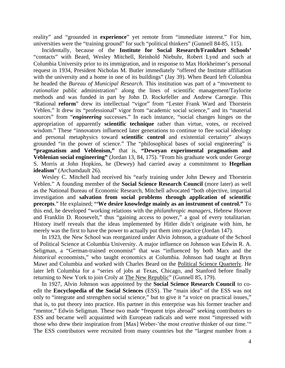reality" and "grounded in **experience**" yet remote from "immediate interest." For him, universities were the "training ground" for such "political thinkers" (Gunnell 84-85, 115).

Incidentally, because of the **Institute for Social Research/Frankfurt Schools'** "contacts" with Beard, Wesley Mitchell, Reinhold Niebuhr, Robert Lynd and such at Columbia University prior to its immigration, and in response to Max Horkheimer's personal request in 1934, President Nicholas M. Butler immediately "offered the Institute affiliation with the university and a home in one of its buildings" (Jay 39). When Beard left Columbia he headed the *Bureau of Municipal Research.* This institution was part of a "movement to *rationalize* public administration" along the lines of scientific management/Taylorite methods and was funded in part by John D. Rockefeller and Andrew Carnegie. This "Rational **reform**" drew its intellectual "vigor" from "Lester Frank Ward and Thorstein Veblen." It drew its "professional" vigor from "academic social science," and its "material sources" from "*engineering* successes." In each instance, "social changes hinges on the appropriation of apparently **scientific technique** rather than virtue, votes, or received wisdom." These "innovators influenced later generations to continue to flee social ideology and personal metaphysics toward **scientific control** and existential certainty" always grounded "in the power of science." The "philosophical bases of social engineering" is **"pragmatism and Veblenism,"** that is, **"Deweyan experimental pragmatism and Veblenian social engineering"** (Jordan 13, 84, 175). "From his graduate work under George S. Morris at John Hopkins, he (Dewey) had carried away a commitment to **Hegelian idealism**" (Archamdault 26).

Wesley C. Mitchell had received his "early training under John Dewey and Thorstein Veblen." A founding member of the **Social Science Research Council** (more later) as well as the National Bureau of Economic Research, Mitchell advocated "both objective, impartial investigation and **salvation from social problems through application of scientific precepts**." He explained; **''We desire knowledge mainly as an instrument of control."** To this end, he developed "working relations with the *philanthropic managers,* Hebrew Hoover and Franklin D. Roosevelt," thus "gaining access to power," a goal of every totalitarian. History itself reveals that the ideas implemented by Hitler didn't originate with him, he merely was the first to have the power to actually put them into practice (Jordan 147).

In 1923, the New School was reorganized under Alvin Johnson, a graduate of the School of Political Science at Columbia University. A major influence on Johnson was Edwin R. A. Seligman, a "German-trained economist" that was "influenced by both Marx and the *historical* economists," who taught economics at Columbia. Johnson had taught at Bryn Mawr and Columbia and worked with Charles Beard on the Political Science Quarterly. He later left Columbia for a "series of jobs at Texas, Chicago, and Stanford before finally returning to New York to join Croly at The New Republic" (Gunnell 85, 179).

In 1927, Alvin Johnson was appointed by the **Social Science Research Council** to coedit the **Encyclopedia of the Social Sciences** (ESS). The "main idea" of the ESS was not only to "integrate and strengthen social science," but to give it "a voice on practical issues," that is, to put theory into practice. His partner in this enterprise was his former teacher and "mentor," Edwin Seligman. These two made "frequent trips abroad" seeking contributors to ESS and became well acquainted with European radicals and were most "impressed with those who drew their inspiration from [Max] Weber-'the most *creative* thinker of our time.'" The ESS contributors were recruited from many countries but the "largest number from a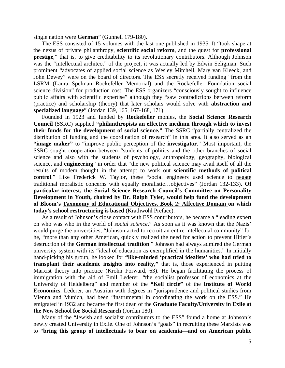single nation were **German**" (Gunnell 179-180).

The ESS consisted of 15 volumes with the last one published in 1935. It "took shape at the nexus of private philanthropy, **scientific social reform**, and the quest for **professional prestige**," that is, to give creditability to its revolutionary contributors. Although Johnson was the "intellectual architect" of the project, it was actually led by Edwin Seligman. Such prominent "advocates of applied social science as Wesley Mitchell, Mary van Kleeck, and John Dewey" were on the board of directors. The ESS secretly received funding "from the LSRM (Laura Spelman Rockefeller Memorial) and the Rockefeller Foundation social science division" for production cost. The ESS organizers "consciously sought to influence public affairs with scientific expertise" although they "saw contradictions between reform (practice) and scholarship (theory) that later scholars would solve with **abstraction and specialized language**" (Jordan 139, 165, 167-168, 171).

Founded in 1923 and funded by **Rockefeller** monies, the **Social Science Research Council** (SSRC) supplied **"philanthropists an effective medium through which to invest their funds for the development of social science."** The SSRC "partially centralized the distribution of funding and the coordination of research" in this area. It also served as an **"image maker"** to "improve public perception of the **investigator**." Most important, the SSRC sought cooperation between "students of politics and the other branches of social science and also with the students of psychology, anthropology, geography, biological science, and **engineering**" in order that "the new political science may avail itself of all the results of modem thought in the attempt to work out **scientific methods of political control**." Like Frederick W. Taylor, these "social engineers used science to negate traditional moralistic concerns with equally moralistic…objectives" (Jordan 132-133). **Of particular interest, the Social Science Research Council's Committee on Personality Development in Youth, chaired by Dr. Ralph Tyler, would help fund the development of Bloom's Taxonomy of Educational Objectives. Book 2: Affective Domain on which today's school restructuring is based** (Krathwohl Preface).

As a result of Johnson's close contact with ESS contributors, he became a "leading expert on who was who in the world of *social science*." As soon as it was known that the Nazis' would purge the universities, "Johnson acted to recruit an entire intellectual community" for he, "more than any other American, quickly realized the need for action to prevent Hitler's destruction of the **German intellectual tradition**." Johnson had always admired the German university system with its "ideal of education as exemplified in the humanities." In initially hand-picking his group, he looked for **"like-minded 'practical idealists' who had tried to transplant their academic insights into reality,"** that is, those experienced in putting Marxist theory into practice (Krohn Forward, 63). He began facilitating the process of immigration with the aid of Emil Lederer, "the socialist professor of economics at the University of Heidelberg" and member of the **"Keil circle"** of the **Institute of World Economics**. Lederer, an Austrian with degrees in "jurisprudence and political studies from Vienna and Munich, had been "instrumental in coordinating the work on the ESS." He emigrated in 1932 and became the first dean of the **Graduate Faculty/University in Exile at the New School for Social Research** (Jordan 180).

Many of the "Jewish and socialist contributors to the ESS" found a home at Johnson's newly created University in Exile. One of Johnson's "goals" in recruiting these Marxists was to "**bring this group of intellectuals to bear on academia—and on American public**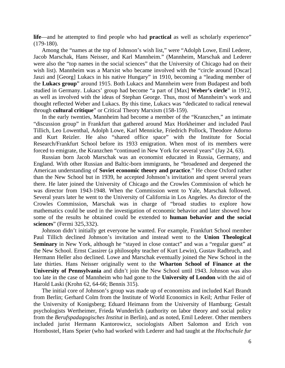**life**—and he attempted to find people who had **practical** as well as scholarly experience" (179-180).

Among the "names at the top of Johnson's wish list," were "Adolph Lowe, Emil Lederer, Jacob Marschak, Hans Neisser, and Karl Mannheim." (Mannheim, Marschak and Lederer were also the "top names in the social sciences" that the University of Chicago had on their wish list). Mannheim was a Marxist who became involved with the "circle around [Oscar] Jaszi and [Georg] Lukacs in his native Hungary" in 1910, becoming a "leading member of the **Lukacs group**" around 1915. Both Lukacs and Mannheim were from Budapest and both studied in Germany. Lukacs' group had become "a part of [Max] **Weber's circle**" in 1912, as well as involved with the ideas of Stephan George. Thus, most of Mannheim's work and thought reflected Weber and Lukacs. By this time, Lukacs was "dedicated to radical renewal through **cultural critique**" or Critical Theory Marxism (158-159).

In the early twenties, Mannheim had become a member of the "Kranzchen," an intimate "discussion group" in Frankfurt that gathered around Max Horkheimer and included Paul Tillich, Leo Lowenthal, Adolph Lowe, Karl Mennicke, Friedrich Pollock, Theodore Adorno and Kurt Reizler. He also "shared office space" with the Institute for Social Research/Frankfurt School before its 1933 emigration. When most of its members were forced to emigrate, the Kranzchen "continued in New York for several years" (Jay 24, 63).

Russian born Jacob Marschak was an economist educated in Russia, Germany, and England. With other Russian and Baltic-born immigrants, he "broadened and deepened the American understanding of **Soviet economic theory and practice**." He chose Oxford rather than the New School but in 1939, he accepted Johnson's invitation and spent several years there. He later joined the University of Chicago and the Crowles Commission of which he was director from 1943-1948. When the Commission went to Yale, Marschak followed. Several years later he went to the University of California in Los Angeles. As director of the Crowles Commission, Marschak was in charge of "broad studies to explore how mathematics could be used in the investigation of economic behavior and later showed how some of the results he obtained could be extended to **human behavior and the social sciences**" (Fermi 325,332).

Johnson didn't initially get everyone he wanted. For example, Frankfurt School member Paul Tillich declined Johnson's invitation and instead went to the **Union Theological Seminary** in New York, although he "stayed in close contact" and was a "regular guest" at the New School. Ernst Cassirer (a philosophy teacher of Kurt Lewin), Gustav Radbruch, and Hermann Heller also declined. Lowe and Marschak eventually joined the New School in the late thirties. Hans Neisser originally went to the **Wharton School of Finance at the University of Pennsylvania** and didn't join the New School until 1943. Johnson was also too late in the case of Mannheim who had gone to the **University of London** with the aid of Harold Laski (Krohn 62, 64-66; Bennis 315).

The initial core of Johnson's group was made up of economists and included Karl Brandt from Berlin; Gerhard Colm from the Institute of World Economics in Keil; Arthur Feiler of the University of Konigsberg; Eduard Heimann from the University of Hamburg; Gestalt psychologists Wertheimer, Frieda Wunderlich (authority on labor theory and social policy from the *Berufspadagogisches Institut* in Berlin), and as noted, Emil Lederer. Other members included jurist Hermann Kantorowicz, sociologists Albert Salomon and Erich von Hornbostel, Hans Speier (who had worked with Lederer and had taught at the *Hochschule fur*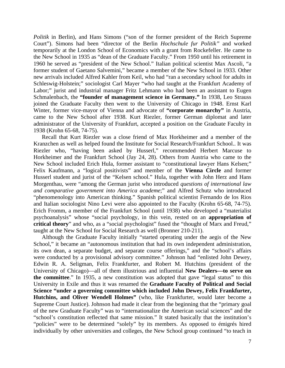*Politik* in Berlin), and Hans Simons ("son of the former president of the Reich Supreme Court"). Simons had been "director of the Berlin *Hochschule fur Politik"* and worked temporarily at the London School of Economics with a grant from Rockefeller. He came to the New School in 1935 as "dean of the Graduate Faculty." From 1950 until his retirement in 1960 he served as "president of the New School." Italian political scientist Max Ascoli, "a former student of Gaetano Salvemini," became a member of the New School in 1933. Other new arrivals included Alfred Kahler from Keil, who had "ran a secondary school for adults in Schleswig-Holstein;" sociologist Carl Mayer "who had taught at the Frankfurt Academy of Labor;" jurist and industrial manager Fritz Lehmann who had been an assistant to Eugen Schmalenbach, the **"founder of management science in Germany."** In 1938, Leo Strauss joined the Graduate Faculty then went to the University of Chicago in 1948. Ernst Karl Winter, former vice-mayor of Vienna and advocate of **"corporate monarchy"** in Austria, came to the New School after 1938. Kurt Riezler, former German diplomat and later administrator of the University of Frankfurt, accepted a position on the Graduate Faculty in 1938 (Krohn 65-68, 74-75).

Recall that Kurt Riezler was a close friend of Max Horkheimer and a member of the Kranzchen as well as helped found the Institute for Social Research/Frankfurt School.. It was Riezler who, "having been asked by Husserl," recommended Herbert Marcuse to Horkheimer and the Frankfurt School (Jay 24, 28). Others from Austria who came to the New School included Erich Hula, former assistant to "constitutional lawyer Hans Kelsen;" Felix Kaufmann, a "logical positivists" and member of the **Vienna Circle** and former Husserl student and jurist of the "Kelsen school." Hula, together with John Herz and Hans Morgenthau, were "among the German jurist who introduced *questions of international law and comparative government into America academe*;" and Alfred Schutz who introduced "phenomenology into American thinking." Spanish political scientist Fernando de los Rios and Italian sociologist Nino Levi were also appointed to the Faculty (Krohn 65-68, 74-75). Erich Fromm, a member of the Frankfurt School (until 1938) who developed a "materialist psychoanalysis" whose "social psychology, in this vein, rested on an **appropriation of critical theory**" and who, as a "social psychologist" fused the "thought of Marx and Freud," taught at the New School for Social Research as well (Bronner 210-211).

Although the Graduate Faculty initially "started operating under the aegis of the New School," it became an "autonomous institution that had its own independent administration, its own dean, a separate budget, and separate course offerings," and the "school's affairs were conducted by a provisional advisory committee." Johnson had "enlisted John Dewey, Edwin R. A. Seligman, Felix Frankfurter, and Robert M. Hutchins (president of the University of Chicago)—all of them illustrious and influential **New Dealers—to serve on the committee**." In 1935, a new constitution was adopted that gave "legal status" to this University in Exile and thus it was renamed the **Graduate Faculty of Political and Social Science "under a governing committee which included John Dewey, Felix Frankfurter, Hutchins, and Oliver Wendell Holmes"** (who, like Frankfurter, would later become a Supreme Court Justice). Johnson had made it clear from the beginning that the "primary goal of the new Graduate Faculty" was to "internationalize the American social sciences" and the "school's constitution reflected that same mission." It stated basically that the institution's "policies" were to be determined "solely" by its members. As opposed to émigrés hired individually by other universities and colleges, the New School group continued "to teach in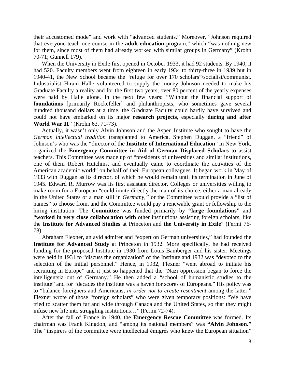their accustomed mode" and work with "advanced students." Moreover, "Johnson required that everyone teach one course in the **adult education** program," which "was nothing new for them, since most of them had already worked with similar groups in Germany" (Krohn 70-71; Gunnell 179).

When the University in Exile first opened in October 1933, it had 92 students. By 1940, it had 520. Faculty members went from eighteen in early 1934 to thirty-three in 1939 but in 1940-41, the New School became the "refuge for over 170 scholars"/socialist/communist. Industrialist Hiram Halle volunteered to supply the money Johnson needed to make his Graduate Faculty a reality and for the first two years, over 80 percent of the yearly expenses were paid by Halle alone. In the next few years: "Without the financial support of **foundations** [primarily Rockefeller] and philanthropists, who sometimes gave several hundred thousand dollars at a time, the Graduate Faculty could hardly have survived and could not have embarked on its major **research projects**, especially **during and after World War II**" (Krohn 63, 71-73).

Actually, it wasn't only Alvin Johnson and the Aspen Institute who sought to have the *German intellectual tradition* transplanted to America. Stephen Duggan, a "friend" of Johnson's who was the "director of the **Institute of International Education**" in New York, organized the **Emergency Committee in Aid of German Displaced Scholars** to assist teachers. This Committee was made up of "presidents of universities and similar institutions, one of them Robert Hutchins, and eventually came to coordinate the activities of the American academic world" on behalf of their European colleagues. It began work in May of 1933 with Duggan as its director, of which he would remain until its termination in June of 1945. Edward R. Murrow was its first assistant director. Colleges or universities willing to make room for a European "could invite directly the man of its choice, either a man already in the United States or a man still in *Germany,"* or the Committee would provide a "list of names" to choose from, and the Committee would pay a renewable grant or fellowship to the hiring institution. The **Committee** was funded primarily by **"large foundations"** and "**worked in very close collaboration with** other institutions assisting foreign scholars, like the **Institute for Advanced Studies** at Princeton and **the University in Exile**" (Fermi 76- 78).

Abraham Flexner, an avid admirer and "expert on German universities," had founded the **Institute for Advanced Study** at Princeton in 1932. More specifically, he had received funding for the proposed Institute in 1930 from Louis Bamberger and his sister. Meetings were held in 1931 to "discuss the organization" of the Institute and 1932 was "devoted to the selection of the initial personnel." Hence, in 1932, Flexner "went abroad to initiate his recruiting in Europe" and it just so happened that the "Nazi oppression began to force the intelligentsia out of Germany." He then added a "school of humanistic studies to the institute" and for "decades the institute was a haven for scores of Europeans." His policy was to "balance foreigners and Americans, *in order not to create resentment* among the latter." Flexner wrote of those "foreign scholars" who were given temporary positions: "We have tried to scatter them far and wide through Canada and the United States, so that they might infuse new life into struggling institutions…" (Fermi 72-74).

After the fall of France in 1940, the **Emergency Rescue Committee** was formed. Its chairman was Frank Kingdon, and "among its national members" was **"Alvin Johnson."** The "inspirers of the committee were intellectual émigrés who knew the European situation"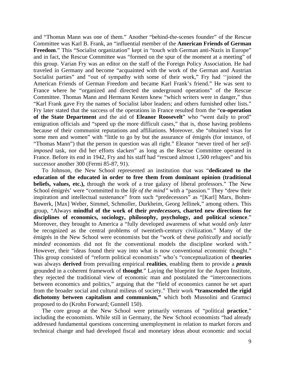and "Thomas Mann was one of them." Another "behind-the-scenes founder" of the Rescue Committee was Karl B. Frank, an "influential member of the **American Friends of German Freedom.**" This "Socialist organization" kept in "touch with German anti-Nazis in Europe" and in fact, the Rescue Committee was "formed on the spur of the moment at a meeting" of this group. Varian Fry was an editor on the staff of the Foreign Policy Association. He had traveled in Germany and become "acquainted with the work of the German and Austrian Socialist parties" and "out of sympathy with some of their work," Fry had "joined the American Friends of German Freedom and became Karl Frank's friend." He was sent to France where he "organized and directed the underground operations" of the Rescue Committee. Thomas Mann and Hermann Kesten knew "which writers were in danger," thus "Karl Frank gave Fry the names of Socialist labor leaders; and others furnished other lists." Fry later stated that the success of the operations in France resulted from the "**co-operation of the State Department** and the aid of **Eleanor Roosevelt**" who "went daily to prod" emigration officials and "speed up the more difficult cases," that is, those having problems because of their communist reputations and affiliations. Moreover, she "obtained visas for some men and women" with "little to go by but the assurance of émigrés (for instance, of "Thomas Mann") that the person in question was all right." Eleanor "never tired of her *selfimposed* task, nor did her efforts slacken" as long as the Rescue Committee operated in France. Before its end in 1942, Fry and his staff had "rescued almost 1,500 refugees" and his successor another 300 (Fermi 85-87, 91).

To Johnson, the New School represented an institution that was "**dedicated to the education of the educated in order to free them from dominant opinion (traditional beliefs, values, etc.),** through the work of a true galaxy of liberal professors." The New School émigrés' were "committed to the *life of the mind"* with a "passion." They "drew their inspiration and intellectual sustenance" from such "predecessors" as "[Karl] Marx, Bohm-Bawerk, [Max] Weber, Simmel, Schmoller, Durkheim, Georg Jellinek," among others. This group, "Always **mindful of the work of their** *predecessors,* **charted new directions for disciplines of economics, sociology, philosophy, psychology, and political science**." Moreover, they brought to America a "fully developed awareness of what would *only later*  be recognized as the central problems of twentieth-century civilization." Many of the émigrés in the New School were economists but the "work of these *politically* and *socially minded* economists did not fit the conventional models the discipline worked with." However, their "ideas found their way into what is now conventional economic thought." This group consisted of "reform political economists" who's "conceptualization of **theories** was always **derived** from prevailing empirical **realities**, enabling them to provide a *praxis* grounded in a coherent framework of **thought**." Laying the blueprint for the Aspen Institute, they rejected the traditional view of economic man and postulated the "interconnections between economics and politics," arguing that the "field of economics cannot be set apart from the broader social and cultural milieus of society." Their work **"transcended the rigid dichotomy between capitalism and communism,"** which both Mussolini and Gramsci proposed to do (Krohn Forward; Gunnell 150).

The core group at the New School were primarily veterans of "political **practice**," including the economists. While still in Germany, the New School economists "had already addressed fundamental questions concerning unemployment in relation to market forces and technical change and had developed fiscal and monetary ideas about economic and social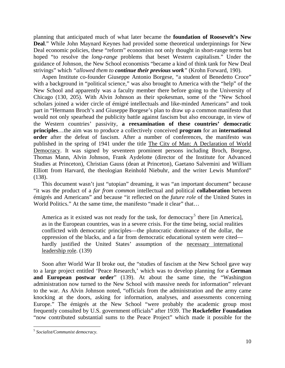planning that anticipated much of what later became the **foundation of Roosevelt's New Deal**." While John Maynard Keynes had provided some theoretical underpinnings for New Deal economic policies, these "reform" economists not only thought in short-range terms but hoped "to resolve the *long-range* problems that beset Western capitalism." Under the guidance of Johnson, the New School economists "became a kind of think tank for New Deal strivings" which *"allowed them to continue their previous work"* (Krohn Forward, 190).

Aspen Institute co-founder Giuseppe Antonio Borgese, "a student of Benedetto Croce" with a background in "political science," was also brought to America with the "help" of the New School and apparently was a faculty member there before going to the University of Chicago (130, 205). With Alvin Johnson as their spokesman, some of the "New School scholars joined a wider circle of émigré intellectuals and like-minded Americans" and took part in "Hermann Broch's and Giuseppe Borgese's plan to draw up a common manifesto that would not only spearhead the publicity battle against fascism but also encourage, in view of the Western countries' passivity, **a reexamination of these countries' democratic principles**…the aim was to produce a collectively conceived **program** for an **international order** after the defeat of fascism. After a number of conferences, the manifesto was published in the spring of 1941 under the title The City of Man: A Declaration of World Democracy. It was signed by seventeen prominent persons including Broch, Borgese, Thomas Mann, Alvin Johnson, Frank Aydelotte (director of the Institute for Advanced Studies at Princeton), Christian Gauss (dean at Princeton), Gaetano Salvemini and William Elliott from Harvard, the theologian Reinhold Niebuhr, and the writer Lewis Mumford" (138).

This document wasn't just "utopian" dreaming, it was "an important document" because "it was the product of a *far from common* intellectual and political **collaboration** between émigrés and Americans" and because "it reflected on the *future role* of the United States in World Politics." At the same time, the manifesto "made it clear" that...

America as it existed was not ready for the task, for democracy<sup>[5](#page-74-0)</sup> there [in America], as in the European countries, was in a severe crisis. For the time being, social realities conflicted with democratic principles—the plutocratic dominance of the dollar, the oppression of the blacks, and a far from democratic educational system were cited hardly justified the United States' assumption of the necessary international leadership role. (139)

Soon after World War II broke out, the "studies of fascism at the New School gave way to a large project entitled 'Peace Research,' which was to develop planning for a **German and European postwar order**" (139). At about the same time, the "Washington administration now turned to the New School with massive needs for information" relevant to the war. As Alvin Johnson noted, "officials from the administration and the army came knocking at the doors, asking for information, analyses, and assessments concerning Europe." The émigrés at the New School "were probably the academic group most frequently consulted by U.S. government officials" after 1939. The **Rockefeller Foundation** "now contributed substantial sums to the Peace Project" which made it possible for the

 $\overline{a}$ 

<span id="page-74-0"></span><sup>5</sup> *Socialist/Communist democracy.*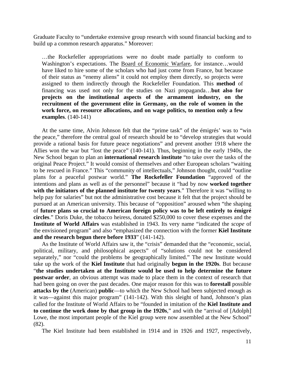Graduate Faculty to "undertake extensive group research with sound financial backing and to build up a common research apparatus." Moreover:

…the Rockefeller appropriations were no doubt made partially to conform to Washington's expectations. The Board of Economic Warfare, for instance...would have liked to hire some of the scholars who had just come from France, but because of their status as "enemy aliens" it could not employ them directly, so projects were assigned to them indirectly through the Rockefeller Foundation. This **method** of financing was used not only for the studies on Nazi propaganda…**but also for projects on the institutional aspects of the armament industry, on the recruitment of the government elite in Germany, on the role of women in the work force, on resource allocations, and on wage politics, to mention only a few examples**. (140-141)

At the same time, Alvin Johnson felt that the "prime task" of the émigrés' was to "win the peace," therefore the central goal of research should be to "develop strategies that would provide a rational basis for future peace negotiations" and prevent another 1918 where the Allies won the war but "lost the peace" (140-141). Thus, beginning in the early 1940s, the New School began to plan an **international research institute** "to take over the tasks of the original Peace Project." It would consist of themselves and other European scholars "waiting to be rescued in France." This "community of intellectuals," Johnson thought, could "outline plans for a peaceful postwar world." **The Rockefeller Foundation** "approved of the intentions and plans as well as of the personnel" because it "had by now **worked together with the initiators of the planned institute for twenty years**." Therefore it was "willing to help pay for salaries" but not the administrative cost because it felt that the project should be pursued at an American university. This because of "opposition" aroused when "the shaping of **future plans so crucial to American foreign policy was to be left entirely to émigré circles**." Doris Duke, the tobacco heiress, donated \$250,000 to cover these expenses and the **Institute of World Affairs** was established in 1943. Its very name "indicated the *scope* of the envisioned program" and also "emphasized the connection with the former **Kiel Institute and the research begun there before 1933**" (141-142).

As the Institute of World Affairs saw it, the "crisis" demanded that the "economic, social, political, military, and philosophical aspects" of "solutions could not be considered separately," nor "could the problems be geographically limited." The new Institute would take up the work of the **Kiel Institute** that had originally **begun in the 1920s**. But because "**the studies undertaken at the Institute would be used to help determine the future postwar order**, an obvious attempt was made to place them in the context of research that had been going on over the past decades. One major reason for this was to **forestall** possible **attacks by the** (American) **public**—to which the New School had been subjected enough as it was—against this major program" (141-142). With this sleight of hand, Johnson's plan called for the Institute of World Affairs to be "founded in imitation of the **Kiel Institute and to continue the work done by that group in the 1920s**," and with the "arrival of [Adolph] Lowe, the most important people of the Kiel group were now assembled at the New School" (82).

The Kiel Institute had been established in 1914 and in 1926 and 1927, respectively,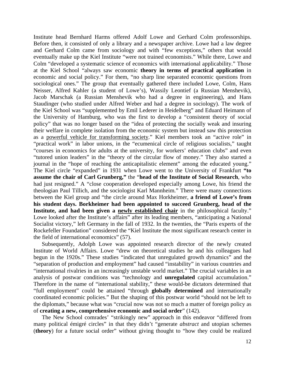Institute head Bernhard Harms offered Adolf Lowe and Gerhard Colm professorships. Before then, it consisted of only a library and a newspaper archive. Lowe had a law degree and Gerhard Colm came from sociology and with "few exceptions," others that would eventually make up the Kiel Institute "were not trained economists." While there, Lowe and Colm "developed a systematic science of economics with international applicability." Those at the Kiel School "always saw economic **theory in terms of practical application** in economic and social policy." For them, "no sharp line separated economic questions from sociological ones." The group that eventually gathered there included Lowe, Colm, Hans Neisser, Alfred Kahler (a student of Lowe's), Wassily Leontief (a Russian Menshevik), Jacob Marschak (a Russian Menshevik who had a degree in engineering), and Hans Staudinger (who studied under Alfred Weber and had a degree in sociology). The work of the Kiel School was "supplemented by Emil Lederer in Heidelberg" and Eduard Heimann of the University of Hamburg, who was the first to develop a "consistent theory of social policy" that was no longer based on the "idea of protecting the socially weak and insuring their welfare in complete isolation from the economic system but instead saw this protection as a powerful vehicle for transforming society." Kiel members took an "active role" in "practical work" in labor unions, in the "ecumenical circle of religious socialists," taught "courses in economics for adults at the university, for workers' education clubs" and even "tutored union leaders" in the "theory of the circular flow of money." They also started a journal in the "hope of reaching the anticapitalistic element" among the educated young." The Kiel circle "expanded" in 1931 when Lowe went to the University of Frankfurt **"to assume the chair of Carl Grunberg,"** the "**head of the Institute of Social Research**, who had just resigned." A "close cooperation developed especially among Lowe, his friend the theologian Paul Tillich, and the sociologist Karl Mannheim." There were many connections between the Kiel group and "the circle around Max Horkheimer, **a friend of Lowe's from his student days. Borkheimer had been appointed to succeed Grunberg, head of the Institute, and had been given a newly established chair** in the philosophical faculty." Lowe looked after the Institute's affairs" after its leading members, "anticipating a National Socialist victory," left Germany in the fall of 1932. In the twenties, the "Paris experts of the Rockefeller Foundation" considered the "Kiel Institute the most significant research center in the field of international economics" (57).

Subsequently, Adolph Lowe was appointed research director of the newly created Institute of World Affairs. Lowe "drew on theoretical studies he and his colleagues had begun in the 1920s." These studies "indicated that unregulated growth dynamics" and the "separation of production and employment" had caused "instability" in various countries and "international rivalries in an increasingly unstable world market." The crucial variables in an analysis of postwar conditions was "technology and **unregulated** capital accumulation." Therefore in the name of "international stability," these would-be dictators determined that "full employment" could be attained "through **globally determined** and internationally coordinated economic policies." But the shaping of this postwar world "should not be left to the diplomats," because what was "crucial now was not so much a matter of foreign policy as of **creating a new, comprehensive economic and social order**" (142).

The New School comrades' "strikingly new" approach in this endeavor "differed from many political émigré circles" in that they didn't "generate *abstract* and utopian schemes (**theory**) for a future social order" without giving thought to "how they could be realized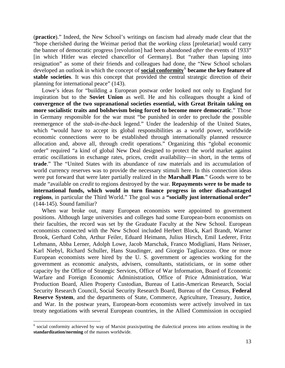(**practice**)." Indeed, the New School's writings on fascism had already made clear that the "hope cherished during the Weimar period that the *working class* [proletariat] would carry the banner of democratic progress [revolution] had been abandoned *after* the events of 1933" [in which Hitler was elected chancellor of Germany]. But "rather than lapsing into resignation" as some of their friends and colleagues had done, the "New School scholars developed an outlook in which the concept of **social conformity**[6](#page-77-0)  **became the key feature of stable societies**. It was this concept that provided the central strategic direction of their planning for international peace" (143).

Lowe's ideas for "building a European postwar order looked not only to England for inspiration but to the **Soviet Union** as well. He and his colleagues thought a kind of **convergence of the two supranational societies essential, with Great Britain taking on more socialistic traits and bolshevism being forced to become more democratic**." Those in Germany responsible for the war must "be punished in order to preclude the possible reemergence of the *stab-in-the-back* legend." Under the leadership of the United States, which "would have to accept its global responsibilities as a world power, worldwide economic connections were to be established through internationally planned resource allocation and, above all, through credit operations." Organizing this "global economic order" required "a kind of global New Deal designed to protect the world market against erratic oscillations in exchange rates, prices, credit availability—in short, in the terms of **trade**." The "United States with its abundance of raw materials and its accumulation of world currency reserves was to provide the necessary stimuli here. In this connection ideas were put forward that were later partially realized in the **Marshall Plan**." Goods were to be made "available on *credit* to regions destroyed by the war. **Repayments were to be made to international funds, which would in turn finance progress in other disadvantaged regions**, in particular the Third World." The goal was a **"socially just international order"**  (144-145). Sound familiar?

When war broke out, many European economists were appointed to government positions. Although large universities and colleges had some European-born economists on their faculties, the record was set by the Graduate Faculty at the New School. European economists connected with the New School included Herbert Block, Karl Brandt, Warner Brook, Gerhard Cohn, Arthur Feiler, Eduard Heimann, Julius Hirsch, Emil Lederer, Fritz Lehmann, Abba Lerner, Adolph Lowe, Jacob Marschak, Franco Modigliani, Hans Neisser, Karl Niebyl, Richard Schuller, Hans Staudinger, and Giorgio Tagliacozzo. One or more European economists were hired by the U. S. government or agencies working for the government as economic analysts, advisers, consultants, statisticians, or in some other capacity by the Office of Strategic Services, Office of War Information, Board of Economic Warfare and Foreign Economic Administration, Office of Price Administration, War Production Board, Alien Property Custodian, Bureau of Latin-American Research, Social Security Research Council, Social Security Research Board, Bureau of the Census, **Federal Reserve System**, and the departments of State, Commerce, Agriculture, Treasury, Justice, and War. In the postwar years, European-born economists were actively involved in tax treaty negotiations with several European countries, in the Allied Commission in occupied

 $\overline{a}$ 

<span id="page-77-0"></span><sup>&</sup>lt;sup>6</sup> social conformity achieved by way of Marxist praxis/putting the dialectical process into actions resulting in the **standardization/norming** of the masses worldwide.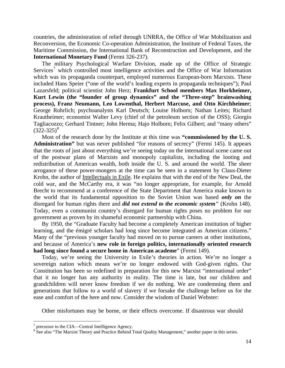countries, the administration of relief through UNRRA, the Office of War Mobilization and Reconversion, the Economic Co-operation Administration, the Institute of Federal Taxes, the Maritime Commission, the International Bank of Reconstruction and Development, and the **International Monetary Fund** (Fermi 326-237).

The military Psychological Warfare Division, made up of the Office of Strategic Services<sup>[7](#page-78-0)</sup> which controlled most intelligence activities and the Office of War Information which was its propaganda counterpart, employed numerous European-born Marxists. These included Hans Speier ("one of the world's leading experts in propaganda techniques"); Paul Lazarsfeld; political scientist John Herz; **Frankfurt School members Max Horkheimer, Kurt Lewin (the "founder of group dynamics" and the "Three-step" brainwashing process), Franz Neumann, Leo Lowenthal, Herbert Marcuse, and Otto Kirchheimer**; George Rohrlich; psychoanalysts Karl Deutsch; Louise Holborn; Nathan Leites; Richard Krautheimer; economist Walter Levy (chief of the petroleum section of the OSS); Giorgio Tagliacozzo; Gerhard Tintner; John Herma; Hajo Holborn; Felix Gilbert; and "many others"  $(322-325)^8$  $(322-325)^8$ 

Most of the research done by the Institute at this time was **"commissioned by the U. S. Administration"** but was never published "for reasons of secrecy" (Fermi 145). It appears that the roots of just about everything we're seeing today on the international scene came out of the postwar plans of Marxists and monopoly capitalists, including the looting and redistribution of American wealth, both inside the U. S. and around the world. The sheer arrogance of these power-mongers at the time can be seen in a statement by Claus-Dieter Krohn, the author of Intellectuals in Exile. He explains that with the end of the New Deal, the cold war, and the McCarthy era, it was "no longer appropriate, for example, for Arnold Brecht to recommend at a conference of the State Department that America make known to the world that its fundamental opposition to the Soviet Union was based *only on* the disregard for human rights there and *did not extend to the economic system"* (Krohn 148). Today, even a communist country's disregard for human rights poses no problem for our government as proven by its shameful economic partnership with China.

By 1950, the "Graduate Faculty had become a completely American institution of higher learning, and the émigré scholars had long since become integrated as American citizens." Many of the "previous younger faculty had moved on to pursue careers at other institutions, and because of America's **new role in foreign politics, internationally oriented research had long since found a secure home in American academe**" (Fermi 149).

Today, we're seeing the University in Exile's theories in action. We're no longer a sovereign nation which means we're no longer endowed with God-given rights. Our Constitution has been so redefined in preparation for this new Marxist "international order" that it no longer has any authority in reality. The time is late, but our children and grandchildren will never know freedom if we do nothing. We are condemning them and generations that follow to a world of slavery if we forsake the challenge before us for the ease and comfort of the here and now. Consider the wisdom of Daniel Webster:

Other misfortunes may be borne, or their effects overcome. If disastrous war should

 $\frac{7}{8}$  precursor to the CIA—Central Intelligence Agency.

<span id="page-78-1"></span><span id="page-78-0"></span><sup>&</sup>lt;sup>8</sup> See also "The Marxist Theory and Practice Behind Total Quality Management," another paper in this series.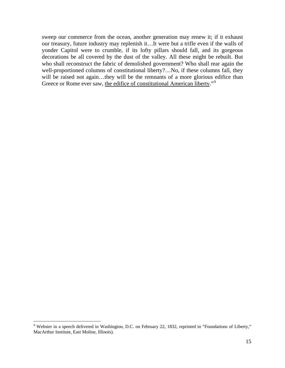sweep our commerce from the ocean, another generation may renew it; if it exhaust our treasury, future industry may replenish it…It were but a trifle even if the walls of yonder Capitol were to crumble, if its lofty pillars should fall, and its gorgeous decorations be all covered by the dust of the valley. All these might be rebuilt. But who shall reconstruct the fabric of demolished government? Who shall rear again the well-proportioned columns of constitutional liberty?...No, if these columns fall, they will be raised not again...they will be the remnants of a more glorious edifice than Greece or Rome ever saw, the edifice of constitutional American liberty."<sup>[9](#page-79-0)</sup>

 $\overline{a}$ 

<span id="page-79-0"></span><sup>&</sup>lt;sup>9</sup> Webster in a speech delivered in Washington, D.C. on February 22, 1832, reprinted in "Foundations of Liberty," MacArthur Institute, East Moline, Illinois).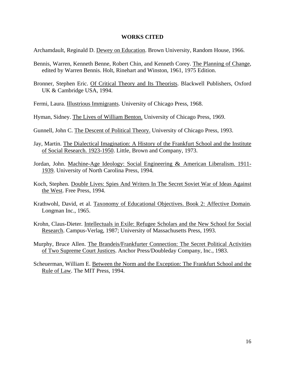#### **WORKS CITED**

Archamdault, Reginald D. Dewey on Education. Brown University, Random House, 1966.

- Bennis, Warren, Kenneth Benne, Robert Chin, and Kenneth Corey. The Planning of Change, edited by Warren Bennis. Holt, Rinehart and Winston, 1961, 1975 Edition.
- Bronner, Stephen Eric. Of Critical Theory and Its Theorists. Blackwell Publishers, Oxford UK & Cambridge USA, 1994.
- Fermi, Laura. Illustrious Immigrants. University of Chicago Press, 1968.
- Hyman, Sidney. The Lives of William Benton. University of Chicago Press, 1969.
- Gunnell, John C. The Descent of Political Theory. University of Chicago Press, 1993.
- Jay, Martin. The Dialectical Imagination: A History of the Frankfurt School and the Institute of Social Research. 1923-1950. Little, Brown and Company, 1973.
- Jordan, John. Machine-Age Ideology: Social Engineering & American Liberalism. 1911- 1939. University of North Carolina Press, 1994.
- Koch, Stephen. Double Lives: Spies And Writers In The Secret Soviet War of Ideas Against the West. Free Press, 1994.
- Krathwohl, David, et al. Taxonomy of Educational Objectives. Book 2: Affective Domain. Longman Inc., 1965.
- Krohn, Claus-Dieter. Intellectuals in Exile: Refugee Scholars and the New School for Social Research. Campus-Verlag, 1987; University of Massachusetts Press, 1993.
- Murphy, Bruce Allen. The Brandeis/Frankfurter Connection: The Secret Political Activities of Two Supreme Court Justices. Anchor Press/Doubleday Company, Inc., 1983.
- Scheuerman, William E. Between the Norm and the Exception: The Frankfurt School and the Rule of Law. The MIT Press, 1994.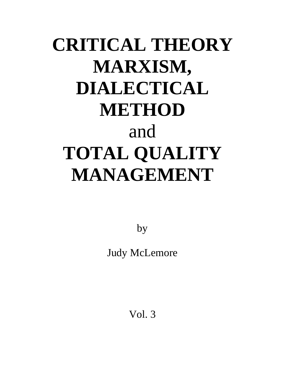# **CRITICAL THEORY MARXISM, DIALECTICAL METHOD**  and **TOTAL QUALITY MANAGEMENT**

by

Judy McLemore

Vol. 3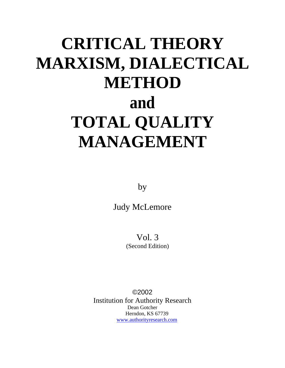## **CRITICAL THEORY MARXISM, DIALECTICAL METHOD and TOTAL QUALITY MANAGEMENT**

by

Judy McLemore

Vol. 3 (Second Edition)

©2002 Institution for Authority Research Dean Gotcher Herndon, KS 67739 [www.authorityresearch.com](http://www.authorityresearch.com/)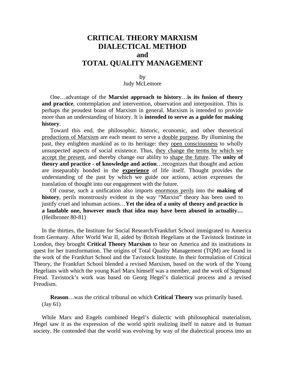### **CRITICAL THEORY MARXISM DIALECTICAL METHOD and TOTAL QUALITY MANAGEMENT**

#### by Judy McLemore

One…advantage of the **Marxist approach to history**…**is its fusion of theory and practice**, contemplation and intervention, observation and interposition. This is perhaps the proudest boast of Marxism in general. Marxism is intended to provide more than an understanding of history. It is **intended to serve as a guide for making history**.

Toward this end, the philosophic, historic, economic, and other theoretical productions of Marxism are each meant to serve a double purpose. By illumining the past, they enlighten mankind as to its heritage: they open consciousness to wholly unsuspected aspects of social existence. Thus, they change the terms by which we accept the present, and thereby change our ability to shape the future. The **unity of theory and practice - of knowledge and action**…recognizes that thought and action are inseparably bonded in the **experience** of life itself. Thought provides the understanding of the past by which we guide our actions, action expresses the translation of thought into our engagement with the future.

Of course, such a unification also imports enormous perils into the **making of history**, perils monstrously evident in the way "Marxist" theory has been used to justify cruel and inhuman actions…**Yet the idea of a unity of theory and practice is a laudable one, however much that idea may have been abused in actuality…** (Heilbroner 80-81)

In the thirties, the Institute for Social Research/Frankfurt School immigrated to America from Germany. After World War II, aided by British Hegelians at the Tavistock Institute in London, they brought **Critical Theory Marxism** to bear on America and its institutions in quest for her transformation. The origins of Total Quality Management (TQM) are found in the work of the Frankfurt School and the Tavistock Institute. In their formulation of Critical Theory, the Frankfurt School blended a revised Marxism, based on the work of the Young Hegelians with which the young Karl Marx himself was a member, and the work of Sigmund Freud. Tavistock's work was based on Georg Hegel's dialectical process and a revised Freudism.

**Reason**…was the critical tribunal on which **Critical Theory** was primarily based. (Jay 61)

While Marx and Engels combined Hegel's dialectic with philosophical materialism, Hegel saw it as the expression of the world spirit realizing itself in nature and in human society. He contended that the world was evolving by way of the dialectical process into an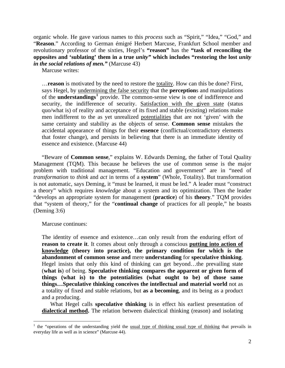organic whole. He gave various names to this *process* such as "Spirit," "Idea," "God," and "**Reason**." According to German émigré Herbert Marcuse, Frankfurt School member and revolutionary professor of the sixties, Hegel's **"reason"** has the **"task of reconciling the opposites and 'sublating' them in a true** *unity"* **which includes "restoring the lost** *unity in the social relations of men."* (Marcuse 43)

Marcuse writes:

…**reason** is motivated by the need to restore the totality. How can this be done? First, says Hegel, by undermining the false security that the **perception**s and manipulations of the **understandings[1](#page-84-0)** provide. The common-sense view is one of indifference and security, the indifference of security. Satisfaction with the given state (status quo/what is) of reality and acceptance of its fixed and stable (existing) relations make men indifferent to the as yet unrealized potentialities that are not 'given' with the same certainty and stability as the objects of sense. **Common sense** mistakes the accidental appearance of things for their **essence** (conflictual/contradictory elements that foster change), and persists in believing that there is an immediate identity of essence and existence. (Marcuse 44)

"Beware of **Common sense**," explains W. Edwards Deming, the father of Total Quality Management (TQM). This because he believes the use of common sense is the major problem with traditional management. "Education and government" are in "need of *transformation* to *think* and *act* in terms of a **system**" (Whole, Totality). But transformation is not automatic, says Deming, it "must be learned, it must be led." A leader must "construct a theory" which requires *knowledge* about a system and its optimization. Then the leader "develops an appropriate system for management (**practice**) of his **theory**." TQM provides that "system of theory," for the "**continual change** of practices for all people," he boasts (Deming 3:6)

Marcuse continues:

The identity of essence and existence…can only result from the enduring effort of **reason to create it**. It comes about only through a conscious **putting into action of knowledge (theory into practice), the primary condition for which is the abandonment of common sense and** mere **understanding** for **speculative thinking**. Hegel insists that only this kind of thinking can get beyond…the prevailing state (**what is**) of being. **Speculative thinking compares the apparent or given form of things (what is) to the potentialities (what ought to be) of those same things…Speculative thinking conceives the intellectual and material world** not as a totality of fixed and stable relations, but **as a becoming**, and its being as a product and a producing.

What Hegel calls **speculative thinking** is in effect his earliest presentation of **dialectical method.** The relation between dialectical thinking (reason) and isolating

<span id="page-84-0"></span><sup>&</sup>lt;sup>1</sup> the "operations of the understanding yield the <u>usual type of thinking usual type of thinking</u> that prevails in everyday life as well as in science" (Marcuse 44).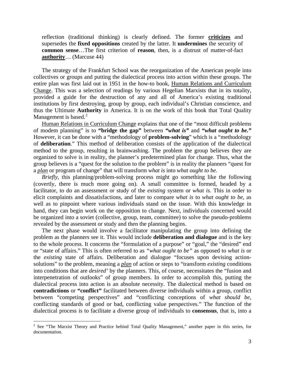reflection (traditional thinking) is clearly defined. The former **criticizes** and supersedes the **fixed oppositions** created by the latter. It **undermines** the security of **common sense**…The first criterion of **reason**, then, is a distrust of matter-of-fact **authority**… (Marcuse 44)

The strategy of the Frankfurt School was the reorganization of the American people into collectives or groups and putting the dialectical process into action within these groups. The entire plan was first laid out in 1951 in the how-to book, Human Relations and Curriculum Change. This was a selection of readings by various Hegelian Marxists that in its totality, provided a guide for the destruction of any and all of America's existing traditional institutions by first destroying, group by group, each individual's Christian conscience, and thus the Ultimate **Authority** in America. It is on the work of this book that Total Quality Management is based. $<sup>2</sup>$  $<sup>2</sup>$  $<sup>2</sup>$ </sup>

Human Relations in Curriculum Change explains that one of the "most difficult problems of modem planning" is to **"bridge the gap"** between *"what is"* and *"what ought to be."* However, it can be done with a "methodology of **problem-solving**" which is a "methodology of **deliberation**." This method of deliberation consists of the application of the dialectical method to the group, resulting in brainwashing. The problem the group believes they are organized to solve is in reality, the planner's predetermined plan for change. Thus, what the group believes is a "quest for the solution to the problem" is in reality the planners "quest for a *plan* or program of change" that will transform *what is* into *what ought to be.* 

*Briefly,* this planning/problem-solving process might go something like the following (covertly, there is much more going on). A small committee is formed, headed by a facilitator, to do an assessment or study of the *existing* system or *what is.* This in order to elicit complaints and dissatisfactions, and later to compare *what is* to *what ought to be,* as well as to pinpoint where various individuals stand on the issue. With this knowledge in hand, they can begin work on the opposition to change. Next, individuals concerned would be organized into a soviet (collective, group, team, committee) to solve the pseudo-problems revealed by the assessment or study and then the planning begins.

The next phase would involve a facilitator manipulating the group into defining the problem as the planners see it. This would include **deliberation and dialogue** and is the key to the whole process. It concerns the "formulation of a purpose" or "goal," the "desired" end or "state of affairs." This is often referred to as *"what ought to be"* as opposed to *what is* or the *existing* state of affairs. Deliberation and dialogue "focuses upon devising actionsolutions" to the problem, meaning a *plan* of action or steps to "transform *existing* conditions into conditions that are *desired'* by the planners. This, of course, necessitates the "fusion and interpenetration of outlooks" of group members. In order to accomplish this, putting the dialectical process into action is an absolute necessity. The dialectical method is based on **contradictions** or **"conflict"** facilitated between diverse individuals within a group, conflict between "competing perspectives" and "conflicting conceptions of *what should be,*  conflicting standards of good or bad, conflicting value perspectives." The function of the dialectical process is to facilitate a diverse group of individuals to **consensus**, that is, into a

 $\overline{a}$ 

<span id="page-85-0"></span><sup>&</sup>lt;sup>2</sup> See "The Marxist Theory and Practice behind Total Quality Management," another paper in this series, for documentation.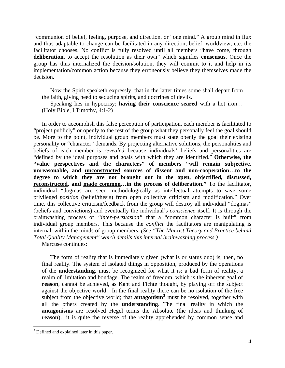"communion of belief, feeling, purpose, and direction, or "one mind." A group mind in flux and thus adaptable to change can be facilitated in any direction, belief, worldview, etc. the facilitator chooses. No conflict is fully resolved until all members "have come, through **deliberation**, to accept the resolution as their own" which signifies **consensus**. Once the group has thus internalized the decision/solution, they will commit to it and help in its implementation/common action because they erroneously believe they themselves made the decision.

Now the Spirit speaketh expressly, that in the latter times some shall depart from the faith, giving heed to seducing spirits, and doctrines of devils.

Speaking lies in hypocrisy; **having their conscience seared** with a hot iron… (Holy Bible, I Timothy, 4:1-2)

In order to accomplish this false perception of participation, each member is facilitated to "project publicly" or openly to the rest of the group what they personally feel the goal should be. More to the point, individual group members must state openly the goal their existing personality or "character" demands. By projecting alternative solutions, the personalities and beliefs of each member is *revealed* because individuals' beliefs and personalities are "defined by the ideal purposes and goals with which they are identified." **Otherwise, the "value perspectives and the characters" of members "will remain subjective, unreasonable, and unconstructed sources of dissent and non-cooperation…to the degree to which they are not brought out in the open, objectified, discussed, reconstructed, and made common…in the process of deliberation."** To the facilitator, individual "dogmas are seen methodologically as intellectual attempts to save some privileged *position* (belief/thesis) from open collective criticism and modification." Over time, this collective criticism/feedback from the group will destroy all individual "dogmas" (beliefs and convictions) and eventually the individual's *conscience* itself. It is through the brainwashing process of *"inter-persuasion"* that a "common character is built" from individual group members. This because the *conflict* the facilitators are manipulating is internal, within the minds of group members. *(See "The Marxist Theory and Practice behind Total Quality Management" which details this internal brainwashing process.)*  Marcuse continues:

The form of reality that is immediately given (what is or status quo) is, then, no final reality. The system of isolated things in opposition, produced by the operations of the **understanding**, must be recognized for what it is: a bad form of reality, a realm of limitation and bondage. The realm of freedom, which is the inherent goal of **reason**, cannot be achieved, as Kant and Fichte thought, by playing off the subject against the objective world…In the final reality there can be no isolation of the free subject from the objective world; that **antagonism[3](#page-86-0)** must be resolved, together with all the others created by the **understanding**. The final reality in which the **antagonisms** are resolved Hegel terms the Absolute (the ideas and thinking of **reason**)…it is quite the reverse of the reality apprehended by common sense and

 $\overline{a}$ 

<span id="page-86-0"></span><sup>&</sup>lt;sup>3</sup> Defined and explained later in this paper.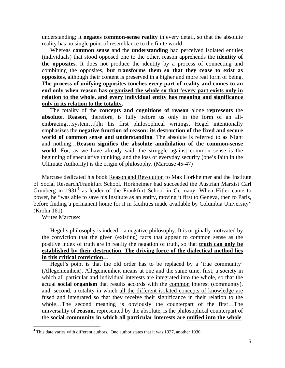understanding; it **negates common-sense reality** in every detail, so that the absolute reality has no single point of resemblance to the finite world

Whereas **common sense** and the **understanding** had perceived isolated entities (individuals) that stood opposed one to the other, reason apprehends the **identity of the opposites**. It does not produce the identity by a process of connecting and combining the opposites, **but transforms them so that they cease to exist as opposites**, although their content is preserved in a higher and more real form of being. **The process of unifying opposites touches every part of reality and comes to an end only when reason has organized the whole so that 'every part exists only in relation to the whole. and every individual entity has meaning and significance only in its relation to the totality.**

The totality of the **concepts and cognitions of reason** alone **represents** the **absolute**. **Reason**, therefore, is fully before us only in the form of an allembracing…system…[I]n his first philosophical writings, Hegel intentionally emphasizes the **negative function of reason: its destruction of the fixed and secure world of common sense and understanding**. The absolute is referred to as Night and nothing…**Reason signifies the absolute annihilation of the common-sense world**. For, as we have already said, the struggle against common sense is the beginning of speculative thinking, and the loss of everyday security (one's faith in the Ultimate Authority) is the origin of philosophy. (Marcuse 45-47)

Marcuse dedicated his book Reason and Revolution to Max Horkheimer and the Institute of Social Research/Frankfurt School. Horkheimer had succeeded the Austrian Marxist Carl Grunberg in  $1931<sup>4</sup>$  $1931<sup>4</sup>$  $1931<sup>4</sup>$  as leader of the Frankfurt School in Germany. When Hitler came to power, he "was able to save his Institute as an entity, moving it first to Geneva, then to Paris, before finding a permanent home for it in facilities made available by Columbia University" (Krohn 161).

Writes Marcuse:

 $\overline{a}$ 

Hegel's philosophy is indeed…a negative philosophy. It is originally motivated by the conviction that the given (existing) facts that appear to common sense as the positive index of truth are in reality the negation of truth, so that **truth can only be established by their destruction. The driving force of the dialectical method lies in this critical conviction…**

Hegel's point is that the old order has to be replaced by a 'true community' (Allegemeinheit). Allegemeinheit means at one and the same time, first, a society in which all particular and individual interests are integrated into the whole, so that the actual **social organism** that results accords with the common interest (community), and, second, a totality in which all the different isolated concepts of knowledge are fused and integrated so that they receive their significance in their relation to the whole…The second meaning is obviously the counterpart of the first…The universality of **reason**, represented by the absolute, is the philosophical counterpart of the **social community in which all particular interests are unified into the whole**.

<span id="page-87-0"></span><sup>&</sup>lt;sup>4</sup> This date varies with different authors. One author states that it was 1927, another 1930.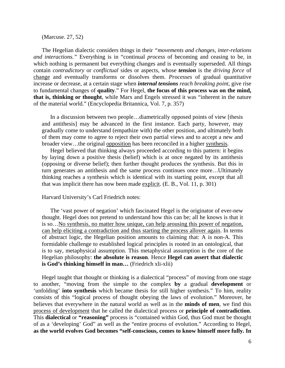#### (Marcuse. 27, 52)

The Hegelian dialectic considers things in their *"movements and changes, inter-relations and interactions."* Everything is in "continual *process* of becoming and ceasing to be, in which nothing is permanent but everything changes and is eventually superseded. All things contain *contradictory* or *conflictual* sides or aspects, whose *tension* is the *driving force* of change and eventually transforms or dissolves them. *Processes* of gradual quantitative increase or decrease, at a certain stage when *internal tensions reach breaking point,* give rise to fundamental changes of **quality**." For Hegel, **the focus of this process was on the mind, that is, thinking or thought**, while Marx and Engels stressed it was "inherent in the nature of the material world." (Encyclopedia Britannica, Vol. 7, p. 357)

In a discussion between two people…diametrically opposed points of view [thesis and antithesis] may be advanced in the first instance. Each party, however, may gradually come to understand (empathize with) the other position, and ultimately both of them may come to agree to reject their own partial views and to accept a new and broader view…the original opposition has been reconciled in a higher synthesis.

Hegel believed that thinking always proceeded according to this pattern: it begins by laying down a positive thesis (belief) which is at once negated by its antithesis (opposing or diverse belief); then further thought produces the synthesis. But this in turn generates an antithesis and the same process continues once more…Ultimately thinking reaches a synthesis which is identical with its starting point, except that all that was implicit there has now been made explicit. (E. B., Vol. 11, p. 301)

#### Harvard University's Carl Friedrich notes:

The 'vast power of negation' which fascinated Hegel is the originator of ever-new thought. Hegel does not pretend to understand how this can be; all he knows is that it is so…No synthesis. no matter how unique, can help arousing this power of negation, can help eliciting a contradiction and thus starting the process allover again. In terms of abstract logic, the Hegelian position amounts to claiming that: A is non-A. This formidable challenge to established logical principles is rooted in an ontological, that is to say, metaphysical assumption. This metaphysical assumption is the core of the Hegelian philosophy: **the absolute is reason**. Hence **Hegel can assert that dialectic is God's thinking himself in man…** (Friedrich xli-xlii)

Hegel taught that thought or thinking is a dialectical "process" of moving from one stage to another, "moving from the simple to the complex **by** a gradual **development** or 'unfolding' **into synthesis** which became thesis for still higher synthesis." To him, reality consists of this "logical process of thought obeying the laws of evolution." Moreover, he believes that everywhere in the natural world as well as in the **minds of men**, we find this process of development that he called the dialectical process or **principle of contradiction**. This **dialectical** or **"reasoning"** process is "contained within God, thus God must be thought of as a 'developing' God" as well as the "entire process of evolution." According to Hegel, **as the world evolves God becomes "self-conscious, comes to know himself more fully. In**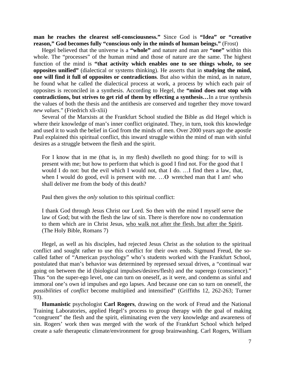**man he reaches the clearest self-consciousness."** Since God is **"Idea" or "creative reason," God becomes fully "conscious only in the minds of human beings."** (Frost)

Hegel believed that the universe is a **"whole"** and nature and man are **"one"** within this whole. The "processes" of the human mind and those of nature are the same. The highest function of the mind is **"that activity which enables one to see things whole, to see opposites unified"** (dialectical or systems thinking). He asserts that in **studying the mind, one will find it full of opposites or contradictions**. But also within the mind, as in nature, he found what he called the dialectical process at work, a process by which each pair of opposites is reconciled in a synthesis. According to Hegel, the **"mind does not stop with contradictions, but strives to get rid of them by effecting a synthesis…**In a true synthesis the values of both the thesis and the antithesis are conserved and together they move toward *new values*." (Friedrich xli-xlii)

Several of the Marxists at the Frankfurt School studied the Bible as did Hegel which is where their knowledge of man's inner conflict originated. They, in turn, took this knowledge and used it to wash the belief in God from the minds of men. Over 2000 years ago the apostle Paul explained this spiritual conflict, this inward struggle within the mind of man with sinful desires as a struggle between the flesh and the spirit.

For I know that in me (that is, in my flesh) dwelleth no good thing: for to will is present with me; but how to perform that which is good I find not. For the good that I would I do not: but the evil which I would not, that I do. …I find then a law, that, when I would do good, evil is present with me. ... O wretched man that I am! who shall deliver me from the body of this death?

Paul then gives the *only* solution to this spiritual conflict:

I thank God through Jesus Christ our Lord. So then with the mind I myself serve the law of God; but with the flesh the law of sin. There is therefore now no condemnation to them which are in Christ Jesus, who walk not after the flesh. but after the Spirit. (The Holy Bible, Romans 7)

Hegel, as well as his disciples, had rejected Jesus Christ as the solution to the spiritual conflict and sought rather to use this conflict for their own ends. Sigmund Freud, the socalled father of "American psychology" who's students worked with the Frankfurt School, postulated that man's behavior was determined by repressed sexual drives, a "continual war going on between the id (biological impulses/desires/flesh) and the superego (conscience)." Thus "on the super-ego level, one can turn on oneself, as it were, and condemn as sinful and immoral one's own id impulses and ego lapses. And because one can so turn on oneself, the *possibilities* of *conflict* become multiplied and intensified" (Griffiths 12, 262-263; Turner 93).

**Humanistic** psychologist **Carl Rogers**, drawing on the work of Freud and the National Training Laboratories, applied Hegel's process to group therapy with the goal of making "congruent" the flesh and the spirit, eliminating even the very knowledge and awareness of sin. Rogers' work then was merged with the work of the Frankfurt School which helped create a safe therapeutic climate/environment for group brainwashing. Carl Rogers, William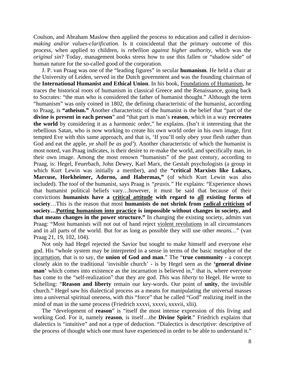Coulson, and Abraham Maslow then applied the process to education and called it *decisionmaking and/or values-clarification.* Is it coincidental that the primary outcome of this process, when applied to children, is *rebellion against higher authority,* which was the *original sin*? Today, management books stress how to use this fallen or "shadow side" of human nature for the so-called good of the corporation.

J. P. van Praag was one of the "leading figures" in secular **humanism**. He held a chair at the University of Leiden, served in the Dutch government and was the founding chairman of the **International Humanist and Ethical Union**. In his book, Foundations of Humanism, he traces the historical roots of humanism in classical Greece and the Renaissance, going back to Socrates: "the man who is considered the father of humanist thought." Although the term "humanism" was only coined in 1802, the defining characteristic of the humanist, according to Praag, is **"atheism."** Another characteristic of the humanist is the belief that "part of the **divine is present in each person**" and "that part is man's **reason**, which in a way **recreates the world** by considering it as a harmonic order," he explains. (Isn't it interesting that the rebellious Satan, who is now working to create his own world order in his own image, first tempted Eve with this same approach, and that is, 'If you'll only obey your flesh rather than God and eat the apple, *ye shall be as god'*). Another characteristic of which the humanist is most noted, van Praag indicates, is their desire to re-make the world, and specifically man, in their own image. Among the most renown "humanists" of the past century, according to Praag, is: Hegel, Feuerbach, John Dewey, Karl Marx, the Gestalt psychologists (a group in which Kurt Lewin was initially a member), and the **"critical Marxists like Lukacs, Marcuse, Horkheimer, Adorno, and Habermas,"** (of which Kurt Lewin was also included). The *tool* of the humanist, says Praag is *"praxis."* He explains: "Experience shows that humanist political beliefs vary…however, it must be said that because of their convictions **humanists have a critical attitude with regard to all existing forms of society**…This is the reason that most **humanists do not shrink from radical criticism of society…Putting humanism into practice is impossible without changes in society, and that means changes in the power structure."** In changing the existing society, admits van Praag: "Most humanists will not out of hand reject violent revolutions in all circumstances and in all parts of the world. But for as long as possible they will use other *means…*" (van Praag 21, 19, 102, 104).

Not only had Hegel rejected the Savior but sought to make himself and everyone else god. His "whole system may be interpreted in a sense in terms of the basic metaphor of the incarnation, that is to say, the **union of God and man**." The "**true community** - a concept closely akin to the traditional 'invisible church' - is by Hegel seen as the **'general divine man'** which comes into existence as the incarnation is believed in," that is, where everyone has come to the "self-realization" that they are god. *This* was *liberty* to Hegel. He wrote to Schelling: "**Reason and liberty** remain our key-words. Our point of **unity**, the invisible church." Hegel saw his dialectical process as a means for manipulating the universal masses into a universal spiritual oneness, with this "force" that he called "God" realizing itself in the mind of man in the same process (Friedrich xxxvi, xxxvi, xxxvii, xlii).

The "development of **reason**" is "itself the most intense expression of this living and working God. For it, namely **reason**, is itself…the **Divine Spirit**." Friedrich explains that dialectics is "intuitive" and not a type of deduction. "Dialectics is descriptive: descriptive of the process of thought which one must have experienced in order to be able to understand it."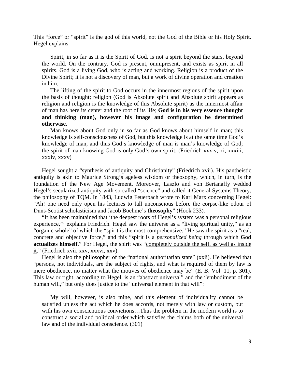This "force" or "spirit" is the god of this world, not the God of the Bible or his Holy Spirit. Hegel explains:

Spirit, in so far as it is the Spirit of God, is not a spirit beyond the stars, beyond the world. On the contrary, God is present, omnipresent, and exists as spirit in all spirits. God is a living God, who is acting and working. Religion is a product of the Divine Spirit; it is not a discovery of man, but a work of divine operation and creation in him.

The lifting of the spirit to God occurs in the innermost regions of the spirit upon the basis of thought; religion (God is Absolute spirit and Absolute spirit appears as religion and religion is the knowledge of this Absolute spirit) as the innermost affair of man has here its center and the root of its life; **God is in his very essence thought and thinking (man), however his image and configuration be determined otherwise.**

Man knows about God only in so far as God knows about himself in man; this knowledge is self-consciousness of God, but this knowledge is at the same time God's knowledge of man, and thus God's knowledge of man is man's knowledge of God; the spirit of man knowing God is only God's own spirit. (Friedrich xxxiv, xi, xxxiii, xxxiv, xxxv)

Hegel sought a "synthesis of antiquity and Christianity" (Friedrich xvii). His pantheistic antiquity is akin to Maurice Strong's ageless wisdom or theosophy, which, in turn, is the foundation of the New Age Movement. Moreover, Laszlo and von Bertanaffy wedded Hegel's secularized antiquity with so-called "science" and called it General Systems Theory, the philosophy of TQM. In 1843, Ludwig Feuerbach wrote to Karl Marx concerning Hegel: "Ah! one need only open his lectures to fall unconscious before the corpse-like odour of Duns-Scotist scholasticism and Jacob Boehme's **theosophy**" (Hook 233).

"It has been maintained that 'the deepest roots of Hegel's system was a personal religious experience,'" explains Friedrich. Hegel saw the universe as a "living spiritual unity," as an "organic whole" of which the "spirit is the most comprehensive." He saw the spirit as a "real, concrete and objective force," and this "spirit is a *personalized being* through which **God actualizes himself**." For Hegel, the spirit was "completely outside the self. as well as inside it." (Friedrich xvii, xxv, xxxvi, xxv).

Hegel is also the philosopher of the "national authoritarian state" (xxii). He believed that "persons, not individuals, are the subject of rights, and what is required of them by law is mere obedience, no matter what the motives of obedience may be" (E. B. Vol. 11, p. 301). This law or right, according to Hegel, is an "abstract universal" and the "embodiment of the human will," but only does justice to the "universal element in that will":

My will, however, is also mine, and this element of individuality cannot be satisfied unless the act which he does accords, not merely with law or custom, but with his own conscientious convictions…Thus the problem in the modern world is to construct a social and political order which satisfies the claims both of the universal law and of the individual conscience. (301)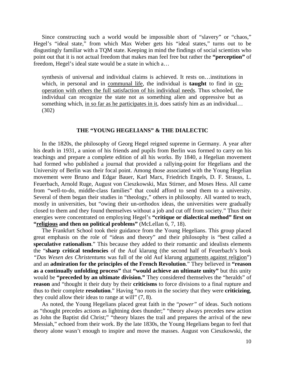Since constructing such a world would be impossible short of "slavery" or "chaos," Hegel's "ideal state," from which Max Weber gets his "ideal states," turns out to be disgustingly familiar with a TQM state. Keeping in mind the findings of social scientists who point out that it is not actual freedom that makes man feel free but rather the **"perception"** of freedom, Hegel's ideal state would be a state in which a…

synthesis of universal and individual claims is achieved. It rests on…institutions in which, in personal and in communal life, the individual is **taught** to find in cooperation with others the full satisfaction of his individual needs. Thus schooled, the individual can recognize the state not as something alien and oppressive but as something which, in so far as he participates in it, does satisfy him as an individual… (302)

#### **THE "YOUNG HEGELIANS" & THE DIALECTIC**

In the 1820s, the philosophy of Georg Hegel reigned supreme in Germany. A year after his death in 1931, a union of his friends and pupils from Berlin was formed to carry on his teachings and prepare a complete edition of all his works. By 1840, a Hegelian movement had formed who published a journal that provided a rallying-point for Hegelians and the University of Berlin was their focal point. Among those associated with the Young Hegelian movement were Bruno and Edgar Bauer, Karl Marx, Friedrich Engels, D. F. Strauss, L. Feuerbach, Arnold Ruge, August von Cieszkowski, Max Stirner, and Moses Hess. All came from "well-to-do, middle-class families" that could afford to send them to a university. Several of them began their studies in "theology," others in philosophy. All wanted to teach, mostly in universities, but "owing their un-orthodox ideas, the universities were gradually closed to them and they found themselves without a job and cut off from society." Thus their energies were concentrated on employing Hegel's **"critique or dialectical method" first on "religious and then on political problems"** (McLellan 6, 7, 18).

The Frankfurt School took their guidance from the Young Hegelians. This group placed great emphasis on the role of "ideas and theory" and their philosophy is "best called a **speculative rationalism**." This because they added to their romantic and idealists elements the "**sharp critical tendencies** of the Auf klarung (the second half of Feuerbach's book *"Das Wesen des Christentums* was full of the old Auf klarung arguments against religion") and an **admiration for the principles of the French Revolution**." They believed in **"reason as a continually unfolding process"** that **"would achieve an ultimate unity"** but this unity would be **"preceded by an ultimate division."** They considered themselves the "heralds" of **reason** and "thought it their duty by their **criticisms** to force divisions to a final rupture and thus to their complete **resolution**." Having "no roots in the society that they were **criticizing**, they could allow their ideas to range at will" (7, 8).

As noted, the Young Hegelians placed great faith in the "*power"* of ideas. Such notions as "thought precedes actions as lightning does thunder;" "theory always precedes new action as John the Baptist did Christ;" "theory blazes the trail and prepares the arrival of the new Messiah," echoed from their work. By the late 1830s, the Young Hegelians began to feel that theory alone wasn't enough to inspire and move the masses. August von Cieszkowski, the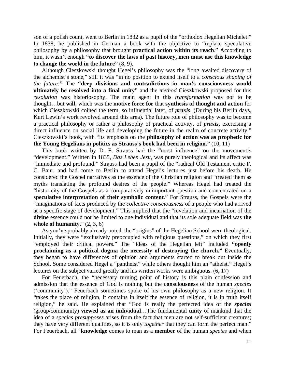son of a polish count, went to Berlin in 1832 as a pupil of the "orthodox Hegelian Michelet." In 1838, he published in German a book with the objective to "replace speculative philosophy by a philosophy that brought **practical action within its reach**." According to him, it wasn't enough **"to discover the laws of past history, men must use this knowledge to change the world in the future"** (8, 9).

Although Cieszkowski thought Hegel's philosophy was the "long awaited discovery of the alchemist's stone," still it was "in no position to extend itself to a *conscious shaping of the future."* The **"deep divisions and contradictions in man's consciousness would ultimately be resolved into a final unity"** and the *method* Cieszkowski proposed for this *resolution* was historiosophy. The main agent in this *transformation* was not to be thought…but **will**, which was the **motive force for** that **synthesis of thought and action** for which Cieszkowski coined the term, so influential later, of *praxis*. (During his Berlin days, Kurt Lewin's work revolved around this area). The future role of philosophy was to become a practical philosophy or rather a philosophy of practical activity, of *praxis,* exercising a direct influence on social life and developing the future in the realm of concrete activity." Cieszkowski's book, with "its emphasis on the **philosophy of action was as prophetic for the Young Hegelians in politics as Strauss's book had been in religion."** (10, 11)

This book written by D. F. Strauss had the "most influence" on the movement's "development." Written in 1835, *Das Leben Jesu,* was purely theological and its affect was "immediate and profound." Strauss had been a pupil of the "radical Old Testament critic F. C. Baur, and had come to Berlin to attend Hegel's lectures just before his death. He considered the Gospel narratives as the essence of the Christian religion and "treated them as myths translating the profound desires of the people." Whereas Hegel had treated the "historicity of the Gospels as a comparatively unimportant question and concentrated on a **speculative interpretation of their symbolic content**." For Strauss, the Gospels were the "imaginations of facts produced by the *collective consciousness* of a people who had arrived at a specific stage of development." This implied that the "revelation and incarnation of the **divine** essence could not be limited to one individual and that its sole adequate field was **the whole of humanity**." (2, 3, 6)

As you've probably already noted, the "origins" of the Hegelian School were theological. Initially, they were "exclusively preoccupied with religious questions," on which they first "employed their critical powers." The "ideas of the Hegelian left" included **"openly proclaiming as a political dogma the necessity of destroying the church."** Eventually, they began to have differences of opinion and arguments started to break out inside the School. Some considered Hegel a "pantheist" while others thought him an "atheist." Hegel's lectures on the subject varied greatly and his written works were ambiguous. (6, 17)

For Feuerbach, the "necessary turning point of history is this plain confession and admission that the essence of God is nothing but the **consciousness** of the human *species*  ('community')." Feuerbach sometimes spoke of his own philosophy as a new religion. It "takes the place of religion, it contains in itself the essence of religion, it is in truth itself religion," he said. He explained that "God is really the perfected idea of the *species* (group/community) **viewed as an individual**…The fundamental **unity** of mankind that the idea of a *species presupposes* arises from the fact that men are not self-sufficient creatures; they have very different qualities, so it is only *together* that they can form the perfect man." For Feuerbach, all "**knowledge** comes to man as a **member** of the human *species* and when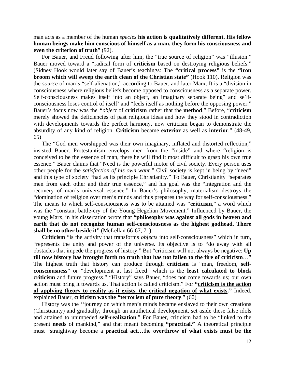man acts as a member of the human *species* **his action is qualitatively different. His fellow human beings make him conscious of himself as a man, they form his consciousness and even the criterion of truth**" (92).

For Bauer, and Freud following after him, the "true source of religion" was "illusion." Bauer moved toward a "radical form of **criticism** based on destroying religious beliefs." (Sidney Hook would later say of Bauer's teachings: The **"critical process"** is the **"iron broom which will sweep the earth clean of the Christian state"** (Hook 110). Religion was the *source* of man's "self-alienation," according to Bauer, and later Marx. It is a "division in consciousness where religious beliefs become opposed to consciousness as a separate power. Self-consciousness makes itself into an object, an imaginary separate being" and se1fconsciousness loses control of itself' and "feels itself as nothing before the opposing power." Bauer's focus now was the *"object* of **criticism** rather that the **method**." Before, "**criticism** merely showed the deficiencies of past religious ideas and how they stood in contradiction with developments towards the perfect harmony, now criticism began to demonstrate the absurdity of any kind of religion. **Criticism** became **exterior** as well as **interior**." (48-49, 65)

The "God men worshipped was their own imaginary, inflated and distorted reflection," insisted Bauer. Protestantism envelops men from the "inside" and where "religion is conceived to be the essence of man, there he will find it most difficult to grasp his own true essence." Bauer claims that "Need is the powerful motor of civil society. Every person uses other people for the *satisfaction of his own want."* Civil society is kept in being by "need" and this type of society "had as its principle Christianity." To Bauer, Christianity "separates men from each other and their true essence," and his goal was the "integration and the recovery of man's universal essence." In Bauer's philosophy, materialism destroys the "domination of religion over men's minds and thus prepares the way for self-consciousness." The means to which self-consciousness was to be attained was "**criticism**," a word which was the "constant battle-cry of the Young Hegelian Movement." Influenced by Bauer, the young Marx, in his dissertation wrote that **"philosophy was against all gods in heaven and earth that do not recognize human self-consciousness as the highest godhead. There shall be no other beside it"** (McLellan 66-67, 71).

**Criticism** "is the activity that transforms *objects* into self-consciousness" which in turn, "represents the unity and power of the universe. Its objective is to "do away with all obstacles that impede the progress of history." But "criticism will not always be negative: **Up till now history has brought forth no truth that has not fallen to the fire of criticism**…" The highest truth that history can produce through **criticism** is "man, freedom, **selfconsciousness**" or "development at last freed" which is the **least calculated to block criticism** and future progress." "History" says Bauer, "does not come towards us; our own action must bring it towards us. That action is called criticism." For **"criticism is the action of applying theory to reality as it exists, the critical negation of what exists."** Indeed, explained Bauer, **criticism was the "terrorism of pure theory**." (60)

History was the ''journey on which men's minds became enslaved to their own creations (Christianity) and gradually, through an antithetical development, set aside these false idols and attained to unimpeded **self-realization**." For Bauer, criticism had to be "linked to the present **needs** of mankind," and that meant becoming **"practical."** A theoretical principle must "straightway become a **practical act**…the **overthrow of what exists must be the**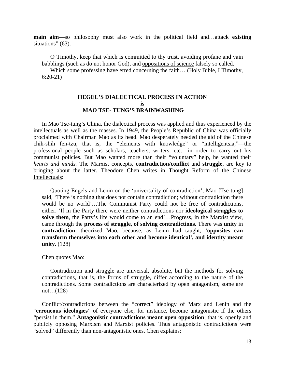**main aim—**so philosophy must also work in the political field and…attack **existing** situations" (63).

O Timothy, keep that which is committed to thy trust, avoiding profane and vain babblings (such as do not honor God), and oppositions of science falsely so called.

Which some professing have erred concerning the faith... (Holy Bible, I Timothy, 6:20-21)

#### **HEGEL'S DIALECTICAL PROCESS IN ACTION is MAO TSE- TUNG'S BRAINWASHING**

In Mao Tse-tung's China, the dialectical process was applied and thus experienced by the intellectuals as well as the masses. In 1949, the People's Republic of China was officially proclaimed with Chairman Mao as its head. Mao desperately needed the aid of the Chinese chih-shih fen-tzu, that is, the "elements with knowledge" or "intelligentsia,"—the professional people such as scholars, teachers, writers, etc.—in order to carry out his communist policies. But Mao wanted more than their "voluntary" help, he wanted their *hearts and minds.* The Marxist concepts, **contradiction/conflict** and **struggle**, are key to bringing about the latter. Theodore Chen writes in Thought Reform of the Chinese Intellectuals:

Quoting Engels and Lenin on the 'universality of contradiction', Mao [Tse-tung] said, 'There is nothing that does not contain contradiction; without contradiction there would be no world'...The Communist Party could not be free of contradictions, either. 'If in the Party there were neither contradictions nor **ideological struggles to solve them**, the Party's life would come to an end'…Progress, in the Marxist view, came through the **process of struggle, of solving contradictions**. There was **unity** in **contradiction**, theorized Mao, because, as Lenin had taught, **'opposites can transform themselves into each other and become identical', and identity meant unity**. (128)

#### Chen quotes Mao:

Contradiction and struggle are universal, absolute, but the methods for solving contradictions, that is, the forms of struggle, differ according to the nature of the contradictions. Some contradictions are characterized by open antagonism, some are not…(128)

Conflict/contradictions between the "correct" ideology of Marx and Lenin and the "**erroneous ideologies**" of everyone else, for instance, become antagonistic if the others "persist in them." **Antagonistic contradictions meant open opposition**; that is, openly and publicly opposing Marxism and Marxist policies. Thus antagonistic contradictions were "solved" differently than non-antagonistic ones. Chen explains: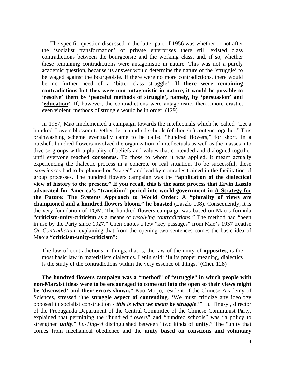The specific question discussed in the latter part of 1956 was whether or not after the 'socialist transformation' of private enterprises there still existed class contradictions between the bourgeoisie and the working class, and, if so, whether these remaining contradictions were antagonistic in nature. This was not a purely academic question, because its answer would determine the nature of the 'struggle' to be waged against the bourgeoisie. If there were no more contradictions, there would be no further need of a 'bitter class struggle'. **If there were remaining contradictions but they were non-antagonistic in nature, it would be possible to 'resolve' them by 'peaceful methods of struggle', namely, by 'persuasion' and 'education'**. If, however, the contradictions were antagonistic, then…more drastic, even violent, methods of struggle would be in order. (129)

In 1957, Mao implemented a campaign towards the intellectuals which he called "Let a hundred flowers blossom together; let a hundred schools (of thought) contend together." This brainwashing scheme eventually came to be called "hundred flowers," for short. In a nutshell, hundred flowers involved the organization of intellectuals as well as the masses into diverse groups with a plurality of beliefs and values that contended and dialogued together until everyone reached **consensus**. To those to whom it was applied, it meant actually experiencing the dialectic process in a concrete or real situation. To be successful, these *experiences* had to be planned or "staged" and lead by comrades trained in the facilitation of group processes. The hundred flowers campaign was the **"application of the dialectical view of history to the present." If you recall, this is the same process that Ervin Laszlo advocated for America's "transition" period into world government in A Strategy for the Future: The Systems Approach to World Order: A "plurality of views are championed and a hundred flowers bloom," he boasted** (Laszlo 108). Consequently, it is the very foundation of TQM. The hundred flowers campaign was based on Mao's formula "**criticism-unity-criticism** as a means of *resolving contradictions."* The method had "been in use by the Party since 1927." Chen quotes a few "key passages" from Mao's 1937 treatise *On Contradiction,* explaining that from the opening two sentences comes the basic idea of Mao's **"criticism-unity-criticism"**:

The law of contradictions in things, that is, the law of the unity of **opposites**, is the most basic law in materialists dialectics. Lenin said: 'In its proper meaning, dialectics is the study of the contradictions within the very essence of things.' (Chen 128)

**The hundred flowers campaign was a "method" of "struggle" in which people with non-Marxist ideas were to be encouraged to come out into the open so their views might be 'discussed' and their errors shown."** Kuo Mo-jo, resident of the Chinese Academy of Sciences, stressed "the **struggle aspect of contending**. 'We must criticize any ideology opposed to socialist construction - *this is what we mean by struggle*.'" Lu Ting-yi, director of the Propaganda Department of the Central Committee of the Chinese Communist Party, explained that permitting the "hundred flowers" and "hundred schools" was "a policy to strengthen *unity*." *Lu-Ting-yi* distinguished between "two kinds of **unity**." The "unity that comes from mechanical obedience and the **unity based on conscious and voluntary**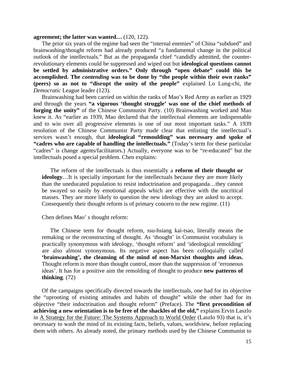#### **agreement; the latter was wanted…** (120, 122).

The prior six years of the regime had seen the "internal enemies" of China "subdued" and brainwashing/thought reform had already produced "a fundamental change in the political outlook of the intellectuals." But as the propaganda chief "candidly admitted, the counterrevolutionary elements could be suppressed and wiped out but **ideological questions cannot be settled by administrative orders." Only through "open debate" could this be accomplished. The** *contending* **was to be done by "the people within their own ranks" (peers) so as not to "disrupt the unity of the people"** explained Lo Lung-chi, the *Democratic* League leader (123).

Brainwashing had been carried on within the ranks of Mao's Red Army as earlier as 1929 and through the years **"a vigorous 'thought struggle' was one of the chief methods of forging the unity"** of the Chinese Communist Party. (10) Brainwashing worked and Mao knew it. As "earlier as 1939, Mao declared that the intellectual elements are indispensable and to win over all progressive elements is one of our most important tasks." A 1939 resolution of the Chinese Communist Party made clear that enlisting the intellectual's services wasn't enough, that **ideological "remoulding" was necessary and spoke of "cadres who are capable of handling the intellectuals."** (Today's term for these particular "cadres" is change agents/facilitators.) Actually, everyone was to be "re-educated" but the intellectuals posed a special problem. Chen explains:

The reform of the intellectuals is thus essentially a **reform of their thought or ideology**…It is specially important for the intellectuals because they are more likely than the uneducated population to resist indoctrination and propaganda…they cannot be swayed so easily by emotional appeals which are effective with the uncritical masses. They are more likely to question the new ideology they are asked to accept. Consequently their thought reform is of primary concern to the new regime. (11)

#### Chen defines Mao' s thought reform:

The Chinese term for thought reform, ssu-hsiang kai-tsao, literally means the remaking or the reconstructing of thought. As 'thought' in Communist vocabulary is practically synonymous with ideology, 'thought reform' and 'ideological remolding' are also almost synonymous. Its negative aspect has been colloquially called **'brainwashing', the cleansing of the mind of non-Marxist thoughts and ideas.** Thought reform is more than thought control, more than the suppression of 'erroneous ideas'. It has for a positive aim the remolding of thought to produce **new patterns of thinking**. (72)

Of the campaigns specifically directed towards the intellectuals, one had for its objective the "uprooting of existing attitudes and habits of thought" while the other had for its objective "their indoctrination and thought reform" (Preface). The **"first precondition of achieving a new orientation is to be free of the shackles of the old,"** explains Ervin Laszlo in A Strategy for the Future: The Systems Approach to World Order (Laszlo 93) that is, it's necessary to wash the mind of its existing facts, beliefs, values, worldview, before replacing them with others. As already noted, the primary methods used by the Chinese Communist to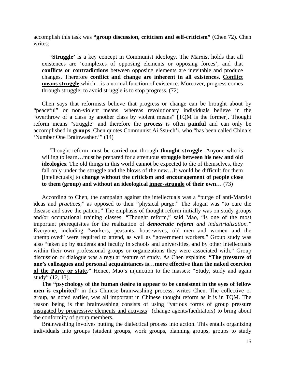accomplish this task was **"group discussion, criticism and self-criticism"** (Chen 72). Chen writes:

**'Struggle'** is a key concept in Communist ideology. The Marxist holds that all existences are 'complexes of opposing elements or opposing forces', and that **conflicts or contradictions** between opposing elements are inevitable and produce changes. Therefore **conflict and change are inherent in all existences. Conflict means struggle** which…is a normal function of existence. Moreover, progress comes through struggle; to avoid struggle is to stop progress. (72)

Chen says that reformists believe that progress or change can be brought about by "peaceful" or non-violent means, whereas revolutionary individuals believe in the "overthrow of a class by another class by violent means" [TQM is the former]. Thought reform means "struggle" and therefore the **process** is often **painful** and can only be accomplished in **groups**. Chen quotes Communist Ai Ssu-ch'i, who "has been called China's 'Number One Brainwasher.'" (14)

Thought reform must be carried out through **thought struggle**. Anyone who is willing to learn...must be prepared for a strenuous **struggle between his new and old ideologies**. The old things in this world cannot be expected to die of themselves, they fall only under the struggle and the blows of the new…It would be difficult for them [intellectuals] to **change without the criticism and encouragement of people close to them (group) and without an ideological inner-struggle of their own…** (73)

According to Chen, the campaign against the intellectuals was a "purge of anti-Marxist ideas and *practices,*" as opposed to their "physical purge." The slogan was "to cure the disease and save the patient." The emphasis of thought reform initially was on study groups and/or occupational training classes. "Thought reform," said Mao, "is one of the most important prerequisites for the realization of *democratic reform and industrialization."*  Everyone, including "workers, peasants, housewives, old men and women and the unemployed" were required to attend, as well as "government workers." Group study was also "taken up by students and faculty in schools and universities, and by other intellectuals within their own professional groups or organizations they were associated with." Group discussion or dialogue was a regular feature of study. As Chen explains: **"The pressure of one's colleagues and personal acquaintances is…more effective than the naked coercion of the Party or state."** Hence, Mao's injunction to the masses: "Study, study and again study" (12, 13).

**The "psychology of the human desire to appear to be consistent in the eyes of fellow men is exploited"** in this Chinese brainwashing process, writes Chen. The collective or group, as noted earlier, was all important in Chinese thought reform as it is in TQM. The reason being is that brainwashing consists of using "various forms of group pressure instigated by progressive elements and activists" (change agents/facilitators) to bring about the conformity of group members.

Brainwashing involves putting the dialectical process into action. This entails organizing individuals into groups (student groups, work groups, planning groups, groups to study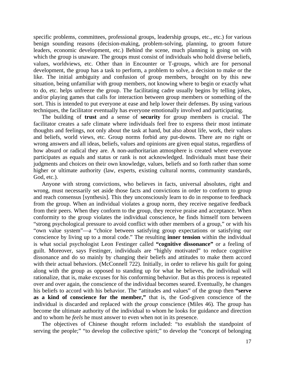specific problems, committees, professional groups, leadership groups, etc., etc.) for various benign sounding reasons (decision-making, problem-solving, planning, to groom future leaders, economic development, etc.) Behind the scene, much planning is going on with which the group is unaware. The groups must consist of individuals who hold diverse beliefs, values, worldviews, etc. Other than in Encounter or T-groups, which are for personal development, the group has a task to perform, a problem to solve, a decision to make or the like. The initial ambiguity and confusion of group members, brought on by this new situation, being unfamiliar with group members, not knowing where to begin or exactly what to do, etc. helps unfreeze the group. The facilitating cadre usually begins by telling jokes, and/or playing games that calls for interaction between group members or something of the sort. This is intended to put everyone at ease and help lower their defenses. By using various techniques, the facilitator eventually has everyone emotionally involved and participating.

The building of **trust** and a sense of **security** for group members is crucial. The facilitator creates a safe climate where individuals feel free to express their most intimate thoughts and feelings, not only about the task at hand, but also about life, work, their values and beliefs, world views, etc. Group norms forbid any put-downs. There are no right or wrong answers and all ideas, beliefs, values and opinions are given equal status, regardless of how absurd or radical they are. A non-authoritarian atmosphere is created where everyone participates as equals and status or rank is not acknowledged. Individuals must base their judgments and choices on their own knowledge, values, beliefs and so forth rather than some higher or ultimate authority (law, experts, existing cultural norms, community standards, God, etc.).

Anyone with strong convictions, who believes in facts, universal absolutes, right and wrong, must necessarily set aside those facts and convictions in order to conform to group and reach consensus [synthesis]. This they unconsciously learn to do in response to feedback from the group. When an individual violates a group norm, they receive negative feedback from their peers. When they conform to the group, they receive praise and acceptance. When conformity to the group violates the individual conscience, he finds himself torn between "strong psychological pressure to avoid conflict with other members of a group," or with his "own value system"—a "choice between satisfying group expectations or satisfying our conscience by living up to a moral code." The resulting **inner tension** within the individual is what social psychologist Leon Festinger called **"cognitive dissonance"** or a feeling of guilt. Moreover, says Festinger, individuals are "highly motivated" to reduce cognitive dissonance and do so mainly by changing their beliefs and attitudes to make them accord with their actual behaviors. (McConnell 722). Initially, in order to relieve his guilt for going along with the group as opposed to standing up for what he believes, the individual will rationalize, that is, make excuses for his conforming behavior. But as this process is repeated over and over again, the conscience of the individual becomes seared. Eventually, he changes his beliefs to accord with his behavior. The "attitudes and values" of the group then **"serve as a kind of conscience for the member,"** that is, the God-given conscience of the individual is discarded and replaced with the *group* conscience (Miles 46). The group has become the ultimate authority of the individual to whom he looks for guidance and direction and to whom he *feels* he must answer to even when not in its presence.

The objectives of Chinese thought reform included: "to establish the standpoint of serving the people;" "to develop the collective spirit;" to develop the "concept of belonging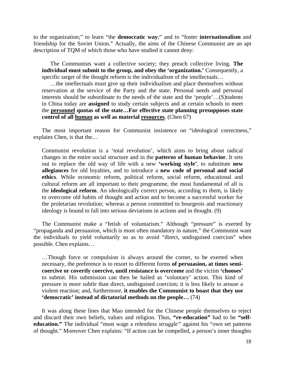to the organization;" to learn "the **democratic way**;" and to "foster **internationalism** and friendship for the Soviet Union." Actually, the aims of the Chinese Communist are an apt description of TQM of which those who have studied it cannot deny:

The Communists want a collective society; they preach collective living. **The individual must submit to the group, and obey the 'organization.'** Consequently, a specific target of the thought reform is the individualism of the intellectuals...

…the intellectuals must give up their individualism and place themselves without reservation at the service of the Party and the state. Personal needs and personal interests should be subordinate to the needs of the state and the 'people'…(S)tudents in China today are **assigned** to study certain subjects and at certain schools to meet the **personnel quotas of the state…For effective state planning presupposes state control of all human as well as material resources**. (Chen 67)

The most important reason for Communist insistence on "ideological correctness," explains Chen, is that the…

Communist revolution is a 'total revolution', which aims to bring about radical changes in the entire social structure and in the **patterns of human behavior**. It sets out to replace the old way of life with a new **'working style'**, to substitute **new allegiances** for old loyalties, and to introduce a **new code of personal and social ethics**. While economic reform, political reform, social reform, educational and cultural reform are all important to their programme, the most fundamental of all is the **ideological reform**. An ideologically correct person, according to them, is likely to overcome old habits of thought and action and to become a successful worker for the proletarian revolution; whereas a person committed to bourgeois and reactionary ideology is bound to fall into serious deviations in actions and in thought. (9)

The Communist make a "fetish of voluntarism." Although "pressure" is exerted by "propaganda and persuasion, which is most often mandatory in nature," the Communist want the individuals to yield voluntarily so as to avoid "direct, undisguised coercion" when possible. Chen explains…

…Though force or compulsion is always around the corner, to be exerted when necessary, the preference is to resort to different forms **of persuasion, at times semicoercive or covertly coercive, until resistance is overcome** and the victim **'chooses'** to submit. His submission can then be hailed as 'voluntary' action. This kind of pressure is more subtle than direct, undisguised coercion; it is less likely to arouse a violent reaction; and, furthermore, **it enables the Communist to boast that they use 'democratic' instead of dictatorial methods on the people…** (74)

It was along these lines that Mao intended for the Chinese people themselves to reject and discard their own beliefs, values and religion. Thus, **"re-education"** had to be **"selfeducation."** The individual "must wage a relentless *struggle"* against his "own set patterns of thought." Moreover Chen explains: "If action can be compelled, a person's inner thoughts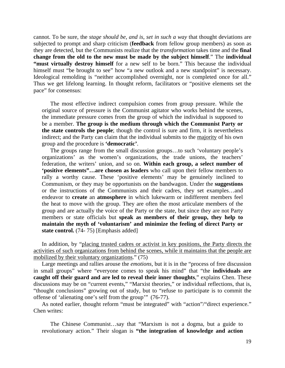cannot. To be sure, the *stage should be, and is, set in such a way* that thought deviations are subjected to prompt and sharp criticism (**feedback** from fellow group members) as soon as they are detected, but the Communists realize that the *transformation* takes time and the **final change from the old to the new must be made by the subject himself**." The **individual "must virtually destroy himself** for a new self to be born." This because the individual himself must "be brought to see" how "a new outlook and a new standpoint" is necessary. Ideological remolding is "neither accomplished overnight, nor is completed once for all." Thus we get lifelong learning. In thought reform, facilitators or "positive elements set the pace" for consensus:

The most effective indirect compulsion comes from group pressure. While the original source of pressure is the Communist agitator who works behind the scenes, the immediate pressure comes from the group of which the individual is supposed to be a member. **The group is the medium through which the Communist Party or the state controls the people**; though the control is sure and firm, it is nevertheless indirect; and the Party can claim that the individual submits to the majority of his own group and the procedure is **'democratic'**.

The groups range from the small discussion groups…to such 'voluntary people's organizations' as the women's organizations, the trade unions, the teachers' federation, the writers' union, and so on. **Within each group, a select number of 'positive elements"…are chosen as leaders** who call upon their fellow members to rally a worthy cause. These 'positive elements' may be genuinely inclined to Communism, or they may be opportunists on the bandwagon. Under the **suggestions** or the instructions of the Communists and their cadres, they set examples…and endeavor to **create** an **atmosphere** in which lukewarm or indifferent members feel the heat to move with the group. They are often the most articulate members of the group and are actually the voice of the Party or the state, but since they are not Party members or state officials but **speak as members of their group, they help to maintain the myth of 'voluntarism' and minimize the feeling of direct Party or state control.** (74- 75) [Emphasis added]

In addition, by "placing trusted cadres or activist in key positions, the Party directs the activities of such organizations from behind the scenes, while it maintains that the people are mobilized by their voluntary organizations." (75)

Large meetings and rallies arouse the *emotions,* but it is in the "process of free discussion in small groups" where "everyone comes to speak his mind" that "the **individuals are caught off their guard and are led to reveal their inner thoughts**," explains Chen. These discussions may be on "current events," "Marxist theories," or individual reflections, that is, "thought conclusions" growing out of study, but to "refuse to participate is to commit the offense of 'alienating one's self from the group'" (76-77).

As noted earlier, thought reform "must be integrated" with "action"/"direct experience." Chen writes:

The Chinese Communist…say that "Marxism is not a dogma, but a guide to revolutionary action." Their slogan is **"the integration of knowledge and action**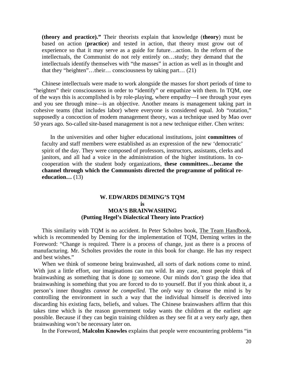**(theory and practice)."** Their theorists explain that knowledge (**theory**) must be based on action (**practice**) and tested in action, that theory must grow out of experience so that it may serve as a guide for future…action. In the reform of the intellectuals, the Communist do not rely entirely on…study; they demand that the intellectuals identify themselves with "the masses" in action as well as in thought and that they "heighten"…their… consciousness by taking part… (21)

Chinese intellectuals were made to work alongside the masses for short periods of time to "heighten" their consciousness in order to "identify" or empathize with them. In TQM, one of the ways this is accomplished is by role-playing, where empathy—I see through your eyes and you see through mine—is an objective. Another means is management taking part in cohesive teams (that includes labor) where everyone is considered equal. Job "rotation," supposedly a concoction of modem management theory, was a technique used by Mao over 50 years ago. So-called site-based management is not a new technique either. Chen writes:

In the universities and other higher educational institutions, joint **committees** of faculty and staff members were established as an expression of the new 'democratic' spirit of the day. They were composed of professors, instructors, assistants, clerks and janitors, and all had a voice in the administration of the higher institutions. In cocooperation with the student body organizations, **these committees…became the channel through which the Communists directed the programme of political reeducation…** (13)

#### **W. EDWARDS DEMING'S TQM is MOA'S BRAINWASHING (Putting Hegel's Dialectical Theory into Practice)**

This similarity with TQM is no accident. In Peter Scholtes book, The Team Handbook, which is recommended by Deming for the implementation of TQM, Deming writes in the Foreword: "Change is required. There is a process of change, just as there is a process of manufacturing. Mr. Scholtes provides the route in this book for change. He has my respect and best wishes."

When we think of someone being brainwashed, all sorts of dark notions come to mind. With just a little effort, our imaginations can run wild. In any case, most people think of brainwashing as something that is done *to* someone. Our minds don't grasp the idea that brainwashing is something that you are forced to do to yourself. But if you think about it, a person's inner thoughts *cannot be compelled.* The *only* way to cleanse the mind is by controlling the environment in such a way that the individual himself is deceived into discarding his existing facts, beliefs, and values. The Chinese brainwashers affirm that this takes time which is the reason government today wants the children at the earliest age possible. Because if they can begin training children as they see fit at a very early age, then brainwashing won't be necessary later on.

In the Foreword, **Malcolm Knowles** explains that people were encountering problems "in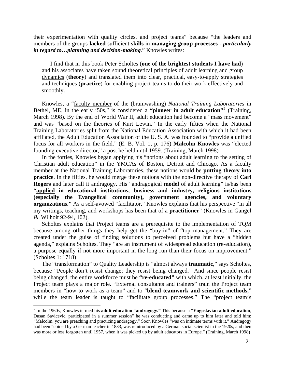their experimentation with quality circles, and project teams" because "the leaders and members of the groups **lacked** sufficient **skills** in **managing group processes -** *particularly in regard to…planning and decision-making*." Knowles writes:

I find that in this book Peter Scholtes (**one of the brightest students I have had**) and his associates have taken sound theoretical principles of adult learning and group dynamics (**theory**) and translated them into clear, practical, easy-to-apply strategies and techniques (**practice**) for enabling project teams to do their work effectively and smoothly.

Knowles, a "faculty member of the (brainwashing) *National Training Laboratories* in Bethel, ME, in the early '[5](#page-103-0)0s," is considered a "pioneer in adult education"<sup>5</sup> (Training, March 1998). By the end of World War II, adult education had become a "mass movement" and was "based on the theories of Kurt Lewin." In the early fifties when the National Training Laboratories split from the National Education Association with which it had been affiliated, the Adult Education Association of the U. S. A. was founded to "provide a unified focus for all workers in the field." (E. B. Vol. 1, p. 176) **Malcolm Knowles** was "elected founding executive director," a post he held until 1959. (Training, March 1998)

In the forties, Knowles began applying his "notions about adult learning to the setting of Christian adult education" in the YMCAs of Boston, Detroit and Chicago. As a faculty member at the National Training Laboratories, these notions would be **putting theory into practice**. In the fifties, he would merge these notions with the non-directive therapy of **Carl Rogers** and later call it andragogy. His "andragogical **model** of adult learning" is/has been **"applied in educational institutions, business and industry, religious institutions (especially the Evangelical community), government agencies, and voluntary organizations."** As a self-avowed "facilitator," Knowles explains that his perspective "in all my writings, teaching, and workshops has been that of a **practitioner**" (Knowles in Gangel & Wilhoit 92-94, 102).

Scholtes explains that Project teams are a prerequisite to the implementation of TQM because among other things they help get the "buy-in" of "top management." They are created under the guise of finding solutions to perceived problems but have a "hidden agenda," explains Scholtes. They "are an instrument of widespread education (re-education), a purpose equally if not more important in the long run than their focus on improvement." (Scholtes 1: 1718)

The "transformation" to Quality Leadership is "almost always **traumatic**," says Scholtes, because "People don't resist change; they resist being changed." And since people resist being changed, the entire workforce must be **"re-educated"** with which, at least initially, the Project team plays a major role. "External consultants and trainers" train the Project team members in "how to work as a team" and to "**blend teamwork and scientific methods,**" while the team leader is taught to "facilitate group processes." The "project team's

<span id="page-103-0"></span> 5 In the 1960s, Knowles termed his **adult education "andragogy."** This because a "**Yugoslavian adult education**, Dusan Savicevic, participated in a summer session" he was conducting and came up to him later and told him: "Malcolm, you are preaching and practicing andragogy." Soon Knowles "was on intimate terms with it." Andragogy had been "coined by a German teacher in 1833, was reintroduced by a German social scientist in the 1920s, and then was more or less forgotten until 1957, when it was picked up by adult educators in Europe." (Training, March 1998)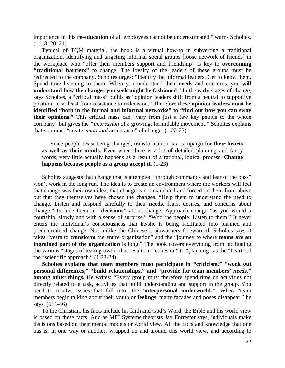importance in this **re-education** of all employees cannot be underestimated," warns Scholtes. (1: 18, 20, 21)

Typical of TQM material, the book is a virtual how-to in subverting a traditional organization. Identifying and targeting informal social groups [loose network of friends] in the workplace who "offer their members support and friendship" is key to **overcoming "traditional barriers"** to change. The loyalty of the leaders of these groups must be redirected to the company. Scholtes urges: "Identify the informal leaders. Get to know them. Spend time listening to them. When you understand their **needs** and concerns, you **will understand how the changes you seek might be fashioned**." In the early stages of change, says Scholtes, a "critical mass" builds as "opinion leaders shift from a neutral to supportive position, or at least from resistance to indecision." Therefore these **opinion leaders must be identified "both in the formal and informal networks" to "find out how you can sway their opinions."** This critical mass can "vary from just a few key people to the whole company" but gives the *"impression* of a growing, formidable movement." Scholtes explains that you must "create *emotional* acceptance" of change: (1:22-23)

Since people resist being changed, transformation is a campaign for **their hearts as well as their minds.** Even when there is a lot of detailed planning and fancy words, very little actually happens as a result of a rational, logical process. **Change happens because people as a group accept it.** (1-23)

Scholtes suggests that change that is attempted "through commands and fear of the boss" won't work in the long run. The idea is to create an environment where the workers will feel that change was their own idea, that change is not mandated and forced on them from above but that they themselves have chosen the changes. "Help them to understand the need to change. Listen and respond carefully to their **needs**, fears, desires, and concerns about change." Include them in **"decisions"** about change. Approach change "as you would a courtship, slowly and with a sense of surprise." "Woo the people. Listen to them." It never enters the individual's consciousness that he/she is being facilitated into planned and predetermined change. Not unlike the Chinese brainwashers forewarned, Scholtes says it takes "years to **transform** the entire organization" and the "journey to where **teams are an ingrained part of the organization** is long." The book covers everything from facilitating the various "stages of team growth" that results in "cohesion" to "planning" as the "heart" of the "scientific approach." (1:23-24)

Scholtes explains that team members must participate in "criticism," "work out **personal differences," "build relationships," and "provide for team members'** *needs***," among other things.** He writes: "Every group must therefore spend time on activities not directly related to a task, activities that build understanding and support in the group. You need to resolve issues that fall into…the **'interpersonal underworld.'**" When "team members begin talking about their youth or **feelings**, many facades and poses disappear," he says. (6: 1-46)

To the Christian, his facts include his faith and God's Word, the Bible and his world view is based on these facts. And as MIT Systems theorists Jay Forrester says, individuals make decisions based on their mental models or world view. All the facts and knowledge that one has is, in one way or another, wrapped up and around this world view, and according to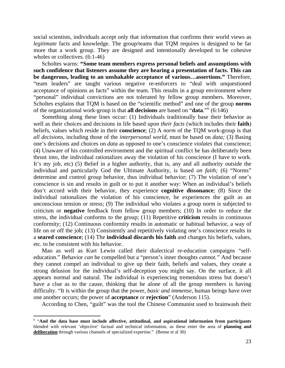social scientists, individuals accept only that information that confirms their world views as *legitimate* facts and knowledge. The group/teams that TQM requires is designed to be far more that a work group. They are designed and intentionally developed to be cohesive wholes or collectives.  $(6:1-46)$ 

Scholtes warns: **"Some team members express personal beliefs and assumptions with such confidence that listeners assume they are hearing a presentation of facts. This can be dangerous, leading to an unshakable acceptance of various…assertions."** Therefore, "team leaders" are taught various negative re-enforcers to "deal with unquestioned acceptance of opinions as facts" within the team. This results in a group environment where "personal" individual convictions are not tolerated by fellow group members. Moreover, Scholtes explains that TQM is based on the "scientific method" and one of the group **norms** of the organizational work-group is that **all decisions** are based on "**data**."[6](#page-105-0) (6:146)

Something along these lines occur: (1) Individuals traditionally base their behavior as well as their choices and decisions in life based upon *their facts* (which includes their **faith**) beliefs, values which reside in their **conscience**; (2) A *norm* of the TQM work-group is that *all decisions,* including those of the *interpersonal world,* must be based on *data;* (3) Basing one's decisions and choices on *data* as opposed to one's conscience *violates* that conscience; (4) Unaware of his controlled environment and the spiritual conflict he has deliberately been thrust into, the individual rationalizes away the violation of his conscience (I have to work. It's my job, etc) (5) Belief in a higher authority, that is, any and all authority outside the individual and particularly God the Ultimate Authority, is based *on faith;* (6) "Norms" determine and control group behavior, thus individual behavior; (7) The violation of one's conscience is sin and results in guilt or to put it another way: When an individual's beliefs don't accord with their behavior, they experience **cognitive dissonance**; (8) Since the individual rationalizes the violation of his conscience, he experiences the guilt as an unconscious tension or stress; (9) The individual who violates a group norm is subjected to criticism or **negative** feedback from fellow group members; (10) In order to reduce the stress, the individual conforms to the group; (11) Repetitive **criticism** results in continuous conformity; (12) Continuous conformity results in automatic or habitual behavior, a way of life on or off the job; (13) Consistently and repetitively violating one's conscience results in a **seared conscience**; (14) The **individual discards his faith** and changes his beliefs, values, etc. to be consistent with his behavior.

Mao as well as Kurt Lewin called their dialectical re-education campaigns "selfeducation." Behavior *can* be compelled but a "person's inner thoughts *cannot."* And because they cannot compel an individual to give up their faith, beliefs and values, they create a strong delusion for the individual's self-deception you might say. On the surface, it all appears normal and natural. The individual is experiencing tremendous stress but doesn't have a clue as to the cause, thinking that he alone of all the group members is having difficulty. "It is within the group that the power, *basic and immense,* human beings have over one another occurs; the power of **acceptance** or **rejection**" (Anderson 115).

According to Chen, "guilt" was the tool the Chinese Communist used to brainwash their

 $\overline{a}$ 

<span id="page-105-0"></span><sup>&</sup>lt;sup>6</sup> "And the data base must include affective, attitudinal, and aspirational information from participants blended with relevant 'objective' factual and technical information, as these enter the area of **planning and deliberation** through various channels of specialized expertise." (Benne et al 30)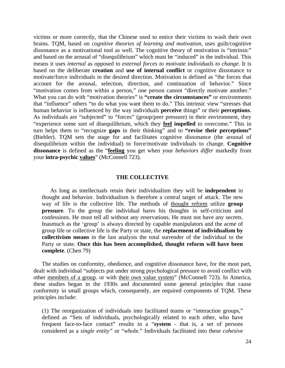victims or more correctly, that the Chinese used to entice their victims to wash their own brains. TQM, based on *cognitive theories of learning and motivation,* uses guilt/cognitive dissonance as a motivational tool as well. The cognitive theory of motivation is "intrinsic" and based on the arousal of "disequilibrium" which must be "induced" in the individual. This means it uses *internal* as opposed to *external forces to motivate individuals to change.* It is based on the deliberate **creation** and **use of internal conflict** or cognitive dissonance to motivate/force individuals in the desired direction. Motivation is defined as "the forces that account for the arousal, selection, direction, and continuation of behavior." Since "motivation comes from within a person," one person cannot "directly motivate another." What you can do with "motivation theories" is "**create the circumstances**" or environments that "influence" others "to do what you want them to do." This intrinsic view "stresses that human behavior is influenced by the way individuals **perceive** things" or their **perceptions**. As individuals are "subjected" to "forces" (group/peer pressure) in their environment, they "experience some sort of disequilibrium, which they **feel impelled** to overcome." This in turn helps them to "recognize **gaps** in their thinking" and to **"revise their perceptions"** (Biehler). TQM sets the stage for and facilitates cognitive dissonance (the arousal of disequilibrium within the individual) to force/motivate individuals to change. **Cognitive dissonance** is defined as the "**feeling** you get when your *behaviors differ* markedly from your **intra-psychic values**" (McConnell 723).

#### **THE COLLECTIVE**

As long as intellectuals retain their individualism they will be **independent** in thought and behavior. Individualism is therefore a central target of attack. The new way of life is the collective life. The methods of thought reform utilize **group pressure**. To the group the individual bares his thoughts in self-criticism and confessions. He must tell all without any reservations. He must not have any secrets. Inasmuch as the 'group' is always directed by capable manipulators and the acme of group life or collective life is the Party or state, the **replacement of individualism by collectivism means** in the last analysis the total surrender of the individual to the Party or state. **Once this has been accomplished, thought reform will have been complete**. (Chen 79)

The studies on conformity, obedience, and cognitive dissonance have, for the most part, dealt with individual "subjects put under strong psychological pressure to avoid conflict with other members of a group. or with their own value system" (McConnell 723). In America, these studies began in the 1930s and documented some general principles that cause conformity in small groups which, consequently, are required components of TQM. These principles include:

(1) The reorganization of individuals into facilitated teams or "interaction groups," defined as "Sets of individuals, psychologically related to each other, who have frequent face-to-face contact" results in a "**system** - that is, a set of persons considered as a *single entity"* or "whole." Individuals facilitated into these *cohesive*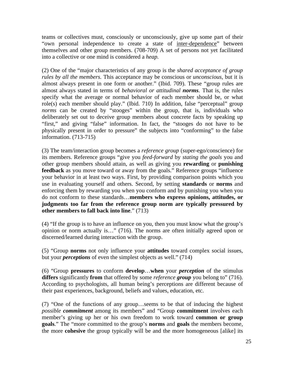teams or collectives must, consciously or unconsciously, give up some part of their "own personal independence to create a state of inter-dependence" between themselves and other group members. (708-709) A set of persons not yet facilitated into a collective or one mind is considered a *heap.* 

(2) One of the "major characteristics of any group is the *shared acceptance of group rules by all the members.* This acceptance may be conscious or *unconscious,* but it is almost always present in one form or another." (Ibid. 709). These "group rules are almost always stated in terms of *behavioral or attitudinal norms.* That is, the rules specify what the average or normal behavior of each member should be, or what role(s) each member should play." (Ibid. 710) In addition, false "perceptual" group *norms* can be created by "stooges" within the group, that is, individuals who deliberately set out to deceive group members about concrete facts by speaking up "first," and giving "false" information. In fact, the "stooges do not have to be physically present in order to pressure" the subjects into "conforming" to the false information. (713-715)

(3) The team/interaction group becomes a *reference group* (super-ego/conscience) for its members. Reference groups "give you *feed-forward* by *stating the goals* you and other group members should attain, as well as giving you **rewarding** or **punishing feedback** as you move toward or away from the goals." Reference groups "influence your behavior in at least two ways. First, by providing comparison points which you use in evaluating yourself and others. Second, by setting **standards** or **norms** and enforcing them by rewarding you when you conform and by punishing you when you do not conform to these standards…**members who express opinions, attitudes, or judgments too far from the reference group norm are typically pressured by other members to fall back into line**." (713)

(4) "If the group is to have an influence on you, then you must know what the group's opinion or norm actually is…" (716). The norms are often initially agreed upon or discerned/learned during interaction with the group.

(5) "Group **norms** not only influence your **attitudes** toward complex social issues, but your *perceptions* of even the simplest objects as well." (714)

(6) "Group **pressures** to conform **develop**…**when** your *perception* of the stimulus **differs** significantly **from** that offered by some *reference group* you belong to" (716). According to psychologists, all human being's perceptions are different because of their past experiences, background, beliefs and values, education, etc.

(7) "One of the functions of any group…seems to be that of inducing the highest *possible commitment* among its members" and "Group **commitment** involves each member's giving up her or his own freedom to work toward **common or group goals**." The "more committed to the group's **norms** and **goals** the members become, the more **cohesive** the group typically will be and the more homogeneous [alike] its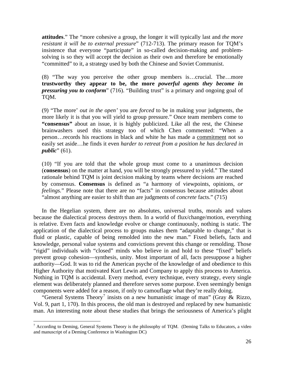**attitudes**." The "more cohesive a group, the longer it will typically last and *the more resistant it will be to external pressure*" (712-713). The primary reason for TQM's insistence that everyone "participate" in so-called decision-making and problemsolving is so they will accept the decision as their own and therefore be emotionally "committed" to it, a strategy used by both the Chinese and Soviet Communist.

(8) "The way you perceive the other group members is…crucial. The…more **trustworthy they appear to be, the more** *powerful agents they become in pressuring you to conform*" (716). "Building trust" is a primary and ongoing goal of TQM.

(9) "The more' *out in the open'* you are *forced* to be in making your judgments, the more likely it is that you will yield to group pressure." Once team members come to **"consensus"** about an issue, it is highly publicized. Like all the rest, the Chinese brainwashers used this strategy too of which Chen commented: "When a person…records his reactions in black and white he has made a commitment not so easily set aside…he finds it even *harder to retreat from a position he has declared in public*" (61).

(10) "If you are told that the whole group must come to a unanimous decision (**consensus**) on the matter at hand, you will be strongly pressured to yield." The stated rationale behind TQM is joint decision making by teams where decisions are reached by consensus. **Consensus** is defined as "a harmony of viewpoints, opinions, *or feelings.*" Please note that there are no "facts" in consensus because attitudes about "almost anything are easier to shift than are judgments of *concrete* facts." (715)

In the Hegelian system, there are no absolutes, universal truths, morals and values because the dialectical process destroys them. In a world of flux/change/motion, everything is relative. Even facts and knowledge evolve or change continuously, nothing is static. The application of the dialectical process to groups makes them "adaptable to change," that is fluid or plastic, capable of being remolded into the new man." Fixed beliefs, facts and knowledge, personal value systems and convictions prevent this change or remolding. Those "rigid" individuals with "closed" minds who believe in and hold to these "fixed" beliefs prevent group cohesion—synthesis, unity. Most important of all, facts presuppose a higher authority—God. It was to rid the American psyche of the knowledge of and obedience to this Higher Authority that motivated Kurt Lewin and Company to apply this process to America. Nothing in TQM is accidental. Every method, every technique, every strategy, every single element was deliberately planned and therefore serves some purpose. Even seemingly benign components were added for a reason, if only to camouflage what they're really doing.

"General Systems Theory<sup>[7](#page-108-0)</sup> insists on a new humanistic image of man" (Gray & Rizzo, Vol. 9, part 1, 170). In this process, the old man is destroyed and replaced by new humanistic man. An interesting note about these studies that brings the seriousness of America's plight

<span id="page-108-0"></span> $7$  According to Deming, General Systems Theory is the philosophy of TQM. (Deming Talks to Educators, a video and manuscript of a Deming Conference in Washington DC)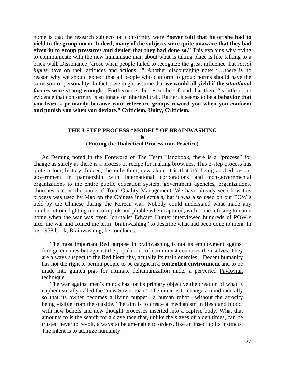home is that the research subjects on conformity were **"never told that he or she had to yield to the group norm. Indeed, many of the subjects were quite unaware that they had given in to group pressures and denied that they had done so."** This explains why trying to communicate with the new humanistic man about what is taking place is like talking to a brick wall. Dissonance "arose when people failed to recognize the great influence that *social inputs* have on their attitudes and actions..." Another discouraging note: "...there is no reason why we should expect that all people who conform to group norms should have the same sort of personality. In fact…we might assume that **we would all yield if the** *situational factors* **were strong enough**." Furthermore, the researchers found that there "is little or no evidence that conformity is an innate or inherited trait. Rather, it seems to be a **behavior that you learn - primarily because your reference groups reward you when you conform and punish you when you deviate." Criticism, Unity, Criticism.**

### **THE 3-STEP PROCESS "MODEL" OF BRAINWASHING is (Putting the Dialectical Process into Practice)**

As Deming noted in the Foreword of The Team Handbook, there is a "process" for change as surely as there is a process or recipe for making brownies. This 3-step process has quite a long history. Indeed, the only thing new about it is that it's being applied by our government in partnership with international corporations and non-governmental organizations to the entire public education system, government agencies, organizations, churches, etc. in the name of Total Quality Management. We have already seen how this process was used by Mao on the Chinese intellectuals, but it was also used on our POW's held by the Chinese during the Korean war. Nobody could understand what made any number of our fighting men turn pink and pliable when captured, with some refusing to come home when the war was over. Journalist Edward Hunter interviewed hundreds of POW s after the war and coined the term "brainwashing" to describe what had been done to them. In his 1958 book, Brainwashing, he concludes:

The most important Red purpose in brainwashing is not its employment against foreign enemies but against the populations of communist countries themselves. They are always suspect to the Red hierarchy, actually its main enemies…Decent humanity has not the right to permit people to be caught in a **controlled environment** and to be made into guinea pigs for ultimate dehumanization under a perverted Pavlovian technique.

The war against men's minds has for its primary objective the creation of what is euphemistically called the "new Soviet man." The intent is to change a mind radically so that its owner becomes a living puppet—a human robot—without the atrocity being visible from the outside. The aim is to create a mechanism in flesh and blood, with new beliefs and new thought processes inserted into a captive body. What that amounts to is the search for a slave race that, unlike the slaves of olden times, can be trusted never to revolt, always to be amenable to orders, like an insect to its instincts. The intent is to atomize humanity.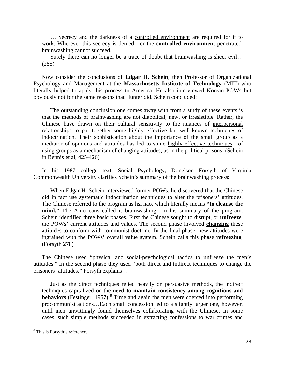… Secrecy and the darkness of a controlled environment are required for it to work. Wherever this secrecy is denied…or the **controlled environment** penetrated, brainwashing cannot succeed.

Surely there can no longer be a trace of doubt that brainwashing is sheer evil… (285)

Now consider the conclusions of **Edgar H. Schein**, then Professor of Organizational Psychology and Management at the **Massachusetts Institute of Technology** (MIT) who literally helped to apply this process to America. He also interviewed Korean POWs but obviously not for the same reasons that Hunter did. Schein concluded:

The outstanding conclusion one comes away with from a study of these events is that the methods of brainwashing are not diabolical, new, or irresistible. Rather, the Chinese have drawn on their cultural sensitivity to the nuances of interpersonal relationships to put together some highly effective but well-known techniques of indoctrination. Their sophistication about the importance of the small group as a mediator of opinions and attitudes has led to some highly effective techniques…of using groups as a mechanism of changing attitudes, as in the political prisons. (Schein in Bennis et al, 425-426)

In his 1987 college text, Social Psychology, Donelson Forsyth of Virginia Commonwealth University clarifies Schein's summary of the brainwashing process:

When Edgar H. Schein interviewed former POWs, he discovered that the Chinese did in fact use systematic indoctrination techniques to alter the prisoners' attitudes. The Chinese referred to the program as hsi nao, which literally means **"to cleanse the mind."** The Americans called it brainwashing…In his summary of the program, Schein identified three basic phases. First the Chinese sought to disrupt, or **unfreeze**, the POWs' current attitudes and values. The second phase involved **changing** these attitudes to conform with communist doctrine. In the final phase, new attitudes were ingrained with the POWs' overall value system. Schein calls this phase **refreezing**. (Forsyth 278)

The Chinese used "physical and social-psychological tactics to unfreeze the men's attitudes." In the second phase they used "both direct and indirect techniques to change the prisoners' attitudes." Forsyth explains…

Just as the direct techniques relied heavily on persuasive methods, the indirect techniques capitalized on the **need to maintain consistency among cognitions and behaviors** (Festinger, 1957).<sup>[8](#page-110-0)</sup> Time and again the men were coerced into performing procommunist actions…Each small concession led to a slightly larger one, however, until men unwittingly found themselves collaborating with the Chinese. In some cases, such simple methods succeeded in extracting confessions to war crimes and

<span id="page-110-0"></span><sup>&</sup>lt;sup>8</sup> This is Forsyth's reference.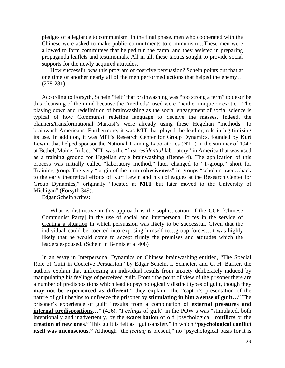pledges of allegiance to communism. In the final phase, men who cooperated with the Chinese were asked to make public commitments to communism…These men were allowed to form committees that helped run the camp, and they assisted in preparing propaganda leaflets and testimonials. All in all, these tactics sought to provide social supports for the newly acquired attitudes.

How successful was this program of coercive persuasion? Schein points out that at one time or another nearly all of the men performed actions that helped the enemy… (278-281)

According to Forsyth, Schein "felt" that brainwashing was "too strong a term" to describe this cleansing of the mind because the "methods" used were "neither unique or exotic." The playing down and redefinition of brainwashing as the social engagement of social science is typical of how Communist redefine language to deceive the masses. Indeed, the planners/transformational Marxist's were already using these Hegelian "methods" to brainwash Americans. Furthermore, it was MIT that played the leading role in legitimizing its use. In addition, it was MIT's Research Center for Group Dynamics, founded by Kurt Lewin, that helped sponsor the National Training Laboratories (NTL) in the summer of 1947 at Bethel, Maine. In fact, NTL was the "first *residential* laboratory" in America that was used as a training ground for Hegelian style brainwashing (Benne 4). The application of this process was initially called "laboratory method," later changed to "T-group," short for Training group. The very "origin of the term **cohesiveness**" in groups "scholars trace…back to the early theoretical efforts of Kurt Lewin and his colleagues at the Research Center for Group Dynamics," originally "located at **MIT** but later moved to the University of Michigan" (Forsyth 349).

Edgar Schein writes:

What is distinctive in this approach is the sophistication of the CCP [Chinese Communist Party] in the use of social and interpersonal forces in the service of creating a situation in which persuasion was likely to be successful. Given that the individual could be coerced into exposing himself to…group forces…it was highly likely that he would come to accept firmly the premises and attitudes which the leaders espoused. (Schein in Bennis et al 408)

In an essay in Interpersonal Dynamics on Chinese brainwashing entitled, "The Special Role of Guilt in Coercive Persuasion" by Edgar Schein, I. Schneier, and C. H. Barker, the authors explain that unfreezing an individual results from anxiety deliberately induced by manipulating his feelings of perceived guilt. From "the point of view of the prisoner there are a number of predispositions which lead to psychologically distinct types of guilt, though they **may not be experienced as different**," they explain. The "captor's presentation of the nature of guilt begins to unfreeze the prisoner by **stimulating in him a sense of guilt…**" The prisoner's experience of guilt "results from a combination of **external pressures and internal predispositions...**" (426). "*Feelings* of guilt" in the POW's was "stimulated, both intentionally and inadvertently, by the **exacerbation** of old [psychological] **conflicts** or the **creation of new ones**." This guilt is felt as "guilt-anxiety" in which **"psychological conflict itself was unconscious."** Although "the *feeling* is present," no "psychological basis for it is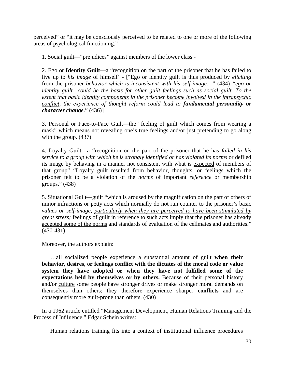perceived" or "it may be consciously perceived to be related to one or more of the following areas of psychological functioning."

1. Social guilt—"prejudices" against members of the lower class -

2. Ego or **Identity Guilt—**a "recognition on the part of the prisoner that he has failed to live up to *his image* of himself' - ["Ego or identity guilt is thus produced by *eliciting*  from the prisoner *behavior which is inconsistent with his self-image…"* (434) *"ego or identity guilt…could be the basis for other guilt feelings such as social guilt. To the extent that basic identity components in the prisoner become involved in the intrapsychic conflict, the experience of thought reform could lead to fundamental personality or character change*." (436)]

3. Personal or Face-to-Face Guilt—the "feeling of guilt which comes from wearing a mask" which means not revealing one's true feelings and/or just pretending to go along with the group. (437)

4. Loyalty Guilt—a "recognition on the part of the prisoner that he has *failed in his service to a group with which he is strongly identified or has violated its norms* or defiled its image by behaving in a manner not consistent with what is expected of members of that group" "Loyalty guilt resulted from behavior, thoughts, or feelings which the prisoner felt to be a violation of the *norms* of important *reference* or membership groups." (438)

5. Situational Guilt—guilt "which is aroused by the magnification on the part of others of minor infractions or petty acts which normally do not run counter to the prisoner's basic *values or self-image, particularly when they are perceived to have been stimulated by great stress;* feelings of guilt in reference to such acts imply that the prisoner has already accepted some of the norms and standards of evaluation of the cellmates and authorities." (430-431)

Moreover, the authors explain:

…all socialized people experience a substantial amount of guilt **when their behavior, desires, or feelings conflict with the dictates of the moral code or value system they have adopted or when they have not fulfilled some of the expectations held by themselves or by others.** Because of their personal history and/or culture some people have stronger drives or make stronger moral demands on themselves than others; they therefore experience sharper **conflicts** and are consequently more guilt-prone than others. (430)

In a 1962 article entitled "Management Development, Human Relations Training and the Process of Inf1uence," Edgar Schein writes:

Human relations training fits into a context of institutional influence procedures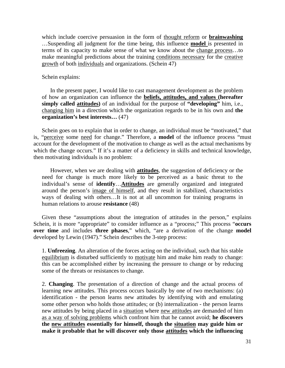which include coercive persuasion in the form of thought reform or **brainwashing** …Suspending all judgment for the time being, this influence **model** is presented in terms of its capacity to make sense of what we know about the change process…to make meaningful predictions about the training conditions necessary for the creative growth of both individuals and organizations. (Schein 47)

Schein explains:

In the present paper, I would like to cast management development as the problem of how an organization can influence the **beliefs, attitudes, and values (hereafter simply called attitudes)** of an individual for the purpose of **"developing"** him, i.e., changing him in a direction which the organization regards to be in his own and **the organization's best interests…** (47)

Schein goes on to explain that in order to change, an individual must be "motivated," that is, "perceive some need for change." Therefore, a **model** of the influence process "must account for the development of the motivation to change as well as the actual mechanisms by which the change occurs." If it's a matter of a deficiency in skills and technical knowledge, then motivating individuals is no problem:

However, when we are dealing with **attitudes**, the suggestion of deficiency or the need for change is much more likely to be perceived as a basic threat to the individual's sense of **identify**…**Attitudes** are generally organized and integrated around the person's image of himself, and they result in stabilized, characteristics ways of dealing with others…It is not at all uncommon for training programs in human relations to arouse **resistance** (48)

Given these "assumptions about the integration of attitudes in the person," explains Schein, it is more "appropriate" to consider influence as a "process;" This process "**occurs over time** and includes **three phases**," which, "are a derivation of the change **model** developed by Lewin (1947)." Schein describes the 3-step process:

1. **Unfreezing**. An alteration of the forces acting on the individual, such that his stable equilibrium is disturbed sufficiently to motivate him and make him ready to change: this can be accomplished either by increasing the pressure to change or by reducing some of the threats or resistances to change.

2. **Changing**. The presentation of a direction of change and the actual process of learning new attitudes. This process occurs basically by one of two mechanisms: (a) identification - the person learns new attitudes by identifying with and emulating some other person who holds those attitudes; or (b) internalization - the person learns new attitudes by being placed in a situation where new attitudes are demanded of him as a way of solving problems which confront him that he cannot avoid; **he discovers the new attitudes essentially for himself, though the situation may guide him or make it probable that he will discover only those attitudes which the influencing**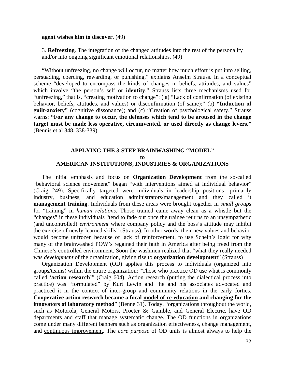#### **agent wishes him to discover**. (49)

3. **Refreezing**. The integration of the changed attitudes into the rest of the personality and/or into ongoing significant emotional relationships. (49)

"Without unfreezing, no change will occur, no matter how much effort is put into selling, persuading, coercing, rewarding, or punishing," explains Anselm Strauss. In a conceptual scheme "developed to encompass the kinds of changes in beliefs, attitudes, and values" which involve "the person's self or **identity**," Strauss lists three mechanisms used for "unfreezing," that is, "creating motivation to change": ( a) "Lack of confirmation (of existing behavior, beliefs, attitudes, and values) or disconfirmation (of same);" (b) **"Induction of guilt-anxiety"** (cognitive dissonance); and (c) "Creation of psychological safety." Strauss warns: **"For any change to occur, the defenses which tend to be aroused in the change target must be made less operative, circumvented, or used directly as change levers."** (Bennis et al 348, 338-339)

### **APPLYING THE 3-STEP BRAINWASHING "MODEL" to AMERICAN INSTITUTIONS, INDUSTRIES & ORGANIZATIONS**

The initial emphasis and focus on **Organization Development** from the so-called "behavioral science movement" began "with interventions aimed at individual behavior" (Craig 249). Specifically targeted were individuals in leadership positions—primarily industry, business, and education administrators/management and they called it **management training**. Individuals from these areas were brought together in *small groups*  for "training" in *human relations.* Those trained came away clean as a whistle but the "changes" in these individuals "tend to fade out once the trainee returns to an unsympathetic (and uncontrolled) *environment* where company policy and the boss's attitude may inhibit the exercise of newly-learned skills" (Strauss). In other words, their new values and behavior would become unfrozen because of lack of reinforcement, to use Schein's logic for why many of the brainwashed POW's regained their faith in America after being freed from the Chinese's controlled environment. Soon the washmen realized that "what they really needed was *development* of the organization, giving rise to **organization development**" (Strauss)

Organization Development (OD) applies this process to individuals (organized into groups/teams) within the entire organization: "Those who practice OD use what is commonly called **'action research'**" (Craig 604). Action research (putting the dialectical process into practice) was "formulated" by Kurt Lewin and "he and his associates advocated and practiced it in the context of inter-group and community relations in the early forties. **Cooperative action research became a focal model of re-education and changing for the innovators of laboratory method**" (Benne 31). Today, "organizations throughout the world, such as Motorola, General Motors, Procter & Gamble, and General Electric, have OD departments and staff that manage systematic change. The OD functions in organizations come under many different banners such as organization effectiveness, change management, and continuous improvement. The *core purpose* of OD units is almost always to help the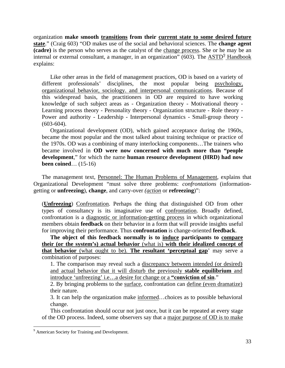organization **make smooth transitions from their current state to some desired future state**." (Craig 603) "OD makes use of the social and behavioral sciences. The **change agent (cadre)** is the person who serves as the catalyst of the change process. She or he may be an internal or external consultant, a manager, in an organization" (603). The  $\overline{ASTD}^9$  $\overline{ASTD}^9$  Handbook explains:

Like other areas in the field of management practices, OD is based on a variety of different professionals' disciplines, the most popular being psychology, organizational behavior, sociology. and interpersonal communications. Because of this widespread basis, the practitioners in OD are required to have working knowledge of such subject areas as - Organization theory - Motivational theory - Learning process theory - Personality theory - Organization structure - Role theory - Power and authority - Leadership - Interpersonal dynamics - Small-group theory -  $(603-604)$ .

Organizational development (OD), which gained acceptance during the 1960s, became the most popular and the most talked about training technique or practice of the 1970s. OD was a combining of many interlocking components…The trainers who became involved in **OD were now concerned with much more than "people development**," for which the name **human resource development (HRD) had now been coined**… (15-16)

The management text, Personnel: The Human Problems of Management, explains that Organizational Development "must solve three problems: *confrontations* (informationgetting or **unfreezing**), **change**, and carry-over *(action* or **refreezing**)":

(**Unfreezing**) Confrontation. Perhaps the thing that distinguished OD from other types of consultancy is its imaginative use of confrontation. Broadly defined, confrontation is a diagnostic or information-getting process in which organizational members obtain **feedback** on their behavior in a form that will provide insights useful for improving their performance. Thus **confrontation** is change-oriented **feedback**.

**The object of this feedback normally is to induce participants to compare their (or the system's) actual behavior** (what is) **with their idealized concept of that behavior** (what ought to be). **The resultant 'perceptual gap**' may serve a combination of purposes:

1. The comparison may reveal such a discrepancy between intended (or desired) and actual behavior that it will disturb the previously **stable equilibrium** and introduce 'unfreezing' i.e…a desire for change or a **"conviction of sin**."

2. By bringing problems to the surface, confrontation can define (even dramatize) their nature.

3. It can help the organization make informed…choices as to possible behavioral change.

This confrontation should occur not just once, but it can be repeated at every stage of the OD process. Indeed, some observers say that a major purpose of OD is to make

<span id="page-115-0"></span><sup>&</sup>lt;sup>9</sup> American Society for Training and Development.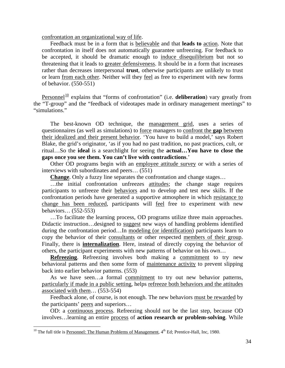confrontation an organizational way of life.

Feedback must be in a form that is believable and that **leads to** action. Note that confrontation in itself does not automatically guarantee unfreezing. For feedback to be accepted, it should be dramatic enough to induce disequilibrium but not so threatening that it leads to greater defensiveness. It should be in a form that increases rather than decreases interpersonal **trust**, otherwise participants are unlikely to trust or learn from each other. Neither will they feel as free to experiment with new forms of behavior. (550-551)

Personnel<sup>[10](#page-116-0)</sup> explains that "forms of confrontation" (i.e. **deliberation**) vary greatly from the "T-group" and the "feedback of videotapes made in ordinary management meetings" to "simulations."

The best-known OD technique, the management grid, uses a series of questionnaires (as well as simulations) to force managers to confront the **gap** between their idealized and their present behavior. 'You have to build a model,' says Robert Blake, the grid's originator, 'as if you had no past tradition, no past practices, cult, or ritual…So the **ideal** is a searchlight for seeing the **actual…You have to close the gaps once you see them. You can't live with contradictions**.'

Other OD programs begin with an employee attitude survey or with a series of interviews with subordinates and peers… (551)

**Change**. Only a fuzzy line separates the confrontation and change stages...

...the initial confrontation unfreezes attitudes; the change stage requires participants to unfreeze their behaviors and to develop and test new skills. If the confrontation periods have generated a supportive atmosphere in which resistance to change has been reduced, participants will feel free to experiment with new behaviors… (552-553)

…To facilitate the learning process, OD programs utilize three main approaches. Didactic instruction…designed to suggest new ways of handling problems identified during the confrontation period...In modeling (or identification) participants learn to copy the behavior of their consultants or other respected members of their group. Finally, there is **internalization**. Here, instead of directly copying the behavior of others, the participant experiments with new patterns of behavior on his own…

**Refreezing.** Refreezing involves both making a commitment to try new behavioral patterns and then some form of maintenance activity to prevent slipping back into earlier behavior patterns. (553)

As we have seen...a formal commitment to try out new behavior patterns, particularly if made in a public setting, helps refreeze both behaviors and the attitudes associated with them… (553-554)

Feedback alone, of course, is not enough. The new behaviors must be rewarded by the participants' peers and superiors…

OD: a continuous process. Refreezing should not be the last step, because OD involves…learning an entire process of **action research or problem-solving**. While

<span id="page-116-0"></span><sup>&</sup>lt;sup>10</sup> The full title is Personnel: The Human Problems of Management,  $4<sup>th</sup>$  Ed; Prentice-Hall, Inc, 1980.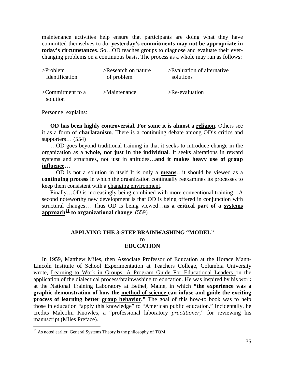maintenance activities help ensure that participants are doing what they have committed themselves to do, **yesterday's commitments may not be appropriate in today's circumstances**. So…OD teaches groups to diagnose and evaluate their everchanging problems on a continuous basis. The process as a whole may run as follows:

| $>$ Problem                        | $\geq$ Research on nature | $>E$ valuation of alternative |
|------------------------------------|---------------------------|-------------------------------|
| Identification                     | of problem                | solutions                     |
| $\geq$ Commitment to a<br>solution | $>$ Maintenance           | $>$ Re-evaluation             |

Personnel explains:

**OD has been highly controversial. For some it is almost a religion**. Others see it as a form of **charlatanism**. There is a continuing debate among OD's critics and supporters... (554)

…OD goes beyond traditional training in that it seeks to introduce change in the organization as a **whole, not just in the individual**. It seeks alterations in reward systems and structures, not just in attitudes…**and it makes heavy use of group influence…**

…OD is not a solution in itself It is only a **means**…it should be viewed as a **continuing process** in which the organization continually reexamines its processes to keep them consistent with a changing environment.

Finally…OD is increasingly being combined with more conventional training…A second noteworthy new development is that OD is being offered in conjunction with structural changes… Thus OD is being viewed…**as a critical part of a systems**  approach<sup> $11$ </sup> to organizational change. (559)

### **APPLYING THE 3-STEP BRAINWASHING "MODEL" to EDUCATION**

In 1959, Matthew Miles, then Associate Professor of Education at the Horace Mann-Lincoln Institute of School Experimentation at Teachers College, Columbia University wrote, Learning to Work in Groups: A Program Guide For Educational Leaders on the application of the dialectical process/brainwashing to education. He was inspired by his work at the National Training Laboratory at Bethel, Maine, in which **"the experience was a graphic demonstration of how the method of science can infuse and guide the exciting process of learning better group behavior."** The goal of this how-to book was to help those in education "apply this knowledge" to "American public education." Incidentally, he credits Malcolm Knowles, a "professional laboratory *practitioner,*" for reviewing his manuscript (Miles Preface).

<span id="page-117-0"></span> $11$  As noted earlier, General Systems Theory is the philosophy of TQM.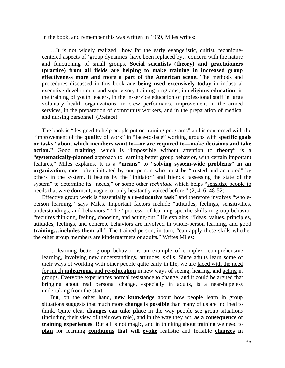In the book, and remember this was written in 1959, Miles writes:

…It is not widely realized…how far the early evangelistic, cultist, techniquecentered aspects of 'group dynamics' have been replaced by…concern with the nature and functioning of small groups. **Social scientists (theory) and practitioners (practice) from all fields are helping to make training in increased group effectiveness more and more a part of the American scene.** The methods and procedures discussed in this book **are being used extensively today** in industrial executive development and supervisory training programs, in **religious education**, in the training of youth leaders, in the in-service education of professional staff in large voluntary health organizations, in crew performance improvement in the armed services, in the preparation of community workers, and in the preparation of medical and nursing personnel. (Preface)

The book is "designed to help people put on training programs" and is concerned with the "improvement of the **quality** of work" in "face-to-face" working groups with **specific goals or tasks "about which members want to—or are required to—make decisions and take action."** Good **training**, which is "impossible without attention to **theory**" is a "**systematically-planned** approach to learning better group behavior, with certain important features," Miles explains. It is a **"means"** to **"solving system-wide problems" in an organization**, most often initiated by one person who must be "trusted and accepted" by others in the system. It begins by the "initiator" and friends "assessing the state of the system" to determine its "needs," or some other *technique* which helps "sensitize people to needs that were dormant, vague, or only hesitantly voiced before." (2, 4, 6, 48-52)

Effective group work is "essentially a **re-educative task**" and therefore involves "wholeperson learning," says Miles. Important factors include "attitudes, feelings, sensitivities, understandings, and behaviors." The "process" of learning specific skills in group behavior "requires thinking, feeling, choosing, and acting-out." He explains: "Ideas, values, principles, attitudes, feelings, and concrete behaviors are involved in whole-person learning, and good **training…includes them all**." The trained person, in turn, "can apply these skills whether the other group members are kindergartners or adults." Writes Miles:

.. .learning better group behavior is an example of complex, comprehensive learning, involving new understandings, attitudes, skills. Since adults learn some of their ways of working with other people quite early in life, we are faced with the need for much **unlearning**. and **re-education** in new ways of seeing, hearing, and acting in groups. Everyone experiences normal resistance to change, and it could be argued that bringing about real personal change, especially in adults, is a near-hopeless undertaking from the start.

But, on the other hand, **new knowledge** about how people learn in group situations suggests that much more **change is possible** than many of us are inclined to think. Quite clear **changes can take place** in the way people see group situations (including their view of their own role), and in the way they act, **as a consequence of training experiences**. But all is not magic, and in thinking about training we need to **plan** for learning **conditions that will evoke** realistic and feasible **changes in**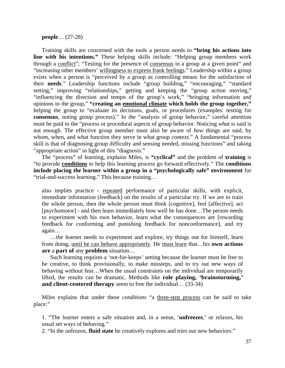**people**… (27-28)

Training skills are concerned with the tools a person needs to **"bring his actions into line with his intentions."** These helping skills include: "Helping group members work through a conflict"; "Testing for the presence of consensus in a group at a given point" and "increasing other members' willingness to express frank feelings." Leadership within a group exists when a person is "perceived by a group as controlling means for the satisfaction of their **needs**." Leadership functions include "group building," "encouraging," "standard setting," improving "relationships," getting and keeping the "group action moving," "influencing the direction and tempo of the group's work," "bringing information and opinions to the group," **"creating an emotional climate which holds the group together,"** helping the group to "evaluate its decisions, goals, or procedures (examples: testing for **consensus**, noting group process)." In the "analysis of group behavior," careful attention must be paid to the "process or procedural aspects of group behavior. Noticing *what* is said is not enough. The effective group member must also be aware of *how* things are said, by whom, when, and what function they serve in what group context." A fundamental "process skill is that of diagnosing group difficulty and sensing needed, missing functions" and taking "appropriate action" in light of this "diagnosis."

The "process" of learning, explains Miles, is **"cyclical"** and the problem of **training** is "to provide **conditions** to help this learning process go forward effectively." The **conditions include placing the learner within a group in a "psychologically safe" environment** for "trial-and-success learning." This because training…

also implies practice - repeated performance of particular skills, with explicit, immediate information (feedback) on the results of a particular try. If we are to train the whole person, then the whole person must think [cognitive], feel [affective], act [psychomotor] - and then learn immediately how well he has done…The person needs to experiment with his own behavior, learn what the consequences are [rewarding feedback for conforming and punishing feedback for nonconformance], and try again…

…the learner needs to experiment and explore, try things out for himself, learn from doing, until he can behave appropriately. He must learn that…his **own actions are** a **part of** any **problem** situation…

Such learning requires a 'not-for-keeps' setting because the learner must be free to be creative, to think provisionally, to make missteps, and to try out new ways of behaving without fear…When the usual constraints on the individual are temporarily lifted, the results can be dramatic. Methods like **role playing, 'brainstorming,' and client-centered therapy** seem to free the individual... (33-34)

Miles explains that under these *conditions* "a three-step process can be said to take place:"

1. "The learner enters a safe situation and, in a sense, '**unfreezes**,' or relaxes, his usual set ways of behaving."

2. "In the unfrozen, **fluid state** he creatively explores and tries out new behaviors."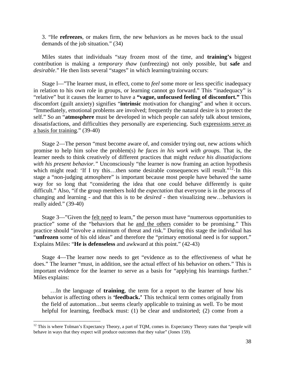3. "He **refreezes**, or makes firm, the new behaviors as he moves back to the usual demands of the job situation." (34)

Miles states that individuals "stay frozen most of the time, and **training's** biggest contribution is making a *temporary thaw* (unfreezing) not only possible, but **safe** and *desirable*." He then lists several "stages" in which learning/training occurs:

Stage l—"The learner must, in effect, come to *feel* some more or less specific inadequacy in relation to his own role in groups, or learning cannot go forward." This "inadequacy" is "relative" but it causes the learner to have a **"vague, unfocused feeling of discomfort."** This discomfort (guilt anxiety) signifies "**intrinsic** motivation for changing" and when it occurs. "Immediately, emotional problems are involved; frequently the natural desire is to protect the self." So an "**atmosphere** must be developed in which people can safely talk about tensions, dissatisfactions, and difficulties they personally are experiencing. Such expressions serve as a basis for training." (39-40)

Stage 2—The person "must become aware of, and consider trying out, new actions which promise to help him solve the problem(s) *he faces in his work with groups.* That is, the learner needs to think creatively of different practices that might *reduce his dissatisfactions with his present behavior."* Unconsciously "the learner is now framing an action hypothesis which might read: 'If I try this...then some desirable consequences will result."<sup>[12](#page-120-0)</sup> $\cdot$ In this stage a "non-judging atmosphere" is important because most people have behaved the same way for so long that "considering the idea that one could behave differently is quite difficult." Also, "if the group members hold the *expectation* that everyone is in the process of changing and learning - and that this is to be *desired* - then visualizing new…behaviors is really aided." (39-40)

Stage 3—"Given the felt need to learn," the person must have "numerous opportunities to practice" some of the "behaviors that he and the others consider to be promising." This practice should "involve a minimum of threat and risk." During this stage the individual has "**unfrozen** some of his old ideas" and therefore the "primary emotional need is for support." Explains Miles: "**He is defenseless** and awkward at this point." (42-43)

Stage 4—The learner now needs to get "evidence as to the effectiveness of what he does." The learner "must, in addition, see the actual effect of his behavior on others." This is important evidence for the learner to serve as a basis for "applying his learnings further." Miles explains:

…In the language of **training**, the term for a report to the learner of how his behavior is affecting others is **'feedback.'** This technical term comes originally from the field of automation…but seems clearly applicable to training as well. To be most helpful for learning, feedback must: (1) be clear and undistorted; (2) come from a

<span id="page-120-0"></span> $12$  This is where Tolman's Expectancy Theory, a part of TQM, comes in. Expectancy Theory states that "people will behave in ways that they expect will produce outcomes that they value" (Jones 159).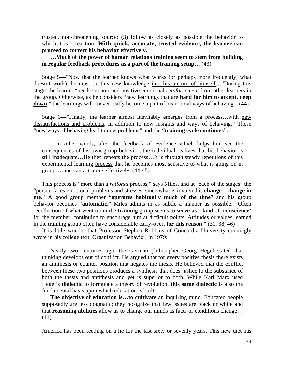trusted, non-threatening source; (3) follow as closely as possible the behavior to which it is a reaction. **With quick, accurate, trusted evidence, the learner can proceed to correct his behavior effectively.**

**…Much of the power of human relations training seem to stem from building in regular feedback procedures as a part of the training setup…** (43)

Stage 5—"Now that the learner knows what works (or perhaps more frequently, what doesn't work), he must tie this new knowledge into his picture of himself…"During this stage, the learner "needs support and positive emotional *reinforcement* from other learners in the group. Otherwise, as he considers "new learnings that are **hard for him to accept. deep**  down," the learnings will "never really become a part of his normal ways of behaving." (44)

Stage 6—"Finally, the learner almost inevitably emerges from a process…with new dissatisfactions and problems, in addition to new insights and ways of behaving." These "new ways of behaving lead to new problems" and the **"training cycle continues"**:

…In other words, after the feedback of evidence which helps him see the consequences of his own group behavior, the individual realizes that his behavior is still inadequate…He then repeats the process…It is through steady repetitions of this experimental learning process that he becomes most sensitive to what is going on in groups…and can act more effectively. (44-45)

This process is "more than a *rational* process," says Miles, and at "each of the stages" the "person faces emotional problems and stresses, since what is involved is **change—change in me**." A good group member "**operates habitually much of the time**" and his group behavior becomes "**automatic**." Miles admits in as subtle a manner as possible: "Often recollection of what went on in the **training** group seems to **serve as** a kind of **'conscience'** for the member, continuing to encourage him at difficult points. Attitudes or values learned in the training group often have considerable carry-over, **for this reason**." (31, 38, 46)

It is little wonder that Professor Stephen Robbins of Concordia University cunningly wrote in his college text, Organization Behavior, in 1979:

Nearly two centuries ago, the German philosopher Georg Hegel stated that thinking develops out of conflict. He argued that for every positive thesis there exists an antithesis or counter position that negates the thesis. He believed that the conflict between these two positions produces a synthesis that does justice to the substance of both the thesis and antithesis and yet is superior to both. While Karl Marx used Hegel's **dialectic** to formulate a theory of revolution, **this same dialectic** is also the fundamental basis upon which education is built.

**The objective of education is…to cultivate** an inquiring mind. Educated people supposedly are less dogmatic; they recognize that few issues are black or white and that **reasoning abilities** allow us to change our minds as facts or conditions change… (11)

America has been feeding on a lie for the last sixty or seventy years. This new diet has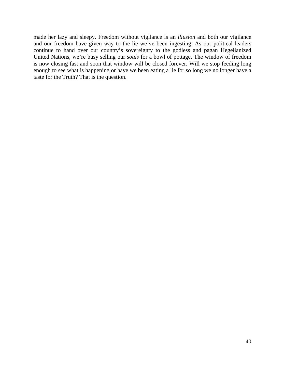made her lazy and sleepy. Freedom without vigilance is an *illusion* and both our vigilance and our freedom have given way to the lie we've been ingesting. As our political leaders continue to hand over our country's sovereignty to the godless and pagan Hegelianized United Nations, we're busy selling our *souls* for a bowl of pottage. The window of freedom is now closing fast and soon that window will be closed forever. Will we stop feeding long enough to see what is happening or have we been eating a lie for so long we no longer have a taste for the Truth? That is the question.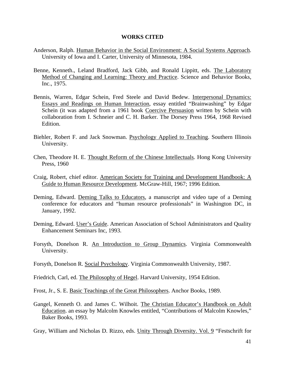### **WORKS CITED**

- Anderson, Ralph. Human Behavior in the Social Environment: A Social Systems Approach. University of Iowa and I. Carter, University of Minnesota, 1984.
- Benne, Kenneth., Leland Bradford, Jack Gibb, and Ronald Lippitt, eds. The Laboratory Method of Changing and Learning: Theory and Practice. Science and Behavior Books, Inc., 1975.
- Bennis, Warren, Edgar Schein, Fred Steele and David Bedew. Interpersonal Dynamics: Essays and Readings on Human Interaction, essay entitled "Brainwashing" by Edgar Schein (it was adapted from a 1961 book Coercive Persuasion written by Schein with collaboration from I. Schneier and C. H. Barker. The Dorsey Press 1964, 1968 Revised Edition.
- Biehler, Robert F. and Jack Snowman. Psychology Applied to Teaching. Southern Illinois University.
- Chen, Theodore H. E. Thought Reform of the Chinese Intellectuals. Hong Kong University Press, 1960
- Craig, Robert, chief editor. American Society for Training and Development Handbook: A Guide to Human Resource Development. McGraw-Hill, 1967; 1996 Edition.
- Deming, Edward. Deming Talks to Educators, a manuscript and video tape of a Deming conference for educators and "human resource professionals" in Washington DC, in January, 1992.
- Deming, Edward. User's Guide. American Association of School Administrators and Quality Enhancement Seminars Inc, 1993.
- Forsyth, Donelson R. An Introduction to Group Dynamics. Virginia Commonwealth University.
- Forsyth, Donelson R. Social Psychology. Virginia Commonwealth University, 1987.

Friedrich, Carl, ed. The Philosophy of Hegel. Harvard University, 1954 Edition.

Frost, Jr., S. E. Basic Teachings of the Great Philosophers. Anchor Books, 1989.

Gangel, Kenneth O. and James C. Wilhoit. The Christian Educator's Handbook on Adult Education. an essay by Malcolm Knowles entitled, "Contributions of Malcolm Knowles," Baker Books, 1993.

Gray, William and Nicholas D. Rizzo, eds. Unity Through Diversity. Vol. 9 "Festschrift for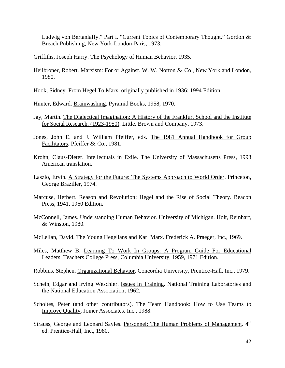Ludwig von Bertanlaffy." Part I. "Current Topics of Contemporary Thought." Gordon & Breach Publishing, New York-London-Paris, 1973.

Griffiths, Joseph Harry. The Psychology of Human Behavior, 1935.

- Heilbroner, Robert. Marxism: For or Against. W. W. Norton & Co., New York and London, 1980.
- Hook, Sidney. From Hegel To Marx. originally published in 1936; 1994 Edition.

Hunter, Edward. Brainwashing. Pyramid Books, 1958, 1970.

- Jay, Martin. The Dialectical Imagination: A History of the Frankfurt School and the Institute for Social Research. (1923-1950). Little, Brown and Company, 1973.
- Jones, John E. and J. William Pfeiffer, eds. The 1981 Annual Handbook for Group Facilitators. Pfeiffer & Co., 1981.
- Krohn, Claus-Dieter. Intellectuals in Exile. The University of Massachusetts Press, 1993 American translation.
- Laszlo, Ervin. A Strategy for the Future: The Systems Approach to World Order. Princeton, George Braziller, 1974.
- Marcuse, Herbert. Reason and Revolution: Hegel and the Rise of Social Theory. Beacon Press, 1941, 1960 Edition.
- McConnell, James. Understanding Human Behavior. University of Michigan. Holt, Reinhart, & Winston, 1980.
- McLellan, David. The Young Hegelians and Karl Marx. Frederick A. Praeger, Inc., 1969.
- Miles, Matthew B. Learning To Work In Groups: A Program Guide For Educational Leaders. Teachers College Press, Columbia University, 1959, 1971 Edition.
- Robbins, Stephen. Organizational Behavior. Concordia University, Prentice-Hall, Inc., 1979.
- Schein, Edgar and Irving Weschler. Issues In Training. National Training Laboratories and the National Education Association, 1962.
- Scholtes, Peter (and other contributors). The Team Handbook: How to Use Teams to Improve Quality. Joiner Associates, Inc., 1988.
- Strauss, George and Leonard Sayles. Personnel: The Human Problems of Management. 4<sup>th</sup> ed. Prentice-Hall, Inc., 1980.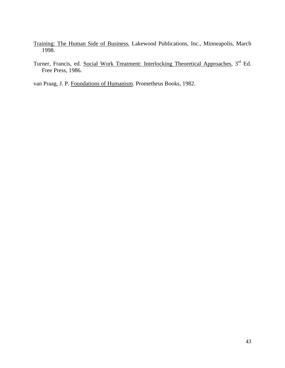- Training: The Human Side of Business, Lakewood Publications, Inc., Minneapolis, March 1998.
- Turner, Francis, ed. Social Work Treatment: Interlocking Theoretical Approaches, 3<sup>rd</sup> Ed. Free Press, 1986.

van Praag, J. P. Foundations of Humanism. Prometheus Books, 1982.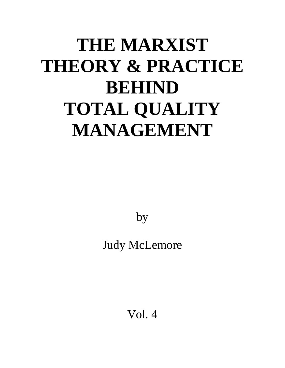# **THE MARXIST THEORY & PRACTICE BEHIND TOTAL QUALITY MANAGEMENT**

by

Judy McLemore

Vol. 4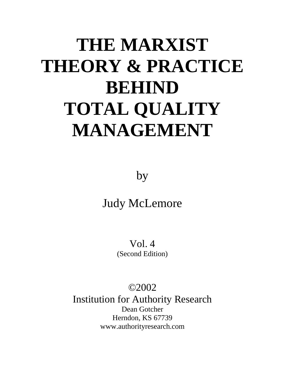# **THE MARXIST THEORY & PRACTICE BEHIND TOTAL QUALITY MANAGEMENT**

by

## Judy McLemore

Vol. 4 (Second Edition)

### ©2002

Institution for Authority Research Dean Gotcher Herndon, KS 67739 www.authorityresearch.com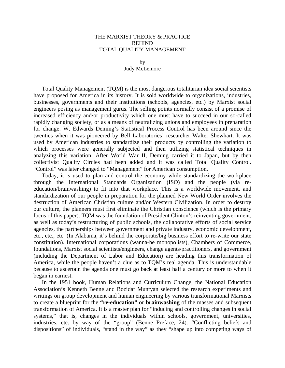### THE MARXIST THEORY & PRACTICE BEHIND TOTAL QUALITY MANAGEMENT

### by Judy McLemore

Total Quality Management (TQM) is the most dangerous totalitarian idea social scientists have proposed for America in its history. It is sold worldwide to organizations, industries, businesses, governments and their institutions (schools, agencies, etc.) by Marxist social engineers posing as management gurus. The selling points normally consist of a promise of increased efficiency and/or productivity which one must have to succeed in our so-called rapidly changing society, or as a means of neutralizing unions and employees in preparation for change. W. Edwards Deming's Statistical Process Control has been around since the twenties when it was pioneered by Bell Laboratories' researcher Walter Shewhart. It was used by American industries to standardize their products by controlling the variation to which processes were generally subjected and then utilizing statistical techniques in analyzing this variation. After World War II, Deming carried it to Japan, but by then collectivist Quality Circles had been added and it was called Total Quality Control. "Control" was later changed to "Management" for American consumption.

Today, it is used to plan and control the economy while standardizing the workplace through the International Standards Organization (ISO) and the people (via reeducation/brainwashing) to fit into that workplace. This is a worldwide movement, and standardization of our people in preparation for the planned New World Order involves the destruction of American Christian culture and/or Western Civilization. In order to destroy our culture, the planners must first eliminate the Christian conscience (which is the primary focus of this paper). TQM was the foundation of President Clinton's reinventing government, as well as today's restructuring of public schools, the collaborative efforts of social service agencies, the partnerships between government and private industry, economic development, etc., etc., etc. (In Alabama, it's behind the corporate/big business effort to re-write our state constitution). International corporations (wanna-be monopolists), Chambers of Commerce, foundations, Marxist social scientists/engineers, change agents/practitioners, and government (including the Department of Labor and Education) are heading this transformation of America, while the people haven't a clue as to TQM's real agenda. This is understandable because to ascertain the agenda one must go back at least half a century or more to when it began in earnest.

In the 1951 book, Human Relations and Curriculum Change, the National Education Association's Kenneth Benne and Bozidar Muntyan selected the research experiments and writings on group development and human engineering by various transformational Marxists to create a blueprint for the **"re-education"** or **brainwashing** of the masses and subsequent transformation of America. It is a master plan for "inducing and controlling changes in social systems," that is, changes in the individuals within schools, government, universities, industries, etc. by way of the "group" (Benne Preface, 24). "Conflicting beliefs and dispositions" of individuals, "stand in the way" as they "shape up into competing ways of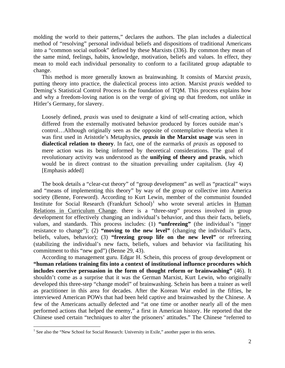molding the world to their patterns," declares the authors. The plan includes a dialectical method of "resolving" personal individual beliefs and dispositions of traditional Americans into a "common social outlook" defined by these Marxists (336). By common they mean of the same mind, feelings, habits, knowledge, motivation, beliefs and values. In effect, they mean to mold each individual personality to conform to a facilitated group adaptable to change.

This method is more generally known as brainwashing. It consists of Marxist *praxis,*  putting theory into practice, the dialectical process into action. Marxist *praxis* wedded to Deming's Statistical Control Process is the foundation of TQM. This process explains how and why a freedom-loving nation is on the verge of giving up that freedom, not unlike in Hitler's Germany, for slavery.

Loosely defined, *praxis* was used to designate a kind of self-creating action, which differed from the externally motivated behavior produced by forces outside man's control…Although originally seen as the opposite of contemplative theoria when it was first used in Aristotle's Metaphysics, *praxis* **in the Marxist usage** was seen in **dialectical relation to theory**. In fact, one of the earmarks of *praxis* as opposed to mere action was its being informed by theoretical considerations. The goal of revolutionary activity was understood as the **unifying of theory and praxis**, which would be in direct contrast to the situation prevailing under capitalism. (Jay 4) [Emphasis added]

The book details a "clear-cut theory" of "group development" as well as "practical" ways and "means of implementing this theory" by way of the group or collective into America society (Benne, Foreword). According to Kurt Lewin, member of the communist founded Institute for Social Research (Frankfurt School)<sup>[1](#page-129-0)</sup> who wrote several articles in Human Relations in Curriculum Change. there is a "three-step" process involved in group development for effectively changing an individual's behavior, and thus their facts, beliefs, values, and standards. This process includes: (1) **"unfreezing"** (the individual's "inner resistance to change"); (2) **"moving to the new level"** (changing the individual's facts, beliefs, values, behavior); (3) **"freezing group life on the new level"** or refreezing (stabilizing the individual's new facts, beliefs, values and behavior via facilitating his commitment to this "new god") (Benne 29, 43).

According to management guru. Edgar H. Schein, this process of group development or **"human relations training fits into a context of institutional influence procedures which includes coercive persuasion in the form of thought reform or brainwashing"** (46). It shouldn't come as a surprise that it was the German Marxist, Kurt Lewin, who originally developed this three-step "change model" of brainwashing. Schein has been a trainer as well as practitioner in this area for decades. After the Korean War ended in the fifties, he interviewed American POWs that had been held captive and brainwashed by the Chinese. A few of the Americans actually defected and "at one time or another nearly all of the men performed actions that helped the enemy," a first in American history. He reported that the Chinese used certain "techniques to alter the prisoners' attitudes." The Chinese "referred to

<span id="page-129-0"></span><sup>&</sup>lt;sup>1</sup> See also the "New School for Social Research: University in Exile," another paper in this series.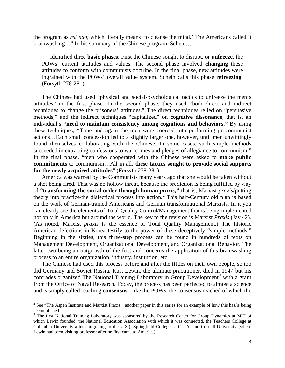the program as *hsi nao,* which literally means 'to cleanse the mind.' The Americans called it brainwashing…" In his summary of the Chinese program, Schein…

identified three **basic phases**. First the Chinese sought to disrupt, or **unfreeze**, the POWs' current attitudes and values. The second phase involved **changing** these attitudes to conform with communists doctrine. In the final phase, new attitudes were ingrained with the POWs' overall value system. Schein calls this phase **refreezing**. (Forsyth 278-281)

The Chinese had used "physical and social-psychological tactics to unfreeze the men's attitudes" in the first phase. In the second phase, they used "both direct and indirect techniques to change the prisoners' attitudes." The direct techniques relied on "persuasive methods," and the indirect techniques "capitalized" on **cognitive dissonance**, that is, an individual's **"need to maintain consistency among cognitions and behaviors."** By using these techniques, "Time and again the men were coerced into performing procommunist actions…Each small concession led to a slightly larger one, however, until men unwittingly found themselves collaborating with the Chinese. In some cases, such simple methods succeeded in extracting confessions to war crimes and pledges of allegiance to communism." In the final phase, "men who cooperated with the Chinese were asked to **make public commitments** to communism…All in all, **these tactics sought to provide social supports for the newly acquired attitudes**" (Forsyth 278-281).

America was warned by the Communists many years ago that she would be taken without a shot being fired. That was no hollow threat, because the prediction is being fulfilled by way of **"transforming the social order through human** *praxis***,"** that is, Marxist *praxis*/putting theory into practice/the dialectical process into action.<sup>[2](#page-130-0)</sup> This half-Century old plan is based on the work of German-trained Americans and German transformational Marxists. In it you can clearly see the elements of Total Quality Control/Management that is being implemented not only in America but around the world. The key to the revision is Marxist *Praxis* (Jay 42). (As noted, Marxist *praxis* is the essence of Total Quality Management.) The historic American defections in Korea testify to the power of these deceptively "simple methods." Beginning in the sixties, this three-step process can be found in hundreds of texts on Management Development, Organizational Development, and Organizational Behavior. The latter two being an outgrowth of the first and concerns the application of this brainwashing process to an entire organization, industry, institution, etc.

The Chinese had used this process before and after the fifties on their own people, so too did Germany and Soviet Russia. Kurt Lewin, the ultimate practitioner, died in 1947 but his comrades organized The National Training Laboratory in Group Development<sup>[3](#page-130-1)</sup> with a grant from the Office of Naval Research. Today, the process has been perfected to almost a science and is simply called reaching **consensus**. Like the POWs, the consensus reached of which the

<span id="page-130-0"></span><sup>&</sup>lt;sup>2</sup> See "The Aspen Institute and Marxist Praxis," another paper in this series for an example of how this has/is being accomplished.

<span id="page-130-1"></span><sup>&</sup>lt;sup>3</sup> The first National Training Laboratory was sponsored by the Research Center for Group Dynamics at MIT of which Lewin founded, the National Education Association with which it was connected, the Teachers College at Columbia University after emigrating to the U.S.), Springfield College, U.C.L.A. and Cornell University (where Lewin had been visiting professor after he first came to America).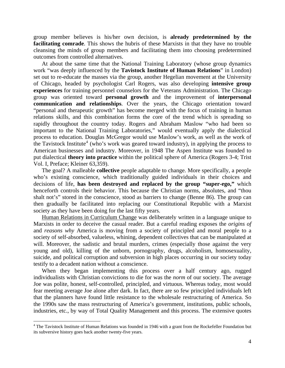group member believes is his/her own decision, is **already predetermined by the facilitating comrade**. This shows the hubris of these Marxists in that they have no trouble cleansing the minds of group members and facilitating them into choosing predetermined outcomes from controlled alternatives.

At about the same time that the National Training Laboratory (whose group dynamics work "was deeply influenced by the **Tavistock Institute of Human Relations**" in London) set out to re-educate the masses via the group, another Hegelian movement at the University of Chicago, headed by psychologist Carl Rogers, was also developing **intensive group experiences** for training personnel counselors for the Veterans Administration. The Chicago group was oriented toward **personal growth** and the improvement of **interpersonal communication and relationships**. Over the years, the Chicago orientation toward "personal and therapeutic growth" has become merged with the focus of training in human relations skills, and this combination forms the core of the trend which is spreading so rapidly throughout the country today. Rogers and Abraham Maslow "who had been so important to the National Training Laboratories," would eventually apply the dialectical process to education. Douglas McGregor would use Maslow's work, as well as the work of the Tavistock Institute<sup>[4](#page-131-0)</sup> (who's work was geared toward industry), in applying the process to American businesses and industry. Moreover, in 1948 The Aspen Institute was founded to put dialectical **theory into practice** within the political sphere of America (Rogers 3-4; Trist Vol. I, Preface; Kleiner 63,359).

The goal? A malleable **collective** people adaptable to change. More specifically, a people who's existing conscience, which traditionally guided individuals in their choices and decisions of life, **has been destroyed and replaced by the group "super-ego,"** which henceforth controls their behavior. This because the Christian norms, absolutes, and "thou shalt not's" stored in the conscience, stood as barriers to change (Benne 86). The group can then gradually be facilitated into replacing our Constitutional Republic with a Marxist society as they have been doing for the last fifty years.

Human Relations in Curriculum Change was deliberately written in a language unique to Marxists in order to deceive the casual reader. But a careful reading exposes the *origins of*  and *reasons why* America is moving from a society of principled and moral people to a society of self-absorbed, valueless, whining, dependent collectives that can be manipulated at will. Moreover, the sadistic and brutal murders, crimes (especially those against the very young and old), killing of the unborn, pornography, drugs, alcoholism, homosexuality, suicide, and political corruption and subversion in high places occurring in our society today testify to a decadent nation without a conscience.

When they began implementing this process over a half century ago, rugged individualists with Christian convictions to die for was the *norm* of our society. The average Joe was polite, honest, self-controlled, principled, and virtuous. Whereas today, most would fear meeting average Joe alone after dark. In fact, there are so few principled individuals left that the planners have found little resistance to the wholesale restructuring of America. So the 1990s saw the mass restructuring of America's government, institutions, public schools, industries, etc., by way of Total Quality Management and this process. The extensive quotes

<span id="page-131-0"></span><sup>&</sup>lt;sup>4</sup> The Tavistock Institute of Human Relations was founded in 1946 with a grant from the Rockefeller Foundation but its subversive history goes back another twenty-five years.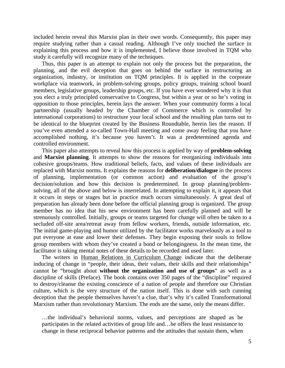included herein reveal this Marxist plan in their own words. Consequently, this paper may require studying rather than a casual reading. Although I've only touched the surface in explaining this process and how it is implemented, I believe those involved in TQM who study it carefully will recognize many of the techniques.

Thus, this paper is an attempt to explain not only the process but the preparation, the planning, and the evil deception that goes on behind the surface in restructuring an organization, industry, or institution on TQM principles. It is applied in the corporate workplace via teamwork, in problem-solving groups, policy groups, training school board members, legislative groups, leadership groups, etc. If you have ever wondered why it is that you elect a truly principled conservative to Congress, but within a year or so he's voting in opposition to those principles, herein lays the answer. When your community forms a local partnership (usually headed by the Chamber of Commerce which is controlled by international corporations) to restructure your local school and the resulting plan turns out to be identical to the blueprint created by the Business Roundtable, herein lies the reason. If you've even attended a so-called Town-Hall meeting and come away feeling that you have accomplished nothing, it's because you haven't. It was a predetermined agenda and controlled environment.

This paper also attempts to reveal how this process is applied by way of **problem-solving** and **Marxist planning**. It attempts to show the reasons for reorganizing individuals into cohesive groups/teams. How traditional beliefs, facts, and values of these individuals are replaced with Marxist norms. It explains the reasons for **deliberation/dialogue** in the process of planning, implementation (or common action) and evaluation of the group's decision/solution and how this decision is predetermined. In group planning/problemsolving, all of the above and below is interrelated. In attempting to explain it, it appears that it occurs in steps or stages but in practice much occurs simultaneously. A great deal of preparation has already been done before the official planning group is organized. The group member has no idea that his new environment has been carefully planned and will be strenuously controlled. Initially, groups or teams targeted for change will often be taken to a secluded off-site area/retreat away from fellow workers, friends, outside information, etc. The initial game-playing and humor utilized by the facilitator works marvelously as a tool to put everyone at ease and lower their defenses. They begin exposing their souls to fellow group members with whom they've created a bond or belongingness. In the mean time, the facilitator is taking mental notes of these details to be recorded and used later.

The writers in Human Relations in Curriculum Change indicate that the deliberate inducing of change in "people, their ideas, their values, their skills and their relationships" cannot be "brought about **without the organization and use of groups**" as well as a discipline of skills (Preface). The book contains over 350 pages of the "discipline" required to destroy/cleanse the existing conscience of a nation of people and therefore our Christian culture, which is the very structure of the nation itself. This is done with such cunning deception that the people themselves haven't a clue, that's why it's called Transformational Marxism rather than revolutionary Marxism. The ends are the same, only the means differ.

…the individual's behavioral norms, values, and perceptions are shaped as he participates in the related activities of group life and…he offers the least resistance to change in these reciprocal behavior patterns and the attitudes that sustain them, when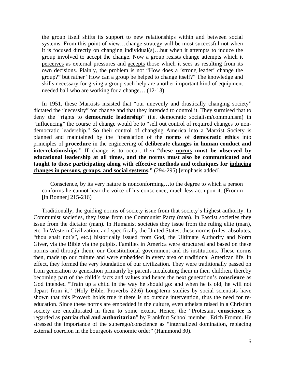the group itself shifts its support to new relationships within and between social systems. From this point of view…change strategy will be most successful not when it is focused directly on changing individual(s)…but when it attempts to induce the group involved to accept the change. Now a group resists change attempts which it perceives as external pressures and accepts those which it sees as resulting from its own decisions. Plainly, the problem is not "How does a 'strong leader' change the group?" but rather "How can a group be helped to change itself?" The knowledge and skills necessary for giving a group such help are another important kind of equipment needed ball who are working for a change… (12-13)

In 1951, these Marxists insisted that "our unevenly and drastically changing society" dictated the "necessity" for change and that they intended to control it. They surmised that to deny the "rights to **democratic leadership**" (i.e. democratic socialism/communism) in "influencing" the course of change would be to "sell out control of required changes to nondemocratic leadership." So their control of changing America into a Marxist Society is planned and maintained by the "translation of the **norms** of **democratic ethics** into principles of **procedure** in the engineering of **deliberate changes in human conduct and interrelationships**." If change is to occur, then **"these norms must be observed by educational leadership at all times, and the norms must also be communicated and taught to those participating along with effective methods and techniques for inducing changes in persons, groups. and social systems."** (294-295) [emphasis added]

Conscience, by its very nature is nonconforming…to the degree to which a person conforms he cannot hear the voice of his conscience, much less act upon it. (Fromm [in Bonner] 215-216)

Traditionally, the guiding norms of society issue from that society's highest authority. In Communist societies, they issue from the Communist Party (man). In Fascist societies they issue from the dictator (man). In Humanist societies they issue from the ruling elite (man), etc. In Western Civilization, and specifically the United States, these norms (rules, absolutes, "thou shalt not's", etc.) historically issued from God, the Ultimate Authority and Norm Giver, via the Bible via the pulpits. Families in America were structured and based on these norms and through them, our Constitutional government and its institutions. These norms then, made up our culture and were embedded in every area of traditional American life. In effect, they formed the very foundation of our civilization. They were traditionally passed on from generation to generation primarily by parents inculcating them in their children, thereby becoming part of the child's facts and values and hence the next generation's **conscience** as God intended "Train up a child in the way he should go: and when he is old, he will not depart from it." (Holy Bible, Proverbs 22:6) Long-term studies by social scientists have shown that this Proverb holds true if there is no outside intervention, thus the need for reeducation. Since these norms are embedded in the culture, even atheists raised in a Christian society are enculturated in them to some extent. Hence, the "Protestant **conscience** is regarded as **patriarchal and authoritarian**" by Frankfurt School member, Erich Fromm. He stressed the importance of the superego/conscience as "internalized domination, replacing external coercion in the bourgeois economic order" (Hammond 30).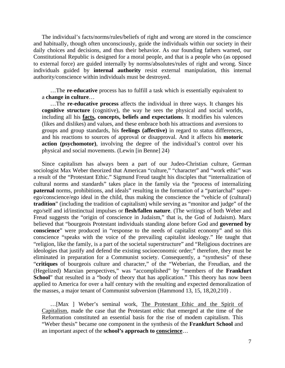The individual's facts/norms/rules/beliefs of right and wrong are stored in the conscience and habitually, though often unconsciously, guide the individuals within our society in their daily choices and decisions, and thus their behavior. As our founding fathers warned, our Constitutional Republic is designed for a moral people, and that is a people who (as opposed to external force) are guided internally by norms/absolutes/rules of right and wrong. Since individuals guided by **internal authority** resist external manipulation, this internal authority/conscience within individuals must be destroyed.

…The **re-educative** process has to fulfill a task which is essentially equivalent to a **change in culture**…

…The **re-educative process** affects the individual in three ways. It changes his **cognitive structure** (cognitive), the way he sees the physical and social worlds, including all his **facts, concepts, beliefs and expectations**. It modifies his valences (likes and dislikes) and values, and these embrace both his attractions and aversions to groups and group standards, his **feelings (affective)** in regard to status differences, and his reactions to sources of approval or disapproval. And it affects his **motoric action (psychomotor)**, involving the degree of the individual's control over his physical and social movements. (Lewin [in Benne] 24)

Since capitalism has always been a part of our Judeo-Christian culture, German sociologist Max Weber theorized that American "culture," "character" and "work ethic" was a result of the "Protestant Ethic." Sigmund Freud taught his disciples that "internalization of cultural norms and standards" takes place in the family via the "process of internalizing **paternal** norms, prohibitions, and ideals" resulting in the formation of a "patriarchal" superego/conscience/ego ideal in the child, thus making the conscience the "vehicle of (cultural) **tradition**" (including the tradition of capitalism) while serving as "monitor and judge" of the ego/self and id/instinctual impulses or **flesh/fallen nature**. (The writings of both Weber and Freud suggests the "origin of conscience in Judaism," that is, the God of Judaism). Marx believed that "bourgeois Protestant individuals standing alone before God and **governed by conscience**" were produced in "response to the needs of capitalist economy" and so this conscience "speaks with the voice of the prevailing capitalist ideology." He taught that "religion, like the family, is a part of the societal superstructure" and "Religious doctrines are ideologies that justify and defend the existing socioeconomic order;" therefore, they must be eliminated in preparation for a Communist society. Consequently, a "synthesis" of these "**critiques** of bourgeois culture and character," of the "Weberian, the Freudian, and the (Hegelized) Marxian perspectives," was "accomplished" by "members of the **Frankfurt School**" that resulted in a "body of theory that has application." This theory has now been applied to America for over a half century with the resulting and expected demoralization of the masses, a major tenant of Communist subversion (Hammond 13, 15, 18,20,210) .

…[Max ] Weber's seminal work, The Protestant Ethic and the Spirit of Capitalism, made the case that the Protestant ethic that emerged at the time of the Reformation constituted an essential basis for the rise of modem capitalism. This "Weber thesis" became one component in the synthesis of the **Frankfurt School** and an important aspect of the **school's approach to conscience**…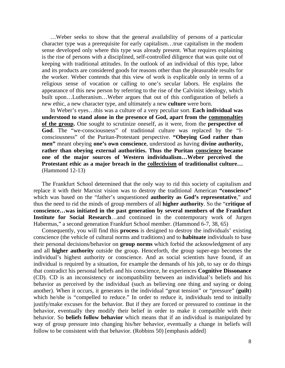…Weber seeks to show that the general availability of persons of a particular character type was a prerequisite for early capitalism…true capitalism in the modem sense developed only where this type was already present. What requires explaining is the rise of persons with a disciplined, self-controlled diligence that was quite out of keeping with traditional attitudes. In the outlook of an individual of this type, labor and its products are considered goods for reasons other than the pleasurable results for the worker. Weber contends that this view of work is explicable only in terms of a religious sense of vocation or calling to one's secular labors. He explains the appearance of this new person by referring to the rise of the Calvinist ideology, which built upon…Lutheranism…Weber argues that out of this configuration of beliefs a new ethic, a new character type, and ultimately a new **culture** were born.

In Weber's eyes…this was a culture of a very peculiar sort. **Each individual was understood to stand alone in the presence of God, apart from the commonalties of the group.** One sought to scrutinize oneself, as it were, from the **perspective of God**. The "we-consciousness" of traditional culture was replaced by the "Iconsciousness" of the Puritan-Protestant perspective. **"Obeying God rather than men"** meant obeying **one's own conscience**, understood as having **divine authority, rather than obeying external authorities. Thus the Puritan conscience became one of the major sources of Western individualism…Weber perceived the Protestant ethic as a major breach in the collectivism of traditionalist culture…** (Hammond 12-13)

The Frankfurt School determined that the only way to rid this society of capitalism and replace it with their Marxist vision was to destroy the traditional American **"conscience"** which was based on the "father's unquestioned **authority as God's representative**," and thus the need to rid the minds of group members of all **higher authority**. So the "**critique of conscience…was initiated in the past generation by several members of the Frankfurt Institute for Social Research**…and continued in the contemporary work of Jurgen Habermas," a second generation Frankfurt School member. (Hammond 6-7, 38, 65)

Consequently, you will find this **process** is designed to destroy the individuals' existing conscience (the vehicle of cultural norms and traditions) and to **habituate** individuals to base their personal decisions/behavior on **group norms** which forbid the acknowledgment of any and all **higher authority** outside the group. Henceforth, the group super-ego becomes the individual's highest authority or conscience. And as social scientists have found, if an individual is required by a situation, for example the demands of his job, to say or do things that contradict his personal beliefs and his conscience, he experiences **Cognitive Dissonance** (CD). CD is an inconsistency or incompatibility between an individual's beliefs and his behavior as perceived by the individual (such as believing one thing and saying or doing another). When it occurs, it generates in the individual "great tension" or "pressure" (**guilt**) which he/she is "compelled to reduce." In order to reduce it, individuals tend to initially justify/make excuses for the behavior. But if they are forced or pressured to continue in the behavior, eventually they modify their belief in order to make it compatible with their behavior. So **beliefs follow behavior** which means that if an individual is manipulated by way of group pressure into changing his/her behavior, eventually a change in beliefs will follow to be consistent with that behavior. (Robbins 50) [emphasis added]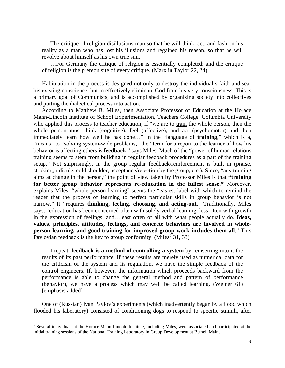The critique of religion disillusions man so that he will think, act, and fashion his reality as a man who has lost his illusions and regained his reason, so that he will revolve about himself as his own true sun.

…For Germany the critique of religion is essentially completed; and the critique of religion is the prerequisite of every critique. (Marx in Taylor 22, 24)

Habituation in the process is designed not only to destroy the individual's faith and sear his existing conscience, but to effectively eliminate God from his very consciousness. This is a primary goal of Communists, and is accomplished by organizing society into collectives and putting the dialectical process into action.

According to Matthew B. Miles, then Associate Professor of Education at the Horace Mann-Lincoln Institute of School Experimentation, Teachers College, Columbia University who applied this process to teacher education, if "we are to train the whole person, then the whole person must think (cognitive), feel (affective), and act (psychomotor) and then immediately learn how well he has done…" In the "language of **training**," which is a, "means" to "solving system-wide problems," the "term for a report to the learner of how his behavior is affecting others is **feedback**," says Miles. Much of the "power of human relations training seems to stem from building in regular feedback procedures as a part of the training setup." Not surprisingly, in the group regular feedback/reinforcement is built in (praise, stroking, ridicule, cold shoulder, acceptance/rejection by the group, etc.). Since, "any training aims at change in the person," the point of view taken by Professor Miles is that **"training for better group behavior represents re-education in the fullest sense."** Moreover, explains Miles, "whole-person learning" seems the "easiest label with which to remind the reader that the process of learning to perfect particular skills in group behavior is not narrow." It "requires **thinking, feeling, choosing, and acting-out**." Traditionally, Miles says, "education has been concerned often with solely verbal learning, less often with growth in the expression of feelings, and…least often of all with what people actually do. **Ideas, values, principles, attitudes, feelings, and concrete behaviors are involved in wholeperson learning, and good training for improved group work includes them all**." This Pavlovian feedback is the key to group conformity. (Miles<sup>[5](#page-136-0)</sup> 31, 33)

I repeat, **feedback is a method of controlling a system** by reinserting into it the results of its past performance. If these results are merely used as numerical data for the criticism of the system and its regulation, we have the simple feedback of the control engineers. If, however, the information which proceeds backward from the performance is able to change the general method and pattern of performance (behavior), we have a process which may well be called learning. (Weiner 61) [emphasis added]

One of (Russian) Ivan Pavlov's experiments (which inadvertently began by a flood which flooded his laboratory) consisted of conditioning dogs to respond to specific stimuli, after

<span id="page-136-0"></span><sup>&</sup>lt;sup>5</sup> Several individuals at the Horace Mann-Lincoln Institute, including Miles, were associated and participated at the initial training sessions of the National Training Laboratory in Group Development at Bethel, Maine.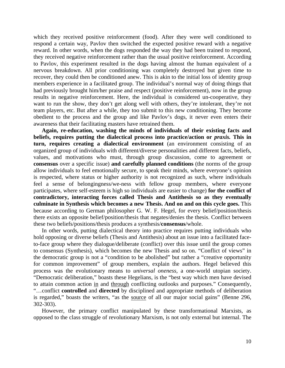which they received positive reinforcement (food). After they were well conditioned to respond a certain way, Pavlov then switched the expected positive reward with a negative reward. In other words, when the dogs responded the way they had been trained to respond, they received negative reinforcement rather than the usual positive reinforcement. According to Pavlov, this experiment resulted in the dogs having almost the human equivalent of a nervous breakdown. All prior conditioning was completely destroyed but given time to recover, they could then be conditioned anew. This is akin to the initial loss of identity group members experience in a facilitated group. The individual's normal way of doing things that had previously brought him/her praise and respect (positive reinforcement), now in the group results in negative reinforcement. Here, the individual is considered un-cooperative, they want to run the show, they don't get along well with others, they're intolerant, they're not team players, etc. But after a while, they too submit to this new conditioning. They become obedient to the process and the group and like Pavlov's dogs, it never even enters their awareness that their facilitating masters have retrained them.

**Again, re-education, washing the minds of individuals of their existing facts and beliefs, requires putting the dialectical process into practice/action or** *praxis.* **This in turn, requires creating a dialectical environment** (an environment consisting of an organized group of individuals with different/diverse personalities and different facts, beliefs, values, and motivations who must, through group discussion, come to agreement or **consensus** over a specific issue) **and carefully planned conditions** (the norms of the group allow individuals to feel emotionally secure, to speak their minds, where everyone's opinion is respected, where status or higher authority is not recognized as such, where individuals feel a sense of belongingness/we-ness with fellow group members, where everyone participates, where self-esteem is high so individuals are easier to change) **for the conflict of contradictory, interacting forces called Thesis and Antithesis so as they eventually culminate in Synthesis which becomes a new Thesis. And on and on this cycle goes.** This because according to German philosopher G. W. F. Hegel, for every belief/position/thesis there exists an opposite belief/position/thesis that negates/denies the thesis. Conflict between these two beliefs/positions/thesis produces a synthesis/**consensus**/whole.

In other words, putting dialectical theory into practice requires putting individuals who hold opposing or diverse beliefs (Thesis and Antithesis) about an issue into a facilitated faceto-face group where they dialogue/deliberate (conflict) over this issue until the group comes to consensus (Synthesis), which becomes the new Thesis and so on. "Conflict of views" in the democratic group is not a "condition to be abolished" but rather a "creative opportunity for common improvement" of group members, explain the authors. Hegel believed this process was the evolutionary means to *universal oneness,* a one-world utopian society. "Democratic deliberation," boasts these Hegelians, is the "best way which men have devised to attain common action in and through conflicting outlooks and purposes." Consequently, "…conflict **controlled** and **directed** by disciplined and appropriate methods of deliberation is regarded," boasts the writers, "as the source of all our major social gains" (Benne 296, 302-303).

However, the primary conflict manipulated by these transformational Marxists, as opposed to the class struggle of revolutionary Marxism, is not only external but internal. The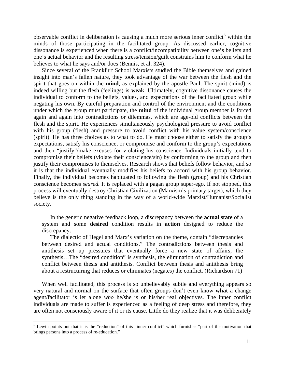observable conflict in deliberation is causing a much more serious inner conflict<sup>[6](#page-138-0)</sup> within the minds of those participating in the facilitated group. As discussed earlier, cognitive dissonance is experienced when there is a conflict/incompatibility between one's beliefs and one's actual behavior and the resulting stress/tension/guilt constrains him to conform what he believes to what he says and/or does (Bennis, et al. 324).

Since several of the Frankfurt School Marxists studied the Bible themselves and gained insight into man's fallen nature, they took advantage of the war between the flesh and the spirit that goes on within the **mind**, as explained by the apostle Paul. The spirit (mind) is indeed willing but the flesh (feelings) is **weak**. Ultimately, cognitive dissonance causes the individual to conform to the beliefs, values, and expectations of the facilitated group while negating his own. By careful preparation and control of the environment and the conditions under which the group must participate, the **mind** of the individual group member is forced again and again into contradictions or dilemmas, which are age-old conflicts between the flesh and the spirit. He experiences simultaneously psychological pressure to avoid conflict with his group (flesh) and pressure to avoid conflict with his value system/conscience (spirit). He has three choices as to what to do. He must choose either to satisfy the group's expectations, satisfy his conscience, or compromise and conform to the group's expectations and then "justify"/make excuses for violating his conscience. Individuals initially tend to compromise their beliefs (violate their conscience/sin) by conforming to the group and then justify their compromises to themselves. Research shows that beliefs follow behavior, and so it is that the individual eventually modifies his beliefs to accord with his group behavior. Finally, the individual becomes habituated to following the flesh (group) and his Christian conscience becomes *seared.* It is replaced with a pagan group super-ego. If not stopped, this process will eventually destroy Christian Civilization (Marxism's primary target), which they believe is the only thing standing in the way of a world-wide Marxist/Humanist/Socialist society.

In the generic negative feedback loop, a discrepancy between the **actual state** of a system and some **desired** condition results in **action** designed to reduce the discrepancy.

The dialectic of Hegel and Marx's variation on the theme, contain "discrepancies between desired and actual conditions." The contradictions between thesis and antithesis set up pressures that eventually force a new state of affairs, the synthesis...The "desired condition" is synthesis, the elimination of contradiction and conflict between thesis and antithesis. Conflict between thesis and antithesis bring about a restructuring that reduces or eliminates (negates) the conflict. (Richardson 71)

When well facilitated, this process is so unbelievably subtle and everything appears so very natural and normal on the surface that often groups don't even know **what** a change agent/facilitator is let alone *who* he/she is or his/her real objectives. The inner conflict individuals are made to suffer is experienced as a feeling of deep stress and therefore, they are often not consciously aware of it or its cause. Little do they realize that it was deliberately

<span id="page-138-0"></span><sup>&</sup>lt;sup>6</sup> Lewin points out that it is the "reduction" of this "inner conflict" which furnishes "part of the motivation that brings persons into a process of re-education."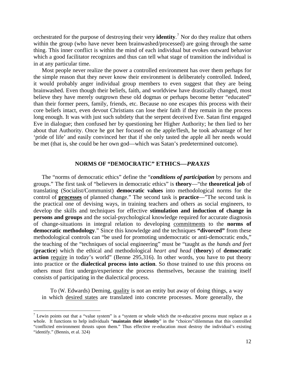orchestrated for the purpose of destroying their very **identity**. [7](#page-139-0) Nor do they realize that others within the group (who have never been brainwashed/processed) are going through the same thing. This inner conflict is within the mind of each individual but evokes outward behavior which a good facilitator recognizes and thus can tell what stage of transition the individual is in at any particular time.

Most people never realize the power a controlled environment has over them perhaps for the simple reason that they never know their environment is deliberately controlled. Indeed, it would probably anger individual group members to even suggest that they are being brainwashed. Even though their beliefs, faith, and worldview have drastically changed, most believe they have merely outgrown these old dogmas or perhaps become better "educated" than their former peers, family, friends, etc. Because no one escapes this process with their core beliefs intact, even devout Christians can lose their faith if they remain in the process long enough. It was with just such subtlety that the serpent deceived Eve. Satan first engaged Eve in dialogue; then confused her by questioning her Higher Authority; he then lied to her about that Authority. Once he got her focused on the apple/flesh, he took advantage of her 'pride of life' and easily convinced her that if she only tasted the apple all her needs would be met (that is, she could be her own god—which was Satan's predetermined outcome).

### **NORMS OF "DEMOCRATIC" ETHICS***—PRAXIS*

The "norms of democratic ethics" define the "*conditions of participation* by persons and groups." The first task of "believers in democratic ethics" is **theory**—"the **theoretical job** of translating (Socialist/Communist) **democratic values** into methodological norms for the control of **processes** of planned change." The second task is **practice**—"The second task is the practical one of devising ways, in training teachers and others as social engineers, to develop the skills and techniques for effective **stimulation and induction of change in persons and groups** and the social-psychological knowledge required for accurate diagnosis of change-situations in integral relation to developing commitments to the **norms of democratic methodology**." Since this knowledge and the techniques **"divorced"** from these methodological controls can "be used for promoting undemocratic or anti-democratic ends," the teaching of the "techniques of social engineering" must be "taught as the *hands and feet*  (**practice**) which the ethical and methodological *heart and head* (**theory**) of **democratic action** require in today's world" (Benne 295,316). In other words, you have to put theory into practice or the **dialectical process into action**. So those trained to use this process on others must first undergo/experience the process themselves, because the training itself consists of participating in the dialectical process.

To (W*.* Edwards) Deming, quality is not an entity but away of doing things, a way in which desired states are translated into concrete processes. More generally, the

<span id="page-139-0"></span><sup>&</sup>lt;sup>7</sup> Lewin points out that a "value system" is a "system or whole which the re-educative process must replace as a whole. It functions to help individuals "**maintain their identity**" in the "choices"/dilemmas that this controlled "conflicted environment thrusts upon them." Thus effective re-education must destroy the individual's existing "identify." (Bennis, et al. 324)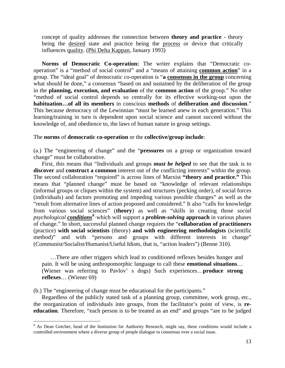concept of quality addresses the connection between **theory and practice** - theory being the desired state and practice being the process or device that critically influences quality. (Phi Delta Kappan, January 1993)

**Norms of Democratic Co-operation:** The writer explains that "Democratic cooperation" is a "method of social control" and a "means of attaining **common action**" in a group. The "ideal goal" of democratic co-operation is "**a consensus in the group** concerning what should be done," a consensus "based on and sustained by the deliberation of the group in the **planning, execution, and evaluation** of the **common action** of the group." No other "method of social control depends so centrally for its effective working-out upon the **habituation…of all its members** in conscious **methods** of **deliberation and discussion**." This because democracy of the Lewinnian "must be learned anew in each generation." This learning/training in turn is dependent upon social science and cannot succeed without the knowledge of, and obedience to, the laws of human nature in group settings.

### The **norms** of **democratic co-operation** or the **collective/group include**:

(a.) The "engineering of change" and the "**pressures** on a group or organization toward change" must be collaborative.

First, this means that "Individuals and groups *must be helped* to see that the task is to **discover** and **construct a common** interest out of the conflicting interests" within the group. The second collaboration "required" is across lines of Marxist **"theory and practice."** This means that "planned change" must be based on "knowledge of relevant relationships (informal groups or cliques within the system) and structures (pecking order), of social forces (individuals) and factors promoting and impeding various possible changes" as well as the "result from alternative lines of action proposed and considered." It also "calls for knowledge from various social sciences" (**theory**) as well as "skills in creating those *social psychological conditions[8](#page-140-0)* ·which will support a *problem-solving* **approach** in various phases of change." In short, successful planned change requires the "**collaboration of practitioners** (practice) **with social scientists** (theory) **and with engineering methodologists** (scientific method)" and with "persons and groups with different interests in change" (Communist/Socialist/Humanist/Useful Idiots, that is, "action leaders") (Benne 310).

…There are other triggers which lead to conditioned reflexes besides hunger and pain. It will be using anthropomorphic language to call these **emotional situations**… (Wiener was referring to Pavlov' s dogs) Such experiences…**produce strong reflexes**… (Wiener 69)

(b.) The "engineering of change must be educational for the participants."

 $\overline{a}$ 

Regardless of the publicly stated task of a planning group, committee, work group, etc., the reorganization of individuals into groups, from the facilitator's point of view, is **reeducation**. Therefore, "each person is to be treated as an end" and groups "are to be judged

<span id="page-140-0"></span><sup>&</sup>lt;sup>8</sup> As Dean Gotcher, head of the Institution for Authority Research, might say, these conditions would include a controlled environment where a diverse group of people dialogue to consensus over a social issue.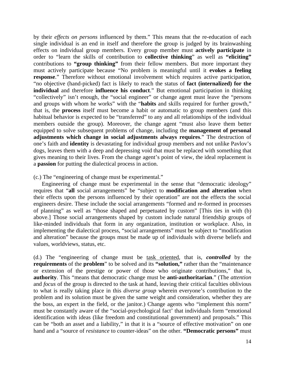by their *effects on persons* influenced by them." This means that the re-education of each single individual is an end in itself and therefore the group is judged by its brainwashing effects on individual group members. Every group member must **actively participate** in order to "learn the skills of contribution to **collective thinking**" as well as **"eliciting"** contributions to **"group thinking"** from their fellow members. But more important they must actively participate because "No problem is meaningful until it **evokes a feeling response**." Therefore without emotional involvement which requires active participation, "no objective (hand-picked) fact is likely to reach the status of **fact (internalized) for the individual** and therefore **influence his conduct**." But emotional participation in thinking "collectively" isn't enough, the "social engineer" or change agent must leave the "persons and groups with whom he works" with the "**habits** and skills required for further growth," that is, the **process** itself must become a habit or automatic to group members (and this habitual behavior is expected to be "transferred" to any and all relationships of the individual members outside the group). Moreover, the change agent "must also leave them better equipped to solve subsequent problems of change, including the **management of personal adjustments which change in social adjustments always requires**." The destruction of one's faith and **identity** is devastating for individual group members and not unlike Pavlov's dogs, leaves them with a deep and depressing void that must be replaced with something that gives meaning to their lives. From the change agent's point of view, the ideal replacement is a **passion** for putting the dialectical process in action.

(c.) The "engineering of change must be experimental."

Engineering of change must be experimental in the sense that "democratic ideology" requires that "**all** social arrangements" be "subject to **modification and alteration** when their effects upon the persons influenced by their operation" are not the effects the social engineers desire. These include the social arrangements "formed and re-formed in processes of planning" as well as "those shaped and perpetuated by custom" [This ties in with (b) above.] Those social arrangements shaped by custom include natural friendship groups of like-minded individuals that form in any organization, institution or workplace. Also, in implementing the dialectical process, "social arrangements" must be subject to "modification and alteration" because the groups must be made up of individuals with diverse beliefs and values, worldviews, status, etc.

(d.) The "engineering of change must be task oriented, that is, *controlled* by the **requirements** of the **problem**" to be solved and its **"solution,"** rather than the "maintenance or extension of the prestige or power of those who originate contributions," that is, **authority**. This "means that democratic change must be **anti-authoritarian**." (The *attention*  and *focus* of the group is directed to the task at hand, leaving their critical faculties oblivious to what is really taking place in this *diverse group* wherein everyone's contribution to the problem and its solution must be given the same weight and consideration, whether they are the boss, an expert in the field, or the janitor.) Change agents who "implement this norm" must be constantly aware of the "social-psychological fact' that individuals form "emotional identification with ideas (like freedom and constitutional government) and proposals." This can be "both an asset and a liability," in that it is a "source of effective motivation" on one hand and a "source of *resistance* to counter-ideas" on the other. **"Democratic persons"** must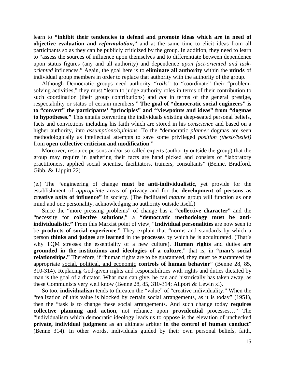learn to **"inhibit their tendencies to defend and promote ideas which are in need of objective evaluation and** *reformulation***,"** and at the same time to elicit ideas from all participants so as they can be publicly criticized by the group. In addition, they need to learn to "assess the sources of influence upon themselves and to differentiate between dependence upon status figures (any and all authority) and dependence *upon fact-oriented and taskoriented* influences." Again, the goal here is to **eliminate all authority** within the **minds** of individual group members in order to replace that authority with the authority of the group.

Although Democratic groups need authority *"rolls"* to "coordinate" their "problemsolving activities," they must "learn to judge authority roles in terms of their contribution to such coordination (their group contributions) and *not* in terms of the general prestige, respectability or status of certain members." **The goal of "democratic social engineers" is to "convert" the participants' "principles" and ''viewpoints and ideas" from "dogmas to hypotheses."** This entails converting the individuals existing deep-seated personal beliefs, facts and convictions including his faith which are stored in his *conscience* and based on a higher authority, into *assumptions/opinions.* To the "democratic *planner* dogmas are seen methodologically as intellectual attempts to save some privileged *position (thesis/belief)*  from **open collective criticism and modification**."

Moreover, resource persons and/or so-called experts (authority outside the group) that the group may require in gathering their facts are hand picked and consists of "laboratory practitioners, applied social scientist, facilitators, trainers, consultants" (Benne, Bradford, Gibb, & Lippitt 22)

(e.) The "engineering of change **must be anti-individualistic**, yet provide for the establishment of *appropriate* areas of privacy and for the **development of persons as creative** *units* **of influence"** in society. (The facilitated *mature* group will function as one mind and one personality, acknowledging no authority outside itself.)

Since the "more pressing problems" of change has a **"collective character"** and the "necessity for **collective solutions**," a **"democratic methodology must be antiindividualistic."** From this Marxist point of view, "**Individual personalities** are now seen to be **products of social experience**." They explain that "norms and standards by which a person **thinks and judges** are **learned** in the **processes** by which he is acculturated. (That's why TQM stresses the essentiality of a new culture). **Human rights** and duties **are grounded in the institutions and ideologies of a culture**," that is, in **"man's social relationships."** Therefore, if "human rights are to be guaranteed, they must be guaranteed by appropriate social, political, and economic **controls of human behavior**" (Benne 28, 85, 310-314). Replacing God-given rights and responsibilities with rights and duties dictated by man is the goal of a dictator. What man can give, he can and historically has taken away, as these Communists very well know (Benne 28, 85, 310-314; Allport & Lewin xi).

So too, **individualism** tends to threaten the "value" of "creative individuality." When the "realization of this value is blocked by certain social arrangements, as it is today" (1951), then the "task is to change these social arrangements. And such change today **requires collective planning and action**, not reliance upon **providential** processes…" The "individualism which democratic ideology leads us to oppose is the elevation of unchecked **private, individual judgment** as an ultimate arbiter **in the control of human conduct**" (Benne 314). In other words, individuals guided by their own personal beliefs, faith,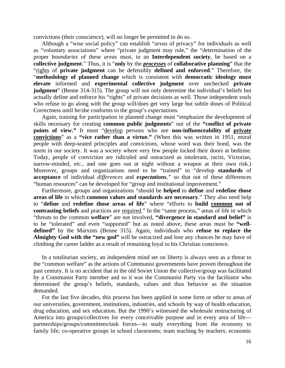convictions (their conscience), will no longer be permitted to do so.

Although a "wise social policy" can establish "*areas* of privacy" for individuals as well as "voluntary associations" where "private judgment may rule," the "determination of the proper *boundaries* of these *areas* must, in an **Interdependent society**, be based on a **collective judgment**." Thus, it is "**only** by the *processes* of **collaborative planning**" that the "rights of **private judgment** can be defensibly **defined and enforced**." Therefore, the "**methodology of planned change** which is consistent with **democratic ideology must elevate** informed and **experimental collective judgment** over unchecked **private judgment**" (Benne 314-315). The group will not only determine the individual's beliefs but actually define and enforce his "rights" of private decisions as well. Those independent souls who refuse to go along with the group will/does get very large but subtle doses of Political Correctness until he/she conforms to the group's *expectations.* 

Again, training for participation in planned change must "emphasize the development of skills necessary for creating **common public judgments**" out of the **"conflict of private points of view."** It must "develop persons who see **non-influenceability of private convictions**" as a **"vice rather than a virtue."** (When this was written in 1951, moral people with deep-seated principles and *convictions,* whose word was their bond, was the norm in our society. It was a society where very few people locked their doors at bedtime. Today, people of conviction are ridiculed and ostracized as intolerant, racist, Victorian, narrow-minded, etc., and one goes out at night without a weapon at their own risk.) Moreover, groups and organizations need to be "trained" to "develop **standards** of **acceptance** of individual *differences* and *expectations,"* so that out of these differences "human resources" can be developed for "group and institutional improvement."

Furthermore, groups and organizations "should be **helped** to **define** and **redefine those areas of life** in which **common values and standards are necessary**." They also need help to "**define** and **redefine those areas of life**" where "efforts to **build common out of**  contrasting beliefs and practices are required." In the "same process," areas of life in which "threats to the common **welfare**" are not involved, **"divergence in standard and belief"** is to be "tolerated" and even "supported" but as noted above, these areas must be **"welldefined"** by the Marxists (Benne 315). Again, individuals who **refuse to replace the Almighty God with the "new god"** will be ostracized and lose any chances he may have of climbing the career ladder as a result of remaining loyal to his Christian conscience.

In a totalitarian society, an independent mind set on liberty is always seen as a threat to the "common welfare" as the actions of Communist governments have proven throughout the past century. It is no accident that in the old Soviet Union the collective/group was facilitated by a Communist Party member and so it was the Communist Party via the facilitator who determined the group's beliefs, standards, values and thus behavior as the situation demanded.

For the last five decades, this process has been applied in some form or other to areas of our universities, government, institutions, industries, and schools by way of health education, drug education, and sex education. But the 1990's witnessed the wholesale restructuring of America into groups/collectives for every conceivable purpose and in every area of life partnerships/groups/committees/task forces—to study everything from the economy to family life; co-operative groups in school classrooms; team teaching by teachers; economic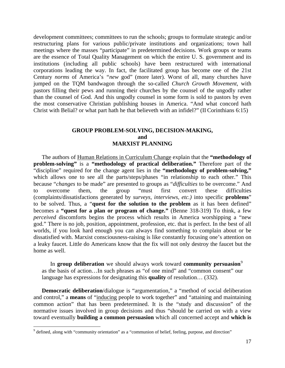development committees; committees to run the schools; groups to formulate strategic and/or restructuring plans for various public/private institutions and organizations; town hall meetings where the masses "participate" in predetermined decisions. Work groups or teams are the essence of Total Quality Management on which the entire U. S. government and its institutions (including all public schools) have been restructured with international corporations leading the way. In fact, the facilitated group has become one of the 21st Century *norms* of America's *"new* god" (more later). Worst of all, many churches have jumped on the TQM bandwagon through the so-called *Church Growth Movement,* with pastors filling their pews and running their churches by the counsel of the ungodly rather than the counsel of God. And this ungodly counsel in some form is sold to pastors by even the most conservative Christian publishing houses in America. "And what concord hath Christ with Belial? or what part hath he that believeth with an infidel?" (II Corinthians 6:15)

## **GROUP PROBLEM-SOLVING, DECISION-MAKING, and MARXIST PLANNING**

The authors of Human Relations in Curriculum Change explain that the **"methodology of problem-solving"** is a **"methodology of practical deliberation."** Therefore part of the "discipline" required for the change agent lies in the **"methodology of problem-solving,"** which allows one to see all the parts/steps/phases "in relationship to each other." This because "*changes* to be made" are presented to groups as "*difficulties* to be overcome." And to overcome them, the group "must first convert these difficulties (complaints/dissatisfactions generated by *surveys, interviews, etc.)* into specific **problems**" to be solved. Thus, a "**quest for the solution to the problem** as it has been defined" becomes a **"quest for a plan or program of change."** (Benne 318-319) To think, a few *perceived* discomforts begins the process which results in America worshipping a "new god." There is no job, position, appointment, profession, etc. that is perfect. In the best of all worlds, if you look hard enough you can always find something to complain about or be dissatisfied with. Marxist consciousness-raising is like constantly focusing one's attention on a leaky faucet. Little do Americans know that the fix will not only destroy the faucet but the home as well.

In **group deliberation** we should always work toward **community persuasion**<sup>[9](#page-144-0)</sup> as the basis of action…In such phrases as "of one mind" and "common consent" our language has expressions for designating this **quality** of resolution… (332).

**Democratic deliberation**/dialogue is "argumentation," a "method of social deliberation and control," a **means** of "inducing people to work together" and "attaining and maintaining common action" that has been predetermined. It is the "study and discussion" of the normative issues involved in group decisions and thus "should be carried on with a view toward eventually **building a common persuasion** which all concerned accept and **which is** 

<span id="page-144-0"></span><sup>&</sup>lt;sup>9</sup> defined, along with "community orientation" as a "communion of belief, feeling, purpose, and direction"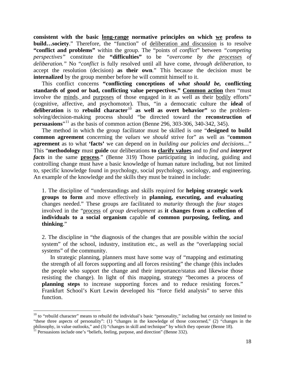**consistent with the basic long-range normative principles on which we profess to build…society**." Therefore, the "function" of deliberation and discussion is to resolve **"conflict and problems"** within the group. The "points of *conflict*" between *"competing perspectives"* constitute the **"difficulties"** to be *"overcome by the processes of deliberation."* No "*conflict* is fully resolved until all have come, *through deliberation,* to accept the resolution (decision) **as their own**." This because the decision must be **internalized** by the group member before he will commit himself to it.

This conflict concerns **"conflicting conceptions of** *what should be,* **conflicting standards of good or bad, conflicting value perspectives." Common action** then "must involve the minds, and purposes of those engaged in it as well as their bodily efforts" (cognitive, affective, and psychomotor). Thus, "in a democratic culture the **ideal** of deliberation is to rebuild character<sup>[10](#page-145-0)</sup> as well as overt behavior" so the problemsolving/decision-making process should "be directed toward the **reconstruction of persuasions**<sup>"[11](#page-145-1)</sup> as the basis of common action (Benne 296, 303-306, 340-342, 345).

The method in which the group facilitator must be skilled is one "**designed to build common agreement** concerning the *values* we *should* strive for" as well as "**common agreement** as to what **'facts'** we can depend on in *building our policies and decisions…*" This "**methodology** must **guide** our deliberations **to clarify values** and to *find and interpret facts* in the same **process**." (Benne 319) Those participating in inducing, guiding and controlling change must have a basic knowledge of human nature including, but not limited to, specific knowledge found in psychology, social psychology, sociology, and engineering. An example of the knowledge and the skills they must be trained in include:

1. The discipline of "understandings and skills required for **helping strategic work groups to form** and move effectively in **planning, executing, and evaluating** changes needed." These groups are facilitated to *maturity* through the *four stages*  involved in the "process of *group development* as **it changes from a collection of individuals to a social organism** capable **of common purposing, feeling, and thinking**."

2. The discipline in "the diagnosis of the changes that are possible within the *social*  system" of the school, industry, institution etc., as well as the "overlapping social systems" of the community.

In strategic planning, planners must have some way of "mapping and estimating the strength of all forces supporting and all forces resisting" the change (this includes the people who support the change and their importance/status and likewise those resisting the change). In light of this mapping, strategy "becomes a process of **planning steps** to increase supporting forces and to reduce resisting forces." Frankfurt School's Kurt Lewin developed his "force field analysis" to serve this function.

<span id="page-145-0"></span> $10$  to "rebuild character" means to rebuild the individual's basic "personality," including but certainly not limited to "these three aspects of personality": (1) "changes in the knowledge of those concerned," (2) "changes in the philosophy, in value outlooks," and (3) "changes in skill and technique" by which they operate (Benne 18). <sup>11</sup> Persuasions include one's "beliefs, feeling, purpose, and direction" (Benne 332).

<span id="page-145-1"></span>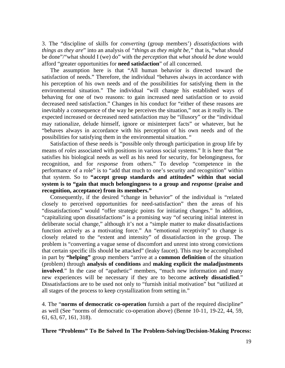3. The "discipline of skills for *converting* (group members') *dissatisfactions* with *things as they are*" into an analysis of *"things as they might be,"* that is, "what *should*  be done"/"what should I (we) do" with the *perception* that *what should be done* would afford "greater opportunities for **need satisfaction**" of all concerned.

The assumption here is that "All human behavior is directed toward the satisfaction of needs." Therefore, the individual "behaves always in accordance with his perception of his own needs and of the possibilities for satisfying them in the environmental situation." The individual "will change his established ways of behaving for one of two reasons: to gain increased need satisfaction or to avoid decreased need satisfaction." Changes in his conduct for "either of these reasons are inevitably a consequence of the way he perceives the situation," not as it really is. The expected increased or decreased need satisfaction may be "illusory" or the "individual may rationalize, delude himself, ignore or misinterpret facts" or whatever, but he "behaves always in accordance with his perception of his own needs and of the possibilities for satisfying them in the environmental situation. "

Satisfaction of these needs is "possible only through participation in group life by means of *roles* associated with positions in various social systems." It is here that "he satisfies his biological needs as well as his need for security, for belongingness, for recognition, and for *response* from others." To develop "competence in the performance of a role" is to "add that much to one's security and recognition" within that system. So to **"accept group standards and attitudes" within that social system is to "gain that much belongingness to a group and** *response* **(praise and recognition, acceptance) from its members."**

Consequently, if the desired "change in behavior" of the individual is "related closely to perceived opportunities for need-satisfaction" then the areas of his "dissatisfactions" would "offer strategic points for initiating changes." In addition, "capitalizing upon dissatisfactions" is a promising way "of securing initial interest in deliberate social change," although it's not a "simple matter to make dissatisfactions function actively as a motivating force." An "emotional receptivity" to change is closely related to the "extent and intensity" of dissatisfaction in the group. The problem is "converting a vague sense of discomfort and unrest into strong convictions that certain specific ills should be attacked" (leaky faucet). This may be accomplished in part by **"helping"** group members "arrive at a **common definition** of the situation (problem) through **analysis of conditions** and **making explicit the maladjustments**  involved." In the case of "apathetic" members, "much new information and many new experiences will be necessary if they are to become **actively dissatisfied**." Dissatisfactions are to be used not only to "furnish initial motivation" but "utilized at all stages of the process to keep crystallization from setting in."

4. The "**norms of democratic co-operation** furnish a part of the required discipline" as well (See "norms of democratic co-operation above) (Benne 10-11, 19-22, 44, 59, 61, 63, 67, 161, 318).

**Three "Problems" To Be Solved In The Problem-Solving/Decision-Making Process:**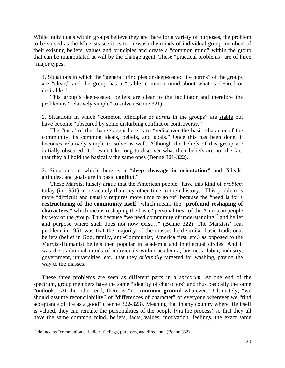While individuals within groups believe they are there for a variety of purposes, the problem to be solved as the Marxists see it, is to rid/wash the minds of individual group members of their existing beliefs, values and principles and create a "common mind" within the group that can be manipulated at will by the change agent. These "practical problems" are of three "major types:"

1. Situations in which the "general principles or deep-seated life norms" of the groups are "clear," and the group has a "stable, common mind about what is desired or desirable."

This group's deep-seated beliefs are clear to the facilitator and therefore the problem is "relatively simple" to solve (Benne 321).

2. Situations in which "common principles or *norms* in the groups" are stable but have become "obscured by some disturbing conflict or controversy."

The "task" of the change agent here is to "rediscover the basic character of the community, its common ideals, beliefs, and goals." Once this has been done, it becomes relatively simple to solve as well. Although the beliefs of this group are initially obscured, it doesn't take long to discover what their beliefs are nor the fact that they all hold the basically the same ones (Benne 321-322).

3. Situations in which there is a **"deep cleavage in orientation"** and "ideals, attitudes, and goals are in basic **conflict**."

These Marxist falsely argue that the American people "have this kind of *problem*  today (in 1951) more acutely than any other time in their history." This problem is more "difficult and usually requires more time to solve" because the "need is for a **restructuring of the community itself**" which means the **"profound reshaping of characters,"** which means reshaping the basic "personalities" of the American people by way of the group. This because "we need community of understanding<sup>[12](#page-147-0)</sup> and belief and purpose where such does not now exist…" (Benne 322). The Marxists' real problem in 1951 was that the majority of the masses held similar basic traditional beliefs (belief in God, family, anti-Communist, America first, etc.) as opposed to the Marxist/Humanist beliefs then popular in academia and intellectual circles. And it was the traditional minds of individuals within academia, business, labor, industry, government, universities, etc., that they *originally* targeted for washing, paving the way to the masses.

These three problems are seen as different parts in a *spectrum.* At one end of the spectrum, group members have the same "identity of characters" and thus basically the same "outlook." At the other end, there is "no **common ground** whatever." Ultimately, "we should assume reconcilability" of "differences of character" of everyone wherever we "find acceptance of life as a good" (Benne 322-323). Meaning that in any country where life itself is valued, they can remake the personalities of the people (via the process) so that they all have the same common mind, beliefs, facts, values, motivation, feelings, the exact same

<span id="page-147-0"></span> $12$  defined as "communion of beliefs, feelings, purposes, and direction" (Benne 332).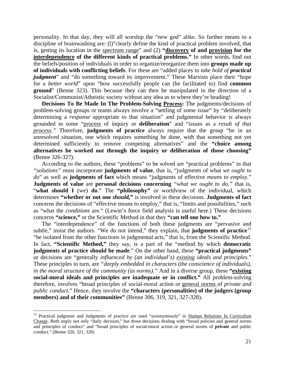personality. In that day, they will all worship the "new god" alike. So further means to a discipline of brainwashing are: (l)"clearly define the kind of practical problem involved, that is, getting its location in the spectrum range" and (2) **"discovery of and provision for the interdependence of the different kinds of practical problems."** In other words, find out the beliefs/position of individuals in order to organize/reorganize them into **groups made up of individuals with conflicting beliefs**. For these are "added places to *take hold of practical judgment*" and "do something toward its improvement." These Marxists place their "hope for a *better world*" upon "how successfully people can (be facilitated to) find **common ground**" (Benne 323). This because they can then be manipulated in the direction of a Socialist/Communist/Atheistic society without any idea as to where they're heading!

**Decisions To Be Made In The Problem-Solving Process:** The judgments/decisions of problem-solving groups or teams always involve a "settling of some *issue*" by "deliberately determining a *response* appropriate to that situation" and judgmental behavior is always grounded in some "process of inquiry or **deliberation**" and "issues as a *result of that process."* Therefore, **judgments of practice** always require that the group "be in an unresolved situation, one which requires something be done, with that something not yet determined sufficiently to remove competing alternatives" and the **"choice among alternatives be worked out through the inquiry or deliberation of those choosing"** (Benne 326-327).

According to the authors, these "problems" to be solved are "practical problems" in that *"solutions"* must incorporate **judgments of value**, that is, "judgments of what *we ought to do*" as well as **judgments of fact** which means "judgments of effective *means to employ.*" **Judgments of value** are **personal decisions concerning** *"what we ought to do,"* that is, "what should I (we) do." The "philosophy" or worldview of the individual, which determines **"whether or not one** *should,***"** is involved in these decisions. **Judgments of fact** concerns the decisions of "effective means to employ," that is, "limits and possibilities," such as "what the *conditions* are." (Lewin's force field analysis is useful here.) These decisions concerns **"science,"** or the Scientific Method in that they **"can tell one how to."**

The "interdependence" of the functions of both these judgments are "pervasive and subtle," insist the authors. "We do not intend," they explain, that **judgments of practice**<sup>[13](#page-148-0)</sup> "be isolated from the other functions in judgmental acts," that is, from the Scientific Method. In fact, **"Scientific Method,"** they say, is a part of the "method by which **democratic judgments of practice should be made**." On the other hand, these **"practical judgments"** or decisions are "generally *influenced by (an individual's) existing ideals and principles*." These principles in turn, are *"deeply embedded in characters (the conscience of individuals), in the moral structure of the community (as norms)."* And in a diverse group, these **"existing social-moral ideals and principles are inadequate or in conflict."** All problem-solving therefore, involves "broad principles of social-moral action or general norms of *private and public conduct.*" Hence, they involve the **"characters (personalities) of the judgers (group members) and of their communities"** (Benne 306, 319, 321, 327-328).

<span id="page-148-0"></span><sup>&</sup>lt;sup>13</sup> Practical judgment and Judgments of practice are used "synonymously" in Human Relations In Curriculum Change. Both imply not only "daily decision," but those decisions dealing with "broad policies and general norms and principles of conduct" and "broad principles of social-moral action or general norms of **private** and public conduct." (Benne 320, 321, 328)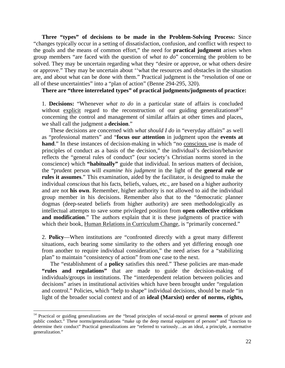**Three "types" of decisions to be made in the Problem-Solving Process:** Since "changes typically occur in a setting of dissatisfaction, confusion, and conflict with respect to the goals and the means of common effort," the need for **practical judgment** arises when group members "are faced with the question of *what to do*" concerning the problem to be solved. They may be uncertain regarding what they "desire or approve, or what others desire or approve." They may be uncertain about ''what the resources and obstacles in the situation are, and about what can be done with them." Practical judgment is the "resolution of one or all of these uncertainties" into a "plan of action" (Benne 294-295, 320).

**There are "three interrelated types" of practical judgments/judgments of practice:** 

1. **Decisions:** "Whenever *what to do* in a particular state of affairs is concluded without explicit regard to the reconstruction of our guiding generalizations  $\#^{14}$  $\#^{14}$  $\#^{14}$ concerning the control and management of similar affairs at other times and places, we shall call the judgment a **decision**."

These decisions are concerned with *what should I do* in "everyday affairs" as well as "professional matters" and "**focus our attention** in judgment upon the **events at hand**." In these instances of decision-making in which "no conscious use is made of principles of conduct as a basis of the decision," the individual's decision/behavior reflects the "general rules of conduct" (our society's Christian norms stored in the conscience) which **"habitually"** guide that individual. In serious matters of decision, the "prudent person will *examine his judgment* in the light of the **general rule or rules it assumes**." This examination, aided by the facilitator, is designed to make the individual *conscious* that his facts, beliefs, values, etc., are based on a higher authority and are not **his own**. Remember, higher authority is not allowed to aid the individual group member in his decisions. Remember also that to the "democratic planner dogmas (deep-seated beliefs from higher authority) are seen methodologically as intellectual attempts to save some privileged position from **open collective criticism and modification**." The authors explain that it is these judgments of practice with which their book, Human Relations in Curriculum Change, is "primarily concerned."

2. **Policy**—When institutions are "confronted directly with a great many different situations, each bearing some similarity to the others and yet differing enough one from another to require individual consideration," the need arises for a "stabilizing plan" to maintain "consistency of action" from one case to the next.

The "establishment of a **policy** satisfies this need." These policies are man-made **"rules and regulations"** that are made to guide the decision-making of individuals/groups in institutions. The "interdependent relation between policies and decisions" arises in institutional activities which have been brought under "regulation and control." Policies, which "help to shape" individual decisions, should be made "in light of the broader social context and of an **ideal (Marxist) order of norms, rights,** 

<span id="page-149-0"></span><sup>14</sup> Practical or guiding generalizations are the "broad principles of social-moral or general **norms** of private and public conduct." These norms/generalizations "make up the deep mental equipment of persons" and "function to determine their conduct" Practical generalizations are "referred to variously…as an ideal, a principle, a normative generalization."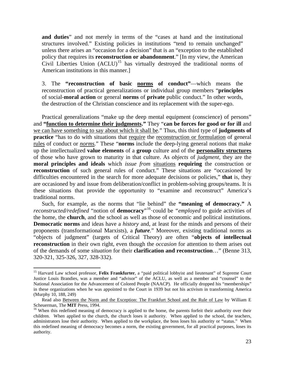**and duties**" and not merely in terms of the "cases at hand and the institutional structures involved." Existing policies in institutions "tend to remain unchanged" unless there arises an "occasion for a decision" that is an "exception to the established policy that requires its **reconstruction or abandonment**." [In my view, the American Civil Liberties Union  $(ACLU)^{15}$  $(ACLU)^{15}$  $(ACLU)^{15}$  has virtually destroyed the traditional norms of American institutions in this manner.]

3. The **"reconstruction of basic norms of conduct"**—which means the reconstruction of practical generalizations or individual group members "**principles** of social-**moral action** or general **norms** of **private** public conduct." In other words, the destruction of the Christian conscience and its replacement with the super-ego.

Practical generalizations "make up the deep mental equipment (conscience) of persons" and **"function to determine their judgments."** They "**can be forces for good or for ill** and we can have something to say about which it shall be." Thus, this third type of **judgments of practice** "has to do with situations that require the reconstruction or formulation of general rules of conduct or *norms.*" These "**norms** include the deep-lying general notions that make up the intellectualized **value elements** of a **group** culture and of the **personality structures** of those who have grown to maturity in that culture. As *objects* of *judgment,* they are the **moral principles and ideals** which *issue from* situations **requiring** the construction or **reconstruction** of such general rules of conduct." These situations are "occasioned by difficulties encountered in the search for more adequate decisions or policies," **that** is, they are occasioned by and issue from deliberation/conflict in problem-solving groups/teams. It is these situations that provide the opportunity to "examine and reconstruct" America's traditional norms.

Such, for example, as the norms that "lie behind" the **"meaning of democracy."** A *reconstructed/redefined* "notion of **democracy**"[16](#page-150-1)·could be *"employed* to guide activities of the home, the **church**, and the school as well as those of economic and political institutions. **Democratic norms** and ideas have a *history* and, at least for the minds and persons of their proponents (transformational Marxists), a *future.*" Moreover, existing traditional norms as "objects of judgment" (targets of Critical Theory) are often "**objects of intellectual reconstruction** in their own right, even though the *occasion* for attention to them arises out of the demands of some *situation* for their **clarification and reconstruction**…" (Benne 313, 320-321, 325-326, 327, 328-332).

<span id="page-150-0"></span><sup>&</sup>lt;sup>15</sup> Harvard Law school professor, Felix Frankfurter, a "paid political lobbyist and lieutenant" of Supreme Court Justice Louis Brandies, was a member and "advisor" of the ACLU, as well as a member and "counsel" to the National Association for the Advancement of Colored People (NAACP). He officially dropped his "memberships" in these organizations when he was appointed to the Court in 1939 but not his activism in transforming America (Murphy 10, 188, 249)

Read also Between the Norm and the Exception: The Frankfurt School and the Rule of Law by William E Scheuerman, The **MIT** Press, 1994.<br><sup>16</sup> When this redefined meaning of democracy is applied to the home, the parents forfeit their authority over their

<span id="page-150-1"></span>children. When applied to the church, the church loses it authority. When applied to the school, the teachers, administrators lose their authority. When applied to the workplace, the boss loses his authority or "status." When this redefined meaning of democracy becomes a norm, the existing government, for all practical purposes, loses its authority.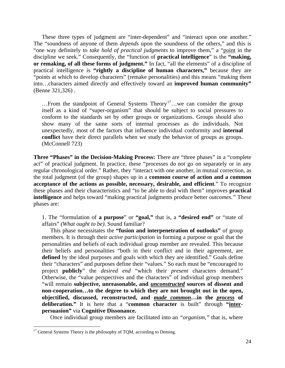These three types of judgment are "inter-dependent" and "interact upon one another." The "soundness of anyone of them *depends* upon the soundness of the others," and this is "one way definitely to *take hold of practical judgments* to improve them," a "point in the discipline we seek." Consequently, the "function of **practical intelligence**" is the **"making, or remaking, of all these forms of judgment."** In fact, "all the elements" of a discipline of practical intelligence is **"rightly a discipline of human characters,"** because they are "points at which to develop characters" (remake personalities) and this means "making them into…characters aimed directly and effectively toward an **improved human community"** (Benne 321,326) .

... From the standpoint of General Systems Theory<sup>[17](#page-151-0)</sup>... we can consider the group itself as a kind of "super-organism" that should be subject to social pressures to conform to the standards set by other groups or organizations. Groups should also show many of the same sorts of internal processes as do individuals. Not unexpectedly, most of the factors that influence individual conformity and **internal conflict** have their direct parallels when we study the behavior of groups as groups. (McConnell 723)

**Three "Phases" in the Decision-Making Process:** There are "three phases" in a "complete act" of practical judgment. In practice, these "processes do not go on separately or in any regular chronological order." Rather, they "interact with one another, in mutual correction, as the total judgment (of the group) shapes up in a **common course of action and a common acceptance of the actions as possible, necessary, desirable, and efficient**." To recognize these phases and their characteristics and "to be able to deal with them" improves **practical intelligence** and helps toward "making practical judgments produce better *outcomes."* These phases are:

1. The "formulation of **a purpose**" or **"goal,"** that is, a **"desired end"** or "state of affairs" *(What ought to be).* Sound familiar?

This phase necessitates the **"fusion and interpenetration of outlooks"** of group members. It is through their *active participation* in forming a purpose or goal that the personalities and beliefs of each individual group member are revealed. This because their beliefs and personalities "both in their conflict and in their agreement, are defined by the ideal purposes and goals with which they are identified." Goals define their "characters" and purposes define their "values." So each must be "encouraged to project **publicly**" the *desired end* "which their *present* characters demand." Otherwise, the "value perspectives and the characters" of individual group members "will remain **subjective, unreasonable, and** *unconstructed* **sources of dissent and non-cooperation…to the degree to which they are not brought out in the open, objectified, discussed, reconstructed, and** *made common***…in the** *process* **of deliberation."** It is here that a "**common character** is built" through **"interpersuasion"** via **Cognitive Dissonance.** 

Once individual group members are facilitated into an *"organism,"* that is, where

<span id="page-151-0"></span> $17$  General Systems Theory is the philosophy of TQM, according to Deming.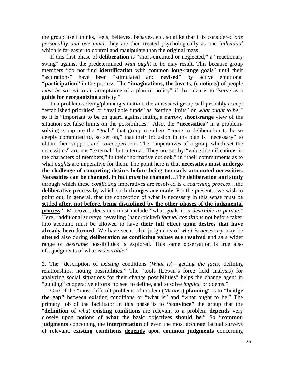the group itself thinks, feels, believes, behaves, etc. so alike that it is considered *one personality and one mind,* they are then treated psychologically as one *individual*  which is far easier to control and manipulate than the original mass.

If this first phase of **deliberation** is "short-circuited or neglected," a "reactionary swing" against the predetermined *what ought to be* may result. This because group members "do not find **identification** with common **long-range** goals" until their "aspirations" have been "stimulated and **revised**" by active emotional **"participation"** in the process. The "**imaginations, the hearts**, (emotions) of people *must be stirred* to an **acceptance** of a plan or policy" if that plan is to "serve as a **guide for reorganizing** activity."

In a problem-solving/planning situation, the *unwashed* group will probably accept "established priorities" or "available funds" as "setting limits" on *what ought to be,"*  so it is "important to be on guard against letting a narrow, **short-range** view of the situation set false limits on the possibilities." Also, the **"necessities"** in a problemsolving group are the "goals" that group members "come in deliberation to be so deeply committed to, so set on," that their inclusion in the plan is "necessary" to obtain their support and co-cooperation. The "imperatives of a group which set the necessities" are not "external" but internal. They are set by "value identifications in the characters of members," in their "normative outlook," in "their commitments as to what *oughts* are imperative for them. The point here is that **necessities must undergo the challenge of competing desires before being too early accounted necessities. Necessities can be changed, in fact** *must* **be changed…**The **deliberation and study** through which these *conflicting* imperatives are resolved is a *searching process*…the **deliberative process** by which such **changes are made**. For the present…we wish to point out, in general, that the conception of what is necessary in this sense must be settled **after, not before, being disciplined by the other phases of the judgmental process**." Moreover, decisions must include "what goals it is *desirable to pursue*." Here, "additional surveys, revealing (hand-picked) *factual conditions* not before taken into account, must be allowed to have **their full effect upon desires that have already been formed**. We have seen…that judgments of *what is necessary* may be **altered** also during **deliberation as conflicting values are resolved** and as a wider range of *desirable* possibilities is explored. This same observation is true also of…judgments of what is *desirable*."

2. The "description of *existing* conditions (*What is*)—getting *the facts,* defining relationships, noting possibilities." The "tools (Lewin's force field analysis) for analyzing social situations for their change possibilities" helps the change agent in "guiding" cooperative efforts "to see, to define, and to solve *implicit* problems."

One of the "most difficult problems of modem (Marxist) **planning**" is to **"bridge the gap"** between existing conditions or "what is" and "what ought to be." The primary job of the facilitator in this phase is to **"convince"** the group that the "**definition** of *what* **existing conditions** are relevant to a problem **depends** very closely upon notions of **what** the basic objectives **should be**." So "**common judgments** concerning the **interpretation** of even the most accurate factual surveys of relevant, **existing conditions depends** upon **common judgments** concerning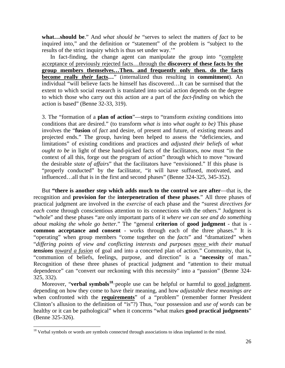**what…should be**." And *what should be* "serves to select the matters *of fact* to be inquired into," and the definition or "statement" of the problem is "subject to the results of the strict inquiry which is thus set under way.'"

In fact-finding, the change agent can manipulate the group into "complete acceptance of previously rejected facts…through the **discovery of these facts by the group members themselves…Then. and frequently only then. do the facts become really** *their* **facts…**" (internalized thus resulting in **commitment**). An individual "will believe facts he himself has discovered…It can be surmised that the extent to which social research is translated into social action depends on the degree to which those who carry out this action are a part of the *fact-finding* on which the action is based" (Benne 32-33, 319).

3. The "formation of a **plan of action**"—steps to "transform *existing* conditions into conditions that are desired." (to transform *what is* into *what ought to be)* This phase involves the "**fusion** of *fact* and desire, of present and future, of existing means and projected ends." The group, having been helped to assess the "deficiencies, and limitations" of existing conditions and practices and *adjusted their beliefs* of *what ought to be* in light of these hand-picked facts of the facilitators, now must "in the context of all this, forge out the program of action" through which to move "toward the desirable *state of affairs*" that the facilitators have "envisioned." If this phase is "properly conducted" by the facilitator, "it will have suffused, motivated, and influenced…all that is in the first and second phases" (Benne 324-325, 345-352).

But **"there is another step which adds much to the control we are after**—that is, the recognition and **provision for** the **interpenetration of these phases**." All three phases of practical judgment are involved in the *exercise* of each phase and the "surest *directives for each* come through conscientious attention to its connections with the others." Judgment is "whole" and these phases "are only important parts of it *where we can see and do something about making the whole go better.*" The "general **criterion** of **good judgment** - that is **common acceptance and consent** - works through each of the three phases." It is "operating" when group members "come together on the *facts*" and "dramatized" when "*differing points of view and conflicting interests and purposes move with their mutual tensions toward a fusion* of goal and into a concerted plan of action." Community, that is, "communion of beliefs, feelings, purpose, and direction" is a "**necessity** of man." Recognition of these three phases of practical judgment and "attention to their mutual dependence" can "convert our reckoning with this necessity" into a "passion" (Benne 324- 325, 332).

Moreover, "**verbal symbols**<sup>[18](#page-153-0)</sup>·people use can be helpful or harmful to good judgment. depending on how they come to have their meaning, and how *adjustable these meanings are*  when confronted with the **requirements**" of a "problem" (remember former President Clinton's allusion to the definition of "is"?) Thus, "our possession and *use of words* can be healthy or it can be pathological" when it concerns "what makes **good practical judgments**" (Benne 325-326).

<span id="page-153-0"></span><sup>&</sup>lt;sup>18</sup> Verbal symbols or words are symbols connected through associations to ideas implanted in the mind.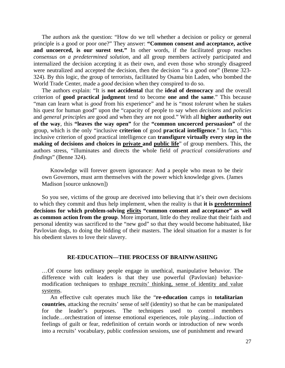The authors ask the question: "How do we tell whether a decision or policy or general principle is a good or poor one?" They answer: **"Common consent and acceptance, active**  and uncoerced, is our surest test." In other words, if the facilitated group reaches *consensus on a predetermined solution,* and all group members actively participated and internalized the decision accepting it as their own, and even those who strongly disagreed were neutralized and accepted the decision, then the decision "is a good one" (Benne 323-324). By this logic, the group of terrorists, facilitated by Osama bin Laden, who bombed the World Trade Center, made a *good* decision when they conspired to do so.

The authors explain: "It is **not accidental** that the **ideal of democracy** and the overall criterion of **good practical judgment** tend to become **one and the same**." This because "man can learn what is *good* from his experience" and he is "most *tolerant* when he stakes his quest for human good" upon the "capacity of people to say when *decisions* and *policies*  and *general principles* are good and when they are not good." With all **higher authority out of the way**, this **"leaves the way open"** for the **"common uncoerced persuasion"** of the group, which is the only "inclusive **criterion** of good **practical intelligence**." In fact, "this inclusive criterion of good practical intelligence can **transfigure virtually every step in the making of decisions and choices in private and public life**" of group members. This, the authors stress, "illuminates and directs the whole field of *practical considerations and findings*" (Benne 324).

Knowledge will forever govern ignorance: And a people who mean to be their own Governors, must arm themselves with the power which knowledge gives. (James Madison [source unknown])

So you see, victims of the group are deceived into believing that it's their *own* decisions to which they commit and thus help implement, when the reality is that **it is predetermined decisions for which problem-solving elicits "common consent and acceptance" as well as common action from the group**. More important, little do they realize that their faith and personal identity was sacrificed to the "new god" so that they would become habituated, like Pavlovian dogs, to doing the bidding of their masters. The ideal situation for a master is for his obedient slaves to love their slavery.

## **RE-EDUCATION—THE PROCESS OF BRAINWASHING**

…Of course lots ordinary people engage in unethical, manipulative behavior. The difference with cult leaders is that they use powerful (Pavlovian) behaviormodification techniques to reshape recruits' thinking, sense of identity and value systems.

An effective cult operates much like the "**re-education** camps in **totalitarian countries**, attacking the recruits' sense of self (identity) so that he can be manipulated for the leader's purposes. The techniques used to control members include…orchestration of intense emotional experiences, role playing…induction of feelings of guilt or fear, redefinition of certain words or introduction of new words into a recruits' vocabulary, public confession sessions, use of punishment and reward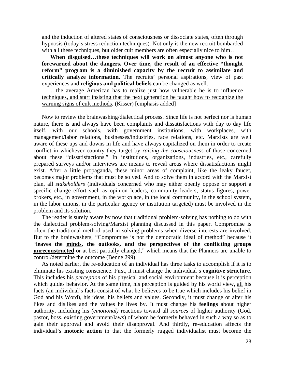and the induction of altered states of consciousness or dissociate states, often through hypnosis (today's stress reduction techniques). Not only is the new recruit bombarded with all these techniques, but older cult members are often especially nice to him...

**When disguised…these techniques will work on almost anyone who is not forewarned about the dangers. Over time, the result of an effective "thought reform" program is a diminished capacity by the recruit to assimilate and critically analyze information.** The recruits' personal aspirations, view of past experiences and **religious and political beliefs** can be changed as well.

…the average American has to realize just how vulnerable he is to influence techniques, and start insisting that the next generation be taught how to recognize the warning signs of cult methods. (Kisser) [emphasis added]

Now to review the brainwashing/dialectical process. Since life is not perfect nor is human nature, there is and always have been complaints and dissatisfactions with day to day life itself, with our schools, with government institutions, with workplaces, with management/labor relations, businesses/industries, race relations, etc. Marxists are well aware of these ups and downs in life and have always capitalized on them in order to create conflict in whichever country they target by *raising the consciousness* of those concerned about these "dissatisfactions." In institutions, organizations, industries, etc., carefully prepared surveys and/or interviews are means to reveal areas where dissatisfactions might exist. After a little propaganda, these minor areas of complaint, like the leaky faucet, becomes major problems that must be solved. And to solve them in accord with the Marxist plan, all *stakeholders* (individuals concerned who may either openly oppose or support a specific change effort such as opinion leaders, community leaders, status figures, power brokers, etc., in government, in the workplace, in the local community, in the school system, in the labor unions, in the particular agency or institution targeted) must be involved in the problem and its solution.

The reader is surely aware by now that traditional problem-solving has nothing to do with the dialectical problem-solving/Marxist planning discussed in this paper. Compromise is often the traditional method used in solving problems when diverse interests are involved. But to the brainwashers, "Compromise is not the democratic ideal of method" because it "**leaves the minds, the outlooks, and the perspectives of the conflicting groups unreconstructed** or at best partially changed," which means that the Planners are unable to control/determine the outcome (Benne 299).

As noted earlier, the re-education of an individual has three tasks to accomplish if it is to eliminate his existing conscience. First, it must change the individual's **cognitive structure**. This includes his *perception* of his physical and social environment because it is perception which guides behavior. At the same time, his perception is guided by his world view, all his facts (an individual's facts consist of what he believes to be true which includes his belief in God and his Word), his ideas, his beliefs and values. Secondly, it must change or alter his likes and dislikes and the values he lives by. It must change his **feelings** about higher authority, including his *(emotional)* reactions toward all *sources* of higher authority (God, pastor, boss, existing government/laws) of whom he formerly behaved in such a way so as to gain their approval and avoid their disapproval. And thirdly, re-education affects the individual's **motoric action** in that the formerly rugged individualist must become the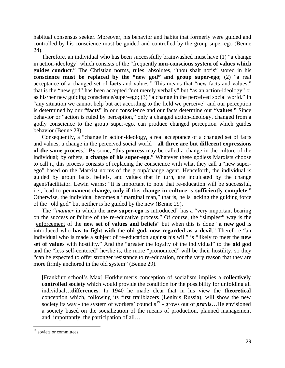habitual consensus seeker. Moreover, his behavior and habits that formerly were guided and controlled by his conscience must be guided and controlled by the group super-ego (Benne 24).

Therefore, an individual who has been successfully brainwashed must have (1) "a change in action-ideology" which consists of the "frequently **non-conscious system of values which guides conduct**." The Christian norms, rules, absolutes, "thou shalt not's" stored in his **conscience must be replaced by the "new god" and group super-ego**; (2) "a real acceptance of a changed set of **facts** and values." This means that "new facts and values," that is the "new god" has been accepted "not merely verbally" but "as an action-ideology" or as his/her new guiding conscience/super-ego; (3) "a change in the perceived social world." In "any situation we cannot help but act according to the field we perceive" and our perception is determined by our **"facts"** in our conscience and our facts determine our **"values**.**"** Since behavior or "action is ruled by perception," only a changed action-ideology, changed from a godly conscience to the group super-ego, can produce changed perception which guides behavior (Benne 28).

Consequently, a "change in action-ideology, a real acceptance of a changed set of facts and values, a change in the perceived social world—**all three are but different expressions of the same process**." By some, "this **process** may be called a change in the culture of the individual; by others, **a change of his super-ego**." Whatever these godless Marxists choose to call it, this process consists of replacing the conscience with what they call a "new superego" based on the Marxist norms of the group/change agent. Henceforth, the individual is guided by group facts, beliefs, and values that in turn, are inculcated by the change agent/facilitator. Lewin warns: "It is important to note that re-education will be successful, i.e., lead to **permanent change, only if** this **change in culture** is **sufficiently complete**." Otherwise, the individual becomes a "marginal man," that is, he is lacking the guiding force of the "old god" but neither is he guided by the new (Benne 29).

The *"manner* in which the **new super-ego** is introduced" has a "very important bearing on the success or failure of the re-educative process." Of course, the "simplest" way is the "enforcement of the **new set of values and beliefs**" but when this is done "**a new god** is introduced who **has to fight with** the **old god, now regarded as a devil**." Therefore "an individual who is made a subject of re-education against his will" is "likely to meet the **new set of values** with hostility." And the "greater the loyalty of the individual" to the **old god** and the "less self-centered" he/she is, the more "pronounced" will be their hostility, so they "can be expected to offer stronger resistance to re-education, for the very reason that they are more firmly anchored in the old system" (Benne 29).

[Frankfurt school's Max] Horkheimer's conception of socialism implies a **collectively controlled society** which would provide the condition for the possibility for unfolding all individual…**differences**. In 1940 he made clear that in his view the **theoretical** conception which, following its first trailblazers (Lenin's Russia), will show the new society its way - the system of workers' councils<sup>[19](#page-156-0)</sup> - grows out of *praxis*...He envisioned a society based on the socialization of the means of production, planned management and, importantly, the participation of all…

<span id="page-156-0"></span><sup>&</sup>lt;sup>19</sup> soviets or committees.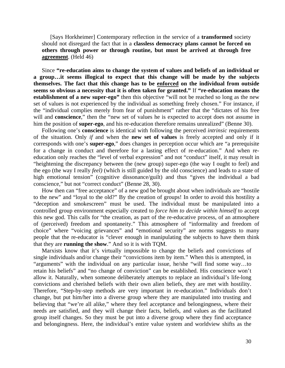[Says Horkheimer] Contemporary reflection in the service of a **transformed** society should not disregard the fact that in a **classless democracy plans cannot be forced on others through power or through routine, but must be arrived at through free agreement**. (Held 46)

Since **"re-education aims to change the system of values and beliefs of an individual or a group…it seems illogical to expect that this change will be made by the subjects themselves. The fact that this change has to be enforced on the individual from outside seems so obvious a necessity that it is often taken for granted."** If **"re-education means the establishment of a new super-ego"** then this objective "will not be reached so long as the new set of values is not experienced by the individual as something freely chosen." For instance, if the "individual complies merely from fear of punishment" rather that the "dictates of his free will and **conscience**," then the "new set of values he is expected to accept does not assume in him the position of **super-ego**, and his re-education therefore remains unrealized" (Benne 30).

Following one's **conscience** is identical with following the perceived *intrinsic* requirements of the situation. Only *if* and when the **new set of values** is freely accepted and only if it corresponds with one's **super-ego**," does changes in perception occur which are "a prerequisite for a change in conduct and therefore for a lasting effect of re-education." And when reeducation only reaches the "level of verbal expression" and not "conduct" itself, it may result in "heightening the discrepancy between the (new group) super-ego (the way I ought to feel) and the ego (the way I really *feel)* (which is still guided by the old conscience) and leads to a state of high emotional tension" (cognitive dissonance/guilt) and thus "gives the individual a bad conscience," but not "correct conduct" (Benne 28, 30).

How then can "free acceptance" of a new god be brought about when individuals are "hostile to the new" and "loyal to the old?" By the creation of groups! In order to avoid this hostility a "deception and smokescreen" must be used. The individual must be manipulated into a controlled group environment especially created to *force him to decide within himself* to accept this new god. This calls for "the creation, as part of the re-educative process, of an atmosphere of (perceived) freedom and spontaneity." This atmosphere of "informality and freedom of choice" where "voicing grievances" and "emotional security" are norms suggests to many people that the re-educator is "clever enough in manipulating the subjects to have them think that they are **running the show**." And so it is with TQM.

Marxists know that it's virtually impossible to change the beliefs and convictions of single individuals and/or change their "convictions item by item." When this is attempted, in "arguments" with the individual on any particular issue, he/she "will find some way…to retain his beliefs" and "no change of conviction" can be established. His conscience won't allow it. Naturally, when someone deliberately attempts to replace an individual's life-long convictions and cherished beliefs with their own alien beliefs, they are met with hostility. Therefore, "Step-by-step methods are very important in re-education." Individuals don't change, but put him/her into a diverse group where they are manipulated into trusting and believing that "we're all alike," where they feel acceptance and belongingness, where their needs are satisfied, and they will change their facts, beliefs, and values as the facilitated group itself changes. So they must be put into a diverse group where they find acceptance and belongingness. Here, the individual's entire value system and worldview shifts as the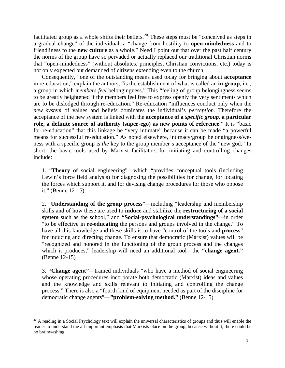facilitated group as a whole shifts their beliefs.<sup>[20](#page-158-0)</sup> These steps must be "conceived as steps in a gradual change" of the individual, a "change from hostility to **open-mindedness** and to friendliness to the **new culture** as a whole." Need I point out that over the past half century the norms of the group have so pervaded or actually replaced our traditional Christian norms that "open-mindedness" (without absolutes, principles, Christian convictions, etc.) today is not only expected but demanded of citizens extending even to the church.

Consequently, "one of the outstanding means used today for bringing about **acceptance** in re-education," explain the authors, "is the establishment of what is called an **in-group**, i.e., a group in which *members feel* belongingness." This "feeling of group belongingness seems to be greatly heightened if the members feel free to express openly the very sentiments which are to be dislodged through re-education." Re-education "influences conduct only when the *new system* of values and beliefs dominates the individual's *perception.* Therefore the acceptance of the new system is linked with the **acceptance of a** *specific group,* **a particular role, a definite source of authority (super-ego) as new points of reference**." It is "basic for re-education" that this linkage be "very intimate" because it can be made "a powerful means for successful re-education." As noted elsewhere, intimacy/group belongingness/weness with a specific group is *the* key to the group member's acceptance of the "new god." In short, the basic tools used by Marxist facilitators for initiating and controlling changes include:

1. "**Theory** of social engineering"—which "provides conceptual tools (including Lewin's force field analysis) for diagnosing the possibilities for change, for locating the forces which support it, and for devising change procedures for those who oppose it." (Benne 12-15)

2. "**Understanding of the group process**"—including "leadership and membership skills and of how these are used to **induce** and stabilize the **restructuring of a social system** such as the school," and **"Social-psychological understandings"**—in order "to be effective in **re-educating** the persons and groups involved in the change." To have all this knowledge and these skills is to have "control of the tools and **process**" for inducing and directing change. To ensure that democratic (Marxist) values will be "recognized and honored in the functioning of the group process and the changes which it produces," leadership will need an additional tool—the "change agent." (Benne 12-15)

3. **"Change agent"**—trained individuals "who have a method of social engineering whose operating procedures incorporate both democratic (Marxist) ideas and values and the knowledge and skills relevant to initiating and controlling the change process." There is also a "fourth kind of equipment needed as part of the discipline for democratic change agents"—**"problem-solving method."** (Benne 12-15)

<span id="page-158-0"></span> $20$  A reading in a Social Psychology text will explain the universal characteristics of groups and thus will enable the reader to understand the all important emphasis that Marxists place on the group, because without it, there could be no brainwashing.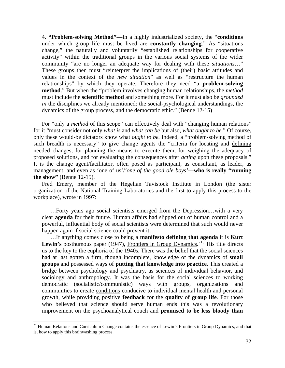4. **"Problem-solving Method"—**In a highly industrialized society, the "**conditions** under which group life must be lived are **constantly changing**." As "situations change," the naturally and voluntarily "established relationships for cooperative activity" within the traditional groups in the various social systems of the wider community "are no longer an adequate way for dealing with these *situations*…" These groups then must "reinterpret the implications of (their) basic attitudes and values in the context of the *new situation*" as well as "restructure the human relationships" by which they operate. Therefore they need "a **problem-solving method**." But when the "problem involves changing human relationships, the *method*  must include the **scientific method** and something more. For it must also be *grounded in* the disciplines we already mentioned: the social-psychological understandings, the dynamics of the group process, and the democratic ethic." (Benne 12-15)

For "only a *method* of this scope" can effectively deal with "changing human relations" for it "must consider not only *what is* and *what can be* but also, *what ought to be.*" Of course, only these would-be dictators know what *ought to be.* Indeed, a "problem-solving method of such breadth is necessary" to give change agents the "criteria for locating and defining needed changes, for planning the means to execute them, for weighing the adequacy of proposed solutions, and for evaluating the consequences after *acting* upon these proposals." It is the change agent/facilitator, often posed as participant, as consultant, as leader, as management, and even as 'one of us'/'one of the good ole boys'—who is really "running" **the show"** (Benne 12-15).

Fred Emery, member of the Hegelian Tavistock Institute in London (the sister organization of the National Training Laboratories and the first to apply this process to the workplace), wrote in 1997:

…Forty years ago social scientists emerged from the Depression…with a very clear **agenda** for their future. Human affairs had slipped out of human control and a powerful, influential body of social scientists were determined that such would never happen again if social science could prevent it...

…If anything comes close to being a **manifesto defining that agenda** it is **Kurt**  Lewin's posthumous paper (1947), Frontiers in Group Dynamics.<sup>[21](#page-159-0)</sup> His title directs us to the key to the euphoria of the 1940s. There was the belief that the social sciences had at last gotten a firm, though incomplete, knowledge of the dynamics of **small groups** and possessed ways of **putting that knowledge into practice**. This created a bridge between psychology and psychiatry, as sciences of individual behavior, and sociology and anthropology. It was the basis for the social sciences to working democratic (socialistic/communistic) ways with groups, organizations and communities to create conditions conducive to individual mental health and personal growth, while providing positive **feedback** for the **quality** of **group life**. For those who believed that science should serve human ends this was a revolutionary improvement on the psychoanalytical couch and **promised to be less bloody than** 

<span id="page-159-0"></span><sup>&</sup>lt;sup>21</sup> Human Relations and Curriculum Change contains the essence of Lewin's Frontiers in Group Dynamics, and that is, how to apply this brainwashing process.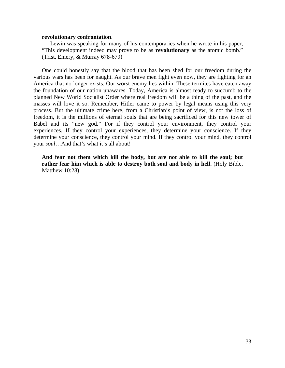## **revolutionary confrontation**.

Lewin was speaking for many of his contemporaries when he wrote in his paper, "This development indeed may prove to be as **revolutionary** as the atomic bomb." (Trist, Emery, & Murray 678-679)

One could honestly say that the blood that has been shed for our freedom during the various wars has been for naught. As our brave men fight even now, they are fighting for an America that no longer exists. Our worst enemy lies within. These termites have eaten away the foundation of our nation unawares. Today, America is almost ready to succumb to the planned New World Socialist Order where real freedom will be a thing of the past, and the masses will love it so. Remember, Hitler came to power by legal means using this very process. But the ultimate crime here, from a Christian's point of view, is not the loss of freedom, it is the millions of eternal souls that are being sacrificed for this new tower of Babel and its "new god." For if they control your environment, they control your experiences. If they control your experiences, they determine your conscience. If they determine your conscience, they control your mind. If they control your mind, they control your *soul*…And that's what it's all about!

**And fear not them which kill the body, but are not able to kill the soul; but rather fear him which is able to destroy both soul and body in hell.** (Holy Bible, Matthew 10:28)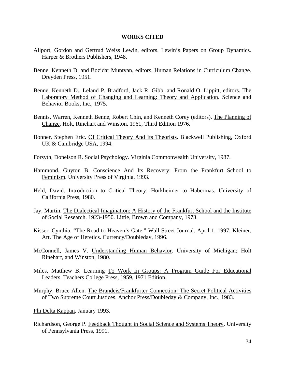## **WORKS CITED**

- Allport, Gordon and Gertrud Weiss Lewin, editors. Lewin's Papers on Group Dynamics. Harper & Brothers Publishers, 1948.
- Benne, Kenneth D. and Bozidar Muntyan, editors. Human Relations in Curriculum Change. Dreyden Press, 1951.
- Benne, Kenneth D., Leland P. Bradford, Jack R. Gibb, and Ronald O. Lippitt, editors. The Laboratory Method of Changing and Learning: Theory and Application. Science and Behavior Books, Inc., 1975.
- Bennis, Warren, Kenneth Benne, Robert Chin, and Kenneth Corey (editors). The Planning of Change. Holt, Rinehart and Winston, 1961, Third Edition 1976.
- Bonner, Stephen Eric. Of Critical Theory And Its Theorists. Blackwell Publishing, Oxford UK & Cambridge USA, 1994.
- Forsyth, Donelson R. Social Psychology. Virginia Commonwealth University, 1987.
- Hammond, Guyton B. Conscience And Its Recovery: From the Frankfurt School to Feminism. University Press of Virginia, 1993.
- Held, David. Introduction to Critical Theory: Horkheimer to Habermas. University of California Press, 1980.
- Jay, Martin. The Dialectical Imagination: A History of the Frankfurt School and the Institute of Social Research. 1923-1950. Little, Brown and Company, 1973.
- Kisser, Cynthia. "The Road to Heaven's Gate," Wall Street Journal. April 1, 1997. Kleiner, Art. The Age of Heretics. Currency/Doubleday, 1996.
- McConnell, James V. Understanding Human Behavior. University of Michigan; Holt Rinehart, and Winston, 1980.
- Miles, Matthew B. Learning To Work In Groups: A Program Guide For Educational Leaders. Teachers College Press, 1959, 1971 Edition.
- Murphy, Bruce Allen. The Brandeis/Frankfurter Connection: The Secret Political Activities of Two Supreme Court Justices. Anchor Press/Doubleday & Company, Inc., 1983.
- Phi Delta Kappan. January 1993.
- Richardson, George P. Feedback Thought in Social Science and Systems Theory. University of Pennsylvania Press, 1991.